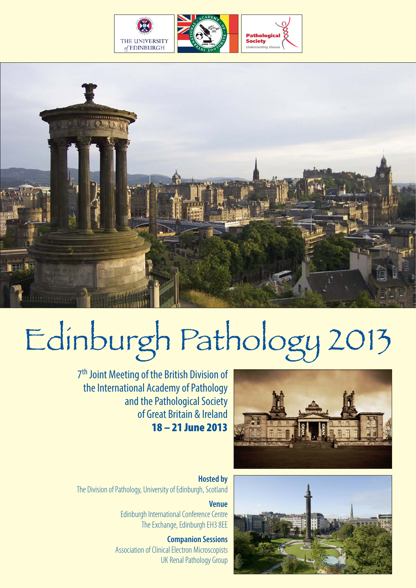



# Edinburgh Pathology 2013



7<sup>th</sup> Joint Meeting of the British Division of the International Academy of Pathology and the Pathological Society of Great Britain & Ireland 18 – 21 June 2013

**Hosted by** The Division of Pathology, University of Edinburgh, Scotland **Venue**

Edinburgh International Conference Centre The Exchange, Edinburgh EH3 8EE

**Companion Sessions** Association of Clinical Electron Microscopists UK Renal Pathology Group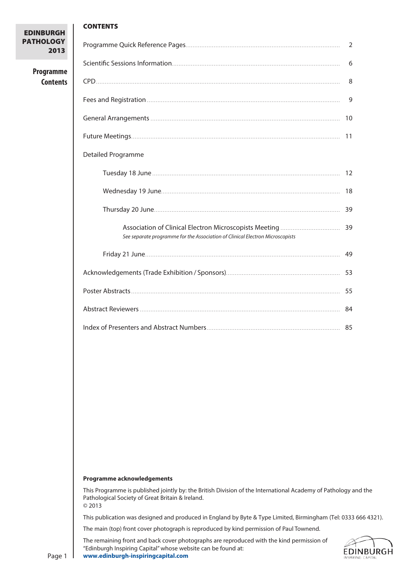# **CONTENTS**

EDINBURGH **PATHOLOGY** 2013

> **Programme Contents**

|                                                                               | 2   |
|-------------------------------------------------------------------------------|-----|
|                                                                               | 6   |
|                                                                               | 8   |
|                                                                               | 9   |
|                                                                               | 10  |
|                                                                               |     |
| Detailed Programme                                                            |     |
|                                                                               |     |
|                                                                               | -18 |
|                                                                               |     |
| See separate programme for the Association of Clinical Electron Microscopists |     |
|                                                                               |     |
|                                                                               |     |
|                                                                               |     |
|                                                                               |     |
|                                                                               |     |

**Programme acknowledgements**

This Programme is published jointly by: the British Division of the International Academy of Pathology and the Pathological Society of Great Britain & Ireland. © 2013

This publication was designed and produced in England by Byte & Type Limited, Birmingham (Tel: 0333 666 4321).

The main (top) front cover photograph is reproduced by kind permission of Paul Townend.

The remaining front and back cover photographs are reproduced with the kind permission of "Edinburgh Inspiring Capital" whose website can be found at:

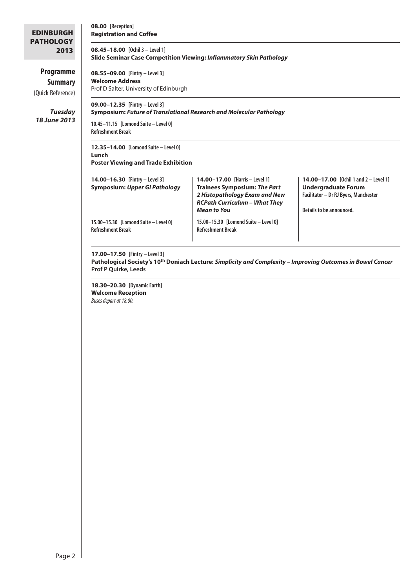| <b>EDINBURGH</b><br><b>PATHOLOGY</b>             | 08.00 [Reception]<br><b>Registration and Coffee</b>                                                                                                                               |                                                                                                        |                                                                                                              |  |  |  |  |
|--------------------------------------------------|-----------------------------------------------------------------------------------------------------------------------------------------------------------------------------------|--------------------------------------------------------------------------------------------------------|--------------------------------------------------------------------------------------------------------------|--|--|--|--|
| 2013                                             | 08.45-18.00 [0chil 3 - Level 1]<br>Slide Seminar Case Competition Viewing: Inflammatory Skin Pathology                                                                            |                                                                                                        |                                                                                                              |  |  |  |  |
| Programme<br><b>Summary</b><br>(Quick Reference) | 08.55-09.00 [Fintry - Level 3]<br><b>Welcome Address</b><br>Prof D Salter, University of Edinburgh                                                                                |                                                                                                        |                                                                                                              |  |  |  |  |
| <b>Tuesday</b><br><b>18 June 2013</b>            | 09.00-12.35 [Fintry - Level 3]<br>10.45-11.15 [Lomond Suite - Level 0]                                                                                                            | Symposium: Future of Translational Research and Molecular Pathology                                    |                                                                                                              |  |  |  |  |
|                                                  | <b>Refreshment Break</b>                                                                                                                                                          |                                                                                                        |                                                                                                              |  |  |  |  |
|                                                  | 12.35-14.00 [Lomond Suite - Level 0]<br>Lunch<br><b>Poster Viewing and Trade Exhibition</b>                                                                                       |                                                                                                        |                                                                                                              |  |  |  |  |
|                                                  | 14.00-16.30 [Fintry - Level 3]<br><b>Symposium: Upper GI Pathology</b>                                                                                                            | 14.00-17.00 [Harris - Level 1]<br><b>Trainees Symposium: The Part</b><br>2 Histopathology Exam and New | 14.00-17.00 [Ochil 1 and 2 - Level 1]<br><b>Undergraduate Forum</b><br>Facilitator - Dr RJ Byers, Manchester |  |  |  |  |
|                                                  |                                                                                                                                                                                   | <b>RCPath Curriculum - What They</b><br><b>Mean to You</b>                                             | Details to be announced.                                                                                     |  |  |  |  |
|                                                  | 15.00-15.30 [Lomond Suite - Level 0]<br><b>Refreshment Break</b>                                                                                                                  | 15.00-15.30 [Lomond Suite - Level 0]<br><b>Refreshment Break</b>                                       |                                                                                                              |  |  |  |  |
|                                                  | 17.00-17.50 [Fintry - Level 3]<br>Pathological Society's 10 <sup>th</sup> Doniach Lecture: Simplicity and Complexity - Improving Outcomes in Bowel Cancer<br>Prof P Quirke, Leeds |                                                                                                        |                                                                                                              |  |  |  |  |
|                                                  | 18.30-20.30 [Dynamic Earth]<br><b>Welcome Reception</b><br>Buses depart at 18.00.                                                                                                 |                                                                                                        |                                                                                                              |  |  |  |  |
|                                                  |                                                                                                                                                                                   |                                                                                                        |                                                                                                              |  |  |  |  |
|                                                  |                                                                                                                                                                                   |                                                                                                        |                                                                                                              |  |  |  |  |
|                                                  |                                                                                                                                                                                   |                                                                                                        |                                                                                                              |  |  |  |  |
|                                                  |                                                                                                                                                                                   |                                                                                                        |                                                                                                              |  |  |  |  |
|                                                  |                                                                                                                                                                                   |                                                                                                        |                                                                                                              |  |  |  |  |
|                                                  |                                                                                                                                                                                   |                                                                                                        |                                                                                                              |  |  |  |  |
|                                                  |                                                                                                                                                                                   |                                                                                                        |                                                                                                              |  |  |  |  |
|                                                  |                                                                                                                                                                                   |                                                                                                        |                                                                                                              |  |  |  |  |
|                                                  |                                                                                                                                                                                   |                                                                                                        |                                                                                                              |  |  |  |  |
|                                                  |                                                                                                                                                                                   |                                                                                                        |                                                                                                              |  |  |  |  |
|                                                  |                                                                                                                                                                                   |                                                                                                        |                                                                                                              |  |  |  |  |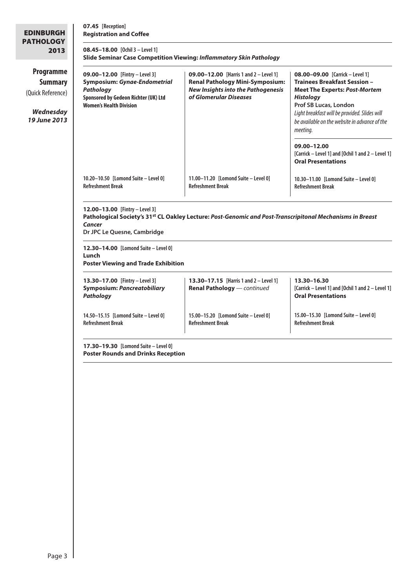| <b>EDINBURGH</b>                                                              | 07.45 [Reception]<br><b>Registration and Coffee</b>                                                                                                          |                                                                                                                                                         |                                                                                                                                                                                                                                                                           |  |  |  |  |
|-------------------------------------------------------------------------------|--------------------------------------------------------------------------------------------------------------------------------------------------------------|---------------------------------------------------------------------------------------------------------------------------------------------------------|---------------------------------------------------------------------------------------------------------------------------------------------------------------------------------------------------------------------------------------------------------------------------|--|--|--|--|
| <b>PATHOLOGY</b><br>2013                                                      | 08.45-18.00 [0chil 3 - Level 1]<br>Slide Seminar Case Competition Viewing: Inflammatory Skin Pathology                                                       |                                                                                                                                                         |                                                                                                                                                                                                                                                                           |  |  |  |  |
| Programme<br><b>Summary</b><br>(Quick Reference)<br>Wednesday<br>19 June 2013 | 09.00-12.00 [Fintry - Level 3]<br>Symposium: Gynae-Endometrial<br><b>Pathology</b><br>Sponsored by Gedeon Richter (UK) Ltd<br><b>Women's Health Division</b> | 09.00-12.00 [Harris 1 and 2 - Level 1]<br><b>Renal Pathology Mini-Symposium:</b><br><b>New Insights into the Pathogenesis</b><br>of Glomerular Diseases | 08.00-09.00 [Carrick - Level 1]<br><b>Trainees Breakfast Session -</b><br><b>Meet The Experts: Post-Mortem</b><br><b>Histology</b><br>Prof SB Lucas, London<br>Light breakfast will be provided. Slides will<br>be available on the website in advance of the<br>meeting. |  |  |  |  |
|                                                                               |                                                                                                                                                              |                                                                                                                                                         | 09.00-12.00<br>[Carrick - Level 1] and [Ochil 1 and 2 - Level 1]<br><b>Oral Presentations</b>                                                                                                                                                                             |  |  |  |  |
|                                                                               | 10.20-10.50 [Lomond Suite - Level 0]<br><b>Refreshment Break</b>                                                                                             | 11.00-11.20 [Lomond Suite - Level 0]<br><b>Refreshment Break</b>                                                                                        | 10.30-11.00 [Lomond Suite - Level 0]<br><b>Refreshment Break</b>                                                                                                                                                                                                          |  |  |  |  |
|                                                                               | 12.00-13.00 [Fintry - Level 3]<br>Cancer<br>Dr JPC Le Quesne, Cambridge                                                                                      | Pathological Society's 31st CL Oakley Lecture: Post-Genomic and Post-Transcripitonal Mechanisms in Breast                                               |                                                                                                                                                                                                                                                                           |  |  |  |  |
|                                                                               | 12.30-14.00 [Lomond Suite - Level 0]<br>Lunch                                                                                                                | <b>Poster Viewing and Trade Exhibition</b>                                                                                                              |                                                                                                                                                                                                                                                                           |  |  |  |  |
|                                                                               | 13.30-17.00 [Fintry - Level 3]<br><b>Symposium: Pancreatobiliary</b><br><b>Pathology</b>                                                                     | 13.30-17.15 [Harris 1 and 2 - Level 1]<br>Renal Pathology - continued                                                                                   | 13.30-16.30<br>[Carrick - Level 1] and [Ochil 1 and 2 - Level 1]<br><b>Oral Presentations</b>                                                                                                                                                                             |  |  |  |  |
|                                                                               | 14.50-15.15 [Lomond Suite - Level 0]<br><b>Refreshment Break</b>                                                                                             | 15.00-15.20 [Lomond Suite - Level 0]<br><b>Refreshment Break</b>                                                                                        | 15.00-15.30 [Lomond Suite - Level 0]<br><b>Refreshment Break</b>                                                                                                                                                                                                          |  |  |  |  |
|                                                                               | 17.30-19.30 [Lomond Suite - Level 0]<br><b>Poster Rounds and Drinks Reception</b>                                                                            |                                                                                                                                                         |                                                                                                                                                                                                                                                                           |  |  |  |  |
|                                                                               |                                                                                                                                                              |                                                                                                                                                         |                                                                                                                                                                                                                                                                           |  |  |  |  |
|                                                                               |                                                                                                                                                              |                                                                                                                                                         |                                                                                                                                                                                                                                                                           |  |  |  |  |
|                                                                               |                                                                                                                                                              |                                                                                                                                                         |                                                                                                                                                                                                                                                                           |  |  |  |  |
|                                                                               |                                                                                                                                                              |                                                                                                                                                         |                                                                                                                                                                                                                                                                           |  |  |  |  |
|                                                                               |                                                                                                                                                              |                                                                                                                                                         |                                                                                                                                                                                                                                                                           |  |  |  |  |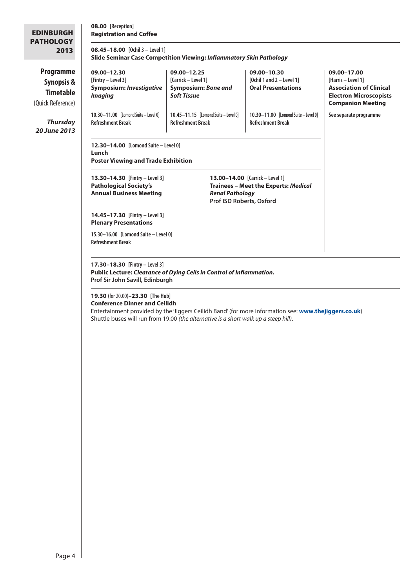| <b>EDINBURGH</b><br><b>PATHOLOGY</b>                                               | 08.00 [Reception]<br><b>Registration and Coffee</b>                                                                                                                                                                                                                        |                                                                                                                                      |                                                                  |                                                                         |                                                                                                                                  |
|------------------------------------------------------------------------------------|----------------------------------------------------------------------------------------------------------------------------------------------------------------------------------------------------------------------------------------------------------------------------|--------------------------------------------------------------------------------------------------------------------------------------|------------------------------------------------------------------|-------------------------------------------------------------------------|----------------------------------------------------------------------------------------------------------------------------------|
| 2013                                                                               | 08.45-18.00 [0chil 3 - Level 1]<br>Slide Seminar Case Competition Viewing: Inflammatory Skin Pathology                                                                                                                                                                     |                                                                                                                                      |                                                                  |                                                                         |                                                                                                                                  |
| <b>Programme</b><br><b>Synopsis &amp;</b><br><b>Timetable</b><br>(Quick Reference) | 09.00-12.30<br>[Fintry - Level 3]<br><b>Symposium: Investigative</b><br><b>Imaging</b>                                                                                                                                                                                     |                                                                                                                                      | 09.00-12.25<br>[Carrick - Level 1]<br><b>Symposium: Bone and</b> | 09.00-10.30<br>[Ochil 1 and $2 -$ Level 1]<br><b>Oral Presentations</b> | 09.00-17.00<br>[Harris - Level 1]<br><b>Association of Clinical</b><br><b>Electron Microscopists</b><br><b>Companion Meeting</b> |
| <b>Thursday</b><br><b>20 June 2013</b>                                             | 10.30-11.00 [Lomond Suite - Level 0]<br><b>Refreshment Break</b>                                                                                                                                                                                                           | 10.45-11.15 [Lomond Suite - Level 0]<br><b>Refreshment Break</b>                                                                     |                                                                  | 10.30-11.00 [Lomond Suite - Level 0]<br><b>Refreshment Break</b>        | See separate programme                                                                                                           |
|                                                                                    | 12.30-14.00 [Lomond Suite - Level 0]<br>Lunch<br><b>Poster Viewing and Trade Exhibition</b>                                                                                                                                                                                |                                                                                                                                      |                                                                  |                                                                         |                                                                                                                                  |
|                                                                                    | 13.30-14.30 [Fintry - Level 3]<br><b>Pathological Society's</b><br><b>Annual Business Meeting</b>                                                                                                                                                                          | 13.00-14.00 [Carrick - Level 1]<br><b>Trainees - Meet the Experts: Medical</b><br><b>Renal Pathology</b><br>Prof ISD Roberts, Oxford |                                                                  |                                                                         |                                                                                                                                  |
|                                                                                    | 14.45-17.30 [Fintry - Level 3]<br><b>Plenary Presentations</b>                                                                                                                                                                                                             |                                                                                                                                      |                                                                  |                                                                         |                                                                                                                                  |
|                                                                                    | 15.30-16.00 [Lomond Suite - Level 0]<br><b>Refreshment Break</b>                                                                                                                                                                                                           |                                                                                                                                      |                                                                  |                                                                         |                                                                                                                                  |
|                                                                                    | 17.30-18.30 [Fintry - Level 3]<br>Public Lecture: Clearance of Dying Cells in Control of Inflammation.<br>Prof Sir John Savill, Edinburgh                                                                                                                                  |                                                                                                                                      |                                                                  |                                                                         |                                                                                                                                  |
|                                                                                    | 19.30 (for 20.00)-23.30 [The Hub]<br><b>Conference Dinner and Ceilidh</b><br>Entertainment provided by the 'Jiggers Ceilidh Band' (for more information see: www.thejiggers.co.uk)<br>Shuttle buses will run from 19.00 (the alternative is a short walk up a steep hill). |                                                                                                                                      |                                                                  |                                                                         |                                                                                                                                  |
|                                                                                    |                                                                                                                                                                                                                                                                            |                                                                                                                                      |                                                                  |                                                                         |                                                                                                                                  |
|                                                                                    |                                                                                                                                                                                                                                                                            |                                                                                                                                      |                                                                  |                                                                         |                                                                                                                                  |
|                                                                                    |                                                                                                                                                                                                                                                                            |                                                                                                                                      |                                                                  |                                                                         |                                                                                                                                  |
|                                                                                    |                                                                                                                                                                                                                                                                            |                                                                                                                                      |                                                                  |                                                                         |                                                                                                                                  |
|                                                                                    |                                                                                                                                                                                                                                                                            |                                                                                                                                      |                                                                  |                                                                         |                                                                                                                                  |
|                                                                                    |                                                                                                                                                                                                                                                                            |                                                                                                                                      |                                                                  |                                                                         |                                                                                                                                  |
|                                                                                    |                                                                                                                                                                                                                                                                            |                                                                                                                                      |                                                                  |                                                                         |                                                                                                                                  |
|                                                                                    |                                                                                                                                                                                                                                                                            |                                                                                                                                      |                                                                  |                                                                         |                                                                                                                                  |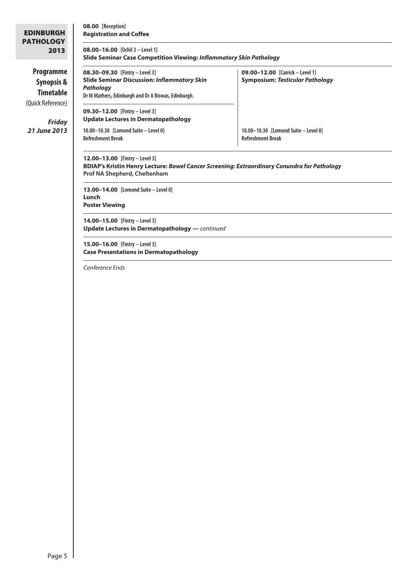| 08.00 [Reception]<br><b>EDINBURGH</b><br><b>Registration and Coffee</b><br><b>PATHOLOGY</b>                                                                                                                                                                                      |                                                                           |
|----------------------------------------------------------------------------------------------------------------------------------------------------------------------------------------------------------------------------------------------------------------------------------|---------------------------------------------------------------------------|
| 08.00-16.00 [0chil 3 - Level 1]<br>2013<br>Slide Seminar Case Competition Viewing: Inflammatory Skin Pathology                                                                                                                                                                   |                                                                           |
| <b>Programme</b><br>08.30-09.30 [Fintry - Level 3]<br><b>Slide Seminar Discussion: Inflammatory Skin</b><br><b>Synopsis &amp;</b><br>Pathology<br><b>Timetable</b><br>Dr M Mathers, Edinburgh and Dr A Biswas, Edinburgh.<br>(Quick Reference)<br>09.30-12.00 [Fintry - Level 3] | 09.00-12.00 [Carrick - Level 1]<br><b>Symposium: Testicular Pathology</b> |
| <b>Update Lectures in Dermatopathology</b><br><b>Friday</b><br>21 June 2013<br>10.00-10.30 [Lomond Suite - Level 0]<br><b>Refreshment Break</b>                                                                                                                                  | 10.00-10.30 [Lomond Suite - Level 0]<br><b>Refreshment Break</b>          |
| 12.00-13.00 [Fintry - Level 3]<br>BDIAP's Kristin Henry Lecture: Bowel Cancer Screening: Extraordinary Conundra for Pathology<br>Prof NA Shepherd, Cheltenham                                                                                                                    |                                                                           |
| 13.00-14.00 [Lomond Suite - Level 0]<br>Lunch<br><b>Poster Viewing</b>                                                                                                                                                                                                           |                                                                           |
| 14.00-15.00 [Fintry - Level 3]<br><b>Update Lectures in Dermatopathology</b> - continued                                                                                                                                                                                         |                                                                           |
|                                                                                                                                                                                                                                                                                  |                                                                           |
| 15.00-16.00 [Fintry - Level 3]<br><b>Case Presentations in Dermatopathology</b>                                                                                                                                                                                                  |                                                                           |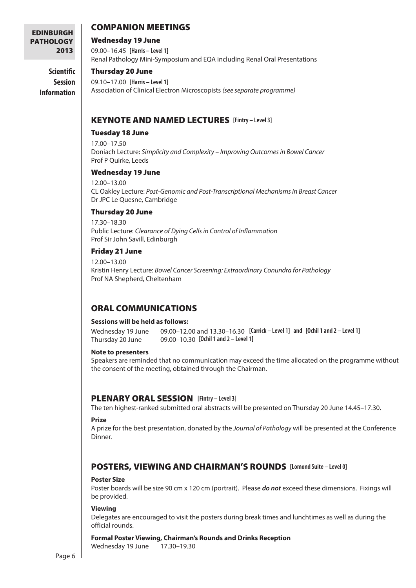# COMPANION MEETINGS

#### Wednesday 19 June

09.00–16.45 **[Harris – Level 1]** Renal Pathology Mini-Symposium and EQA including Renal Oral Presentations

#### Thursday 20 June

**Session Information**

**Scientific**

09.10–17.00 **[Harris – Level 1]** Association of Clinical Electron Microscopists *(see separate programme)*

# KEYNOTE AND NAMED LECTURES **[Fintry – Level 3]**

# Tuesday 18 June

17.00–17.50 Doniach Lecture: *Simplicity and Complexity – Improving Outcomes in Bowel Cancer* Prof P Quirke, Leeds

#### Wednesday 19 June

12.00–13.00 CL Oakley Lecture: *Post-Genomic and Post-Transcriptional Mechanisms in Breast Cancer* Dr JPC Le Quesne, Cambridge

# Thursday 20 June

17.30–18.30 Public Lecture: *Clearance of Dying Cells in Control of Inflammation* Prof Sir John Savill, Edinburgh

#### Friday 21 June

12.00–13.00 Kristin Henry Lecture: *Bowel Cancer Screening: Extraordinary Conundra for Pathology* Prof NA Shepherd, Cheltenham

# ORAL COMMUNICATIONS

#### **Sessions will be held as follows:**

Wednesday 19 June 09.00–12.00 and 13.30–16.30 **[Carrick – Level 1] and [Ochil 1 and 2 – Level 1]** Thursday 20 June 09.00–10.30 **[Ochil 1 and 2 – Level 1]**

#### **Note to presenters**

Speakers are reminded that no communication may exceed the time allocated on the programme without the consent of the meeting, obtained through the Chairman.

# **PLENARY ORAL SESSION** [Fintry – Level 3]

The ten highest-ranked submitted oral abstracts will be presented on Thursday 20 June 14.45–17.30.

#### **Prize**

A prize for the best presentation, donated by the *Journal of Pathology* will be presented at the Conference Dinner.

# POSTERS, VIEWING AND CHAIRMAN'S ROUNDS **[Lomond Suite – Level 0]**

#### **Poster Size**

Poster boards will be size 90 cm x 120 cm (portrait). Please *do not* exceed these dimensions. Fixings will be provided.

#### **Viewing**

Delegates are encouraged to visit the posters during break times and lunchtimes as well as during the official rounds.

# **Formal Poster Viewing, Chairman's Rounds and Drinks Reception**

Wednesday 19 June 17.30-19.30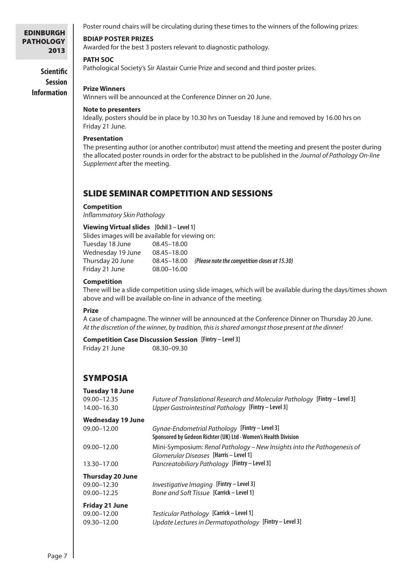> **Scientific Session Information**

Poster round chairs will be circulating during these times to the winners of the following prizes:

#### **BDIAP Poster Prizes**

Awarded for the best 3 posters relevant to diagnostic pathology.

#### **PATH SOC**

Pathological Society's Sir Alastair Currie Prize and second and third poster prizes.

#### **Prize Winners**

Winners will be announced at the Conference Dinner on 20 June.

#### **Note to presenters**

Ideally, posters should be in place by 10.30 hrs on Tuesday 18 June and removed by 16.00 hrs on Friday 21 June.

#### **Presentation**

The presenting author (or another contributor) must attend the meeting and present the poster during the allocated poster rounds in order for the abstract to be published in the *Journal of Pathology On-line Supplement* after the meeting.

# SLIDE SEMINAR COMPETITION and SESSIONS

#### **Competition**

*Inflammatory Skin Pathology*

#### **Viewing Virtual slides [Ochil 3 – Level 1]**

Slides images will be available for viewing on:

| Tuesday 18 June   | 08.45-18.00 |                                               |
|-------------------|-------------|-----------------------------------------------|
| Wednesday 19 June | 08.45-18.00 |                                               |
| Thursday 20 June  | 08.45-18.00 | (Please note the competition closes at 15.30) |
| Friday 21 June    | 08.00-16.00 |                                               |
|                   |             |                                               |

#### **Competition**

There will be a slide competition using slide images, which will be available during the days/times shown above and will be available on-line in advance of the meeting.

#### **Prize**

A case of champagne. The winner will be announced at the Conference Dinner on Thursday 20 June. *At the discretion of the winner, by tradition, this is shared amongst those present at the dinner!*

**Competition Case Discussion Session [Fintry – Level 3]** Friday 21 June 08.30–09.30

# SYMPOSIA

| Future of Translational Research and Molecular Pathology [Fintry - Level 3] |
|-----------------------------------------------------------------------------|
| Upper Gastrointestinal Pathology [Fintry - Level 3]                         |
|                                                                             |
| Gynae-Endometrial Pathology [Fintry - Level 3]                              |
| Sponsored by Gedeon Richter (UK) Ltd · Women's Health Division              |
| Mini-Symposium: Renal Pathology – New Insights into the Pathogenesis of     |
| Glomerular Diseases [Harris - Level 1]                                      |
| Pancreatobiliary Pathology [Fintry - Level 3]                               |
|                                                                             |
| Investigative Imaging [Fintry - Level 3]                                    |
| Bone and Soft Tissue [Carrick - Level 1]                                    |
|                                                                             |
| Testicular Pathology [Carrick - Level 1]                                    |
| Update Lectures in Dermatopathology [Fintry - Level 3]                      |
|                                                                             |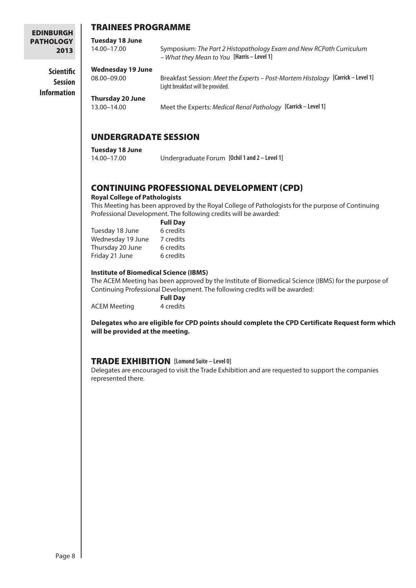# TRAINEES PROGRAMME

EDINBURGH **PATHOLOGY** 2013

#### **Tuesday 18 June** 14.00–17.00 Symposium: *The Part 2 Histopathology Exam and New RCPath Curriculum – What they Mean to You* **[Harris – Level 1]**

**Scientific Session Information**

**Wednesday 19 June** 08.00–09.00 Breakfast Session: *Meet the Experts – Post-Mortem Histology* **[Carrick – Level 1]** Light breakfast will be provided.

**Thursday 20 June**

13.00–14.00 Meet the Experts: *Medical Renal Pathology* **[Carrick – Level 1]**

# UNDERGRADATE SESSION

**Tuesday 18 June**

14.00–17.00 Undergraduate Forum **[Ochil 1 and 2 – Level 1]**

# CONTINUING PROFESSIONAL DEVELOPMENT (CPD)

# **Royal College of Pathologists**

This Meeting has been approved by the Royal College of Pathologists for the purpose of Continuing Professional Development. The following credits will be awarded:

|                   | <b>Full Day</b> |
|-------------------|-----------------|
| Tuesday 18 June   | 6 credits       |
| Wednesday 19 June | 7 credits       |
| Thursday 20 June  | 6 credits       |
| Friday 21 June    | 6 credits       |
|                   |                 |

#### **Institute of Biomedical Science (IBMS)**

The ACEM Meeting has been approved by the Institute of Biomedical Science (IBMS) for the purpose of Continuing Professional Development. The following credits will be awarded:

**Full Day** ACEM Meeting 4 credits

**Delegates who are eligible for CPD points should complete the CPD Certificate Request form which will be provided at the meeting.**

# TRADE EXHIBITION **[Lomond Suite – Level 0]**

Delegates are encouraged to visit the Trade Exhibition and are requested to support the companies represented there.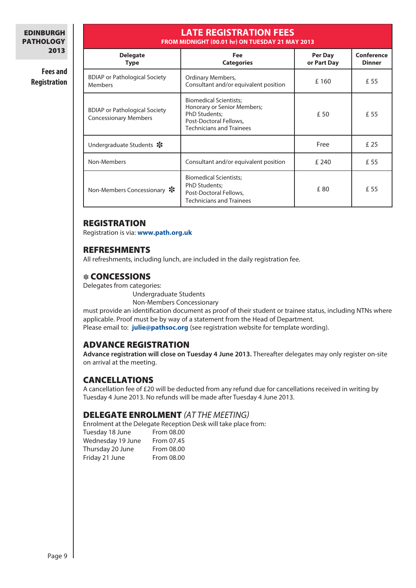# **LATE REGISTRATION FEES**

**Fees and Registration**

| FROM MIDNIGHT (00.01 hr) ON TUESDAY 21 MAY 2013               |                                                                                                                                            |                        |                             |  |
|---------------------------------------------------------------|--------------------------------------------------------------------------------------------------------------------------------------------|------------------------|-----------------------------|--|
| <b>Delegate</b><br><b>Type</b>                                | Fee<br><b>Categories</b>                                                                                                                   | Per Day<br>or Part Day | Conference<br><b>Dinner</b> |  |
| <b>BDIAP</b> or Pathological Society<br><b>Members</b>        | Ordinary Members,<br>Consultant and/or equivalent position                                                                                 | £160                   | £ 55                        |  |
| BDIAP or Pathological Society<br><b>Concessionary Members</b> | <b>Biomedical Scientists;</b><br>Honorary or Senior Members;<br>PhD Students;<br>Post-Doctoral Fellows,<br><b>Technicians and Trainees</b> | £ 50                   | £ 55                        |  |
| Undergraduate Students *                                      |                                                                                                                                            | Free                   | £ 25                        |  |
| Non-Members                                                   | Consultant and/or equivalent position                                                                                                      | £ 240                  | £ 55                        |  |
| Non-Members Concessionary ※                                   | <b>Biomedical Scientists;</b><br>PhD Students;<br>Post-Doctoral Fellows,<br><b>Technicians and Trainees</b>                                | £80                    | £ 55                        |  |

# **REGISTRATION**

Registration is via: **[www.path.org.uk](http://www.path.org.uk)**

# **REFRESHMENTS**

All refreshments, including lunch, are included in the daily registration fee.

# \* CONCESSIONS

Delegates from categories:

Undergraduate Students

Non-Members Concessionary

must provide an identification document as proof of their student or trainee status, including NTNs where applicable. Proof must be by way of a statement from the Head of Department.

Please email to: **[julie@pathsoc.org](mailto:julie%40pathsoc.org?subject=Edinburgh%20Pathology%202013%3A%20Concessions)** (see registration website for template wording).

# Advance registration

**Advance registration will close on Tuesday 4 June 2013.** Thereafter delegates may only register on-site on arrival at the meeting.

# **CANCELLATIONS**

A cancellation fee of £20 will be deducted from any refund due for cancellations received in writing by Tuesday 4 June 2013. No refunds will be made after Tuesday 4 June 2013.

# DELEGATE ENROLMENT *(AT THE MEETING)*

Enrolment at the Delegate Reception Desk will take place from:

| Tuesday 18 June   | From 08.00 |
|-------------------|------------|
| Wednesday 19 June | From 07.45 |
| Thursday 20 June  | From 08.00 |
| Friday 21 June    | From 08.00 |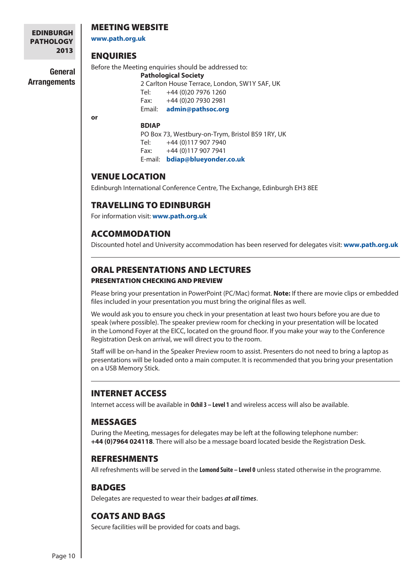# Meeting website

**[www.path.org.uk](http://www.path.org.uk)**

EDINBURGH **PATHOLOGY** 

**Arrangements**

2013

**General**

**or** 

# **ENQUIRIES**

Before the Meeting enquiries should be addressed to:

#### **Pathological Society**

2 Carlton House Terrace, London, SW1Y 5AF, UK Tel: +44 (0)20 7976 1260 Fax: +44 (0)20 7930 2981 Email: **[admin@pathsoc.org](mailto:admin%40pathsoc.org?subject=Edinburgh%20Pathology%202013)**

#### **BDIAP**

PO Box 73, Westbury-on-Trym, Bristol BS9 1RY, UK Tel: +44 (0)117 907 7940 Fax: +44 (0)117 907 7941 E-mail: **[bdiap@blueyonder.co.uk](mailto:bdiap%40blueyonder.co.uk?subject=Edinburgh%20Pathology%202013)**

# Venue Location

Edinburgh International Conference Centre, The Exchange, Edinburgh EH3 8EE

# Travelling to Edinburgh

For information visit: **[www.path.org.uk](http://www.path.org.uk)**

# Accommodation

Discounted hotel and University accommodation has been reserved for delegates visit: **[www.path.org.uk](http://www.path.org.uk)**

# Oral Presentations and lectures

# Presentation Checking and Preview

Please bring your presentation in PowerPoint (PC/Mac) format. **Note:** If there are movie clips or embedded files included in your presentation you must bring the original files as well.

We would ask you to ensure you check in your presentation at least two hours before you are due to speak (where possible). The speaker preview room for checking in your presentation will be located in the Lomond Foyer at the EICC, located on the ground floor. If you make your way to the Conference Registration Desk on arrival, we will direct you to the room.

Staff will be on-hand in the Speaker Preview room to assist. Presenters do not need to bring a laptop as presentations will be loaded onto a main computer. It is recommended that you bring your presentation on a USB Memory Stick.

# Internet Access

Internet access will be available in **Ochil 3 – Level 1** and wireless access will also be available.

# **MESSAGES**

During the Meeting, messages for delegates may be left at the following telephone number: **+44 (0)7964 024118**. There will also be a message board located beside the Registration Desk.

# **REFRESHMENTS**

All refreshments will be served in the **Lomond Suite – Level 0** unless stated otherwise in the programme.

# **BADGES**

Delegates are requested to wear their badges *at all times*.

# **COATS AND BAGS**

Secure facilities will be provided for coats and bags.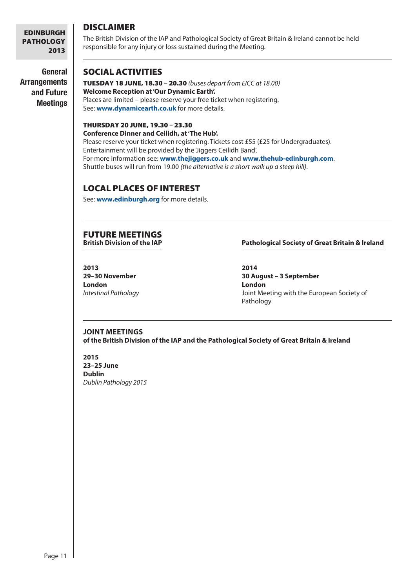# **DISCLAIMER**

The British Division of the IAP and Pathological Society of Great Britain & Ireland cannot be held responsible for any injury or loss sustained during the Meeting.

**General Arrangements and Future Meetings**

# Social Activities

Tuesday 18 June, 18.30 – 20.30 *(buses depart from EICC at 18.00)* **Welcome Reception at 'Our Dynamic Earth'.**  Places are limited – please reserve your free ticket when registering. See: **[www.dynamicearth.co.uk](http://www.dynamicearth.co.uk)** for more details.

#### Thursday 20 June, 19.30 – 23.30

**Conference Dinner and Ceilidh, at 'The Hub'.** Please reserve your ticket when registering. Tickets cost £55 (£25 for Undergraduates). Entertainment will be provided by the 'Jiggers Ceilidh Band'. For more information see: **[www.thejiggers.co.uk](http://www.thejiggers.co.uk)** and **[www.thehub-edinburgh.com](http://www.thehub-edinburgh.com)**. Shuttle buses will run from 19.00 *(the alternative is a short walk up a steep hill)*.

# Local Places of interest

See: **[www.edinburgh.org](http://www.edinburgh.org)** for more details.

FUTURE MEETINGS **British Division of the IAP**

**2013 29–30 November London** *Intestinal Pathology* **Pathological Society of Great Britain & Ireland** 

**2014 30 August – 3 September London** Joint Meeting with the European Society of Pathology

**Joint Meetings of the British Division of the IAP and the Pathological Society of Great Britain & Ireland**

**2015 23–25 June Dublin** *Dublin Pathology 2015*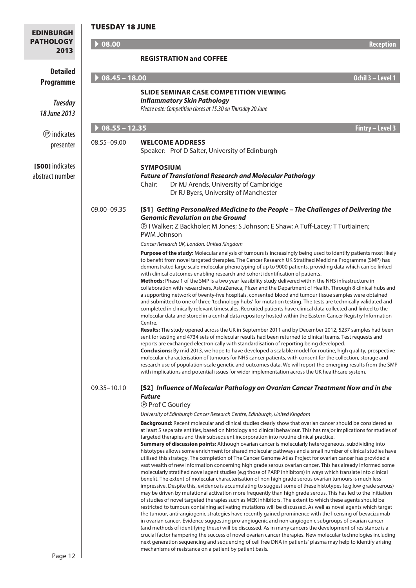# **TUESDAY 18 JUNE**

| <b>EDINBURGH</b>                       |                                |                                                        |                                                                                                                                                                                                                                                                                                                                                                                                                                                                                                                                                                                                                                                                                                                                                                                                                                                                                                                                                                                                                                                                                                                                                                                                                                                                                                                                                                                                                                                                                                                                                                                                                                                                                                                                                                                                                                                                                                                                                                                                                                                                                                                                                                                                                                                                            |
|----------------------------------------|--------------------------------|--------------------------------------------------------|----------------------------------------------------------------------------------------------------------------------------------------------------------------------------------------------------------------------------------------------------------------------------------------------------------------------------------------------------------------------------------------------------------------------------------------------------------------------------------------------------------------------------------------------------------------------------------------------------------------------------------------------------------------------------------------------------------------------------------------------------------------------------------------------------------------------------------------------------------------------------------------------------------------------------------------------------------------------------------------------------------------------------------------------------------------------------------------------------------------------------------------------------------------------------------------------------------------------------------------------------------------------------------------------------------------------------------------------------------------------------------------------------------------------------------------------------------------------------------------------------------------------------------------------------------------------------------------------------------------------------------------------------------------------------------------------------------------------------------------------------------------------------------------------------------------------------------------------------------------------------------------------------------------------------------------------------------------------------------------------------------------------------------------------------------------------------------------------------------------------------------------------------------------------------------------------------------------------------------------------------------------------------|
| <b>PATHOLOGY</b><br>2013               | $\triangleright$ 08.00         |                                                        | <b>Reception</b>                                                                                                                                                                                                                                                                                                                                                                                                                                                                                                                                                                                                                                                                                                                                                                                                                                                                                                                                                                                                                                                                                                                                                                                                                                                                                                                                                                                                                                                                                                                                                                                                                                                                                                                                                                                                                                                                                                                                                                                                                                                                                                                                                                                                                                                           |
|                                        |                                |                                                        | <b>REGISTRATION and COFFEE</b>                                                                                                                                                                                                                                                                                                                                                                                                                                                                                                                                                                                                                                                                                                                                                                                                                                                                                                                                                                                                                                                                                                                                                                                                                                                                                                                                                                                                                                                                                                                                                                                                                                                                                                                                                                                                                                                                                                                                                                                                                                                                                                                                                                                                                                             |
| <b>Detailed</b>                        | $\triangleright$ 08.45 - 18.00 |                                                        | Ochil 3 - Level 1                                                                                                                                                                                                                                                                                                                                                                                                                                                                                                                                                                                                                                                                                                                                                                                                                                                                                                                                                                                                                                                                                                                                                                                                                                                                                                                                                                                                                                                                                                                                                                                                                                                                                                                                                                                                                                                                                                                                                                                                                                                                                                                                                                                                                                                          |
| <b>Programme</b>                       |                                |                                                        | <b>SLIDE SEMINAR CASE COMPETITION VIEWING</b>                                                                                                                                                                                                                                                                                                                                                                                                                                                                                                                                                                                                                                                                                                                                                                                                                                                                                                                                                                                                                                                                                                                                                                                                                                                                                                                                                                                                                                                                                                                                                                                                                                                                                                                                                                                                                                                                                                                                                                                                                                                                                                                                                                                                                              |
| <b>Tuesday</b><br>18 June 2013         |                                |                                                        | <b>Inflammatory Skin Pathology</b><br>Please note: Competition closes at 15.30 on Thursday 20 June                                                                                                                                                                                                                                                                                                                                                                                                                                                                                                                                                                                                                                                                                                                                                                                                                                                                                                                                                                                                                                                                                                                                                                                                                                                                                                                                                                                                                                                                                                                                                                                                                                                                                                                                                                                                                                                                                                                                                                                                                                                                                                                                                                         |
|                                        | $\triangleright$ 08.55 - 12.35 |                                                        | Fintry - Level 3                                                                                                                                                                                                                                                                                                                                                                                                                                                                                                                                                                                                                                                                                                                                                                                                                                                                                                                                                                                                                                                                                                                                                                                                                                                                                                                                                                                                                                                                                                                                                                                                                                                                                                                                                                                                                                                                                                                                                                                                                                                                                                                                                                                                                                                           |
| <b><i>O</i></b> indicates<br>presenter | 08.55-09.00                    |                                                        | <b>WELCOME ADDRESS</b><br>Speaker: Prof D Salter, University of Edinburgh                                                                                                                                                                                                                                                                                                                                                                                                                                                                                                                                                                                                                                                                                                                                                                                                                                                                                                                                                                                                                                                                                                                                                                                                                                                                                                                                                                                                                                                                                                                                                                                                                                                                                                                                                                                                                                                                                                                                                                                                                                                                                                                                                                                                  |
| [SOO] indicates<br>abstract number     |                                | <b>SYMPOSIUM</b><br>Chair:                             | <b>Future of Translational Research and Molecular Pathology</b><br>Dr MJ Arends, University of Cambridge<br>Dr RJ Byers, University of Manchester                                                                                                                                                                                                                                                                                                                                                                                                                                                                                                                                                                                                                                                                                                                                                                                                                                                                                                                                                                                                                                                                                                                                                                                                                                                                                                                                                                                                                                                                                                                                                                                                                                                                                                                                                                                                                                                                                                                                                                                                                                                                                                                          |
|                                        | 09.00-09.35                    | PWM Johnson                                            | [S1] Getting Personalised Medicine to the People - The Challenges of Delivering the<br><b>Genomic Revolution on the Ground</b><br><b>D</b> I Walker; Z Backholer; M Jones; S Johnson; E Shaw; A Tuff-Lacey; T Turtiainen;                                                                                                                                                                                                                                                                                                                                                                                                                                                                                                                                                                                                                                                                                                                                                                                                                                                                                                                                                                                                                                                                                                                                                                                                                                                                                                                                                                                                                                                                                                                                                                                                                                                                                                                                                                                                                                                                                                                                                                                                                                                  |
|                                        |                                | Centre.                                                | Cancer Research UK, London, United Kingdom<br>Purpose of the study: Molecular analysis of tumours is increasingly being used to identify patients most likely<br>to benefit from novel targeted therapies. The Cancer Research UK Stratified Medicine Programme (SMP) has<br>demonstrated large scale molecular phenotyping of up to 9000 patients, providing data which can be linked<br>with clinical outcomes enabling research and cohort identification of patients.<br>Methods: Phase 1 of the SMP is a two year feasibility study delivered within the NHS infrastructure in<br>collaboration with researchers, AstraZeneca, Pfizer and the Department of Health. Through 8 clinical hubs and<br>a supporting network of twenty-five hospitals, consented blood and tumour tissue samples were obtained<br>and submitted to one of three 'technology hubs' for mutation testing. The tests are technically validated and<br>completed in clinically relevant timescales. Recruited patients have clinical data collected and linked to the<br>molecular data and stored in a central data repository hosted within the Eastern Cancer Registry Information<br>Results: The study opened across the UK in September 2011 and by December 2012, 5237 samples had been<br>sent for testing and 4734 sets of molecular results had been returned to clinical teams. Test requests and<br>reports are exchanged electronically with standardisation of reporting being developed.<br><b>Conclusions:</b> By mid 2013, we hope to have developed a scalable model for routine, high quality, prospective<br>molecular characterisation of tumours for NHS cancer patients, with consent for the collection, storage and<br>research use of population-scale genetic and outcomes data. We will report the emerging results from the SMP<br>with implications and potential issues for wider implementation across the UK healthcare system.                                                                                                                                                                                                                                                                                                                               |
|                                        | 09.35-10.10                    | <b>Future</b><br><b><i><b>P</b></i></b> Prof C Gourley | [S2] Influence of Molecular Pathology on Ovarian Cancer Treatment Now and in the<br>University of Edinburgh Cancer Research Centre, Edinburgh, United Kingdom<br>Background: Recent molecular and clinical studies clearly show that ovarian cancer should be considered as<br>at least 5 separate entities, based on histology and clinical behaviour. This has major implications for studies of<br>targeted therapies and their subsequent incorporation into routine clinical practice.<br>Summary of discussion points: Although ovarian cancer is molecularly heterogeneous, subdividing into<br>histotypes allows some enrichment for shared molecular pathways and a small number of clinical studies have<br>utilised this strategy. The completion of The Cancer Genome Atlas Project for ovarian cancer has provided a<br>vast wealth of new information concerning high grade serous ovarian cancer. This has already informed some<br>molecularly stratified novel agent studies (e.g those of PARP inhibitors) in ways which translate into clinical<br>benefit. The extent of molecular characterisation of non high grade serous ovarian tumours is much less<br>impressive. Despite this, evidence is accumulating to suggest some of these histotypes (e.g.low grade serous)<br>may be driven by mutational activation more frequently than high grade serous. This has led to the initiation<br>of studies of novel targeted therapies such as MEK inhibitors. The extent to which these agents should be<br>restricted to tumours containing activating mutations will be discussed. As well as novel agents which target<br>the tumour, anti-angiogenic strategies have recently gained prominence with the licensing of bevacizumab<br>in ovarian cancer. Evidence suggesting pro-angiogenic and non-angiogenic subgroups of ovarian cancer<br>(and methods of identifying these) will be discussed. As in many cancers the development of resistance is a<br>crucial factor hampering the success of novel ovarian cancer therapies. New molecular technologies including<br>next generation sequencing and sequencing of cell free DNA in patients' plasma may help to identify arising<br>mechanisms of resistance on a patient by patient basis. |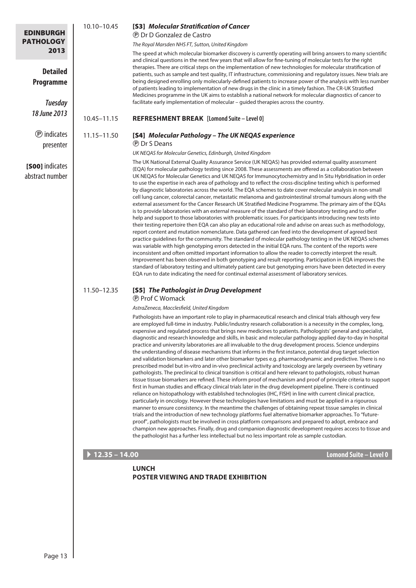| <b>EDINBURGH</b>                            | 10.10-10.45                 | [S3] Molecular Stratification of Cancer<br><b><i>(P)</i></b> Dr D Gonzalez de Castro                                                                                                                                                                                                                                                                                                                                                                                                                                                                                                                                                                                                                                                                                                                                                                                                                                                                                                                                                                                                                                                                                                                                                                                                                                                                                                                                                                                                                                                                                                                                                                                                                                                                                                                                                                                                                                                                                                                                                                                                                                    |
|---------------------------------------------|-----------------------------|-------------------------------------------------------------------------------------------------------------------------------------------------------------------------------------------------------------------------------------------------------------------------------------------------------------------------------------------------------------------------------------------------------------------------------------------------------------------------------------------------------------------------------------------------------------------------------------------------------------------------------------------------------------------------------------------------------------------------------------------------------------------------------------------------------------------------------------------------------------------------------------------------------------------------------------------------------------------------------------------------------------------------------------------------------------------------------------------------------------------------------------------------------------------------------------------------------------------------------------------------------------------------------------------------------------------------------------------------------------------------------------------------------------------------------------------------------------------------------------------------------------------------------------------------------------------------------------------------------------------------------------------------------------------------------------------------------------------------------------------------------------------------------------------------------------------------------------------------------------------------------------------------------------------------------------------------------------------------------------------------------------------------------------------------------------------------------------------------------------------------|
| <b>PATHOLOGY</b>                            |                             | The Royal Marsden NHS FT, Sutton, United Kingdom                                                                                                                                                                                                                                                                                                                                                                                                                                                                                                                                                                                                                                                                                                                                                                                                                                                                                                                                                                                                                                                                                                                                                                                                                                                                                                                                                                                                                                                                                                                                                                                                                                                                                                                                                                                                                                                                                                                                                                                                                                                                        |
| 2013<br><b>Detailed</b><br><b>Programme</b> |                             | The speed at which molecular biomarker discovery is currently operating will bring answers to many scientific<br>and clinical questions in the next few years that will allow for fine-tuning of molecular tests for the right<br>therapies. There are critical steps on the implementation of new technologies for molecular stratification of<br>patients, such as sample and test quality, IT infrastructure, commissioning and regulatory issues. New trials are<br>being designed enrolling only molecularly-defined patients to increase power of the analysis with less number<br>of patients leading to implementation of new drugs in the clinic in a timely fashion. The CR-UK Stratified                                                                                                                                                                                                                                                                                                                                                                                                                                                                                                                                                                                                                                                                                                                                                                                                                                                                                                                                                                                                                                                                                                                                                                                                                                                                                                                                                                                                                     |
| <b>Tuesday</b>                              |                             | Medicines programme in the UK aims to establish a national network for molecular diagnostics of cancer to<br>facilitate early implementation of molecular - guided therapies across the country.                                                                                                                                                                                                                                                                                                                                                                                                                                                                                                                                                                                                                                                                                                                                                                                                                                                                                                                                                                                                                                                                                                                                                                                                                                                                                                                                                                                                                                                                                                                                                                                                                                                                                                                                                                                                                                                                                                                        |
| 18 June 2013                                | 10.45-11.15                 | REFRESHMENT BREAK [Lomond Suite - Level 0]                                                                                                                                                                                                                                                                                                                                                                                                                                                                                                                                                                                                                                                                                                                                                                                                                                                                                                                                                                                                                                                                                                                                                                                                                                                                                                                                                                                                                                                                                                                                                                                                                                                                                                                                                                                                                                                                                                                                                                                                                                                                              |
| <b><i>O</i></b> indicates                   | 11.15-11.50                 | [S4] Molecular Pathology - The UK NEQAS experience<br><b><i><b>P</b></i></b> Dr S Deans                                                                                                                                                                                                                                                                                                                                                                                                                                                                                                                                                                                                                                                                                                                                                                                                                                                                                                                                                                                                                                                                                                                                                                                                                                                                                                                                                                                                                                                                                                                                                                                                                                                                                                                                                                                                                                                                                                                                                                                                                                 |
| presenter                                   |                             | UK NEQAS for Molecular Genetics, Edinburgh, United Kingdom                                                                                                                                                                                                                                                                                                                                                                                                                                                                                                                                                                                                                                                                                                                                                                                                                                                                                                                                                                                                                                                                                                                                                                                                                                                                                                                                                                                                                                                                                                                                                                                                                                                                                                                                                                                                                                                                                                                                                                                                                                                              |
| [SOO] indicates<br>abstract number          |                             | The UK National External Quality Assurance Service (UK NEQAS) has provided external quality assessment<br>(EQA) for molecular pathology testing since 2008. These assessments are offered as a collaboration between<br>UK NEQAS for Molecular Genetics and UK NEQAS for Immunocytochemistry and In Situ Hybridisation in order<br>to use the expertise in each area of pathology and to reflect the cross-discipline testing which is performed<br>by diagnostic laboratories across the world. The EQA schemes to date cover molecular analysis in non-small<br>cell lung cancer, colorectal cancer, metastatic melanoma and gastrointestinal stromal tumours along with the<br>external assessment for the Cancer Research UK Stratified Medicine Programme. The primary aim of the EQAs<br>is to provide laboratories with an external measure of the standard of their laboratory testing and to offer<br>help and support to those laboratories with problematic issues. For participants introducing new tests into<br>their testing repertoire then EQA can also play an educational role and advise on areas such as methodology,<br>report content and mutation nomenclature. Data gathered can feed into the development of agreed best<br>practice guidelines for the community. The standard of molecular pathology testing in the UK NEQAS schemes<br>was variable with high genotyping errors detected in the initial EQA runs. The content of the reports were<br>inconsistent and often omitted important information to allow the reader to correctly interpret the result.<br>Improvement has been observed in both genotyping and result reporting. Participation in EQA improves the<br>standard of laboratory testing and ultimately patient care but genotyping errors have been detected in every<br>EQA run to date indicating the need for continual external assessment of laboratory services.                                                                                                                                                                                              |
|                                             | 11.50-12.35                 | [S5] The Pathologist in Drug Development<br>(P) Prof C Womack                                                                                                                                                                                                                                                                                                                                                                                                                                                                                                                                                                                                                                                                                                                                                                                                                                                                                                                                                                                                                                                                                                                                                                                                                                                                                                                                                                                                                                                                                                                                                                                                                                                                                                                                                                                                                                                                                                                                                                                                                                                           |
|                                             |                             | AstraZeneca, Macclesfield, United Kingdom<br>Pathologists have an important role to play in pharmaceutical research and clinical trials although very few<br>are employed full-time in industry. Public/industry research collaboration is a necessity in the complex, long,<br>expensive and regulated process that brings new medicines to patients. Pathologists' general and specialist,<br>diagnostic and research knowledge and skills, in basic and molecular pathology applied day-to-day in hospital<br>practice and university laboratories are all invaluable to the drug development process. Science underpins<br>the understanding of disease mechanisms that informs in the first instance, potential drug target selection<br>and validation biomarkers and later other biomarker types e.g. pharmacodynamic and predictive. There is no<br>prescribed model but in-vitro and in-vivo preclinical activity and toxicology are largely overseen by vetinary<br>pathologists. The preclinical to clinical transition is critical and here relevant to pathologists, robust human<br>tissue tissue biomarkers are refined. These inform proof of mechanism and proof of principle criteria to support<br>first in human studies and efficacy clinical trials later in the drug development pipeline. There is continued<br>reliance on histopathology with established technologies (IHC, FISH) in line with current clinical practice,<br>particularly in oncology. However these technologies have limitations and must be applied in a rigourous<br>manner to ensure consistency. In the meantime the challenges of obtaining repeat tissue samples in clinical<br>trials and the introduction of new technology platforms fuel alternative biomarker approaches. To "future-<br>proof", pathologists must be involved in cross platform comparisons and prepared to adopt, embrace and<br>champion new approaches. Finally, drug and companion diagnostic development requires access to tissue and<br>the pathologist has a further less intellectual but no less important role as sample custodian. |
|                                             | $\overline{)12.35 - 14.00}$ |                                                                                                                                                                                                                                                                                                                                                                                                                                                                                                                                                                                                                                                                                                                                                                                                                                                                                                                                                                                                                                                                                                                                                                                                                                                                                                                                                                                                                                                                                                                                                                                                                                                                                                                                                                                                                                                                                                                                                                                                                                                                                                                         |
|                                             |                             | <b>Lomond Suite - Level 0</b>                                                                                                                                                                                                                                                                                                                                                                                                                                                                                                                                                                                                                                                                                                                                                                                                                                                                                                                                                                                                                                                                                                                                                                                                                                                                                                                                                                                                                                                                                                                                                                                                                                                                                                                                                                                                                                                                                                                                                                                                                                                                                           |
|                                             |                             | <b>LUNCH</b><br><b>POSTER VIEWING AND TRADE EXHIBITION</b>                                                                                                                                                                                                                                                                                                                                                                                                                                                                                                                                                                                                                                                                                                                                                                                                                                                                                                                                                                                                                                                                                                                                                                                                                                                                                                                                                                                                                                                                                                                                                                                                                                                                                                                                                                                                                                                                                                                                                                                                                                                              |
|                                             |                             |                                                                                                                                                                                                                                                                                                                                                                                                                                                                                                                                                                                                                                                                                                                                                                                                                                                                                                                                                                                                                                                                                                                                                                                                                                                                                                                                                                                                                                                                                                                                                                                                                                                                                                                                                                                                                                                                                                                                                                                                                                                                                                                         |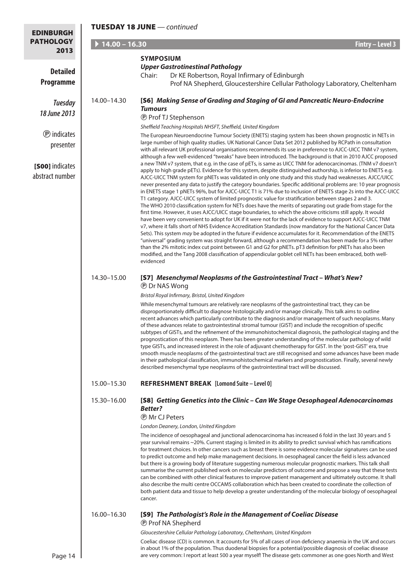#### TUESDAY 18 June *— continued*

| <b>EDINBURGH</b>                       | <b>TUESDAY 18 JUNE</b> - continued |                                                                                                                                                                                                                                                                                                                                                                                                                                                                                                                                                                                                                                                                                                                                                                                                                                                                                                                                                                                                                                                                                                                                                                                                                                                                                                                                                                                                                                                                                                       |  |
|----------------------------------------|------------------------------------|-------------------------------------------------------------------------------------------------------------------------------------------------------------------------------------------------------------------------------------------------------------------------------------------------------------------------------------------------------------------------------------------------------------------------------------------------------------------------------------------------------------------------------------------------------------------------------------------------------------------------------------------------------------------------------------------------------------------------------------------------------------------------------------------------------------------------------------------------------------------------------------------------------------------------------------------------------------------------------------------------------------------------------------------------------------------------------------------------------------------------------------------------------------------------------------------------------------------------------------------------------------------------------------------------------------------------------------------------------------------------------------------------------------------------------------------------------------------------------------------------------|--|
| <b>PATHOLOGY</b><br>2013               | $\triangleright$ 14.00 - 16.30     | Fintry - Level 3                                                                                                                                                                                                                                                                                                                                                                                                                                                                                                                                                                                                                                                                                                                                                                                                                                                                                                                                                                                                                                                                                                                                                                                                                                                                                                                                                                                                                                                                                      |  |
|                                        |                                    | <b>SYMPOSIUM</b>                                                                                                                                                                                                                                                                                                                                                                                                                                                                                                                                                                                                                                                                                                                                                                                                                                                                                                                                                                                                                                                                                                                                                                                                                                                                                                                                                                                                                                                                                      |  |
| <b>Detailed</b>                        |                                    | <b>Upper Gastrotinestinal Pathology</b>                                                                                                                                                                                                                                                                                                                                                                                                                                                                                                                                                                                                                                                                                                                                                                                                                                                                                                                                                                                                                                                                                                                                                                                                                                                                                                                                                                                                                                                               |  |
| Programme                              |                                    | Dr KE Robertson, Royal Infirmary of Edinburgh<br>Chair:<br>Prof NA Shepherd, Gloucestershire Cellular Pathology Laboratory, Cheltenham                                                                                                                                                                                                                                                                                                                                                                                                                                                                                                                                                                                                                                                                                                                                                                                                                                                                                                                                                                                                                                                                                                                                                                                                                                                                                                                                                                |  |
| <b>Tuesday</b><br>18 June 2013         | 14.00-14.30                        | [S6] Making Sense of Grading and Staging of GI and Pancreatic Neuro-Endocrine<br><b>Tumours</b>                                                                                                                                                                                                                                                                                                                                                                                                                                                                                                                                                                                                                                                                                                                                                                                                                                                                                                                                                                                                                                                                                                                                                                                                                                                                                                                                                                                                       |  |
|                                        |                                    | <b><i>®</i></b> Prof TJ Stephenson                                                                                                                                                                                                                                                                                                                                                                                                                                                                                                                                                                                                                                                                                                                                                                                                                                                                                                                                                                                                                                                                                                                                                                                                                                                                                                                                                                                                                                                                    |  |
| <b><i>O</i></b> indicates<br>presenter |                                    | Sheffield Teaching Hospitals NHSFT, Sheffield, United Kingdom<br>The European Neuroendocrine Tumour Society (ENETS) staging system has been shown prognostic in NETs in<br>large number of high quality studies. UK National Cancer Data Set 2012 published by RCPath in consultation<br>with all relevant UK professional organisations recommends its use in preference to AJCC-UICC TNM v7 system,                                                                                                                                                                                                                                                                                                                                                                                                                                                                                                                                                                                                                                                                                                                                                                                                                                                                                                                                                                                                                                                                                                 |  |
|                                        |                                    | although a few well-evidenced "tweaks" have been introduced. The background is that in 2010 AJCC proposed<br>a new TNM v7 system, that e.g. in the case of pETs, is same as UICC TNM for adenocarcinomas. (TNM v7 doesn't                                                                                                                                                                                                                                                                                                                                                                                                                                                                                                                                                                                                                                                                                                                                                                                                                                                                                                                                                                                                                                                                                                                                                                                                                                                                             |  |
| [SOO] indicates<br>abstract number     |                                    | apply to high grade pETs). Evidence for this system, despite distinguished authorship, is inferior to ENETS e.g.<br>AJCC-UICC TNM system for pNETs was validated in only one study and this study had weaknesses. AJCC/UICC<br>never presented any data to justify the category boundaries. Specific additional problems are: 10 year prognosis<br>in ENETS stage 1 pNETs 96%, but for AJCC-UICC T1 is 71% due to inclusion of ENETS stage 2s into the AJCC-UICC<br>T1 category. AJCC-UICC system of limited prognostic value for stratification between stages 2 and 3.<br>The WHO 2010 classification system for NETs does have the merits of separating out grade from stage for the<br>first time. However, it uses AJCC/UICC stage boundaries, to which the above criticisms still apply. It would<br>have been very convenient to adopt for UK if it were not for the lack of evidence to support AJCC-UICC TNM<br>v7, where it falls short of NHS Evidence Accreditation Standards (now mandatory for the National Cancer Data<br>Sets). This system may be adopted in the future if evidence accumulates for it. Recommendation of the ENETS<br>"universal" grading system was straight forward, although a recommendation has been made for a 5% rather<br>than the 2% mitotic index cut point between G1 and G2 for pNETs. pT3 definition for pNETs has also been<br>modified, and the Tang 2008 classification of appendicular goblet cell NETs has been embraced, both well-<br>evidenced |  |
|                                        | 14.30-15.00                        | [S7] Mesenchymal Neoplasms of the Gastrointestinal Tract - What's New?<br><b><i>®</i></b> Dr NAS Wong                                                                                                                                                                                                                                                                                                                                                                                                                                                                                                                                                                                                                                                                                                                                                                                                                                                                                                                                                                                                                                                                                                                                                                                                                                                                                                                                                                                                 |  |
|                                        |                                    | Bristol Royal Infirmary, Bristol, United Kingdom                                                                                                                                                                                                                                                                                                                                                                                                                                                                                                                                                                                                                                                                                                                                                                                                                                                                                                                                                                                                                                                                                                                                                                                                                                                                                                                                                                                                                                                      |  |
|                                        |                                    | While mesenchymal tumours are relatively rare neoplasms of the gastrointestinal tract, they can be<br>disproportionately difficult to diagnose histologically and/or manage clinically. This talk aims to outline<br>recent advances which particularly contribute to the diagnosis and/or management of such neoplasms. Many<br>of these advances relate to gastrointestinal stromal tumour (GIST) and include the recognition of specific<br>subtypes of GISTs, and the refinement of the immunohistochemical diagnosis, the pathological staging and the<br>prognostication of this neoplasm. There has been greater understanding of the molecular pathology of wild<br>type GISTs, and increased interest in the role of adjuvant chemotherapy for GIST. In the 'post-GIST' era, true<br>smooth muscle neoplasms of the gastrointestinal tract are still recognised and some advances have been made<br>in their pathological classification, immunohistochemical markers and prognostication. Finally, several newly<br>described mesenchymal type neoplasms of the gastrointestinal tract will be discussed.                                                                                                                                                                                                                                                                                                                                                                                   |  |
|                                        | 15.00-15.30                        | <b>REFRESHMENT BREAK [Lomond Suite - Level 0]</b>                                                                                                                                                                                                                                                                                                                                                                                                                                                                                                                                                                                                                                                                                                                                                                                                                                                                                                                                                                                                                                                                                                                                                                                                                                                                                                                                                                                                                                                     |  |
|                                        | 15.30-16.00                        | [S8] Getting Genetics into the Clinic - Can We Stage Oesophageal Adenocarcinomas<br><b>Better?</b><br><b><i>®</i></b> Mr CJ Peters                                                                                                                                                                                                                                                                                                                                                                                                                                                                                                                                                                                                                                                                                                                                                                                                                                                                                                                                                                                                                                                                                                                                                                                                                                                                                                                                                                    |  |
|                                        |                                    | London Deanery, London, United Kingdom                                                                                                                                                                                                                                                                                                                                                                                                                                                                                                                                                                                                                                                                                                                                                                                                                                                                                                                                                                                                                                                                                                                                                                                                                                                                                                                                                                                                                                                                |  |
|                                        |                                    | The incidence of oesophageal and junctional adenocarcinoma has increased 6 fold in the last 30 years and 5<br>year survival remains ~20%. Current staging is limited in its ability to predict survival which has ramifications<br>for treatment choices. In other cancers such as breast there is some evidence molecular signatures can be used<br>to predict outcome and help make management decisions. In oesophageal cancer the field is less advanced<br>but there is a growing body of literature suggesting numerous molecular prognostic markers. This talk shall<br>summarise the current published work on molecular predictors of outcome and propose a way that these tests<br>can be combined with other clinical features to improve patient management and ultimately outcome. It shall<br>also describe the multi centre OCCAMS collaboration which has been created to coordinate the collection of<br>both patient data and tissue to help develop a greater understanding of the molecular biology of oesophageal<br>cancer.                                                                                                                                                                                                                                                                                                                                                                                                                                                     |  |
|                                        | 16.00-16.30                        | [S9] The Pathologist's Role in the Management of Coeliac Disease<br><b><i>@</i></b> Prof NA Shepherd                                                                                                                                                                                                                                                                                                                                                                                                                                                                                                                                                                                                                                                                                                                                                                                                                                                                                                                                                                                                                                                                                                                                                                                                                                                                                                                                                                                                  |  |
|                                        |                                    | Gloucestershire Cellular Pathology Laboratory, Cheltenham, United Kingdom                                                                                                                                                                                                                                                                                                                                                                                                                                                                                                                                                                                                                                                                                                                                                                                                                                                                                                                                                                                                                                                                                                                                                                                                                                                                                                                                                                                                                             |  |
|                                        |                                    | Coeliac disease (CD) is common. It accounts for 5% of all cases of iron deficiency anaemia in the UK and occurs                                                                                                                                                                                                                                                                                                                                                                                                                                                                                                                                                                                                                                                                                                                                                                                                                                                                                                                                                                                                                                                                                                                                                                                                                                                                                                                                                                                       |  |

in about 1% of the population. Thus duodenal biopsies for a potential/possible diagnosis of coeliac disease are very common: I report at least 500 a year myself! The disease gets commoner as one goes North and West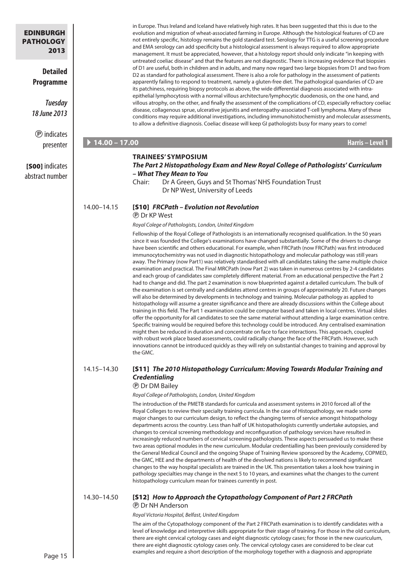# **Detailed Programme**

*Tuesday 18 June 2013*

P indicates presenter

[S00] indicates abstract number in Europe. Thus Ireland and Iceland have relatively high rates. It has been suggested that this is due to the evolution and migration of wheat-associated farming in Europe. Although the histological features of CD are not entirely specific, histology remains the gold standard test. Serology for TTG is a useful screening procedure and EMA serology can add specificity but a histological assessment is always required to allow appropriate management. It must be appreciated, however, that a histology report should only indicate "in keeping with untreated coeliac disease" and that the features are not diagnostic. There is increasing evidence that biopsies of D1 are useful, both in children and in adults, and many now regard two large biopsies from D1 and two from D2 as standard for pathological assessment. There is also a role for pathology in the assessment of patients apparently failing to respond to treatment, namely a gluten-free diet. The pathological quandaries of CD are its patchiness, requiring biopsy protocols as above, the wide differential diagnosis associated with intraepithelial lymphocytosis with a normal villous architecture/lymphocytic duodenosis, on the one hand, and villous atrophy, on the other, and finally the assessment of the complications of CD, especially refractory coeliac disease, collagenous sprue, ulcerative jejunitis and enteropathy-associated T-cell lymphoma. Many of these conditions may require additional investigations, including immunohistochemistry and molecular assessments, to allow a definitive diagnosis. Coeliac disease will keep GI pathologists busy for many years to come!

#### **Trainees' SYMPOSIUM**

*The Part 2 Histopathology Exam and New Royal College of Pathologists' Curriculum – What They Mean to You*

Chair: Dr A Green, Guys and St Thomas' NHS Foundation Trust Dr NP West, University of Leeds

A **14.00 – 17.00 Harris – Level 1**

#### 14.00–14.15 [S10] *FRCPath – Evolution not Revolution* P Dr KP West

*Royal Colege of Pathologists, London, United Kingdom*

Fellowship of the Royal College of Pathologists is an internationally recognised qualification. In the 50 years since it was founded the College's examinations have changed substantially. Some of the drivers to change have been scientific and others educational. For example, when FRCPath (now FRCPath) was first introduced immunocytochemistry was not used in diagnostic histopathology and molecular pathology was still years away. The Primary (now Part1) was relatively standardised with all candidates taking the same multiple choice examination and practical. The Final MRCPath (now Part 2) was taken in numerous centres by 2-4 candidates and each group of candidates saw completely different material. From an educational perspective the Part 2 had to change and did. The part 2 examination is now blueprinted against a detailed curriculum. The bulk of the examination is set centrally and candidates attend centres in groups of approximately 20. Future changes will also be determined by developments in technology and training. Molecular pathology as applied to histopathology will assume a greater significance and there are already discussions within the College about training in this field. The Part 1 examination could be computer based and taken in local centres. Virtual slides offer the opportunity for all candidates to see the same material without attending a large examination centre. Specific training would be required before this technology could be introduced. Any centralised examination might then be reduced in duration and concentrate on face to face interactions. This approach, coupled with robust work place based assessments, could radically change the face of the FRCPath. However, such innovations cannot be introduced quickly as they will rely on substantial changes to training and approval by the GMC.

#### 14.15–14.30 [S11] *The 2010 Histopathology Curriculum: Moving Towards Modular Training and Credentialing* P Dr DM Bailey

*Royal College of Pathologists, London, United Kingdom*

The introduction of the PMETB standards for curricula and assessment systems in 2010 forced all of the Royal Colleges to review their specialty training curricula. In the case of Histopathology, we made some major changes to our curriculum design, to reflect the changing terms of service amongst histopathology departments across the country. Less than half of UK histopathologists currently undertake autopsies, and changes to cervical screening methodology and reconfiguration of pathology services have resulted in increasingly reduced numbers of cervical screening pathologists. These aspects persuaded us to make these two areas optional modules in the new curriculum. Modular credentialling has been previously considered by the General Medical Council and the ongoing Shape of Training Review sponsored by the Academy, COPMED, the GMC, HEE and the departments of health of the devolved nations is likely to recommend significant changes to the way hospital specialists are trained in the UK. This presentation takes a look how training in pathology specialties may change in the next 5 to 10 years, and examines what the changes to the current histopathology curriculum mean for trainees currently in post.

#### 14.30–14.50 [S12] *How to Approach the Cytopathology Component of Part 2 FRCPath* P Dr NH Anderson

*Royal Victoria Hospital, Belfast, United Kingdom*

The aim of the Cytopathology component of the Part 2 FRCPath examination is to identify candidates with a level of knowledge and interpretive skills appropriate for their stage of training. For those in the old curriculum, there are eight cervical cytology cases and eight diagnostic cytology cases; for those in the new cuuriculum, there are eight diagnostic cytology cases only. The cervical cytology cases are considered to be clear cut examples and require a short description of the morphology together with a diagnosis and appropriate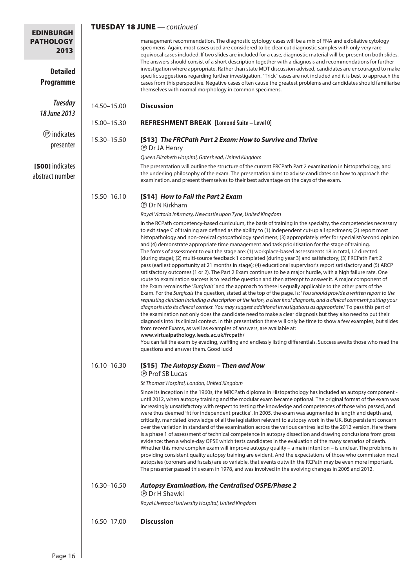TUESDAY 18 June *— continued*

# **Detailed Programme**

management recommendation. The diagnostic cytology cases will be a mix of FNA and exfoliative cytology specimens. Again, most cases used are considered to be clear cut diagnostic samples with only very rare equivocal cases included. If two slides are included for a case, diagnostic material will be present on both slides. The answers should consist of a short description together with a diagnosis and recommendations for further investigation where appropriate. Rather than state MDT discussion advised, candidates are encouraged to make specific suggestions regarding further investigation. "Trick" cases are not included and it is best to approach the cases from this perspective. Negative cases often cause the greatest problems and candidates should familiarise themselves with normal morphology in common specimens.

| <b>Tuesday</b><br>18 June 2013     | 14.50-15.00 | <b>Discussion</b>                                                                                                                                                                                                                                                                                                                                                                                                                                                                                                                                                                                                                                                                                                                                                                                                                                                                                                                                                                                                                                                                                                                                                                                                                                                                                                                                                                                                                                                                                                                                                                                                                                                                                                                                                                                                                                                                                                                                                                                                                                     |
|------------------------------------|-------------|-------------------------------------------------------------------------------------------------------------------------------------------------------------------------------------------------------------------------------------------------------------------------------------------------------------------------------------------------------------------------------------------------------------------------------------------------------------------------------------------------------------------------------------------------------------------------------------------------------------------------------------------------------------------------------------------------------------------------------------------------------------------------------------------------------------------------------------------------------------------------------------------------------------------------------------------------------------------------------------------------------------------------------------------------------------------------------------------------------------------------------------------------------------------------------------------------------------------------------------------------------------------------------------------------------------------------------------------------------------------------------------------------------------------------------------------------------------------------------------------------------------------------------------------------------------------------------------------------------------------------------------------------------------------------------------------------------------------------------------------------------------------------------------------------------------------------------------------------------------------------------------------------------------------------------------------------------------------------------------------------------------------------------------------------------|
|                                    | 15.00-15.30 | <b>REFRESHMENT BREAK</b> [Lomond Suite – Level 0]                                                                                                                                                                                                                                                                                                                                                                                                                                                                                                                                                                                                                                                                                                                                                                                                                                                                                                                                                                                                                                                                                                                                                                                                                                                                                                                                                                                                                                                                                                                                                                                                                                                                                                                                                                                                                                                                                                                                                                                                     |
| <b>(P</b> ) indicates<br>presenter | 15.30-15.50 | [S13] The FRCPath Part 2 Exam: How to Survive and Thrive<br><b><i><b>D</b></i></b> Dr JA Henry                                                                                                                                                                                                                                                                                                                                                                                                                                                                                                                                                                                                                                                                                                                                                                                                                                                                                                                                                                                                                                                                                                                                                                                                                                                                                                                                                                                                                                                                                                                                                                                                                                                                                                                                                                                                                                                                                                                                                        |
| [SOO] indicates<br>abstract number |             | Queen Elizabeth Hospital, Gateshead, United Kingdom<br>The presentation will outline the structure of the current FRCPath Part 2 examination in histopathology, and<br>the underling philosophy of the exam. The presentation aims to advise candidates on how to approach the<br>examination, and present themselves to their best advantage on the days of the exam.                                                                                                                                                                                                                                                                                                                                                                                                                                                                                                                                                                                                                                                                                                                                                                                                                                                                                                                                                                                                                                                                                                                                                                                                                                                                                                                                                                                                                                                                                                                                                                                                                                                                                |
|                                    | 15.50-16.10 | [S14] How to Fail the Part 2 Exam<br><b>D</b> Dr N Kirkham                                                                                                                                                                                                                                                                                                                                                                                                                                                                                                                                                                                                                                                                                                                                                                                                                                                                                                                                                                                                                                                                                                                                                                                                                                                                                                                                                                                                                                                                                                                                                                                                                                                                                                                                                                                                                                                                                                                                                                                            |
|                                    |             | Royal Victoria Infirmary, Newcastle upon Tyne, United Kingdom                                                                                                                                                                                                                                                                                                                                                                                                                                                                                                                                                                                                                                                                                                                                                                                                                                                                                                                                                                                                                                                                                                                                                                                                                                                                                                                                                                                                                                                                                                                                                                                                                                                                                                                                                                                                                                                                                                                                                                                         |
|                                    |             | In the RCPath competency-based curriculum, the basis of training in the specialty, the competencies necessary<br>to exit stage C of training are defined as the ability to (1) independent cut-up all specimens; (2) report most<br>histopathology and non-cervical cytopathology specimens; (3) appropriately refer for specialist/second opinion<br>and (4) demonstrate appropriate time management and task prioritisation for the stage of training.<br>The forms of assessment to exit the stage are: (1) workplace-based assessments 18 in total, 12 directed<br>(during stage); (2) multi-source feedback 1 completed (during year 3) and satisfactory; (3) FRCPath Part 2<br>pass (earliest opportunity at 21 months in stage); (4) educational supervisor's report satisfactory and (5) ARCP<br>satisfactory outcomes (1 or 2). The Part 2 Exam continues to be a major hurdle, with a high failure rate. One<br>route to examination success is to read the question and then attempt to answer it. A major component of<br>the Exam remains the 'Surgicals' and the approach to these is equally applicable to the other parts of the<br>Exam. For the Surgicals the question, stated at the top of the page, is: 'You should provide a written report to the<br>requesting clinician including a description of the lesion, a clear final diagnosis, and a clinical comment putting your<br>diagnosis into its clinical context. You may suggest additional investigations as appropriate.' To pass this part of<br>the examination not only does the candidate need to make a clear diagnosis but they also need to put their<br>diagnosis into its clinical context. In this presentation there will only be time to show a few examples, but slides<br>from recent Exams, as well as examples of answers, are available at:<br>www.virtualpathology.leeds.ac.uk/frcpath/<br>You can fail the exam by evading, waffling and endlessly listing differentials. Success awaits those who read the<br>questions and answer them. Good luck! |
|                                    | 16.10-16.30 | [S15] The Autopsy Exam - Then and Now<br><b>P</b> Prof SB Lucas                                                                                                                                                                                                                                                                                                                                                                                                                                                                                                                                                                                                                                                                                                                                                                                                                                                                                                                                                                                                                                                                                                                                                                                                                                                                                                                                                                                                                                                                                                                                                                                                                                                                                                                                                                                                                                                                                                                                                                                       |
|                                    |             | St Thomas' Hospital, London, United Kingdom                                                                                                                                                                                                                                                                                                                                                                                                                                                                                                                                                                                                                                                                                                                                                                                                                                                                                                                                                                                                                                                                                                                                                                                                                                                                                                                                                                                                                                                                                                                                                                                                                                                                                                                                                                                                                                                                                                                                                                                                           |
|                                    |             | Since its inception in the 1960s, the MRCPath diploma in Histopathology has included an autopsy component -<br>until 2012, when autopsy training and the modular exam became optional. The original format of the exam was<br>increasingly unsatisfactory with respect to testing the knowledge and competences of those who passed, and<br>were thus deemed 'fit for independent practice'. In 2005, the exam was augmented in length and depth and,<br>critically, mandated knowledge of all the legislation relevant to autopsy work in the UK. But persistent concern<br>over the variation in standard of the examination across the various centres led to the 2012 version. Here there<br>is a phase 1 of assessment of technical competence in autopsy dissection and drawing conclusions from gross<br>evidence; then a whole-day OPSE which tests candidates in the evaluation of the many scenarios of death.<br>Whether this more complex exam will improve autopsy quality $-$ a main intention $-$ is unclear. The problems in<br>providing consistent quality autopsy training are evident. And the expectations of those who commission most<br>autopsies (coroners and fiscals) are so variable, that events outwith the RCPath may be even more important.<br>The presenter passed this exam in 1978, and was involved in the evolving changes in 2005 and 2012.                                                                                                                                                                                                                                                                                                                                                                                                                                                                                                                                                                                                                                                                    |
|                                    | 16.30-16.50 | <b>Autopsy Examination, the Centralised OSPE/Phase 2</b><br><b><i>®</i></b> Dr H Shawki                                                                                                                                                                                                                                                                                                                                                                                                                                                                                                                                                                                                                                                                                                                                                                                                                                                                                                                                                                                                                                                                                                                                                                                                                                                                                                                                                                                                                                                                                                                                                                                                                                                                                                                                                                                                                                                                                                                                                               |
|                                    |             | Royal Liverpool University Hospital, United Kingdom                                                                                                                                                                                                                                                                                                                                                                                                                                                                                                                                                                                                                                                                                                                                                                                                                                                                                                                                                                                                                                                                                                                                                                                                                                                                                                                                                                                                                                                                                                                                                                                                                                                                                                                                                                                                                                                                                                                                                                                                   |
|                                    | 16.50-17.00 | <b>Discussion</b>                                                                                                                                                                                                                                                                                                                                                                                                                                                                                                                                                                                                                                                                                                                                                                                                                                                                                                                                                                                                                                                                                                                                                                                                                                                                                                                                                                                                                                                                                                                                                                                                                                                                                                                                                                                                                                                                                                                                                                                                                                     |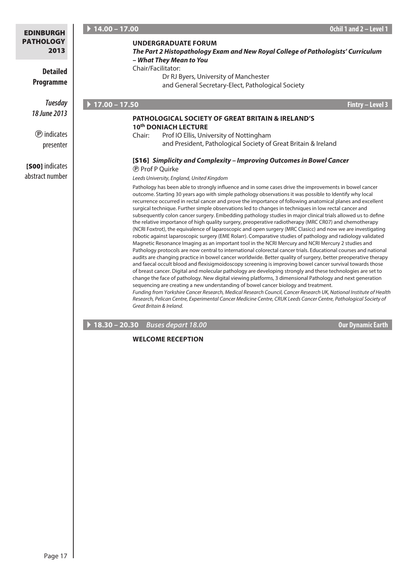| <b>EDINBURGH</b>         | $\blacktriangleright$ 14.00 - 17.00<br>Ochil 1 and 2 - Level 1                                                                                                                                                                                                                                                                                                                                                                                                                                                                                                                                                                                                                                                                                                                                                                                                                                                                                                                                                                                                                                                                                                                                                                                                                                                                                                                                                                                                                                                                                                                                                                                                                                                                                                                                                                                                                                                                                  |
|--------------------------|-------------------------------------------------------------------------------------------------------------------------------------------------------------------------------------------------------------------------------------------------------------------------------------------------------------------------------------------------------------------------------------------------------------------------------------------------------------------------------------------------------------------------------------------------------------------------------------------------------------------------------------------------------------------------------------------------------------------------------------------------------------------------------------------------------------------------------------------------------------------------------------------------------------------------------------------------------------------------------------------------------------------------------------------------------------------------------------------------------------------------------------------------------------------------------------------------------------------------------------------------------------------------------------------------------------------------------------------------------------------------------------------------------------------------------------------------------------------------------------------------------------------------------------------------------------------------------------------------------------------------------------------------------------------------------------------------------------------------------------------------------------------------------------------------------------------------------------------------------------------------------------------------------------------------------------------------|
| <b>PATHOLOGY</b><br>2013 | <b>UNDERGRADUATE FORUM</b><br>The Part 2 Histopathology Exam and New Royal College of Pathologists' Curriculum<br>- What They Mean to You                                                                                                                                                                                                                                                                                                                                                                                                                                                                                                                                                                                                                                                                                                                                                                                                                                                                                                                                                                                                                                                                                                                                                                                                                                                                                                                                                                                                                                                                                                                                                                                                                                                                                                                                                                                                       |
| <b>Detailed</b>          | Chair/Facilitator:                                                                                                                                                                                                                                                                                                                                                                                                                                                                                                                                                                                                                                                                                                                                                                                                                                                                                                                                                                                                                                                                                                                                                                                                                                                                                                                                                                                                                                                                                                                                                                                                                                                                                                                                                                                                                                                                                                                              |
|                          | Dr RJ Byers, University of Manchester                                                                                                                                                                                                                                                                                                                                                                                                                                                                                                                                                                                                                                                                                                                                                                                                                                                                                                                                                                                                                                                                                                                                                                                                                                                                                                                                                                                                                                                                                                                                                                                                                                                                                                                                                                                                                                                                                                           |
| <b>Programme</b>         | and General Secretary-Elect, Pathological Society                                                                                                                                                                                                                                                                                                                                                                                                                                                                                                                                                                                                                                                                                                                                                                                                                                                                                                                                                                                                                                                                                                                                                                                                                                                                                                                                                                                                                                                                                                                                                                                                                                                                                                                                                                                                                                                                                               |
| <b>Tuesday</b>           | $\triangleright$ 17.00 - 17.50<br><b>Fintry - Level 3</b>                                                                                                                                                                                                                                                                                                                                                                                                                                                                                                                                                                                                                                                                                                                                                                                                                                                                                                                                                                                                                                                                                                                                                                                                                                                                                                                                                                                                                                                                                                                                                                                                                                                                                                                                                                                                                                                                                       |
| 18 June 2013             | <b>PATHOLOGICAL SOCIETY OF GREAT BRITAIN &amp; IRELAND'S</b><br>10th DONIACH LECTURE                                                                                                                                                                                                                                                                                                                                                                                                                                                                                                                                                                                                                                                                                                                                                                                                                                                                                                                                                                                                                                                                                                                                                                                                                                                                                                                                                                                                                                                                                                                                                                                                                                                                                                                                                                                                                                                            |
| <b>(P)</b> indicates     | Chair:<br>Prof IO Ellis, University of Nottingham                                                                                                                                                                                                                                                                                                                                                                                                                                                                                                                                                                                                                                                                                                                                                                                                                                                                                                                                                                                                                                                                                                                                                                                                                                                                                                                                                                                                                                                                                                                                                                                                                                                                                                                                                                                                                                                                                               |
| presenter                | and President, Pathological Society of Great Britain & Ireland                                                                                                                                                                                                                                                                                                                                                                                                                                                                                                                                                                                                                                                                                                                                                                                                                                                                                                                                                                                                                                                                                                                                                                                                                                                                                                                                                                                                                                                                                                                                                                                                                                                                                                                                                                                                                                                                                  |
| [SOO] indicates          | [\$16] Simplicity and Complexity - Improving Outcomes in Bowel Cancer<br><b>(P)</b> Prof P Ouirke                                                                                                                                                                                                                                                                                                                                                                                                                                                                                                                                                                                                                                                                                                                                                                                                                                                                                                                                                                                                                                                                                                                                                                                                                                                                                                                                                                                                                                                                                                                                                                                                                                                                                                                                                                                                                                               |
| abstract number          | Leeds University, England, United Kingdom                                                                                                                                                                                                                                                                                                                                                                                                                                                                                                                                                                                                                                                                                                                                                                                                                                                                                                                                                                                                                                                                                                                                                                                                                                                                                                                                                                                                                                                                                                                                                                                                                                                                                                                                                                                                                                                                                                       |
|                          | Pathology has been able to strongly influence and in some cases drive the improvements in bowel cancer<br>outcome. Starting 30 years ago with simple pathology observations it was possible to Identify why local<br>recurrence occurred in rectal cancer and prove the importance of following anatomical planes and excellent<br>surgical technique. Further simple observations led to changes in techniques in low rectal cancer and<br>subsequently colon cancer surgery. Embedding pathology studies in major clinical trials allowed us to define<br>the relative importance of high quality surgery, preoperative radiotherapy (MRC CR07) and chemotherapy<br>(NCRI Foxtrot), the equivalence of laparoscopic and open surgery (MRC Clasicc) and now we are investigating<br>robotic against laparoscopic surgery (EME Rolarr). Comparative studies of pathology and radiology validated<br>Magnetic Resonance Imaging as an important tool in the NCRI Mercury and NCRI Mercury 2 studies and<br>Pathology protocols are now central to international colorectal cancer trials. Educational courses and national<br>audits are changing practice in bowel cancer worldwide. Better quality of surgery, better preoperative therapy<br>and faecal occult blood and flexisigmoidoscopy screening is improving bowel cancer survival towards those<br>of breast cancer. Digital and molecular pathology are developing strongly and these technologies are set to<br>change the face of pathology. New digital viewing platforms, 3 dimensional Pathology and next generation<br>sequencing are creating a new understanding of bowel cancer biology and treatment.<br>Funding from Yorkshire Cancer Research, Medical Research Council, Cancer Research UK, National Institute of Health<br>Research, Pelican Centre, Experimental Cancer Medicine Centre, CRUK Leeds Cancer Centre, Pathological Society of<br>Great Britain & Ireland. |
|                          | <b>Buses depart 18.00</b><br>$18.30 - 20.30$<br><b>Our Dynamic Earth</b>                                                                                                                                                                                                                                                                                                                                                                                                                                                                                                                                                                                                                                                                                                                                                                                                                                                                                                                                                                                                                                                                                                                                                                                                                                                                                                                                                                                                                                                                                                                                                                                                                                                                                                                                                                                                                                                                        |
|                          | <b>WELCOME RECEPTION</b>                                                                                                                                                                                                                                                                                                                                                                                                                                                                                                                                                                                                                                                                                                                                                                                                                                                                                                                                                                                                                                                                                                                                                                                                                                                                                                                                                                                                                                                                                                                                                                                                                                                                                                                                                                                                                                                                                                                        |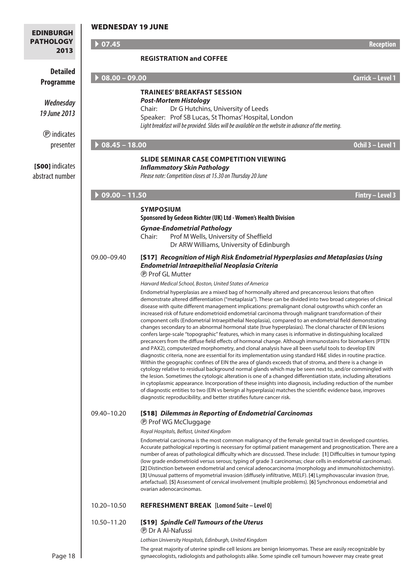#### WEDNESDAY 19 June

| <b>EDINBURGH</b>                   | WEDNESDAI IYJUNE       |                                                                                                                                                                                                                                                                                                                                                                                                                                                                                                                                                                                                                                                                                                                                                                                                                                                                                                                                                                                                                                                                                                                                                                                                                                                                                                                                                                                                                                                                                                                                                                                                                                                                                                                                                                   |
|------------------------------------|------------------------|-------------------------------------------------------------------------------------------------------------------------------------------------------------------------------------------------------------------------------------------------------------------------------------------------------------------------------------------------------------------------------------------------------------------------------------------------------------------------------------------------------------------------------------------------------------------------------------------------------------------------------------------------------------------------------------------------------------------------------------------------------------------------------------------------------------------------------------------------------------------------------------------------------------------------------------------------------------------------------------------------------------------------------------------------------------------------------------------------------------------------------------------------------------------------------------------------------------------------------------------------------------------------------------------------------------------------------------------------------------------------------------------------------------------------------------------------------------------------------------------------------------------------------------------------------------------------------------------------------------------------------------------------------------------------------------------------------------------------------------------------------------------|
| <b>PATHOLOGY</b>                   | $\triangleright$ 07.45 | <b>Reception</b>                                                                                                                                                                                                                                                                                                                                                                                                                                                                                                                                                                                                                                                                                                                                                                                                                                                                                                                                                                                                                                                                                                                                                                                                                                                                                                                                                                                                                                                                                                                                                                                                                                                                                                                                                  |
| 2013                               |                        | <b>REGISTRATION and COFFEE</b>                                                                                                                                                                                                                                                                                                                                                                                                                                                                                                                                                                                                                                                                                                                                                                                                                                                                                                                                                                                                                                                                                                                                                                                                                                                                                                                                                                                                                                                                                                                                                                                                                                                                                                                                    |
| <b>Detailed</b>                    | $08.00 - 09.00$        | Carrick - Level 1                                                                                                                                                                                                                                                                                                                                                                                                                                                                                                                                                                                                                                                                                                                                                                                                                                                                                                                                                                                                                                                                                                                                                                                                                                                                                                                                                                                                                                                                                                                                                                                                                                                                                                                                                 |
| <b>Programme</b>                   |                        | <b>TRAINEES' BREAKFAST SESSION</b>                                                                                                                                                                                                                                                                                                                                                                                                                                                                                                                                                                                                                                                                                                                                                                                                                                                                                                                                                                                                                                                                                                                                                                                                                                                                                                                                                                                                                                                                                                                                                                                                                                                                                                                                |
| <b>Wednesday</b>                   |                        | <b>Post-Mortem Histology</b>                                                                                                                                                                                                                                                                                                                                                                                                                                                                                                                                                                                                                                                                                                                                                                                                                                                                                                                                                                                                                                                                                                                                                                                                                                                                                                                                                                                                                                                                                                                                                                                                                                                                                                                                      |
| 19 June 2013                       |                        | Dr G Hutchins, University of Leeds<br>Chair:<br>Speaker: Prof SB Lucas, St Thomas' Hospital, London<br>Light breakfast will be provided. Slides will be available on the website in advance of the meeting.                                                                                                                                                                                                                                                                                                                                                                                                                                                                                                                                                                                                                                                                                                                                                                                                                                                                                                                                                                                                                                                                                                                                                                                                                                                                                                                                                                                                                                                                                                                                                       |
| <b><i>O</i></b> indicates          |                        |                                                                                                                                                                                                                                                                                                                                                                                                                                                                                                                                                                                                                                                                                                                                                                                                                                                                                                                                                                                                                                                                                                                                                                                                                                                                                                                                                                                                                                                                                                                                                                                                                                                                                                                                                                   |
| presenter                          | $08.45 - 18.00$        | Ochil 3 - Level 1                                                                                                                                                                                                                                                                                                                                                                                                                                                                                                                                                                                                                                                                                                                                                                                                                                                                                                                                                                                                                                                                                                                                                                                                                                                                                                                                                                                                                                                                                                                                                                                                                                                                                                                                                 |
| [SOO] indicates<br>abstract number |                        | <b>SLIDE SEMINAR CASE COMPETITION VIEWING</b><br><b>Inflammatory Skin Pathology</b><br>Please note: Competition closes at 15.30 on Thursday 20 June                                                                                                                                                                                                                                                                                                                                                                                                                                                                                                                                                                                                                                                                                                                                                                                                                                                                                                                                                                                                                                                                                                                                                                                                                                                                                                                                                                                                                                                                                                                                                                                                               |
|                                    | $09.00 - 11.50$        | Fintry - Level 3                                                                                                                                                                                                                                                                                                                                                                                                                                                                                                                                                                                                                                                                                                                                                                                                                                                                                                                                                                                                                                                                                                                                                                                                                                                                                                                                                                                                                                                                                                                                                                                                                                                                                                                                                  |
|                                    |                        | <b>SYMPOSIUM</b>                                                                                                                                                                                                                                                                                                                                                                                                                                                                                                                                                                                                                                                                                                                                                                                                                                                                                                                                                                                                                                                                                                                                                                                                                                                                                                                                                                                                                                                                                                                                                                                                                                                                                                                                                  |
|                                    |                        | Sponsored by Gedeon Richter (UK) Ltd · Women's Health Division                                                                                                                                                                                                                                                                                                                                                                                                                                                                                                                                                                                                                                                                                                                                                                                                                                                                                                                                                                                                                                                                                                                                                                                                                                                                                                                                                                                                                                                                                                                                                                                                                                                                                                    |
|                                    |                        | <b>Gynae-Endometrial Pathology</b><br>Prof M Wells, University of Sheffield<br>Chair:<br>Dr ARW Williams, University of Edinburgh                                                                                                                                                                                                                                                                                                                                                                                                                                                                                                                                                                                                                                                                                                                                                                                                                                                                                                                                                                                                                                                                                                                                                                                                                                                                                                                                                                                                                                                                                                                                                                                                                                 |
|                                    | 09.00-09.40            | [S17] Recognition of High Risk Endometrial Hyperplasias and Metaplasias Using<br><b>Endometrial Intraepithelial Neoplasia Criteria</b><br><b><i>®</i></b> Prof GL Mutter                                                                                                                                                                                                                                                                                                                                                                                                                                                                                                                                                                                                                                                                                                                                                                                                                                                                                                                                                                                                                                                                                                                                                                                                                                                                                                                                                                                                                                                                                                                                                                                          |
|                                    |                        | Harvard Medical School, Boston, United States of America                                                                                                                                                                                                                                                                                                                                                                                                                                                                                                                                                                                                                                                                                                                                                                                                                                                                                                                                                                                                                                                                                                                                                                                                                                                                                                                                                                                                                                                                                                                                                                                                                                                                                                          |
|                                    |                        | Endometrial hyperplasias are a mixed bag of hormonally altered and precancerous lesions that often<br>demonstrate altered differentiation ("metaplasia"). These can be divided into two broad categories of clinical<br>disease with quite different management implications: premalignant clonal outgrowths which confer an<br>increased risk of future endometrioid endometrial carcinoma through malignant transformation of their<br>component cells (Endometrial Intraepithelial Neoplasia), compared to an endometrial field demonstrating<br>changes secondary to an abnormal hormonal state (true hyperplasias). The clonal character of EIN lesions<br>confers large-scale "topographic" features, which in many cases is informative in distinguishing localized<br>precancers from the diffuse field effects of hormonal change. Although immunostains for biomarkers (PTEN<br>and PAX2), computerized morphometry, and clonal analysis have all been useful tools to develop EIN<br>diagnostic criteria, none are essential for its implementation using standard H&E slides in routine practice.<br>Within the geographic confines of EIN the area of glands exceeds that of stroma, and there is a change in<br>cytology relative to residual background normal glands which may be seen next to, and/or commingled with<br>the lesion. Sometimes the cytologic alteration is one of a changed differentiation state, including alterations<br>in cytoplasmic appearance. Incorporation of these insights into diagnosis, including reduction of the number<br>of diagnostic entities to two (EIN vs benign al hyperplasia) matches the scientific evidence base, improves<br>diagnostic reproducibility, and better stratifies future cancer risk. |
|                                    | 09.40-10.20            | [S18] Dilemmas in Reporting of Endometrial Carcinomas<br><b><i>®</i></b> Prof WG McCluggage                                                                                                                                                                                                                                                                                                                                                                                                                                                                                                                                                                                                                                                                                                                                                                                                                                                                                                                                                                                                                                                                                                                                                                                                                                                                                                                                                                                                                                                                                                                                                                                                                                                                       |
|                                    |                        | Royal Hospitals, Belfast, United Kingdom<br>Endometrial carcinoma is the most common malignancy of the female genital tract in developed countries.<br>Accurate pathological reporting is necessary for optimal patient management and prognostication. There are a<br>number of areas of pathological difficulty which are discussed. These include: [1] Difficulties in tumour typing<br>(low grade endometrioid versus serous; typing of grade 3 carcinomas; clear cells in endometrial carcinomas).<br>[2] Distinction between endometrial and cervical adenocarcinoma (morphology and immunohistochemistry).<br>[3] Unusual patterns of myometrial invasion (diffusely infiltrative, MELF). [4] Lymphovascular invasion (true,<br>artefactual). [5] Assessment of cervical involvement (multiple problems). [6] Synchronous endometrial and<br>ovarian adenocarcinomas.                                                                                                                                                                                                                                                                                                                                                                                                                                                                                                                                                                                                                                                                                                                                                                                                                                                                                      |
|                                    | 10.20-10.50            | <b>REFRESHMENT BREAK</b> [Lomond Suite – Level 0]                                                                                                                                                                                                                                                                                                                                                                                                                                                                                                                                                                                                                                                                                                                                                                                                                                                                                                                                                                                                                                                                                                                                                                                                                                                                                                                                                                                                                                                                                                                                                                                                                                                                                                                 |
|                                    | 10.50-11.20            | [S19] Spindle Cell Tumours of the Uterus<br><b>P</b> Dr A Al-Nafussi<br>Lothian University Hospitals, Edinburgh, United Kingdom                                                                                                                                                                                                                                                                                                                                                                                                                                                                                                                                                                                                                                                                                                                                                                                                                                                                                                                                                                                                                                                                                                                                                                                                                                                                                                                                                                                                                                                                                                                                                                                                                                   |

The great majority of uterine spindle cell lesions are benign leiomyomas. These are easily recognizable by gynaecologists, radiologists and pathologists alike. Some spindle cell tumours however may create great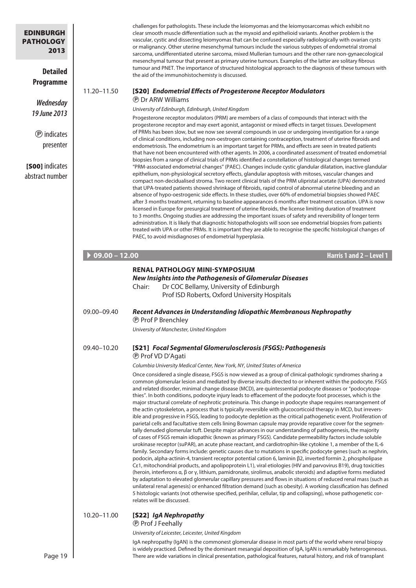| <b>EDINBURGH</b><br><b>PATHOLOGY</b><br>2013<br><b>Detailed</b> |                                | challenges for pathologists. These include the leiomyomas and the leiomyosarcomas which exhibit no<br>clear smooth muscle differentiation such as the myxoid and epithelioid variants. Another problem is the<br>vascular, cystic and dissecting leiomyomas that can be confused especially radiologically with ovarian cysts<br>or malignancy. Other uterine mesenchymal tumours include the various subtypes of endometrial stromal<br>sarcoma, undifferentiated uterine sarcoma, mixed Mullerian tumours and the other rare non-gynaecological<br>mesenchymal tumour that present as primary uterine tumours. Examples of the latter are solitary fibrous<br>tumour and PNET. The importance of structured histological approach to the diagnosis of these tumours with<br>the aid of the immunohistochemisty is discussed.                                                                                                                                                                                                                                                                                                                                                                                                                                                                                                                                                                                                                                                                                                                                                                                                                                                                                                                                                                                                                                                                                                                                                                                                                                                                                                                                 |
|-----------------------------------------------------------------|--------------------------------|----------------------------------------------------------------------------------------------------------------------------------------------------------------------------------------------------------------------------------------------------------------------------------------------------------------------------------------------------------------------------------------------------------------------------------------------------------------------------------------------------------------------------------------------------------------------------------------------------------------------------------------------------------------------------------------------------------------------------------------------------------------------------------------------------------------------------------------------------------------------------------------------------------------------------------------------------------------------------------------------------------------------------------------------------------------------------------------------------------------------------------------------------------------------------------------------------------------------------------------------------------------------------------------------------------------------------------------------------------------------------------------------------------------------------------------------------------------------------------------------------------------------------------------------------------------------------------------------------------------------------------------------------------------------------------------------------------------------------------------------------------------------------------------------------------------------------------------------------------------------------------------------------------------------------------------------------------------------------------------------------------------------------------------------------------------------------------------------------------------------------------------------------------------|
| <b>Programme</b>                                                | 11.20-11.50                    | [S20] Endometrial Effects of Progesterone Receptor Modulators                                                                                                                                                                                                                                                                                                                                                                                                                                                                                                                                                                                                                                                                                                                                                                                                                                                                                                                                                                                                                                                                                                                                                                                                                                                                                                                                                                                                                                                                                                                                                                                                                                                                                                                                                                                                                                                                                                                                                                                                                                                                                                  |
| <b>Wednesday</b>                                                |                                | <b>P</b> Dr ARW Williams<br>University of Edinburgh, Edinburgh, United Kingdom                                                                                                                                                                                                                                                                                                                                                                                                                                                                                                                                                                                                                                                                                                                                                                                                                                                                                                                                                                                                                                                                                                                                                                                                                                                                                                                                                                                                                                                                                                                                                                                                                                                                                                                                                                                                                                                                                                                                                                                                                                                                                 |
| 19 June 2013<br><b>(P</b> ) indicates<br>presenter              |                                | Progesterone receptor modulators (PRM) are members of a class of compounds that interact with the<br>progesterone receptor and may exert agonist, antagonist or mixed effects in target tissues. Development<br>of PRMs has been slow, but we now see several compounds in use or undergoing investigation for a range<br>of clinical conditions, including non-oestrogen containing contraception, treatment of uterine fibroids and<br>endometriosis. The endometrium is an important target for PRMs, and effects are seen in treated patients<br>that have not been encountered with other agents. In 2006, a coordinated assessment of treated endometrial<br>biopsies from a range of clinical trials of PRMs identified a constellation of histological changes termed                                                                                                                                                                                                                                                                                                                                                                                                                                                                                                                                                                                                                                                                                                                                                                                                                                                                                                                                                                                                                                                                                                                                                                                                                                                                                                                                                                                  |
| [SOO] indicates<br>abstract number                              |                                | "PRM-associated endometrial changes" (PAEC). Changes include cystic glandular dilatation, inactive glandular<br>epithelium, non-physiological secretory effects, glandular apoptosis with mitoses, vascular changes and<br>compact non-decidualised stroma. Two recent clinical trials of the PRM ulipristal acetate (UPA) demonstrated<br>that UPA-treated patients showed shrinkage of fibroids, rapid control of abnormal uterine bleeding and an<br>absence of hypo-oestrogenic side effects. In these studies, over 60% of endometrial biopsies showed PAEC<br>after 3 months treatment, returning to baseline appearances 6 months after treatment cessation. UPA is now<br>licensed in Europe for presurgical treatment of uterine fibroids, the license limiting duration of treatment<br>to 3 months. Ongoing studies are addressing the important issues of safety and reversibility of longer term<br>administration. It is likely that diagnostic histopathologists will soon see endometrial biopsies from patients<br>treated with UPA or other PRMs. It is important they are able to recognise the specific histological changes of<br>PAEC, to avoid misdiagnoses of endometrial hyperplasia.                                                                                                                                                                                                                                                                                                                                                                                                                                                                                                                                                                                                                                                                                                                                                                                                                                                                                                                                                 |
|                                                                 | $\triangleright$ 09.00 - 12.00 | Harris 1 and 2 - Level 1                                                                                                                                                                                                                                                                                                                                                                                                                                                                                                                                                                                                                                                                                                                                                                                                                                                                                                                                                                                                                                                                                                                                                                                                                                                                                                                                                                                                                                                                                                                                                                                                                                                                                                                                                                                                                                                                                                                                                                                                                                                                                                                                       |
|                                                                 |                                | <b>RENAL PATHOLOGY MINI-SYMPOSIUM</b><br>New Insights into the Pathogenesis of Glomerular Diseases<br>Dr COC Bellamy, University of Edinburgh<br>Chair:<br>Prof ISD Roberts, Oxford University Hospitals                                                                                                                                                                                                                                                                                                                                                                                                                                                                                                                                                                                                                                                                                                                                                                                                                                                                                                                                                                                                                                                                                                                                                                                                                                                                                                                                                                                                                                                                                                                                                                                                                                                                                                                                                                                                                                                                                                                                                       |
|                                                                 | 09.00-09.40                    | Recent Advances in Understanding Idiopathic Membranous Nephropathy<br><b><i>®</i></b> Prof P Brenchley                                                                                                                                                                                                                                                                                                                                                                                                                                                                                                                                                                                                                                                                                                                                                                                                                                                                                                                                                                                                                                                                                                                                                                                                                                                                                                                                                                                                                                                                                                                                                                                                                                                                                                                                                                                                                                                                                                                                                                                                                                                         |
|                                                                 |                                | University of Manchester, United Kingdom                                                                                                                                                                                                                                                                                                                                                                                                                                                                                                                                                                                                                                                                                                                                                                                                                                                                                                                                                                                                                                                                                                                                                                                                                                                                                                                                                                                                                                                                                                                                                                                                                                                                                                                                                                                                                                                                                                                                                                                                                                                                                                                       |
|                                                                 | 09.40-10.20                    | [S21] Focal Segmental Glomerulosclerosis (FSGS): Pathogenesis<br><b><i>®</i></b> Prof VD D'Agati                                                                                                                                                                                                                                                                                                                                                                                                                                                                                                                                                                                                                                                                                                                                                                                                                                                                                                                                                                                                                                                                                                                                                                                                                                                                                                                                                                                                                                                                                                                                                                                                                                                                                                                                                                                                                                                                                                                                                                                                                                                               |
|                                                                 |                                | Columbia University Medical Center, New York, NY, United States of America                                                                                                                                                                                                                                                                                                                                                                                                                                                                                                                                                                                                                                                                                                                                                                                                                                                                                                                                                                                                                                                                                                                                                                                                                                                                                                                                                                                                                                                                                                                                                                                                                                                                                                                                                                                                                                                                                                                                                                                                                                                                                     |
|                                                                 |                                | Once considered a single disease, FSGS is now viewed as a group of clinical-pathologic syndromes sharing a<br>common glomerular lesion and mediated by diverse insults directed to or inherent within the podocyte. FSGS<br>and related disorder, minimal change disease (MCD), are quintessential podocyte diseases or "podocytopa-<br>thies". In both conditions, podocyte injury leads to effacement of the podocyte foot processes, which is the<br>major structural correlate of nephrotic proteinuria. This change in podocyte shape requires rearrangement of<br>the actin cytoskeleton, a process that is typically reversible with glucocorticoid therapy in MCD, but irrevers-<br>ible and progressive in FSGS, leading to podocyte depletion as the critical pathogenetic event. Proliferation of<br>parietal cells and facultative stem cells lining Bowman capsule may provide reparative cover for the segmen-<br>tally denuded glomerular tuft. Despite major advances in our understanding of pathogenesis, the majority<br>of cases of FSGS remain idiopathic (known as primary FSGS). Candidate permeability factors include soluble<br>urokinase receptor (suPAR), an acute phase reactant, and cardiotrophin-like cytokine 1, a member of the IL-6<br>family. Secondary forms include: genetic causes due to mutations in specific podocyte genes (such as nephrin,<br>podocin, alpha-actinin-4, transient receptor potential cation 6, laminin β2, inverted formin 2, phospholipase<br>Cε1, mitochondrial products, and apolipoprotein L1), viral etiologies (HIV and parvovirus B19), drug toxicities<br>(heroin, interferons $\alpha$ , $\beta$ or $\gamma$ , lithium, pamidronate, sirolimus, anabolic steroids) and adaptive forms mediated<br>by adaptation to elevated glomerular capillary pressures and flows in situations of reduced renal mass (such as<br>unilateral renal agenesis) or enhanced filtration demand (such as obesity). A working classification has defined<br>5 histologic variants (not otherwise specified, perihilar, cellular, tip and collapsing), whose pathogenetic cor-<br>relates will be discussed. |
|                                                                 | 10.20-11.00                    | [S22] IgA Nephropathy<br><b><i>®</i></b> Prof J Feehally<br>University of Leicester, Leicester, United Kingdom                                                                                                                                                                                                                                                                                                                                                                                                                                                                                                                                                                                                                                                                                                                                                                                                                                                                                                                                                                                                                                                                                                                                                                                                                                                                                                                                                                                                                                                                                                                                                                                                                                                                                                                                                                                                                                                                                                                                                                                                                                                 |
|                                                                 |                                | IgA nephropathy (IgAN) is the commonest glomerular disease in most parts of the world where renal biopsy<br>is widely practiced. Defined by the dominant mesangial deposition of IgA, IgAN is remarkably heterogeneous.                                                                                                                                                                                                                                                                                                                                                                                                                                                                                                                                                                                                                                                                                                                                                                                                                                                                                                                                                                                                                                                                                                                                                                                                                                                                                                                                                                                                                                                                                                                                                                                                                                                                                                                                                                                                                                                                                                                                        |

There are wide variations in clinical presentation, pathological features, natural history, and risk of transplant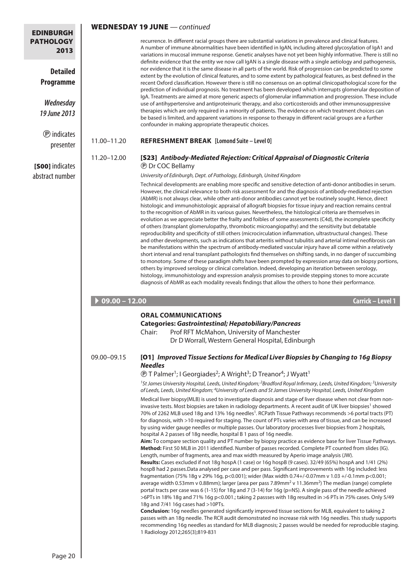| <b>EDINBURGH</b>                       |                 | <b>WEDNESDAY 19 JUNE</b> - continued                                                                                                                                                                                                                                                                                                                                                                                                                                                                                                                                                                                                                                                                                                                                                                                                                                                                                                                                                                                                                                                                                                                                                                                                                                                                                                                                                                                                                                                                                                                                                                                                                                                                                        |
|----------------------------------------|-----------------|-----------------------------------------------------------------------------------------------------------------------------------------------------------------------------------------------------------------------------------------------------------------------------------------------------------------------------------------------------------------------------------------------------------------------------------------------------------------------------------------------------------------------------------------------------------------------------------------------------------------------------------------------------------------------------------------------------------------------------------------------------------------------------------------------------------------------------------------------------------------------------------------------------------------------------------------------------------------------------------------------------------------------------------------------------------------------------------------------------------------------------------------------------------------------------------------------------------------------------------------------------------------------------------------------------------------------------------------------------------------------------------------------------------------------------------------------------------------------------------------------------------------------------------------------------------------------------------------------------------------------------------------------------------------------------------------------------------------------------|
| <b>PATHOLOGY</b><br>2013               |                 | recurrence. In different racial groups there are substantial variations in prevalence and clinical features.<br>A number of immune abnormalities have been identified in IgAN, including altered glycosylation of IgA1 and<br>variations in mucosal immune response. Genetic analyses have not yet been highly informative. There is still no<br>definite evidence that the entity we now call IgAN is a single disease with a single aetiology and pathogenesis,                                                                                                                                                                                                                                                                                                                                                                                                                                                                                                                                                                                                                                                                                                                                                                                                                                                                                                                                                                                                                                                                                                                                                                                                                                                           |
| <b>Detailed</b><br><b>Programme</b>    |                 | nor evidence that it is the same disease in all parts of the world. Risk of progression can be predicted to some<br>extent by the evolution of clinical features, and to some extent by pathological features, as best defined in the<br>recent Oxford classification. However there is still no consensus on an optimal clinicopathological score for the<br>prediction of individual prognosis. No treatment has been developed which interrupts glomerular deposition of<br>IgA. Treatments are aimed at more generic aspects of glomerular inflammation and progression. These include                                                                                                                                                                                                                                                                                                                                                                                                                                                                                                                                                                                                                                                                                                                                                                                                                                                                                                                                                                                                                                                                                                                                  |
| <b>Wednesday</b><br>19 June 2013       |                 | use of antihypertensive and antiproteinuric therapy, and also corticosteroids and other immunosuppressive<br>therapies which are only required in a minority of patients. The evidence on which treatment choices can<br>be based is limited, and apparent variations in response to therapy in different racial groups are a further<br>confounder in making appropriate therapeutic choices.                                                                                                                                                                                                                                                                                                                                                                                                                                                                                                                                                                                                                                                                                                                                                                                                                                                                                                                                                                                                                                                                                                                                                                                                                                                                                                                              |
| <b><i>O</i></b> indicates<br>presenter | 11.00-11.20     | <b>REFRESHMENT BREAK [Lomond Suite - Level 0]</b>                                                                                                                                                                                                                                                                                                                                                                                                                                                                                                                                                                                                                                                                                                                                                                                                                                                                                                                                                                                                                                                                                                                                                                                                                                                                                                                                                                                                                                                                                                                                                                                                                                                                           |
| [SOO] indicates                        | 11.20-12.00     | [S23] Antibody-Mediated Rejection: Critical Appraisal of Diagnostic Criteria<br><b><i>®</i></b> Dr COC Bellamy                                                                                                                                                                                                                                                                                                                                                                                                                                                                                                                                                                                                                                                                                                                                                                                                                                                                                                                                                                                                                                                                                                                                                                                                                                                                                                                                                                                                                                                                                                                                                                                                              |
| abstract number                        |                 | University of Edinburgh, Dept. of Pathology, Edinburgh, United Kingdom                                                                                                                                                                                                                                                                                                                                                                                                                                                                                                                                                                                                                                                                                                                                                                                                                                                                                                                                                                                                                                                                                                                                                                                                                                                                                                                                                                                                                                                                                                                                                                                                                                                      |
|                                        |                 | Technical developments are enabling more specific and sensitive detection of anti-donor antibodies in serum.<br>However, the clinical relevance to both risk assessment for and the diagnosis of antibody-mediated rejection<br>(AbMR) is not always clear, while other anti-donor antibodies cannot yet be routinely sought. Hence, direct<br>histologic and immunohistologic appraisal of allograft biopsies for tissue injury and reaction remains central<br>to the recognition of AbMR in its various quises. Nevertheless, the histological criteria are themselves in<br>evolution as we appreciate better the frailty and foibles of some assessments (C4d), the incomplete specificity<br>of others (transplant glomerulopathy, thrombotic microangiopathy) and the sensitivity but debatable<br>reproducibility and specificity of still others (microcirculation inflammation, ultrastructural changes). These<br>and other developments, such as indications that arteritis without tubulitis and arterial intimal neofibrosis can<br>be manifestations within the spectrum of antibody-mediated vascular injury have all come within a relatively<br>short interval and renal transplant pathologists find themselves on shifting sands, in no danger of succumbing<br>to monotony. Some of these paradigm shifts have been prompted by expression array data on biopsy portions,<br>others by improved serology or clinical correlation. Indeed, developing an iteration between serology,<br>histology, immunohistology and expression analysis promises to provide stepping stones to more accurate<br>diagnosis of AbMR as each modality reveals findings that allow the others to hone their performance. |
|                                        | $09.00 - 12.00$ | <b>Carrick - Level 1</b>                                                                                                                                                                                                                                                                                                                                                                                                                                                                                                                                                                                                                                                                                                                                                                                                                                                                                                                                                                                                                                                                                                                                                                                                                                                                                                                                                                                                                                                                                                                                                                                                                                                                                                    |
|                                        |                 | <b>ORAL COMMUNICATIONS</b><br><b>Categories: Gastrointestinal; Hepatobiliary/Pancreas</b><br>Prof RFT McMahon, University of Manchester<br>Chair:                                                                                                                                                                                                                                                                                                                                                                                                                                                                                                                                                                                                                                                                                                                                                                                                                                                                                                                                                                                                                                                                                                                                                                                                                                                                                                                                                                                                                                                                                                                                                                           |
|                                        |                 | Dr D Worrall, Western General Hospital, Edinburgh                                                                                                                                                                                                                                                                                                                                                                                                                                                                                                                                                                                                                                                                                                                                                                                                                                                                                                                                                                                                                                                                                                                                                                                                                                                                                                                                                                                                                                                                                                                                                                                                                                                                           |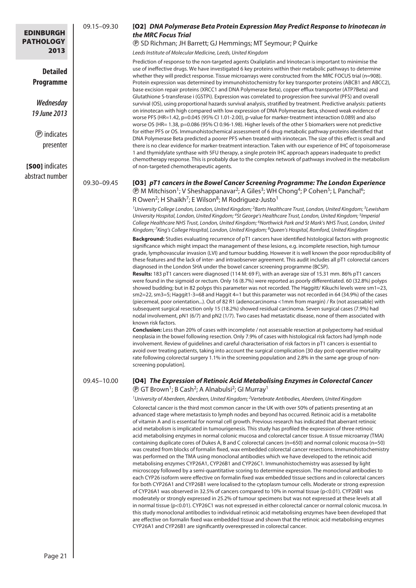| <b>EDINBURGH</b>             | 09.15-09.30 | [O2] DNA Polymerase Beta Protein Expression May Predict Response to Irinotecan in<br>the MRC Focus Trial                                                                                                                                                                                                                                                                                                                                                                                                                                                                                                                                                                                                                                                                                                                                                                                                                                                                                                                                                                                                                                                                                                                                                                                                                                                                                                                                                                                                                                                                                                                                                                                                                                                                                                                                                                                                                                                                            |
|------------------------------|-------------|-------------------------------------------------------------------------------------------------------------------------------------------------------------------------------------------------------------------------------------------------------------------------------------------------------------------------------------------------------------------------------------------------------------------------------------------------------------------------------------------------------------------------------------------------------------------------------------------------------------------------------------------------------------------------------------------------------------------------------------------------------------------------------------------------------------------------------------------------------------------------------------------------------------------------------------------------------------------------------------------------------------------------------------------------------------------------------------------------------------------------------------------------------------------------------------------------------------------------------------------------------------------------------------------------------------------------------------------------------------------------------------------------------------------------------------------------------------------------------------------------------------------------------------------------------------------------------------------------------------------------------------------------------------------------------------------------------------------------------------------------------------------------------------------------------------------------------------------------------------------------------------------------------------------------------------------------------------------------------------|
| <b>PATHOLOGY</b>             |             | <b><i>@</i></b> SD Richman; JH Barrett; GJ Hemmings; MT Seymour; P Quirke                                                                                                                                                                                                                                                                                                                                                                                                                                                                                                                                                                                                                                                                                                                                                                                                                                                                                                                                                                                                                                                                                                                                                                                                                                                                                                                                                                                                                                                                                                                                                                                                                                                                                                                                                                                                                                                                                                           |
| 2013                         |             | Leeds Institute of Molecular Medicine, Leeds, United Kingdom                                                                                                                                                                                                                                                                                                                                                                                                                                                                                                                                                                                                                                                                                                                                                                                                                                                                                                                                                                                                                                                                                                                                                                                                                                                                                                                                                                                                                                                                                                                                                                                                                                                                                                                                                                                                                                                                                                                        |
| <b>Detailed</b><br>Programme |             | Prediction of response to the non-targeted agents Oxaliplatin and Irinotecan is important to minimise the<br>use of ineffective drugs. We have investigated 6 key proteins within their metabolic pathways to determine<br>whether they will predict response. Tissue microarrays were constructed from the MRC FOCUS trial (n=908).<br>Protein expression was determined by immunohistochemistry for key transporter proteins (ABCB1 and ABCC2),<br>base excision repair proteins (XRCC1 and DNA Polymerase Beta), copper efflux transporter (ATP7Beta) and<br>Glutathione S-transferase i (GSTPi). Expression was correlated to progression free survival (PFS) and overall                                                                                                                                                                                                                                                                                                                                                                                                                                                                                                                                                                                                                                                                                                                                                                                                                                                                                                                                                                                                                                                                                                                                                                                                                                                                                                       |
| Wednesday                    |             | survival (OS), using proportional hazards survival analysis, stratified by treatment. Predictive analysis: patients                                                                                                                                                                                                                                                                                                                                                                                                                                                                                                                                                                                                                                                                                                                                                                                                                                                                                                                                                                                                                                                                                                                                                                                                                                                                                                                                                                                                                                                                                                                                                                                                                                                                                                                                                                                                                                                                 |
| 19 June 2013                 |             | on irinotecan with high compared with low expression of DNA Polymerase Beta, showed weak evidence of<br>worse PFS (HR=1.42, p=0.045 (95% CI 1.01-2.00), p-value for marker-treatment interaction 0.089) and also<br>worse OS (HR= 1.38, p=0.086 (95% CI 0.96-1.98). Higher levels of the other 5 biomarkers were not predictive                                                                                                                                                                                                                                                                                                                                                                                                                                                                                                                                                                                                                                                                                                                                                                                                                                                                                                                                                                                                                                                                                                                                                                                                                                                                                                                                                                                                                                                                                                                                                                                                                                                     |
| <b><i>O</i></b> indicates    |             | for either PFS or OS. Immunohistochemical assessment of 6 drug metabolic pathway proteins identified that<br>DNA Polymerase Beta predicted a poorer PFS when treated with irinotecan. The size of this effect is small and                                                                                                                                                                                                                                                                                                                                                                                                                                                                                                                                                                                                                                                                                                                                                                                                                                                                                                                                                                                                                                                                                                                                                                                                                                                                                                                                                                                                                                                                                                                                                                                                                                                                                                                                                          |
| presenter                    |             | there is no clear evidence for marker-treatment interaction. Taken with our experience of IHC of topoisomerase<br>1 and thymidylate synthase with 5FU therapy, a single protein IHC approach appears inadequate to predict<br>chemotherapy response. This is probably due to the complex network of pathways involved in the metabolism                                                                                                                                                                                                                                                                                                                                                                                                                                                                                                                                                                                                                                                                                                                                                                                                                                                                                                                                                                                                                                                                                                                                                                                                                                                                                                                                                                                                                                                                                                                                                                                                                                             |
| [SOO] indicates              |             | of non-targeted chemotherapeutic agents.                                                                                                                                                                                                                                                                                                                                                                                                                                                                                                                                                                                                                                                                                                                                                                                                                                                                                                                                                                                                                                                                                                                                                                                                                                                                                                                                                                                                                                                                                                                                                                                                                                                                                                                                                                                                                                                                                                                                            |
| abstract number              | 09.30-09.45 | [O3] pT1 cancers in the Bowel Cancer Screening Programme: The London Experience<br><b>(D)</b> M Mitchison <sup>1</sup> ; V Sheshappanavar <sup>2</sup> ; A Giles <sup>3</sup> ; WH Chong <sup>4</sup> ; P Cohen <sup>5</sup> ; L Panchal <sup>6</sup> ;                                                                                                                                                                                                                                                                                                                                                                                                                                                                                                                                                                                                                                                                                                                                                                                                                                                                                                                                                                                                                                                                                                                                                                                                                                                                                                                                                                                                                                                                                                                                                                                                                                                                                                                             |
|                              |             | R Owen <sup>2</sup> ; H Shaikh <sup>7</sup> ; E Wilson <sup>8</sup> ; M Rodriguez-Justo <sup>1</sup>                                                                                                                                                                                                                                                                                                                                                                                                                                                                                                                                                                                                                                                                                                                                                                                                                                                                                                                                                                                                                                                                                                                                                                                                                                                                                                                                                                                                                                                                                                                                                                                                                                                                                                                                                                                                                                                                                |
|                              |             | <sup>1</sup> University College London, London, United Kingdom; <sup>2</sup> Barts Healthcare Trust, London, United Kingdom; <sup>3</sup> Lewisham<br>University Hospital, London, United Kingdom; <sup>4</sup> St George's Healthcare Trust, London, United Kingdom; <sup>5</sup> Imperial<br>College Healthcare NHS Trust, London, United Kingdom; <sup>6</sup> Northwick Park and St Mark's NHS Trust, London, United<br>Kingdom; <sup>7</sup> King's College Hospital, London, United Kingdom; <sup>8</sup> Queen's Hospital, Romford, United Kingdom                                                                                                                                                                                                                                                                                                                                                                                                                                                                                                                                                                                                                                                                                                                                                                                                                                                                                                                                                                                                                                                                                                                                                                                                                                                                                                                                                                                                                           |
|                              |             | Background: Studies evaluating recurrence of pT1 cancers have identified histological factors with prognostic<br>significance which might impact the management of these lesions, e.g. incomplete resection, high tumour<br>grade, lymphovascular invasion (LVI) and tumour budding. However it is well known the poor reproducibility of<br>these features and the lack of inter- and intraobserver agreement. This audit includes all pT1 colorectal cancers<br>diagnosed in the London SHA under the bowel cancer screening programme (BCSP).<br>Results: 183 pT1 cancers were diagnosed (114 M: 69 F), with an average size of 15.31 mm. 86% pT1 cancers<br>were found in the sigmoid or rectum. Only 16 (8.7%) were reported as poorly differentiated. 60 (32.8%) polyps<br>showed budding; but in 82 polyps this parameter was not recorded. The Haggitt/Kikuchi levels were sm1=23,<br>sm2=22, sm3=5; Haggit1-3=68 and Haggit 4=1 but this parameter was not recorded in 64 (34.9%) of the cases<br>(piecemeal, poor orientation). Out of 82 R1 (adenocarcinoma <1mm from margin) / Rx (not assessable) with<br>subsequent surgical resection only 15 (18.2%) showed residual carcinoma. Seven surgical cases (7.9%) had<br>nodal involvement, pN1 (6/7) and pN2 (1/7). Two cases had metastatic disease, none of them associated with<br>known risk factors.<br>Conclusion: Less than 20% of cases with incomplete / not assessable resection at polypectomy had residual<br>neoplasia in the bowel following resection. Only 7.9% of cases with histological risk factors had lymph node<br>involvement. Review of guidelines and careful characterisation of risk factors in pT1 cancers is essential to<br>avoid over treating patients, taking into account the surgical complication [30 day post-operative mortality<br>rate following colorectal surgery 1.1% in the screening population and 2.8% in the same age group of non-<br>screening population].           |
|                              | 09.45-10.00 | [04] The Expression of Retinoic Acid Metabolising Enzymes in Colorectal Cancer<br><b><i><b>@</b></i> GT Brown<sup>1</sup>; B Cash<sup>2</sup>; A Alnabulsi<sup>2</sup>; GI Murray<sup>1</sup></b>                                                                                                                                                                                                                                                                                                                                                                                                                                                                                                                                                                                                                                                                                                                                                                                                                                                                                                                                                                                                                                                                                                                                                                                                                                                                                                                                                                                                                                                                                                                                                                                                                                                                                                                                                                                   |
|                              |             | <sup>1</sup> University of Aberdeen, Aberdeen, United Kingdom; <sup>2</sup> Vertebrate Antibodies, Aberdeen, United Kingdom                                                                                                                                                                                                                                                                                                                                                                                                                                                                                                                                                                                                                                                                                                                                                                                                                                                                                                                                                                                                                                                                                                                                                                                                                                                                                                                                                                                                                                                                                                                                                                                                                                                                                                                                                                                                                                                         |
|                              |             | Colorectal cancer is the third most common cancer in the UK with over 50% of patients presenting at an<br>advanced stage where metastasis to lymph nodes and beyond has occurred. Retinoic acid is a metabolite<br>of vitamin A and is essential for normal cell growth. Previous research has indicated that aberrant retinoic<br>acid metabolism is implicated in tumourigenesis. This study has profiled the expression of three retinoic<br>acid metabolising enzymes in normal colonic mucosa and colorectal cancer tissue. A tissue microarray (TMA)<br>containing duplicate cores of Dukes A, B and C colorectal cancers (n=650) and normal colonic mucosa (n=50)<br>was created from blocks of formalin fixed, wax embedded colorectal cancer resections. Immunohistochemistry<br>was performed on the TMA using monoclonal antibodies which we have developed to the retinoic acid<br>metabolising enzymes CYP26A1, CYP26B1 and CYP26C1. Immunohistochemistry was assessed by light<br>microscopy followed by a semi-quantitative scoring to determine expression. The monoclonal antibodies to<br>each CYP26 isoform were effective on formalin fixed wax embedded tissue sections and in colorectal cancers<br>for both CYP26A1 and CYP26B1 were localised to the cytoplasm tumour cells. Moderate or strong expression<br>of CYP26A1 was observed in 32.5% of cancers compared to 10% in normal tissue ( $p$ <0.01). CYP26B1 was<br>moderately or strongly expressed in 25.2% of tumour specimens but was not expressed at these levels at all<br>in normal tissue (p<0.01). CYP26C1 was not expressed in either colorectal cancer or normal colonic mucosa. In<br>this study monoclonal antibodies to individual retinoic acid metabolising enzymes have been developed that<br>are effective on formalin fixed wax embedded tissue and shown that the retinoic acid metabolising enzymes<br>CYP26A1 and CYP26B1 are significantly overexpressed in colorectal cancer. |
|                              |             |                                                                                                                                                                                                                                                                                                                                                                                                                                                                                                                                                                                                                                                                                                                                                                                                                                                                                                                                                                                                                                                                                                                                                                                                                                                                                                                                                                                                                                                                                                                                                                                                                                                                                                                                                                                                                                                                                                                                                                                     |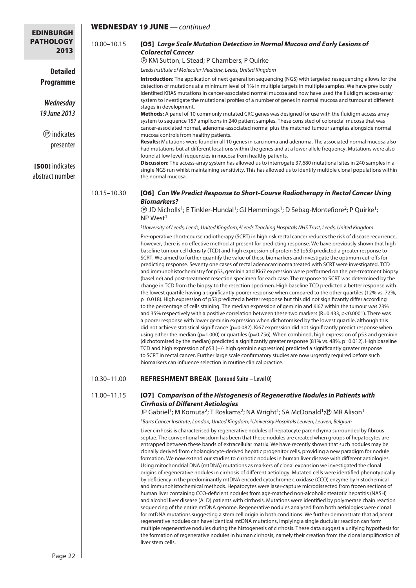| <b>EDINBURGH</b>                          | <b>WEDNESDAY 19 JUNE</b> - continued |                                                                                                                                                                                                                                                                                                                                                                                                                                                                                                                                                                                                                                                                                                                                                                                                                                                                                                                                                                                                                                                                                                                                                                                                                                                                                                                                                                                                                                                                                                                                                                                                                                                                                                                                                                                                                                                                                                                                                                                                                                                                                                                                                                                                                                                               |  |
|-------------------------------------------|--------------------------------------|---------------------------------------------------------------------------------------------------------------------------------------------------------------------------------------------------------------------------------------------------------------------------------------------------------------------------------------------------------------------------------------------------------------------------------------------------------------------------------------------------------------------------------------------------------------------------------------------------------------------------------------------------------------------------------------------------------------------------------------------------------------------------------------------------------------------------------------------------------------------------------------------------------------------------------------------------------------------------------------------------------------------------------------------------------------------------------------------------------------------------------------------------------------------------------------------------------------------------------------------------------------------------------------------------------------------------------------------------------------------------------------------------------------------------------------------------------------------------------------------------------------------------------------------------------------------------------------------------------------------------------------------------------------------------------------------------------------------------------------------------------------------------------------------------------------------------------------------------------------------------------------------------------------------------------------------------------------------------------------------------------------------------------------------------------------------------------------------------------------------------------------------------------------------------------------------------------------------------------------------------------------|--|
| <b>PATHOLOGY</b><br>2013                  | 10.00-10.15                          | [O5] Large Scale Mutation Detection in Normal Mucosa and Early Lesions of<br><b>Colorectal Cancer</b>                                                                                                                                                                                                                                                                                                                                                                                                                                                                                                                                                                                                                                                                                                                                                                                                                                                                                                                                                                                                                                                                                                                                                                                                                                                                                                                                                                                                                                                                                                                                                                                                                                                                                                                                                                                                                                                                                                                                                                                                                                                                                                                                                         |  |
|                                           |                                      | <b><i>@</i> KM Sutton; L Stead; P Chambers; P Quirke</b>                                                                                                                                                                                                                                                                                                                                                                                                                                                                                                                                                                                                                                                                                                                                                                                                                                                                                                                                                                                                                                                                                                                                                                                                                                                                                                                                                                                                                                                                                                                                                                                                                                                                                                                                                                                                                                                                                                                                                                                                                                                                                                                                                                                                      |  |
| <b>Detailed</b>                           |                                      | Leeds Institute of Molecular Medicine, Leeds, United Kingdom                                                                                                                                                                                                                                                                                                                                                                                                                                                                                                                                                                                                                                                                                                                                                                                                                                                                                                                                                                                                                                                                                                                                                                                                                                                                                                                                                                                                                                                                                                                                                                                                                                                                                                                                                                                                                                                                                                                                                                                                                                                                                                                                                                                                  |  |
| <b>Programme</b>                          |                                      | <b>Introduction:</b> The application of next generation sequencing (NGS) with targeted resequencing allows for the<br>detection of mutations at a minimum level of 1% in multiple targets in multiple samples. We have previously<br>identified KRAS mutations in cancer-associated normal mucosa and now have used the fluidigm access-array<br>system to investigate the mutational profiles of a number of genes in normal mucosa and tumour at different                                                                                                                                                                                                                                                                                                                                                                                                                                                                                                                                                                                                                                                                                                                                                                                                                                                                                                                                                                                                                                                                                                                                                                                                                                                                                                                                                                                                                                                                                                                                                                                                                                                                                                                                                                                                  |  |
| <b>Wednesday</b>                          |                                      | stages in development.                                                                                                                                                                                                                                                                                                                                                                                                                                                                                                                                                                                                                                                                                                                                                                                                                                                                                                                                                                                                                                                                                                                                                                                                                                                                                                                                                                                                                                                                                                                                                                                                                                                                                                                                                                                                                                                                                                                                                                                                                                                                                                                                                                                                                                        |  |
| 19 June 2013<br><b><i>O</i></b> indicates |                                      | Methods: A panel of 10 commonly mutated CRC genes was designed for use with the fluidigm access array<br>system to sequence 157 amplicons in 240 patient samples. These consisted of colorectal mucosa that was<br>cancer-associated normal, adenoma-associated normal plus the matched tumour samples alongside normal<br>mucosa controls from healthy patients.                                                                                                                                                                                                                                                                                                                                                                                                                                                                                                                                                                                                                                                                                                                                                                                                                                                                                                                                                                                                                                                                                                                                                                                                                                                                                                                                                                                                                                                                                                                                                                                                                                                                                                                                                                                                                                                                                             |  |
| presenter                                 |                                      | Results: Mutations were found in all 10 genes in carcinoma and adenoma. The associated normal mucosa also<br>had mutations but at different locations within the genes and at a lower allele frequency. Mutations were also<br>found at low level frequencies in mucosa from healthy patients.                                                                                                                                                                                                                                                                                                                                                                                                                                                                                                                                                                                                                                                                                                                                                                                                                                                                                                                                                                                                                                                                                                                                                                                                                                                                                                                                                                                                                                                                                                                                                                                                                                                                                                                                                                                                                                                                                                                                                                |  |
| [SOO] indicates                           |                                      | Discussion: The access-array system has allowed us to interrogate 37,680 mutational sites in 240 samples in a<br>single NGS run whilst maintaining sensitivity. This has allowed us to identify multiple clonal populations within                                                                                                                                                                                                                                                                                                                                                                                                                                                                                                                                                                                                                                                                                                                                                                                                                                                                                                                                                                                                                                                                                                                                                                                                                                                                                                                                                                                                                                                                                                                                                                                                                                                                                                                                                                                                                                                                                                                                                                                                                            |  |
| abstract number                           |                                      | the normal mucosa.                                                                                                                                                                                                                                                                                                                                                                                                                                                                                                                                                                                                                                                                                                                                                                                                                                                                                                                                                                                                                                                                                                                                                                                                                                                                                                                                                                                                                                                                                                                                                                                                                                                                                                                                                                                                                                                                                                                                                                                                                                                                                                                                                                                                                                            |  |
|                                           | 10.15-10.30                          | [O6] Can We Predict Response to Short-Course Radiotherapy in Rectal Cancer Using<br><b>Biomarkers?</b><br>(D JD Nicholls <sup>1</sup> ; E Tinkler-Hundal <sup>1</sup> ; GJ Hemmings <sup>1</sup> ; D Sebag-Montefiore <sup>2</sup> ; P Quirke <sup>1</sup> ;                                                                                                                                                                                                                                                                                                                                                                                                                                                                                                                                                                                                                                                                                                                                                                                                                                                                                                                                                                                                                                                                                                                                                                                                                                                                                                                                                                                                                                                                                                                                                                                                                                                                                                                                                                                                                                                                                                                                                                                                  |  |
|                                           |                                      | NP West <sup>1</sup>                                                                                                                                                                                                                                                                                                                                                                                                                                                                                                                                                                                                                                                                                                                                                                                                                                                                                                                                                                                                                                                                                                                                                                                                                                                                                                                                                                                                                                                                                                                                                                                                                                                                                                                                                                                                                                                                                                                                                                                                                                                                                                                                                                                                                                          |  |
|                                           |                                      | <sup>1</sup> University of Leeds, Leeds, United Kingdom; <sup>2</sup> Leeds Teaching Hospitals NHS Trust, Leeds, United Kingdom                                                                                                                                                                                                                                                                                                                                                                                                                                                                                                                                                                                                                                                                                                                                                                                                                                                                                                                                                                                                                                                                                                                                                                                                                                                                                                                                                                                                                                                                                                                                                                                                                                                                                                                                                                                                                                                                                                                                                                                                                                                                                                                               |  |
|                                           |                                      | Pre-operative short-course radiotherapy (SCRT) in high risk rectal cancer reduces the risk of disease recurrence,<br>however, there is no effective method at present for predicting response. We have previously shown that high<br>baseline tumour cell density (TCD) and high expression of protein 53 (p53) predicted a greater response to<br>SCRT. We aimed to further quantify the value of these biomarkers and investigate the optimum cut-offs for<br>predicting response. Seventy one cases of rectal adenocarcinoma treated with SCRT were investigated. TCD<br>and immunohistochemistry for p53, geminin and Ki67 expression were performed on the pre-treatment biopsy<br>(baseline) and post-treatment resection specimen for each case. The response to SCRT was determined by the<br>change in TCD from the biopsy to the resection specimen. High baseline TCD predicted a better response with<br>the lowest quartile having a significantly poorer response when compared to the other quartiles (12% vs. 72%,<br>p=0.018). High expression of p53 predicted a better response but this did not significantly differ according<br>to the percentage of cells staining. The median expression of geminin and Ki67 within the tumour was 23%<br>and 35% respectively with a positive correlation between these two markers (R=0.433, p<0.0001). There was<br>a poorer response with lower geminin expression when dichotomised by the lowest quartile, although this<br>did not achieve statistical significance (p=0.082). Ki67 expression did not significantly predict response when<br>using either the median ( $p=1.000$ ) or quartiles ( $p=0.756$ ). When combined, high expression of $p53$ and geminin<br>(dichotomised by the median) predicted a significantly greater response (81% vs. 48%, p=0.012). High baseline<br>TCD and high expression of p53 (+/- high geminin expression) predicted a significantly greater response<br>to SCRT in rectal cancer. Further large scale confirmatory studies are now urgently required before such<br>biomarkers can influence selection in routine clinical practice.                                                                                                                |  |
|                                           | 10.30-11.00                          | <b>REFRESHMENT BREAK [Lomond Suite - Level 0]</b>                                                                                                                                                                                                                                                                                                                                                                                                                                                                                                                                                                                                                                                                                                                                                                                                                                                                                                                                                                                                                                                                                                                                                                                                                                                                                                                                                                                                                                                                                                                                                                                                                                                                                                                                                                                                                                                                                                                                                                                                                                                                                                                                                                                                             |  |
|                                           | 11.00-11.15                          | [07] Comparison of the Histogenesis of Regenerative Nodules in Patients with<br><b>Cirrhosis of Different Aetiologies</b><br>JP Gabriel <sup>1</sup> ; M Komuta <sup>2</sup> ; T Roskams <sup>2</sup> ; NA Wright <sup>1</sup> ; SA McDonald <sup>1</sup> ; <sup>®</sup> MR Alison <sup>1</sup><br><sup>1</sup> Barts Cancer Institute, London, United Kingdom; <sup>2</sup> University Hospitals Leuven, Leuven, Belgium<br>Liver cirrhosis is characterised by regenerative nodules of hepatocyte parenchyma surrounded by fibrous<br>septae. The conventional wisdom has been that these nodules are created when groups of hepatocytes are<br>entrapped between these bands of extracellular matrix. We have recently shown that such nodules may be<br>clonally derived from cholangiocyte-derived hepatic progenitor cells, providing a new paradigm for nodule<br>formation. We now extend our studies to cirrhotic nodules in human liver disease with different aetiologies.<br>Using mitochondrial DNA (mtDNA) mutations as markers of clonal expansion we investigated the clonal<br>origins of regenerative nodules in cirrhosis of different aetiology. Mutated cells were identified phenotypically<br>by deficiency in the predominantly mtDNA encoded cytochrome c oxidase (CCO) enzyme by histochemical<br>and immunohistochemical methods. Hepatocytes were laser-capture microdissected from frozen sections of<br>human liver containing CCO-deficient nodules from age-matched non-alcoholic steatotic hepatitis (NASH)<br>and alcohol liver disease (ALD) patients with cirrhosis. Mutations were identified by polymerase chain reaction<br>sequencing of the entire mtDNA genome. Regenerative nodules analysed from both aetiologies were clonal<br>for mtDNA mutations suggesting a stem cell origin in both conditions. We further demonstrate that adjacent<br>regenerative nodules can have identical mtDNA mutations, implying a single ductular reaction can form<br>multiple regenerative nodules during the histogenesis of cirrhosis. These data suggest a unifying hypothesis for<br>the formation of regenerative nodules in human cirrhosis, namely their creation from the clonal amplification of<br>liver stem cells. |  |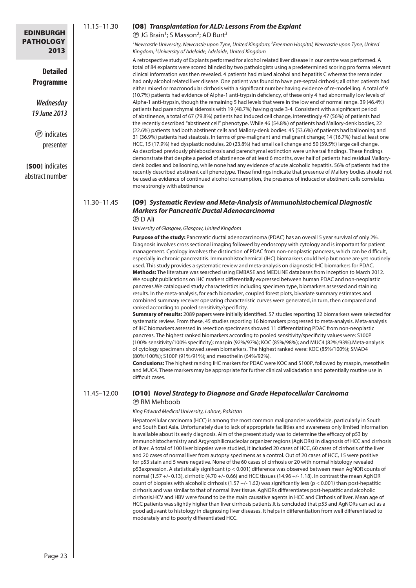| <b>EDINBURGH</b> |  |
|------------------|--|

**PATHOLOGY** 

2013

**Detailed Programme**

*Wednesday 19 June 2013*

P indicates presenter

[S00] indicates abstract number

# 11.15–11.30 [O8] *Transplantation for ALD: Lessons From the Explant*

**P** JG Brain<sup>1</sup>; S Masson<sup>2</sup>; AD Burt<sup>3</sup>

*1Newcastle University, Newcastle upon Tyne, United Kingdom; 2Freeman Hospital, Newcastle upon Tyne, United Kingdom; 3University of Adelaide, Adelaide, United Kingdom*

A retrospective study of Explants performed for alcohol related liver disease in our centre was performed. A total of 84 explants were scored blinded by two pathologists using a predetermined scoring pro forma relevant clinical information was then revealed. 4 patients had mixed alcohol and hepatitis C whereas the remainder had only alcohol related liver disease. One patient was found to have pre-septal cirrhosis; all other patients had either mixed or macronodular cirrhosis with a significant number having evidence of re-modelling. A total of 9 (10.7%) patients had evidence of Alpha-1 anti-trypsin deficiency, of these only 4 had abnormally low levels of Alpha-1 anti-trypsin, though the remaining 5 had levels that were in the low end of normal range. 39 (46.4%) patients had parenchymal siderosis with 19 (48.7%) having grade 3-4. Consistent with a significant period of abstinence, a total of 67 (79.8%) patients had induced cell change, interestingly 47 (56%) of patients had the recently described "abstinent cell" phenotype. While 46 (54.8%) of patients had Mallory-denk bodies, 22 (22.6%) patients had both abstinent cells and Mallory-denk bodies. 45 (53.6%) of patients had ballooning and 31 (36.9%) patients had steatosis. In terms of pre-malignant and malignant change; 14 (16.7%) had at least one HCC, 15 (17.9%) had dysplastic nodules, 20 (23.8%) had small cell change and 50 (59.5%) large cell change. As described previously phlebosclerosis and parenchymal extinction were universal findings. These findings demonstrate that despite a period of abstinence of at least 6 months, over half of patients had residual Mallorydenk bodies and ballooning, while none had any evidence of acute alcoholic hepatitis. 56% of patients had the recently described abstinent cell phenotype. These findings indicate that presence of Mallory bodies should not be used as evidence of continued alcohol consumption, the presence of induced or abstinent cells correlates more strongly with abstinence

#### 11.30–11.45 [O9] *Systematic Review and Meta-Analysis of Immunohistochemical Diagnostic Markers for Pancreatic Ductal Adenocarcinoma* P D Ali

*University of Glasgow, Glasgow, United Kingdom*

**Purpose of the study:** Pancreatic ductal adenocarcinoma (PDAC) has an overall 5 year survival of only 2%. Diagnosis involves cross sectional imaging followed by endoscopy with cytology and is important for patient management. Cytology involves the distinction of PDAC from non-neoplastic pancreas, which can be difficult, especially in chronic pancreatitis. Immunohistochemical (IHC) biomarkers could help but none are yet routinely used. This study provides a systematic review and meta-analysis on diagnostic IHC biomarkers for PDAC. **Methods:** The literature was searched using EMBASE and MEDLINE databases from inception to March 2012. We sought publications on IHC markers differentially expressed between human PDAC and non-neoplastic pancreas.We catalogued study characteristics including specimen type, biomarkers assessed and staining results. In the meta-analysis, for each biomarker, coupled forest plots, bivariate summary estimates and combined summary receiver operating characteristic curves were generated, in turn, then compared and ranked according to pooled sensitivity/specificity.

**Summary of results:** 2089 papers were initially identified. 57 studies reporting 32 biomarkers were selected for systematic review. From these, 45 studies reporting 16 biomarkers progressed to meta-analysis. Meta-analysis of IHC biomarkers assessed in resection specimens showed 11 differentiating PDAC from non-neoplastic pancreas. The highest ranked biomarkers according to pooled sensitivity/specificity values were: S100P (100% sensitivity/100% specificity); maspin (92%/97%); KOC (85%/98%); and MUC4 (82%/93%).Meta-analysis of cytology specimens showed seven biomarkers. The highest ranked were: KOC (85%/100%); SMAD4 (80%/100%); S100P (91%/91%); and mesothelin (64%/92%).

**Conclusions:** The highest ranking IHC markers for PDAC were KOC and S100P, followed by maspin, mesothelin and MUC4. These markers may be appropriate for further clinical validadation and potentially routine use in difficult cases.

#### 11.45–12.00 [O10] *Novel Strategy to Diagnose and Grade Hepatocellular Carcinoma* P RM Mehboob

#### *King Edward Medical University, Lahore, Pakistan*

Hepatocellular carcinoma (HCC) is among the most common malignancies worldwide, particularly in South and South East Asia. Unfortunately due to lack of appropriate facilities and awareness only limited information is available about its early diagnosis. Aim of the present study was to determine the efficacy of p53 by immunohistochemistry and Argyrophilicnucleolar organizer regions (AgNORs) in diagnosis of HCC and cirrhosis of liver. A total of 100 liver biopsies were studied, it included 20 cases of HCC, 60 cases of cirrhosis of the liver and 20 cases of normal liver from autopsy specimens as a control. Out of 20 cases of HCC, 15 were positive for p53 stain and 5 were negative. None of the 60 cases of cirrhosis or 20 with normal histology revealed p53expression. A statistically significant (p < 0.001) difference was observed between mean AgNOR counts of normal (1.57 +/- 0.13), cirrhotic (4.70 +/- 0.66) and HCC tissues (14.96 +/- 1.18). In contrast the mean AgNOR count of biopsies with alcoholic cirrhosis (1.57 +/- 1.62) was significantly less (p < 0.001) than post-hepatitic cirrhosis and was similar to that of normal liver tissue. AgNORs differentiates post-hepatitic and alcoholic cirrhosis.HCV and HBV were found to be the main causative agents in HCC and Cirrhosis of liver. Mean age of HCC patients was slightly higher than liver cirrhosis patients.It is concluded that p53 and AgNORs can act as a good adjuvant to histology in diagnosing liver diseases. It helps in differentiation from well differentiated to moderately and to poorly differentiated HCC.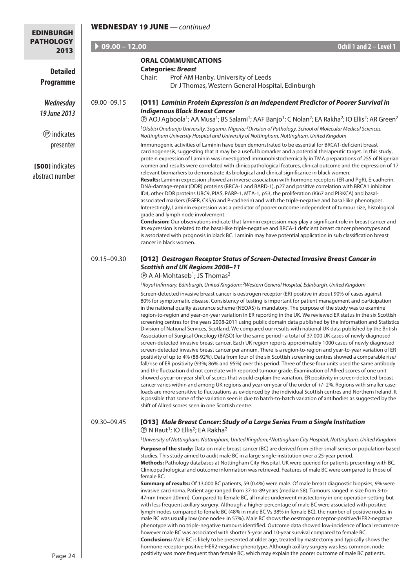#### WEDNESDAY 19 June *— continued*

| <b>EDINBURGH</b><br><b>PATHOLOGY</b><br>2013 | <b>WEDNESDAY 19 JUNE</b> - continued |                                                                                                                                                                                                                                                                                                                                                                                                                                                                                                                                                                                                                                                                                                                                                                                                                                                                                                                                                                                                                                                                                                                                                                                                                                                                                                                                                                                                                                                                                                                                                                                                                                                                                                                                                                                                                                                                                                                                  |  |
|----------------------------------------------|--------------------------------------|----------------------------------------------------------------------------------------------------------------------------------------------------------------------------------------------------------------------------------------------------------------------------------------------------------------------------------------------------------------------------------------------------------------------------------------------------------------------------------------------------------------------------------------------------------------------------------------------------------------------------------------------------------------------------------------------------------------------------------------------------------------------------------------------------------------------------------------------------------------------------------------------------------------------------------------------------------------------------------------------------------------------------------------------------------------------------------------------------------------------------------------------------------------------------------------------------------------------------------------------------------------------------------------------------------------------------------------------------------------------------------------------------------------------------------------------------------------------------------------------------------------------------------------------------------------------------------------------------------------------------------------------------------------------------------------------------------------------------------------------------------------------------------------------------------------------------------------------------------------------------------------------------------------------------------|--|
|                                              | $09.00 - 12.00$                      | Ochil 1 and 2 - Level 1                                                                                                                                                                                                                                                                                                                                                                                                                                                                                                                                                                                                                                                                                                                                                                                                                                                                                                                                                                                                                                                                                                                                                                                                                                                                                                                                                                                                                                                                                                                                                                                                                                                                                                                                                                                                                                                                                                          |  |
|                                              |                                      | <b>ORAL COMMUNICATIONS</b>                                                                                                                                                                                                                                                                                                                                                                                                                                                                                                                                                                                                                                                                                                                                                                                                                                                                                                                                                                                                                                                                                                                                                                                                                                                                                                                                                                                                                                                                                                                                                                                                                                                                                                                                                                                                                                                                                                       |  |
| <b>Detailed</b>                              |                                      | <b>Categories: Breast</b>                                                                                                                                                                                                                                                                                                                                                                                                                                                                                                                                                                                                                                                                                                                                                                                                                                                                                                                                                                                                                                                                                                                                                                                                                                                                                                                                                                                                                                                                                                                                                                                                                                                                                                                                                                                                                                                                                                        |  |
| <b>Programme</b>                             |                                      | Chair:<br>Prof AM Hanby, University of Leeds<br>Dr J Thomas, Western General Hospital, Edinburgh                                                                                                                                                                                                                                                                                                                                                                                                                                                                                                                                                                                                                                                                                                                                                                                                                                                                                                                                                                                                                                                                                                                                                                                                                                                                                                                                                                                                                                                                                                                                                                                                                                                                                                                                                                                                                                 |  |
| <b>Wednesday</b><br>19 June 2013             | 09.00-09.15                          | [011] Laminin Protein Expression is an Independent Predictor of Poorer Survival in<br><b>Indigenous Black Breast Cancer</b>                                                                                                                                                                                                                                                                                                                                                                                                                                                                                                                                                                                                                                                                                                                                                                                                                                                                                                                                                                                                                                                                                                                                                                                                                                                                                                                                                                                                                                                                                                                                                                                                                                                                                                                                                                                                      |  |
|                                              |                                      | (D) AOJ Agboola <sup>1</sup> ; AA Musa <sup>1</sup> ; BS Salami <sup>1</sup> ; AAF Banjo <sup>1</sup> ; C Nolan <sup>2</sup> ; EA Rakha <sup>2</sup> ; IO Ellis <sup>2</sup> ; AR Green <sup>2</sup><br><sup>1</sup> Olabisi Onabanjo University, Sagamu, Nigeria; <sup>2</sup> Division of Pathology, School of Molecular Medical Sciences,                                                                                                                                                                                                                                                                                                                                                                                                                                                                                                                                                                                                                                                                                                                                                                                                                                                                                                                                                                                                                                                                                                                                                                                                                                                                                                                                                                                                                                                                                                                                                                                     |  |
| <b><i>O</i></b> indicates<br>presenter       |                                      | Nottingham University Hospital and University of Nottingham, Nottingham, United Kingdom<br>Immunogenic activities of Laminin have been demonstrated to be essential for BRCA1-deficient breast                                                                                                                                                                                                                                                                                                                                                                                                                                                                                                                                                                                                                                                                                                                                                                                                                                                                                                                                                                                                                                                                                                                                                                                                                                                                                                                                                                                                                                                                                                                                                                                                                                                                                                                                   |  |
|                                              |                                      | carcinogenesis, suggesting that it may be a useful biomarker and a potential therapeutic target. In this study,<br>protein expression of Laminin was investigated immunohistochemically in TMA preparations of 255 of Nigerian                                                                                                                                                                                                                                                                                                                                                                                                                                                                                                                                                                                                                                                                                                                                                                                                                                                                                                                                                                                                                                                                                                                                                                                                                                                                                                                                                                                                                                                                                                                                                                                                                                                                                                   |  |
| [SOO] indicates<br>abstract number           |                                      | women and results were correlated with clinicopathological features, clinical outcome and the expression of 17<br>relevant biomarkers to demonstrate its biological and clinical significance in black women.<br>Results: Laminin expression showed an inverse association with hormone receptors (ER and PgR), E-cadherin,<br>DNA-damage-repair (DDR) proteins (BRCA-1 and BARD-1), p27 and positive correlation with BRCA1 inhibitor<br>ID4, other DDR proteins UBC9, PIAS, PARP-1, MTA-1, p53, the proliferation (Ki67 and PI3KCA) and basal-<br>associated markers (EGFR, CK5/6 and P-cadherin) and with the triple-negative and basal-like phenotypes.<br>Interestingly, Laminin expression was a predictor of poorer outcome independent of tumour size, histological<br>grade and lymph node involvement.<br>Conclusion: Our observations indicate that laminin expression may play a significant role in breast cancer and<br>its expression is related to the basal-like triple-negative and BRCA-1 deficient breast cancer phenotypes and<br>is associated with prognosis in black BC. Laminin may have potential application in sub classification breast<br>cancer in black women.                                                                                                                                                                                                                                                                                                                                                                                                                                                                                                                                                                                                                                                                                                                                   |  |
|                                              | 09.15-09.30                          | [012] Oestrogen Receptor Status of Screen-Detected Invasive Breast Cancer in<br><b>Scottish and UK Regions 2008-11</b><br><b>(B)</b> A Al-Mohtaseb <sup>1</sup> ; JS Thomas <sup>2</sup>                                                                                                                                                                                                                                                                                                                                                                                                                                                                                                                                                                                                                                                                                                                                                                                                                                                                                                                                                                                                                                                                                                                                                                                                                                                                                                                                                                                                                                                                                                                                                                                                                                                                                                                                         |  |
|                                              |                                      | <sup>1</sup> Royal Infirmary, Edinburgh, United Kingdom; <sup>2</sup> Western General Hospital, Edinburgh, United Kingdom                                                                                                                                                                                                                                                                                                                                                                                                                                                                                                                                                                                                                                                                                                                                                                                                                                                                                                                                                                                                                                                                                                                                                                                                                                                                                                                                                                                                                                                                                                                                                                                                                                                                                                                                                                                                        |  |
|                                              |                                      | Screen-detected invasive breast cancer is oestrogen receptor (ER) positive in about 90% of cases against<br>80% for symptomatic disease. Consistency of testing is important for patient management and participation<br>in the national quality assurance scheme (NEQAS) is mandatory. The purpose of the study was to examine<br>region-to-region and year-on-year variation in ER reporting in the UK. We reviewed ER status in the six Scottish<br>screening centres for the years 2008-2011 using public domain data published by the Information and Statistics<br>Division of National Services, Scotland. We compared our results with national UK data published by the British<br>Association of Surgical Oncology (BASO) for the same period - a total of 37,000 UK cases of newly diagnosed<br>screen-detected invasive breast cancer. Each UK region reports approximately 1000 cases of newly diagnosed<br>screen-detected invasive breast cancer per annum. There is a region-to-region and year-to-year variation of ER<br>positivity of up to 4% (88-92%). Data from four of the six Scottish screening centres showed a comparable rise/<br>fall/rise of ER positivity (93%; 86% and 95%) over this period. Three of these four units used the same antibody<br>and the fluctuation did not correlate with reported tumour grade. Examination of Allred scores of one unit<br>showed a year-on-year shift of scores that would explain the variation. ER positivity in screen-detected breast<br>cancer varies within and among UK regions and year-on-year of the order of +/- 2%. Regions with smaller case-<br>loads are more sensitive to fluctuations as evidenced by the individual Scottish centres and Northern Ireland. It<br>is possible that some of the variation seen is due to batch-to-batch variation of antibodies as suggested by the<br>shift of Allred scores seen in one Scottish centre. |  |
|                                              | 09.30-09.45                          | [013] Male Breast Cancer: Study of a Large Series From a Single Institution<br><b>(B)</b> N Raut <sup>1</sup> ; IO Ellis <sup>2</sup> ; EA Rakha <sup>2</sup>                                                                                                                                                                                                                                                                                                                                                                                                                                                                                                                                                                                                                                                                                                                                                                                                                                                                                                                                                                                                                                                                                                                                                                                                                                                                                                                                                                                                                                                                                                                                                                                                                                                                                                                                                                    |  |
|                                              |                                      | <sup>1</sup> University of Nottingham, Nottingham, United Kingdom; <sup>2</sup> Nottingham City Hospital, Nottingham, United Kingdom                                                                                                                                                                                                                                                                                                                                                                                                                                                                                                                                                                                                                                                                                                                                                                                                                                                                                                                                                                                                                                                                                                                                                                                                                                                                                                                                                                                                                                                                                                                                                                                                                                                                                                                                                                                             |  |
|                                              |                                      | Purpose of the study: Data on male breast cancer (BC) are derived from either small series or population-based<br>studies. This study aimed to audit male BC in a large single-institution over a 25-year period.<br>Methods: Pathology databases at Nottingham City Hospital, UK were queried for patients presenting with BC.<br>Clinicopathological and outcome information was retrieved. Features of male BC were compared to those of<br>female BC.<br><b>Summary of results:</b> Of 13,000 BC patients, 59 (0.4%) were male. Of male breast diagnostic biopsies, 9% were<br>invasive carcinoma. Patient age ranged from 37-to-89 years (median 58). Tumours ranged in size from 3-to-<br>47mm (mean 20mm). Compared to female BC, all males underwent mastectomy in one operation-setting but<br>with less frequent axillary surgery. Although a higher percentage of male BC were associated with positive<br>lymph-nodes compared to female BC (48% in male BC Vs 38% in female BC), the number of positive nodes in<br>male BC was usually low (one node+ in 57%). Male BC shows the oestrogen receptor-positive/HER2-negative<br>phenotype with no triple-negative tumours identified. Outcome data showed low-incidence of local recurrence                                                                                                                                                                                                                                                                                                                                                                                                                                                                                                                                                                                                                                                                          |  |
|                                              |                                      | however male BC was associated with shorter 5-year and 10-year survival compared to female BC.<br><b>Conclusions:</b> Male BC is likely to be presented at older age, treated by mastectomy and typically shows the<br>hormone receptor-positive-HER2-negative-phenotype. Although axillary surgery was less common, node                                                                                                                                                                                                                                                                                                                                                                                                                                                                                                                                                                                                                                                                                                                                                                                                                                                                                                                                                                                                                                                                                                                                                                                                                                                                                                                                                                                                                                                                                                                                                                                                        |  |

positivity was more frequent than female BC, which may explain the poorer outcome of male BC patients.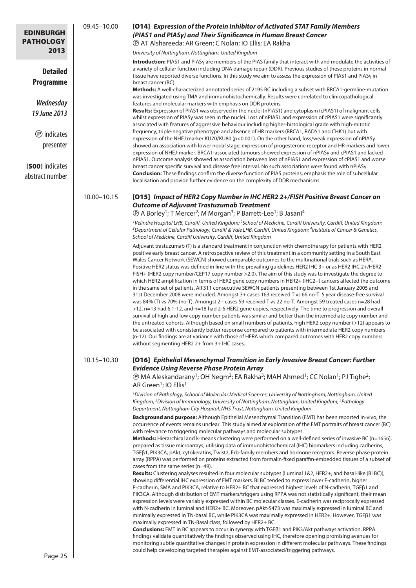| <b>EDINBURGH</b><br><b>PATHOLOGY</b>                   | 09.45-10.00 | [014] Expression of the Protein Inhibitor of Activated STAT Family Members<br>(PIAS1 and PIASy) and Their Significance in Human Breast Cancer                                                                                                                                                                                                                                                                                                                                                                                                                                                                                                                                                                                                                                                                                                                                                                                                                                                                                                                                                                                                                                                                                                                                                                                                                                                                                                                                                                                                                                                                              |
|--------------------------------------------------------|-------------|----------------------------------------------------------------------------------------------------------------------------------------------------------------------------------------------------------------------------------------------------------------------------------------------------------------------------------------------------------------------------------------------------------------------------------------------------------------------------------------------------------------------------------------------------------------------------------------------------------------------------------------------------------------------------------------------------------------------------------------------------------------------------------------------------------------------------------------------------------------------------------------------------------------------------------------------------------------------------------------------------------------------------------------------------------------------------------------------------------------------------------------------------------------------------------------------------------------------------------------------------------------------------------------------------------------------------------------------------------------------------------------------------------------------------------------------------------------------------------------------------------------------------------------------------------------------------------------------------------------------------|
| 2013                                                   |             | <b><i>®</i></b> AT Alshareeda; AR Green; C Nolan; IO Ellis; EA Rakha                                                                                                                                                                                                                                                                                                                                                                                                                                                                                                                                                                                                                                                                                                                                                                                                                                                                                                                                                                                                                                                                                                                                                                                                                                                                                                                                                                                                                                                                                                                                                       |
|                                                        |             | University of Nottingham, Nottingham, United Kingdom                                                                                                                                                                                                                                                                                                                                                                                                                                                                                                                                                                                                                                                                                                                                                                                                                                                                                                                                                                                                                                                                                                                                                                                                                                                                                                                                                                                                                                                                                                                                                                       |
| <b>Detailed</b><br><b>Programme</b>                    |             | Introduction: PIAS1 and PIASy are members of the PIAS family that interact with and modulate the activities of<br>a variety of cellular function including DNA damage repair (DDR). Previous studies of these proteins in normal<br>tissue have reported diverse functions. In this study we aim to assess the expression of PIAS1 and PIASy in<br>breast cancer (BC).<br>Methods: A well-characterized annotated series of 2195 BC including a subset with BRCA1-germline-mutation                                                                                                                                                                                                                                                                                                                                                                                                                                                                                                                                                                                                                                                                                                                                                                                                                                                                                                                                                                                                                                                                                                                                        |
| <b>Wednesday</b>                                       |             | was investigated using TMA and immunohistochemically. Results were correlated to clinicopathological<br>features and molecular markers with emphasis on DDR proteins.                                                                                                                                                                                                                                                                                                                                                                                                                                                                                                                                                                                                                                                                                                                                                                                                                                                                                                                                                                                                                                                                                                                                                                                                                                                                                                                                                                                                                                                      |
| 19 June 2013<br><b><i>O</i></b> indicates<br>presenter |             | Results: Expression of PIAS1 was observed in the nuclei (nPIAS1) and cytoplasm (cPIAS1) of malignant cells<br>whilst expression of PIASy was seen in the nuclei. Loss of nPIAS1 and expression of cPIAS1 were significantly<br>associated with features of aggressive behaviour including higher-histological grade with high-mitotic<br>frequency, triple-negative phenotype and absence of HR markers (BRCA1, RAD51 and CHK1) but with<br>expression of the NHEJ marker KU70/KU80 (p<0.001). On the other hand, loss/weak expression of nPIASy<br>showed an association with lower nodal stage, expression of progesterone receptor and HR-markers and lower<br>expression of NHEJ-marker. BRCA1-associated tumours showed expression of nPIASy and cPIAS1 and lacked                                                                                                                                                                                                                                                                                                                                                                                                                                                                                                                                                                                                                                                                                                                                                                                                                                                    |
| [SOO] indicates<br>abstract number                     |             | nPIAS1. Outcome analysis showed as association between loss of nPIAS1 and expression of cPIAS1 and worse<br>breast cancer specific survival and disease free interval. No such associations were found with nPIASy.<br><b>Conclusion:</b> These findings confirm the diverse function of PIAS proteins, emphasis the role of subcellular<br>localisation and provide further evidence on the complexity of DDR mechanisms.                                                                                                                                                                                                                                                                                                                                                                                                                                                                                                                                                                                                                                                                                                                                                                                                                                                                                                                                                                                                                                                                                                                                                                                                 |
|                                                        | 10.00-10.15 | [015] Impact of HER2 Copy Number in IHC HER2 2+/FISH Positive Breast Cancer on<br><b>Outcome of Adjuvant Trastuzumab Treatment</b>                                                                                                                                                                                                                                                                                                                                                                                                                                                                                                                                                                                                                                                                                                                                                                                                                                                                                                                                                                                                                                                                                                                                                                                                                                                                                                                                                                                                                                                                                         |
|                                                        |             | <b><i>®</i></b> A Borley <sup>1</sup> ; T Mercer <sup>2</sup> ; M Morgan <sup>3</sup> ; P Barrett-Lee <sup>1</sup> ; B Jasani <sup>4</sup>                                                                                                                                                                                                                                                                                                                                                                                                                                                                                                                                                                                                                                                                                                                                                                                                                                                                                                                                                                                                                                                                                                                                                                                                                                                                                                                                                                                                                                                                                 |
|                                                        |             | <sup>1</sup> Velindre Hospital LHB, Cardiff, United Kingdom; <sup>2</sup> School of Medicine, Cardiff University, Cardiff, United Kingdom;<br><sup>3</sup> Department of Cellular Pathology, Cardiff & Vale LHB, Cardiff, United Kingdom; <sup>4</sup> Institute of Cancer & Genetics,<br>School of Medicine, Cardiff University, Cardiff, United Kingdom                                                                                                                                                                                                                                                                                                                                                                                                                                                                                                                                                                                                                                                                                                                                                                                                                                                                                                                                                                                                                                                                                                                                                                                                                                                                  |
|                                                        |             | Adjuvant trastuzumab (T) is a standard treatment in conjunction with chemotherapy for patients with HER2<br>positive early breast cancer. A retrospective review of this treatment in a community setting in a South East<br>Wales Cancer Network (SEWCN) showed comparable outcomes to the multinational trials such as HERA.<br>Positive HER2 status was defined in line with the prevailing guidelines HER2 IHC 3+ or as HER2 IHC 2+/HER2<br>FISH+ (HER2 copy number/CEP17 copy number > 2.0). The aim of this study was to investigate the degree to<br>which HER2 amplification in terms of HER2 gene copy numbers in HER2+ (IHC2+) cancers affected the outcome<br>in the same set of patients. All 311 consecutive SEWCN patients presenting between 1st January 2005 and<br>31st December 2008 were included. Amongst 3+ cases 163 received T vs 66 no-T. 5 year disease-free survival<br>was 84% (T) vs 70% (no-T). Amongst 2+ cases 59 received T vs 22 no-T. Amongst 59 treated cases n=28 had<br>>12, n=13 had 6.1-12, and n=18 had 2-6 HER2 gene copies, respectively. The time to progression and overall<br>survival of high and low copy number patients was similar and better than the intermediate copy number and<br>the untreated cohorts. Although based on small numbers of patients, high HER2 copy number (>12) appears to<br>be associated with consistently better response compared to patients with intermediate HER2 copy numbers<br>(6-12). Our findings are at variance with those of HERA which compared outcomes with HER2 copy numbers<br>without segmenting HER2 2+ from 3+ IHC cases. |
|                                                        | 10.15-10.30 | [016] Epithelial Mesenchymal Transition in Early Invasive Breast Cancer: Further<br><b>Evidence Using Reverse Phase Protein Array</b><br><b>(D)</b> MA Aleskandarany <sup>1</sup> ; OH Negm <sup>2</sup> ; EA Rakha <sup>3</sup> ; MAH Ahmed <sup>1</sup> ; CC Nolan <sup>1</sup> ; PJ Tighe <sup>2</sup> ;                                                                                                                                                                                                                                                                                                                                                                                                                                                                                                                                                                                                                                                                                                                                                                                                                                                                                                                                                                                                                                                                                                                                                                                                                                                                                                                |
|                                                        |             | AR Green <sup>1</sup> ; IO Ellis <sup>1</sup>                                                                                                                                                                                                                                                                                                                                                                                                                                                                                                                                                                                                                                                                                                                                                                                                                                                                                                                                                                                                                                                                                                                                                                                                                                                                                                                                                                                                                                                                                                                                                                              |
|                                                        |             | <sup>1</sup> Division of Pathology, School of Molecular Medical Sciences, University of Nottingham, Nottingham, United<br>Kingdom; <sup>2</sup> Division of Immunology, University of Nottingham, Nottingham, United Kingdom; <sup>3</sup> Pathology<br>Department, Nottingham City Hospital, NHS Trust, Nottingham, United Kingdom                                                                                                                                                                                                                                                                                                                                                                                                                                                                                                                                                                                                                                                                                                                                                                                                                                                                                                                                                                                                                                                                                                                                                                                                                                                                                        |
|                                                        |             | Background and purpose: Although Epithelial Mesenchymal Transition (EMT) has been reported in-vivo, the<br>occurrence of events remains unclear. This study aimed at exploration of the EMT portraits of breast cancer (BC)<br>with relevance to triggering molecular pathways and molecular subtypes.<br>Methods: Hierarchical and k-means clustering were performed on a well-defined series of invasive BC (n=1656),<br>prepared as tissue microarrays, utilising data of immunohistochemical (IHC) biomarkers including cadherins,<br>TGFß1, PIK3CA, pAkt, cytokeratins, Twist2, Erb-family members and hormone receptors. Reverse phase protein<br>array (RPPA) was performed on proteins extracted from formalin-fixed paraffin-embedded tissues of a subset of<br>cases from the same series (n=49).<br>Results: Clustering analyses resulted in four molecular subtypes (Luminal 1&2, HER2+, and basal-like (BLBC)),<br>showing differential IHC expression of EMT markers. BLBC tended to express lower E-cadherin, higher<br>P-cadherin, SMA and PIK3CA, relative to HER2+ BC that expressed highest levels of N-cadherin, TGF $\beta$ 1 and                                                                                                                                                                                                                                                                                                                                                                                                                                                                     |
|                                                        |             | PIK3CA. Although distribution of EMT markers/triggers using RPPA was not statistically significant, their mean<br>expression levels were variably expressed within BC molecular classes. E-cadherin was reciprocally expressed<br>with N-cadherin in luminal and HER2+ BC. Moreover, pAkt-S473 was maximally expressed in luminal BC and<br>minimally expressed in TN-basal BC, while PIK3CA was maximally expressed in HER2+. However, TGFß1 was<br>maximally expressed in TN-Basal class, followed by HER2+ BC.<br>Conclusions: EMT in BC appears to occur in synergy with TGF $\beta$ 1 and PIK3/Akt pathways activation. RPPA                                                                                                                                                                                                                                                                                                                                                                                                                                                                                                                                                                                                                                                                                                                                                                                                                                                                                                                                                                                          |
|                                                        |             | findings validate quantitatively the findings observed using IHC, therefore opening promising avenues for<br>monitoring subtle quantitative changes in protein expression in different molecular pathways. These findings<br>could help developing targeted therapies against EMT-associated/triggering pathways.                                                                                                                                                                                                                                                                                                                                                                                                                                                                                                                                                                                                                                                                                                                                                                                                                                                                                                                                                                                                                                                                                                                                                                                                                                                                                                          |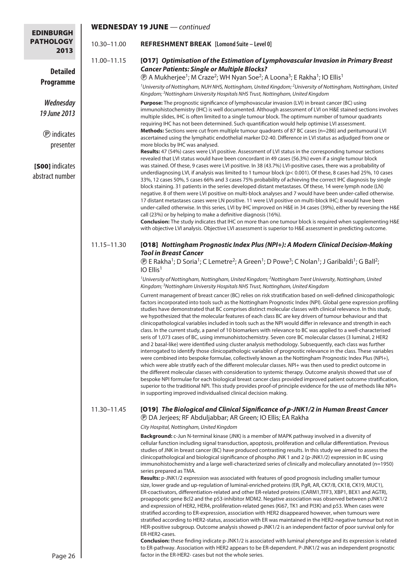#### WEDNESDAY 19 June *— continued*

| <b>EDINBURGH</b>                                                           | <b>WEDNESDAY 19 JUNE</b> - continued |                                                                                                                                                                                                                                                                                                                                                                                                                                                                                                                                                                                                                                                                                                                                                                                                                                                                                                                                                                                                                                                                                                                                                                                                                                                                                                                                                                                                                                                                                                                                                                                                                                                                                                        |  |
|----------------------------------------------------------------------------|--------------------------------------|--------------------------------------------------------------------------------------------------------------------------------------------------------------------------------------------------------------------------------------------------------------------------------------------------------------------------------------------------------------------------------------------------------------------------------------------------------------------------------------------------------------------------------------------------------------------------------------------------------------------------------------------------------------------------------------------------------------------------------------------------------------------------------------------------------------------------------------------------------------------------------------------------------------------------------------------------------------------------------------------------------------------------------------------------------------------------------------------------------------------------------------------------------------------------------------------------------------------------------------------------------------------------------------------------------------------------------------------------------------------------------------------------------------------------------------------------------------------------------------------------------------------------------------------------------------------------------------------------------------------------------------------------------------------------------------------------------|--|
| <b>PATHOLOGY</b><br>2013                                                   | 10.30-11.00                          | <b>REFRESHMENT BREAK [Lomond Suite - Level 0]</b>                                                                                                                                                                                                                                                                                                                                                                                                                                                                                                                                                                                                                                                                                                                                                                                                                                                                                                                                                                                                                                                                                                                                                                                                                                                                                                                                                                                                                                                                                                                                                                                                                                                      |  |
| <b>Detailed</b>                                                            | 11.00-11.15                          | [017] Optimisation of the Estimation of Lymphovascular Invasion in Primary Breast<br><b>Cancer Patients: Single or Multiple Blocks?</b>                                                                                                                                                                                                                                                                                                                                                                                                                                                                                                                                                                                                                                                                                                                                                                                                                                                                                                                                                                                                                                                                                                                                                                                                                                                                                                                                                                                                                                                                                                                                                                |  |
| <b>Programme</b>                                                           |                                      | <b><i>®</i></b> A Mukherjee <sup>1</sup> ; M Craze <sup>2</sup> ; WH Nyan Soe <sup>2</sup> ; A Loona <sup>3</sup> ; E Rakha <sup>1</sup> ; IO Ellis <sup>1</sup>                                                                                                                                                                                                                                                                                                                                                                                                                                                                                                                                                                                                                                                                                                                                                                                                                                                                                                                                                                                                                                                                                                                                                                                                                                                                                                                                                                                                                                                                                                                                       |  |
|                                                                            |                                      | <sup>1</sup> University of Nottingham, NUH NHS, Nottingham, United Kingdom; <sup>2</sup> University of Nottingham, Nottingham, United<br>Kingdom; <sup>3</sup> Nottingham University Hospitals NHS Trust, Nottingham, United Kingdom                                                                                                                                                                                                                                                                                                                                                                                                                                                                                                                                                                                                                                                                                                                                                                                                                                                                                                                                                                                                                                                                                                                                                                                                                                                                                                                                                                                                                                                                   |  |
| <b>Wednesday</b><br>19 June 2013<br><b><i>O</i></b> indicates<br>presenter |                                      | <b>Purpose:</b> The prognostic significance of lymphovascular invasion (LVI) in breast cancer (BC) using<br>immunohistochemistry (IHC) is well documented. Although assessment of LVI on H&E stained sections involves<br>multiple slides, IHC is often limited to a single tumour block. The optimum number of tumour quadrants<br>requiring IHC has not been determined. Such quantification would help optimise LVI assessment.<br>Methods: Sections were cut from multiple tumour quadrants of 87 BC cases (n=286) and peritumoural LVI<br>ascertained using the lymphatic endothelial marker D2-40. Difference in LVI status as adjudged from one or<br>more blocks by IHC was analysed.                                                                                                                                                                                                                                                                                                                                                                                                                                                                                                                                                                                                                                                                                                                                                                                                                                                                                                                                                                                                          |  |
|                                                                            |                                      | Results: 47 (54%) cases were LVI positive. Assessment of LVI status in the corresponding tumour sections<br>revealed that LVI status would have been concordant in 49 cases (56.3%) even if a single tumour block                                                                                                                                                                                                                                                                                                                                                                                                                                                                                                                                                                                                                                                                                                                                                                                                                                                                                                                                                                                                                                                                                                                                                                                                                                                                                                                                                                                                                                                                                      |  |
| [SOO] indicates<br>abstract number                                         |                                      | was stained. Of these, 9 cases were LVI positive. In 38 (43.7%) LVI-positive cases, there was a probability of<br>underdiagnosing LVI, if analysis was limited to 1 tumour block (p< 0.001). Of these, 8 cases had 25%, 10 cases<br>33%, 12 cases 50%, 5 cases 66% and 3 cases 75% probability of achieving the correct IHC diagnosis by single<br>block staining. 31 patients in the series developed distant metastases. Of these, 14 were lymph node (LN)<br>negative. 8 of them were LVI positive on multi-block analyses and 7 would have been under-called otherwise.<br>17 distant metastases cases were LN positive. 11 were LVI positive on multi-block IHC; 8 would have been<br>under-called otherwise. In this series, LVI by IHC improved on H&E in 34 cases (39%), either by reversing the H&E<br>call (23%) or by helping to make a definitive diagnosis (16%).<br>Conclusion: The study indicates that IHC on more than one tumour block is required when supplementing H&E<br>with objective LVI analysis. Objective LVI assessment is superior to H&E assessment in predicting outcome.                                                                                                                                                                                                                                                                                                                                                                                                                                                                                                                                                                                              |  |
|                                                                            | 11.15-11.30                          | [018] Nottingham Prognostic Index Plus (NPI+): A Modern Clinical Decision-Making<br><b>Tool in Breast Cancer</b><br>(D E Rakha <sup>1</sup> ; D Soria <sup>1</sup> ; C Lemetre <sup>2</sup> ; A Green <sup>1</sup> ; D Powe <sup>3</sup> ; C Nolan <sup>1</sup> ; J Garibaldi <sup>1</sup> ; G Ball <sup>2</sup> ;<br>$IO$ Ellis <sup>1</sup>                                                                                                                                                                                                                                                                                                                                                                                                                                                                                                                                                                                                                                                                                                                                                                                                                                                                                                                                                                                                                                                                                                                                                                                                                                                                                                                                                          |  |
|                                                                            |                                      | <sup>1</sup> University of Nottingham, Nottingham, United Kingdom; <sup>2</sup> Nottingham Trent University, Nottingham, United<br>Kingdom; <sup>3</sup> Nottingham University Hospitals NHS Trust, Nottingham, United Kingdom                                                                                                                                                                                                                                                                                                                                                                                                                                                                                                                                                                                                                                                                                                                                                                                                                                                                                                                                                                                                                                                                                                                                                                                                                                                                                                                                                                                                                                                                         |  |
|                                                                            |                                      | Current management of breast cancer (BC) relies on risk stratification based on well-defined clinicopathologic<br>factors incorporated into tools such as the Nottingham Prognostic Index (NPI). Global gene expression profiling<br>studies have demonstrated that BC comprises distinct molecular classes with clinical relevance. In this study,<br>we hypothesized that the molecular features of each class BC are key drivers of tumour behaviour and that<br>clinicopathological variables included in tools such as the NPI would differ in relevance and strength in each<br>class. In the current study, a panel of 10 biomarkers with relevance to BC was applied to a well-characterised<br>seris of 1,073 cases of BC, using immunohistochemistry. Seven core BC molecular classes (3 luminal, 2 HER2<br>and 2 basal-like) were identified using cluster analysis methodology. Subsequently, each class was further<br>interrogated to identify those clinicopathologic variables of prognostic relevance in the class. These variables<br>were combined into bespoke formulae, collectively known as the Nottingham Prognostic Index Plus (NPI+),<br>which were able stratify each of the different molecular classes. NPI+ was then used to predict outcome in<br>the different molecular classes with consideration to systemic therapy. Outcome analysis showed that use of<br>bespoke NPI formulae for each biological breast cancer class provided improved patient outcome stratification,<br>superior to the traditional NPI. This study provides proof-of principle evidence for the use of methods like NPI+<br>in supporting improved individualised clinical decision making. |  |
|                                                                            | 11.30-11.45                          | [019] The Biological and Clinical Significance of p-JNK1/2 in Human Breast Cancer<br><b>D DA Jerjees; RF Abduljabbar; AR Green; IO Ellis; EA Rakha</b><br>City Hospital, Nottingham, United Kingdom                                                                                                                                                                                                                                                                                                                                                                                                                                                                                                                                                                                                                                                                                                                                                                                                                                                                                                                                                                                                                                                                                                                                                                                                                                                                                                                                                                                                                                                                                                    |  |
|                                                                            |                                      | Background: c-Jun N-terminal kinase (JNK) is a member of MAPK pathway involved in a diversity of<br>cellular function including signal transduction, apoptosis, proliferation and cellular differentiation. Previous<br>studies of JNK in breast cancer (BC) have produced contrasting results. In this study we aimed to assess the<br>clinicopathological and biological significance of phospho JNK 1 and 2 (p-JNK1/2) expression in BC using<br>immunohistochemistry and a large well-characterized series of clinically and molecullary annotated (n=1950)<br>series prepared as TMA.<br>Results: p-JNK1/2 expression was associated with features of good prognosis including smaller tumour<br>size, lower grade and up-regulation of luminal-enriched proteins (ER, PgR, AR, CK7/8, CK18, CK19, MUC1),<br>ER-coactivators, differentiation-related and other ER-related proteins (CARM1, TFF3, XBP1, BEX1 and AGTR),<br>proapopotic gene Bcl2 and the p53-inhibitor MDM2. Negative association was observed between pJNK1/2<br>and expression of HER2, HER4, proliferation-related genes (Ki67, TK1 and PI3K) and p53. When cases were<br>stratified according to ER-expression, association with HER2 disappeared however, when tumours were<br>stratified according to HER2-status, association with ER was maintained in the HER2-negative tumour but not in<br>HER-positive subgroup. Outcome analysis showed p-JNK1/2 is an independent factor of poor survival only for<br>ER-HER2-cases.                                                                                                                                                                                                |  |
| Page 26                                                                    |                                      | <b>Conclusion:</b> these finding indicate p-JNK1/2 is associated with luminal phenotype and its expression is related<br>to ER-pathway. Association with HER2 appears to be ER-dependent. P-JNK1/2 was an independent prognostic<br>factor in the ER-HER2- cases but not the whole series.                                                                                                                                                                                                                                                                                                                                                                                                                                                                                                                                                                                                                                                                                                                                                                                                                                                                                                                                                                                                                                                                                                                                                                                                                                                                                                                                                                                                             |  |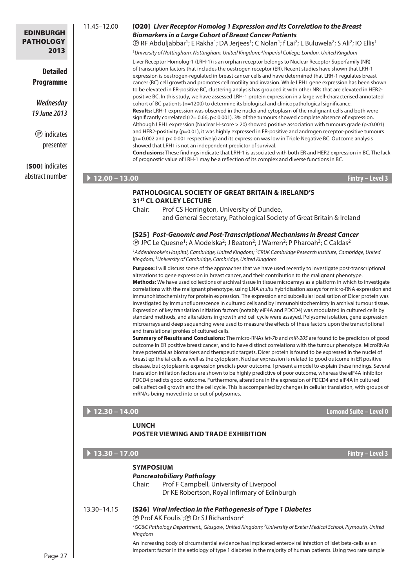|                           | 11.45-12.00     | [O20] Liver Receptor Homolog 1 Expression and its Correlation to the Breast                                                                                                                                     |                                                                                                                                                                                                                                    |
|---------------------------|-----------------|-----------------------------------------------------------------------------------------------------------------------------------------------------------------------------------------------------------------|------------------------------------------------------------------------------------------------------------------------------------------------------------------------------------------------------------------------------------|
| <b>EDINBURGH</b>          |                 | <b>Biomarkers in a Large Cohort of Breast Cancer Patients</b>                                                                                                                                                   |                                                                                                                                                                                                                                    |
| <b>PATHOLOGY</b>          |                 | <b><i>T</i></b> RF Abduljabbar <sup>1</sup> ; E Rakha <sup>1</sup> ; DA Jerjees <sup>1</sup> ; C Nolan <sup>1</sup> ; f Lai <sup>2</sup> ; L Buluwela <sup>2</sup> ; S Ali <sup>2</sup> ; IO Ellis <sup>1</sup> |                                                                                                                                                                                                                                    |
| 2013                      |                 | <sup>1</sup> University of Nottingham, Nottingham, United Kingdom; <sup>2</sup> Imperial College, London, United Kingdom                                                                                        |                                                                                                                                                                                                                                    |
|                           |                 | Liver Receptor Homolog-1 (LRH-1) is an orphan receptor belongs to Nuclear Receptor Superfamily (NR)                                                                                                             |                                                                                                                                                                                                                                    |
| <b>Detailed</b>           |                 | of transcription factors that includes the oestrogen receptor (ER). Recent studies have shown that LRH-1                                                                                                        |                                                                                                                                                                                                                                    |
|                           |                 | expression is oestrogen-regulated in breast cancer cells and have determined that LRH-1 regulates breast                                                                                                        |                                                                                                                                                                                                                                    |
| <b>Programme</b>          |                 |                                                                                                                                                                                                                 | cancer (BC) cell growth and promotes cell motility and invasion. While LRH1 gene expression has been shown                                                                                                                         |
|                           |                 |                                                                                                                                                                                                                 | to be elevated in ER-positive BC, clustering analysis has grouped it with other NRs that are elevated in HER2-<br>positive BC. In this study, we have assessed LRH-1 protein expression in a large well-characterised annotated    |
| <b>Wednesday</b>          |                 | cohort of BC patients (n=1200) to determine its biological and clinicopathological significance.                                                                                                                |                                                                                                                                                                                                                                    |
| 19 June 2013              |                 |                                                                                                                                                                                                                 | Results: LRH-1 expression was observed in the nuclei and cytoplasm of the malignant cells and both were                                                                                                                            |
|                           |                 | significantly correlated ( $r2 = 0.66$ , $p < 0.001$ ). 3% of the tumours showed complete absence of expression.                                                                                                |                                                                                                                                                                                                                                    |
|                           |                 |                                                                                                                                                                                                                 | Although LRH1 expression (Nuclear H-score > 20) showed positive association with tumours grade (p<0.001)                                                                                                                           |
| <b><i>O</i></b> indicates |                 |                                                                                                                                                                                                                 | and HER2-positivity (p=0.01), it was highly expressed in ER-positive and androgen receptor-positive tumours                                                                                                                        |
| presenter                 |                 | (p= 0.002 and p< 0.001 respectively) and its expression was low in Triple Negative BC. Outcome analysis<br>showed that LRH1 is not an independent predictor of survival.                                        |                                                                                                                                                                                                                                    |
|                           |                 |                                                                                                                                                                                                                 | Conclusions: These findings indicate that LRH-1 is associated with both ER and HER2 expression in BC. The lack                                                                                                                     |
|                           |                 | of prognostic value of LRH-1 may be a reflection of its complex and diverse functions in BC.                                                                                                                    |                                                                                                                                                                                                                                    |
| [SOO] indicates           |                 |                                                                                                                                                                                                                 |                                                                                                                                                                                                                                    |
| abstract number           | $12.00 - 13.00$ |                                                                                                                                                                                                                 | Fintry - Level 3                                                                                                                                                                                                                   |
|                           |                 |                                                                                                                                                                                                                 |                                                                                                                                                                                                                                    |
|                           |                 | PATHOLOGICAL SOCIETY OF GREAT BRITAIN & IRELAND'S                                                                                                                                                               |                                                                                                                                                                                                                                    |
|                           |                 | 31 <sup>st</sup> CL OAKLEY LECTURE                                                                                                                                                                              |                                                                                                                                                                                                                                    |
|                           |                 | Chair:<br>Prof CS Herrington, University of Dundee,                                                                                                                                                             |                                                                                                                                                                                                                                    |
|                           |                 |                                                                                                                                                                                                                 | and General Secretary, Pathological Society of Great Britain & Ireland                                                                                                                                                             |
|                           |                 |                                                                                                                                                                                                                 |                                                                                                                                                                                                                                    |
|                           |                 | [S25] Post-Genomic and Post-Transcriptional Mechanisms in Breast Cancer                                                                                                                                         |                                                                                                                                                                                                                                    |
|                           |                 | <b>(B)</b> JPC Le Quesne <sup>1</sup> ; A Modelska <sup>2</sup> ; J Beaton <sup>2</sup> ; J Warren <sup>2</sup> ; P Pharoah <sup>3</sup> ; C Caldas <sup>2</sup>                                                |                                                                                                                                                                                                                                    |
|                           |                 |                                                                                                                                                                                                                 | <sup>1</sup> Addenbrooke's Hospital, Cambridge, United Kingdom; <sup>2</sup> CRUK Cambridge Research Institute, Cambridge, United                                                                                                  |
|                           |                 | Kingdom; <sup>3</sup> University of Cambridge, Cambridge, United Kingdom                                                                                                                                        |                                                                                                                                                                                                                                    |
|                           |                 |                                                                                                                                                                                                                 | Purpose: I will discuss some of the approaches that we have used recently to investigate post-transcriptional                                                                                                                      |
|                           |                 | alterations to gene expression in breast cancer, and their contribution to the malignant phenotype.                                                                                                             |                                                                                                                                                                                                                                    |
|                           |                 |                                                                                                                                                                                                                 | Methods: We have used collections of archival tissue in tissue microarrays as a platform in which to investigate<br>correlations with the malignant phenotype, using LNA in situ hybridisation assays for micro-RNA expression and |
|                           |                 |                                                                                                                                                                                                                 | immunohistochemistry for protein expression. The expression and subcellular localisation of Dicer protein was                                                                                                                      |
|                           |                 |                                                                                                                                                                                                                 | investigated by immunofluorescence in cultured cells and by immunohistochemistry in archival tumour tissue.                                                                                                                        |
|                           |                 |                                                                                                                                                                                                                 | Expression of key translation initiation factors (notably eiF4A and PDCD4) was modulated in cultured cells by                                                                                                                      |
|                           |                 |                                                                                                                                                                                                                 | standard methods, and alterations in growth and cell cycle were assayed. Polysome isolation, gene expression                                                                                                                       |
|                           |                 |                                                                                                                                                                                                                 | microarrays and deep sequencing were used to measure the effects of these factors upon the transcriptional                                                                                                                         |
|                           |                 | and translational profiles of cultured cells.                                                                                                                                                                   | Summary of Results and Conclusions: The micro-RNAs let-7b and miR-205 are found to be predictors of good                                                                                                                           |
|                           |                 |                                                                                                                                                                                                                 | outcome in ER positive breast cancer, and to have distinct correlations with the tumour phenotype. MicroRNAs                                                                                                                       |
|                           |                 |                                                                                                                                                                                                                 | have potential as biomarkers and therapeutic targets. Dicer protein is found to be expressed in the nuclei of                                                                                                                      |
|                           |                 |                                                                                                                                                                                                                 | breast epithelial cells as well as the cytoplasm. Nuclear expression is related to good outcome in ER positive                                                                                                                     |
|                           |                 |                                                                                                                                                                                                                 | disease, but cytoplasmic expression predicts poor outcome. I present a model to explain these findings. Several                                                                                                                    |
|                           |                 |                                                                                                                                                                                                                 | translation initiation factors are shown to be highly predictive of poor outcome, whereas the elF4A inhibitor                                                                                                                      |
|                           |                 |                                                                                                                                                                                                                 | PDCD4 predicts good outcome. Furthermore, alterations in the expression of PDCD4 and eIF4A in cultured<br>cells affect cell growth and the cell cycle. This is accompanied by changes in cellular translation, with groups of      |
|                           |                 | mRNAs being moved into or out of polysomes.                                                                                                                                                                     |                                                                                                                                                                                                                                    |
|                           |                 |                                                                                                                                                                                                                 |                                                                                                                                                                                                                                    |
|                           | $12.30 - 14.00$ |                                                                                                                                                                                                                 | Lomond Suite - Level 0                                                                                                                                                                                                             |
|                           |                 |                                                                                                                                                                                                                 |                                                                                                                                                                                                                                    |
|                           |                 | <b>LUNCH</b>                                                                                                                                                                                                    |                                                                                                                                                                                                                                    |
|                           |                 | <b>POSTER VIEWING AND TRADE EXHIBITION</b>                                                                                                                                                                      |                                                                                                                                                                                                                                    |
|                           | $13.30 - 17.00$ |                                                                                                                                                                                                                 | Fintry - Level 3                                                                                                                                                                                                                   |
|                           |                 |                                                                                                                                                                                                                 |                                                                                                                                                                                                                                    |
|                           |                 | <b>SYMPOSIUM</b>                                                                                                                                                                                                |                                                                                                                                                                                                                                    |
|                           |                 | <b>Pancreatobiliary Pathology</b>                                                                                                                                                                               |                                                                                                                                                                                                                                    |
|                           |                 | Prof F Campbell, University of Liverpool<br>Chair:                                                                                                                                                              |                                                                                                                                                                                                                                    |
|                           |                 | Dr KE Robertson, Royal Infirmary of Edinburgh                                                                                                                                                                   |                                                                                                                                                                                                                                    |
|                           |                 |                                                                                                                                                                                                                 |                                                                                                                                                                                                                                    |
|                           | 13.30-14.15     | [S26] Viral Infection in the Pathogenesis of Type 1 Diabetes                                                                                                                                                    |                                                                                                                                                                                                                                    |
|                           |                 | <b><i><b>@</b></i> Prof AK Foulis<sup>1</sup>; <b>@</b> Dr SJ Richardson<sup>2</sup></b>                                                                                                                        |                                                                                                                                                                                                                                    |
|                           |                 |                                                                                                                                                                                                                 | <sup>1</sup> GG&C Pathology Department,, Glasgow, United Kingdom; <sup>2</sup> University of Exeter Medical School, Plymouth, United                                                                                               |
|                           |                 | Kingdom<br>An increasing body of circumstantial evidence has implicated enteroviral infection of islet beta-cells as an                                                                                         |                                                                                                                                                                                                                                    |
|                           |                 |                                                                                                                                                                                                                 | important factor in the aetiology of type 1 diabetes in the majority of human patients. Using two rare sample                                                                                                                      |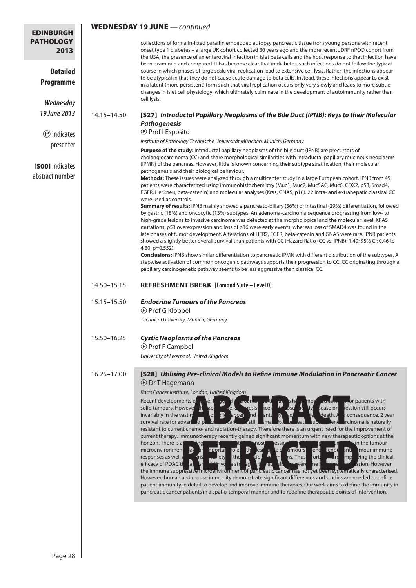| <b>EDINBURGH</b>                            |                                             | <b>WEDNESDAY 19 JUNE</b> - continued                                                                                                                                                                                                                                                                                                                                                                                                                                                                                                                                                                                                                                                                                                                                                                                                                                                                                                                                                                                                                                                                                                                                                                                                                                                                                                                                                                                                                                                                                                                                                                                                                                                                                                                                                                                     |
|---------------------------------------------|---------------------------------------------|--------------------------------------------------------------------------------------------------------------------------------------------------------------------------------------------------------------------------------------------------------------------------------------------------------------------------------------------------------------------------------------------------------------------------------------------------------------------------------------------------------------------------------------------------------------------------------------------------------------------------------------------------------------------------------------------------------------------------------------------------------------------------------------------------------------------------------------------------------------------------------------------------------------------------------------------------------------------------------------------------------------------------------------------------------------------------------------------------------------------------------------------------------------------------------------------------------------------------------------------------------------------------------------------------------------------------------------------------------------------------------------------------------------------------------------------------------------------------------------------------------------------------------------------------------------------------------------------------------------------------------------------------------------------------------------------------------------------------------------------------------------------------------------------------------------------------|
| <b>PATHOLOGY</b><br>2013<br><b>Detailed</b> |                                             | collections of formalin-fixed paraffin embedded autopsy pancreatic tissue from young persons with recent<br>onset type 1 diabetes - a large UK cohort collected 30 years ago and the more recent JDRF nPOD cohort from<br>the USA, the presence of an enteroviral infection in islet beta cells and the host response to that infection have<br>been examined and compared. It has become clear that in diabetes, such infections do not follow the typical<br>course in which phases of large scale viral replication lead to extensive cell lysis. Rather, the infections appear                                                                                                                                                                                                                                                                                                                                                                                                                                                                                                                                                                                                                                                                                                                                                                                                                                                                                                                                                                                                                                                                                                                                                                                                                                       |
| <b>Programme</b>                            |                                             | to be atypical in that they do not cause acute damage to beta cells. Instead, these infections appear to exist<br>in a latent (more persistent) form such that viral replication occurs only very slowly and leads to more subtle<br>changes in islet cell physiology, which ultimately culminate in the development of autoimmunity rather than<br>cell lysis.                                                                                                                                                                                                                                                                                                                                                                                                                                                                                                                                                                                                                                                                                                                                                                                                                                                                                                                                                                                                                                                                                                                                                                                                                                                                                                                                                                                                                                                          |
| <b>Wednesday</b><br>19 June 2013            | 14.15-14.50                                 | [S27] Intraductal Papillary Neoplasms of the Bile Duct (IPNB): Keys to their Molecular<br><b>Pathogenesis</b>                                                                                                                                                                                                                                                                                                                                                                                                                                                                                                                                                                                                                                                                                                                                                                                                                                                                                                                                                                                                                                                                                                                                                                                                                                                                                                                                                                                                                                                                                                                                                                                                                                                                                                            |
| <b><i>O</i></b> indicates                   |                                             | <b><i>®</i></b> Prof I Esposito                                                                                                                                                                                                                                                                                                                                                                                                                                                                                                                                                                                                                                                                                                                                                                                                                                                                                                                                                                                                                                                                                                                                                                                                                                                                                                                                                                                                                                                                                                                                                                                                                                                                                                                                                                                          |
| presenter                                   |                                             | Institute of Pathology Technische Universität München, Munich, Germany<br>Purpose of the study: Intraductal papillary neoplasms of the bile duct (IPNB) are precursors of<br>cholangiocarcinoma (CC) and share morphological similarities with intraductal papillary mucinous neoplasms                                                                                                                                                                                                                                                                                                                                                                                                                                                                                                                                                                                                                                                                                                                                                                                                                                                                                                                                                                                                                                                                                                                                                                                                                                                                                                                                                                                                                                                                                                                                  |
| [SOO] indicates<br>abstract number          | 14.50-15.15<br>15.15 - 15.50<br>15.50-16.25 | (IPMN) of the pancreas. However, little is known concerning their subtype stratification, their molecular<br>pathogenesis and their biological behaviour.<br>Methods: These issues were analyzed through a multicenter study in a large European cohort. IPNB from 45<br>patients were characterized using immunohistochemistry (Muc1, Muc2, Muc5AC, Muc6, CDX2, p53, Smad4,<br>EGFR, Her2neu, beta-catenin) and molecular analyses (Kras, GNAS, p16). 22 intra- and extrahepatic classical CC<br>were used as controls.<br>Summary of results: IPNB mainly showed a pancreato-biliary (36%) or intestinal (29%) differentiation, followed<br>by gastric (18%) and oncocytic (13%) subtypes. An adenoma-carcinoma sequence progressing from low-to<br>high-grade lesions to invasive carcinoma was detected at the morphological and the molecular level. KRAS<br>mutations, p53 overexpression and loss of p16 were early events, whereas loss of SMAD4 was found in the<br>late phases of tumor development. Alterations of HER2, EGFR, beta-catenin and GNAS were rare. IPNB patients<br>showed a slightly better overall survival than patients with CC (Hazard Ratio (CC vs. IPNB): 1.40; 95% CI: 0.46 to<br>4.30; p=0.552).<br><b>Conclusions:</b> IPNB show similar differentiation to pancreatic IPMN with different distribution of the subtypes. A<br>stepwise activation of common oncogenic pathways supports their progression to CC. CC originating through a<br>papillary carcinogenetic pathway seems to be less aggressive than classical CC.<br>REFRESHMENT BREAK [Lomond Suite - Level 0]<br><b>Endocrine Tumours of the Pancreas</b><br><b><i>®</i></b> Prof G Kloppel<br>Technical University, Munich, Germany<br><b>Cystic Neoplasms of the Pancreas</b><br><b><i><b>P</b></i></b> Prof F Campbell |
|                                             | 16.25-17.00                                 | University of Liverpool, United Kingdom<br>[S28] Utilising Pre-clinical Models to Refine Immune Modulation in Pancreatic Cancer                                                                                                                                                                                                                                                                                                                                                                                                                                                                                                                                                                                                                                                                                                                                                                                                                                                                                                                                                                                                                                                                                                                                                                                                                                                                                                                                                                                                                                                                                                                                                                                                                                                                                          |
|                                             |                                             | <b><i>®</i></b> Dr T Hagemann<br>Barts Cancer Institute, London, United Kingdom<br>Recent developments of<br>or patients with<br><sub>(el t</sub><br>solid tumours. Howeve<br>ression still occurs<br>sease pro<br>cesist<br>apy<br>ice a<br>bsel<br>invariably in the vast m<br>$\mathbf{E}$<br>a consequence, 2 year<br>nd<br>рđ<br>ancer<br>death. A<br>entu<br>survival rate for advand d p<br>rcinoma is naturally<br>lend<br>resistant to current chemo- and radiation-therapy. Therefore there is an urgent need for the improvement of<br>current therapy. Immunotherapy recently gained significant momentum with new therapeutic options at the<br>horizon. There is a<br>in the tumour<br>essio<br>iost<br>microenvironment<br>int.<br>mour immune<br>nportar<br>th)<br>amours<br>end<br>role <br>jenou<br>lay<br>lesi,<br>le q<br>the<br>ns. Thus<br>forts<br>mp<br>ing the clinical<br>responses as well<br><b>Ins</b><br><b>tic</b><br>lrd<br><b>liety</b><br>n١<br>efficacy of PDAC th<br>$b$ str<br>Ьq<br>ssion. However<br><b>Let invo</b><br>averd<br>me il<br><b>reu</b><br>the immune suppressive microenvironment of pancreatic cancer has not yet been systematically characterised.<br>However, human and mouse immunity demonstrate significant differences and studies are needed to define<br>patient immunity in detail to develop and improve immune therapies. Our work aims to define the immunity in<br>pancreatic cancer patients in a spatio-temporal manner and to redefine therapeutic points of intervention.                                                                                                                                                                                                                                                                        |
| Page 28                                     |                                             |                                                                                                                                                                                                                                                                                                                                                                                                                                                                                                                                                                                                                                                                                                                                                                                                                                                                                                                                                                                                                                                                                                                                                                                                                                                                                                                                                                                                                                                                                                                                                                                                                                                                                                                                                                                                                          |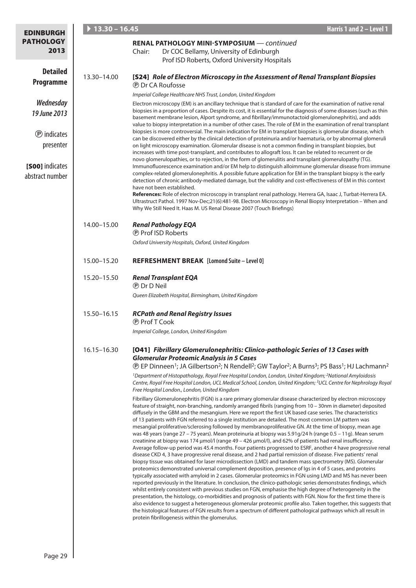| <b>EDINBURGH</b>      | ▶ $13.30 - 16.45$ | Harris 1 and 2 - Level 1                                                                                                                                                                                                                            |
|-----------------------|-------------------|-----------------------------------------------------------------------------------------------------------------------------------------------------------------------------------------------------------------------------------------------------|
| <b>PATHOLOGY</b>      |                   | <b>RENAL PATHOLOGY MINI-SYMPOSIUM</b> — continued                                                                                                                                                                                                   |
| 2013                  |                   | Dr COC Bellamy, University of Edinburgh<br>Chair:                                                                                                                                                                                                   |
|                       |                   | Prof ISD Roberts, Oxford University Hospitals                                                                                                                                                                                                       |
| <b>Detailed</b>       |                   |                                                                                                                                                                                                                                                     |
| <b>Programme</b>      | 13.30-14.00       | [S24] Role of Electron Microscopy in the Assessment of Renal Transplant Biopsies                                                                                                                                                                    |
|                       |                   | (P) Dr CA Roufosse                                                                                                                                                                                                                                  |
| <b>Wednesday</b>      |                   | Imperial College Healthcare NHS Trust, London, United Kingdom<br>Electron microscopy (EM) is an ancillary technique that is standard of care for the examination of native renal                                                                    |
| 19 June 2013          |                   | biopsies in a proportion of cases. Despite its cost, it is essential for the diagnosis of some diseases (such as thin                                                                                                                               |
|                       |                   | basement membrane lesion, Alport syndrome, and fibrillary/immunotactoid glomerulonephritis), and adds                                                                                                                                               |
| <b>(P</b> ) indicates |                   | value to biopsy interpretation in a number of other cases. The role of EM in the examination of renal transplant<br>biopsies is more controversial. The main indication for EM in transplant biopsies is glomerular disease, which                  |
|                       |                   | can be discovered either by the clinical detection of proteinuria and/or haematuria, or by abnormal glomeruli                                                                                                                                       |
| presenter             |                   | on light microscopy examination. Glomerular disease is not a common finding in transplant biopsies, but<br>increases with time post-transplant, and contributes to allograft loss. It can be related to recurrent or de                             |
|                       |                   | novo glomerulopathies, or to rejection, in the form of glomerulitis and transplant glomerulopathy (TG).                                                                                                                                             |
| [SOO] indicates       |                   | Immunofluorescence examination and/or EM help to distinguish alloimmune glomerular disease from immune<br>complex-related glomerulonephritis. A possible future application for EM in the transplant biopsy is the early                            |
| abstract number       |                   | detection of chronic antibody-mediated damage, but the validity and cost-effectiveness of EM in this context                                                                                                                                        |
|                       |                   | have not been established.                                                                                                                                                                                                                          |
|                       |                   | References: Role of electron microscopy in transplant renal pathology. Herrera GA, Isaac J, Turbat-Herrera EA.<br>Ultrastruct Pathol. 1997 Nov-Dec;21(6):481-98. Electron Microscopy in Renal Biopsy Interpretation - When and                      |
|                       |                   | Why We Still Need It. Haas M. US Renal Disease 2007 (Touch Briefings)                                                                                                                                                                               |
|                       |                   |                                                                                                                                                                                                                                                     |
|                       | 14.00-15.00       | <b>Renal Pathology EQA</b><br><b>P</b> Prof ISD Roberts                                                                                                                                                                                             |
|                       |                   | Oxford University Hospitals, Oxford, United Kingdom                                                                                                                                                                                                 |
|                       |                   |                                                                                                                                                                                                                                                     |
|                       | 15.00-15.20       | <b>REFRESHMENT BREAK [Lomond Suite - Level 0]</b>                                                                                                                                                                                                   |
|                       |                   |                                                                                                                                                                                                                                                     |
|                       | 15.20-15.50       | <b>Renal Transplant EQA</b>                                                                                                                                                                                                                         |
|                       |                   | <b><i>®</i></b> Dr D Neil                                                                                                                                                                                                                           |
|                       |                   | Queen Elizabeth Hospital, Birmingham, United Kingdom                                                                                                                                                                                                |
|                       | 15.50-16.15       | <b>RCPath and Renal Registry Issues</b>                                                                                                                                                                                                             |
|                       |                   | <b>P</b> Prof T Cook                                                                                                                                                                                                                                |
|                       |                   | Imperial College, London, United Kingdom                                                                                                                                                                                                            |
|                       |                   |                                                                                                                                                                                                                                                     |
|                       | 16.15-16.30       | [041] Fibrillary Glomerulonephritis: Clinico-pathologic Series of 13 Cases with                                                                                                                                                                     |
|                       |                   | <b>Glomerular Proteomic Analysis in 5 Cases</b><br><b><math>\circledR</math> EP Dinneen<sup>1</sup>; JA Gilbertson<sup>2</sup>; N Rendell<sup>2</sup>; GW Taylor<sup>2</sup>; A Burns<sup>3</sup>; PS Bass<sup>1</sup>; HJ Lachmann<sup>2</sup></b> |
|                       |                   | <sup>1</sup> Department of Histopathology, Royal Free Hospital London, London, United Kingdom; <sup>2</sup> National Amyloidosis                                                                                                                    |
|                       |                   | Centre, Royal Free Hospital London, UCL Medical School, London, United Kingdom; <sup>3</sup> UCL Centre for Nephrology Royal                                                                                                                        |
|                       |                   | Free Hospital London., London, United Kingdom                                                                                                                                                                                                       |
|                       |                   | Fibrillary Glomerulonephritis (FGN) is a rare primary glomerular disease characterized by electron microscopy<br>feature of straight, non-branching, randomly arranged fibrils (ranging from 10 - 30nm in diameter) deposited                       |
|                       |                   | diffusely in the GBM and the mesangium. Here we report the first UK based case series. The characteristics                                                                                                                                          |
|                       |                   | of 13 patients with FGN referred to a single institution are detailed. The most common LM pattern was                                                                                                                                               |
|                       |                   | mesangial proliferative/sclerosing followed by membranoproliferative GN. At the time of biopsy, mean age<br>was 48 years (range 27 - 75 years). Mean proteinuria at biopsy was 5.91g/24 h (range 0.5 - 11g). Mean serum                             |
|                       |                   | creatinine at biopsy was 174 μmol/l (range 49 – 426 μmol/l), and 62% of patients had renal insufficiency.                                                                                                                                           |
|                       |                   | Average follow-up period was 45.4 months. Four patients progressed to ESRF, another 4 have progressive renal<br>disease CKD 4, 3 have progressive renal disease, and 2 had partial remission of disease. Five patients' renal                       |
|                       |                   | biopsy tissue was obtained for laser microdissection (LMD) and tandem mass spectrometry (MS). Glomerular                                                                                                                                            |
|                       |                   | proteomics demonstrated universal complement deposition, presence of lgs in 4 of 5 cases, and proteins                                                                                                                                              |
|                       |                   | typically associated with amyloid in 2 cases. Glomerular proteomics in FGN using LMD and MS has never been<br>reported previously in the literature. In conclusion, the clinico-pathologic series demonstrates findings, which                      |
|                       |                   | whilst entirely consistent with previous studies on FGN, emphasise the high degree of heterogeneity in the                                                                                                                                          |
|                       |                   | presentation, the histology, co-morbidities and prognosis of patients with FGN. Now for the first time there is<br>also evidence to suggest a heterogeneous glomerular proteomic profile also. Taken together, this suggests that                   |
|                       |                   | the histological features of FGN results from a spectrum of different pathological pathways which all result in                                                                                                                                     |
|                       |                   | protein fibrillogenesis within the glomerulus.                                                                                                                                                                                                      |
|                       |                   |                                                                                                                                                                                                                                                     |
|                       |                   |                                                                                                                                                                                                                                                     |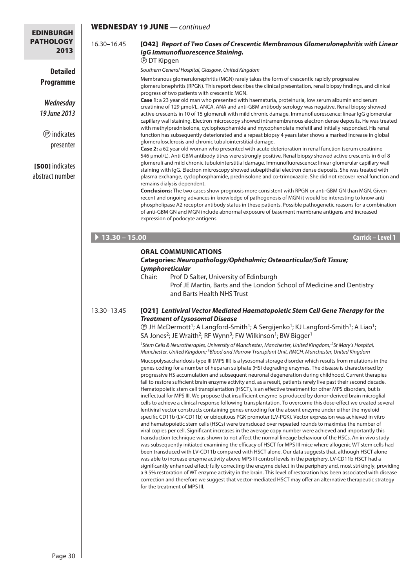#### WEDNESDAY 19 June *— continued*

EDINBURGH **PATHOLOGY** 2013

> **Detailed Programme**

*Wednesday 19 June 2013*

P indicates presenter

**[S00]** indicates abstract number

# 16.30–16.45 [O42] *Report of Two Cases of Crescentic Membranous Glomerulonephritis with Linear IgG Immunofluorescence Staining.*

P DT Kipgen

*Southern General Hospital, Glasgow, United Kingdom*

Membranous glomerulonephritis (MGN) rarely takes the form of crescentic rapidly progressive glomerulonephritis (RPGN). This report describes the clinical presentation, renal biopsy findings, and clinical progress of two patients with crescentic MGN.

**Case 1:** a 23 year old man who presented with haematuria, proteinuria, low serum albumin and serum creatinine of 129 μmol/L. ANCA, ANA and anti-GBM antibody serology was negative. Renal biopsy showed active crescents in 10 of 15 glomeruli with mild chronic damage. Immunofluorescence: linear IgG glomerular capillary wall staining. Electron microscopy showed intramembranous electron dense deposits. He was treated with methylprednisolone, cyclophosphamide and mycophenolate mofetil and initially responded. His renal function has subsequently deteriorated and a repeat biopsy 4 years later shows a marked increase in global glomerulosclerosis and chronic tubulointerstitial damage.

**Case 2:** a 62 year old woman who presented with acute deterioration in renal function (serum creatinine 546 μmol/L). Anti GBM antibody titres were strongly positive. Renal biopsy showed active crescents in 6 of 8 glomeruli and mild chronic tubulointerstitial damage. Immunofluorescence: linear glomerular capillary wall staining with IgG. Electron microscopy showed subepithelial electron dense deposits. She was treated with plasma exchange, cyclophosphamide, prednisolone and co-trimoxazole. She did not recover renal function and remains dialysis dependent.

**Conclusions:** The two cases show prognosis more consistent with RPGN or anti-GBM GN than MGN. Given recent and ongoing advances in knowledge of pathogenesis of MGN it would be interesting to know anti phospholipase A2 receptor antibody status in these patients. Possible pathogenetic reasons for a combination of anti-GBM GN and MGN include abnormal exposure of basement membrane antigens and increased expression of podocyte antigens.

#### A **13.30 – 15.00 Carrick – Level 1**

#### **ORAL COMMUNICATIONS**

#### **Categories:** *Neuropathology/Ophthalmic; Osteoarticular/Soft Tissue; Lymphoreticular*

Chair: Prof D Salter, University of Edinburgh Prof JE Martin, Barts and the London School of Medicine and Dentistry and Barts Health NHS Trust

#### 13.30–13.45 [O21] *Lentiviral Vector Mediated Haematopoietic Stem Cell Gene Therapy for the Treatment of Lysosomal Disease*

 $\textcircled{P}$  JH McDermott<sup>1</sup>; A Langford-Smith<sup>1</sup>; A Sergijenko<sup>1</sup>; KJ Langford-Smith<sup>1</sup>; A Liao<sup>1</sup>; SA Jones<sup>2</sup>; JE Wraith<sup>2</sup>; RF Wynn<sup>3</sup>; FW Wilkinson<sup>1</sup>; BW Bigger<sup>1</sup>

*1Stem Cells & Neurotherapies, University of Manchester, Manchester, United Kingdom; 2St Mary's Hospital, Manchester, United Kingdom; 3Blood and Marrow Transplant Unit, RMCH, Manchester, United Kingdom*

Mucopolysaccharidosis type III (MPS III) is a lysosomal storage disorder which results from mutations in the genes coding for a number of heparan sulphate (HS) degrading enzymes. The disease is characterised by progressive HS accumulation and subsequent neuronal degeneration during childhood. Current therapies fail to restore sufficient brain enzyme activity and, as a result, patients rarely live past their second decade. Hematopoietic stem cell transplantation (HSCT), is an effective treatment for other MPS disorders, but is ineffectual for MPS III. We propose that insufficient enzyme is produced by donor-derived brain microglial cells to achieve a clinical response following transplantation. To overcome this dose-effect we created several lentiviral vector constructs containing genes encoding for the absent enzyme under either the myeloid specific CD11b (LV-CD11b) or ubiquitous PGK promoter (LV-PGK). Vector expression was achieved in vitro and hematopoietic stem cells (HSCs) were transduced over repeated rounds to maximise the number of viral copies per cell. Significant increases in the average copy number were achieved and importantly this transduction technique was shown to not affect the normal lineage behaviour of the HSCs. An in vivo study was subsequently initiated examining the efficacy of HSCT for MPS III mice where allogenic WT stem cells had been transduced with LV-CD11b compared with HSCT alone. Our data suggests that, although HSCT alone was able to increase enzyme activity above MPS III control levels in the periphery, LV-CD11b HSCT had a significantly enhanced effect; fully correcting the enzyme defect in the periphery and, most strikingly, providing a 9.5% restoration of WT enzyme activity in the brain. This level of restoration has been associated with disease correction and therefore we suggest that vector-mediated HSCT may offer an alternative therapeutic strategy for the treatment of MPS III.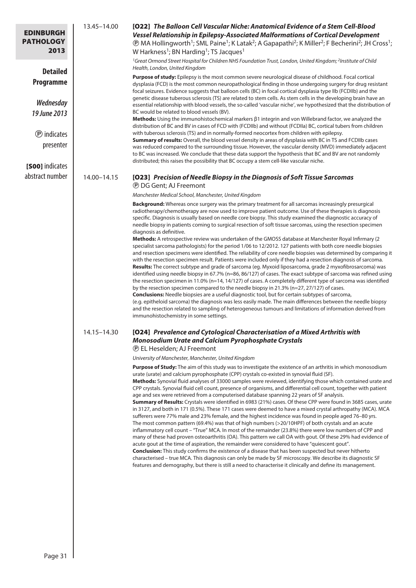| <b>EDINBURGH</b><br><b>PATHOLOGY</b><br>2013 | 13.45-14.00   | [022] The Balloon Cell Vascular Niche: Anatomical Evidence of a Stem Cell-Blood<br><b>Vessel Relationship in Epilepsy-Associated Malformations of Cortical Development</b><br>(D) MA Hollingworth <sup>1</sup> ; SML Paine <sup>1</sup> ; K Latak <sup>2</sup> ; A Gapapathi <sup>2</sup> ; K Miller <sup>2</sup> ; F Becherini <sup>2</sup> ; JH Cross <sup>1</sup> ;<br>W Harkness <sup>1</sup> ; BN Harding <sup>1</sup> ; TS Jacques <sup>1</sup>                                                                                                                                                                                                                                                                                                                                                                                                                                                                                                                                                                                                                                                                                                                                                                                                                                                                                                                                                                                                                                                                                                                                                                                                                  |
|----------------------------------------------|---------------|------------------------------------------------------------------------------------------------------------------------------------------------------------------------------------------------------------------------------------------------------------------------------------------------------------------------------------------------------------------------------------------------------------------------------------------------------------------------------------------------------------------------------------------------------------------------------------------------------------------------------------------------------------------------------------------------------------------------------------------------------------------------------------------------------------------------------------------------------------------------------------------------------------------------------------------------------------------------------------------------------------------------------------------------------------------------------------------------------------------------------------------------------------------------------------------------------------------------------------------------------------------------------------------------------------------------------------------------------------------------------------------------------------------------------------------------------------------------------------------------------------------------------------------------------------------------------------------------------------------------------------------------------------------------|
| <b>Detailed</b>                              |               | <sup>1</sup> Great Ormond Street Hospital for Children NHS Foundation Trust, London, United Kingdom; <sup>2</sup> Institute of Child<br>Health, London, United Kingdom                                                                                                                                                                                                                                                                                                                                                                                                                                                                                                                                                                                                                                                                                                                                                                                                                                                                                                                                                                                                                                                                                                                                                                                                                                                                                                                                                                                                                                                                                                 |
| <b>Programme</b>                             |               | Purpose of study: Epilepsy is the most common severe neurological disease of childhood. Focal cortical<br>dysplasia (FCD) is the most common neuropathological finding in those undergoing surgery for drug resistant<br>focal seizures. Evidence suggests that balloon cells (BC) in focal cortical dysplasia type IIb (FCDIIb) and the                                                                                                                                                                                                                                                                                                                                                                                                                                                                                                                                                                                                                                                                                                                                                                                                                                                                                                                                                                                                                                                                                                                                                                                                                                                                                                                               |
| <b>Wednesday</b><br>19 June 2013             |               | genetic disease tuberous sclerosis (TS) are related to stem cells. As stem cells in the developing brain have an<br>essential relationship with blood vessels, the so-called 'vascular niche', we hypothesized that the distribution of<br>BC would be related to blood vessels (BV).<br>Methods: Using the immunohistochemical markers β1 integrin and von Willebrand factor, we analyzed the<br>distribution of BC and BV in cases of FCD with (FCDIIb) and without (FCDIIa) BC, cortical tubers from children                                                                                                                                                                                                                                                                                                                                                                                                                                                                                                                                                                                                                                                                                                                                                                                                                                                                                                                                                                                                                                                                                                                                                       |
| <b><i>O</i></b> indicates<br>presenter       |               | with tuberous sclerosis (TS) and in normally-formed neocortex from children with epilepsy.<br>Summary of results: Overall, the blood vessel density in areas of dysplasia with BC in TS and FCDIIb cases<br>was reduced compared to the surrounding tissue. However, the vascular density (MVD) immediately adjacent<br>to BC was increased. We conclude that these data support the hypothesis that BC and BV are not randomly<br>distributed; this raises the possibility that BC occupy a stem cell-like vascular niche.                                                                                                                                                                                                                                                                                                                                                                                                                                                                                                                                                                                                                                                                                                                                                                                                                                                                                                                                                                                                                                                                                                                                            |
| [SOO] indicates                              |               |                                                                                                                                                                                                                                                                                                                                                                                                                                                                                                                                                                                                                                                                                                                                                                                                                                                                                                                                                                                                                                                                                                                                                                                                                                                                                                                                                                                                                                                                                                                                                                                                                                                                        |
| abstract number                              | 14.00-14.15   | [023] Precision of Needle Biopsy in the Diagnosis of Soft Tissue Sarcomas<br><b><i>®</i></b> DG Gent; AJ Freemont                                                                                                                                                                                                                                                                                                                                                                                                                                                                                                                                                                                                                                                                                                                                                                                                                                                                                                                                                                                                                                                                                                                                                                                                                                                                                                                                                                                                                                                                                                                                                      |
|                                              |               | Manchester Medical School, Manchester, United Kingdom                                                                                                                                                                                                                                                                                                                                                                                                                                                                                                                                                                                                                                                                                                                                                                                                                                                                                                                                                                                                                                                                                                                                                                                                                                                                                                                                                                                                                                                                                                                                                                                                                  |
|                                              |               | Background: Whereas once surgery was the primary treatment for all sarcomas increasingly presurgical<br>radiotherapy/chemotherapy are now used to improve patient outcome. Use of these therapies is diagnosis<br>specific. Diagnosis is usually based on needle core biopsy. This study examined the diagnostic accuracy of<br>needle biopsy in patients coming to surgical resection of soft tissue sarcomas, using the resection specimen                                                                                                                                                                                                                                                                                                                                                                                                                                                                                                                                                                                                                                                                                                                                                                                                                                                                                                                                                                                                                                                                                                                                                                                                                           |
|                                              |               | diagnosis as definitive.<br>Methods: A retrospective review was undertaken of the GMOSS database at Manchester Royal Infirmary (2<br>specialist sarcoma pathologists) for the period 1/06 to 12/2012. 127 patients with both core needle biopsies<br>and resection specimens were identified. The reliability of core needle biopsies was determined by comparing it<br>with the resection specimen result. Patients were included only if they had a resection diagnosis of sarcoma.<br>Results: The correct subtype and grade of sarcoma (eg. Myxoid liposarcoma, grade 2 myxofibrosarcoma) was<br>identified using needle biopsy in 67.7% (n=86, 86/127) of cases. The exact subtype of sarcoma was refined using<br>the resection specimen in 11.0% (n=14, 14/127) of cases. A completely different type of sarcoma was identified<br>by the resection specimen compared to the needle biopsy in $21.3\%$ (n=27, 27/127) of cases.<br><b>Conclusions:</b> Needle biopsies are a useful diagnostic tool, but for certain subtypes of sarcoma,<br>(e.g. epitheloid sarcoma) the diagnosis was less easily made. The main differences between the needle biopsy<br>and the resection related to sampling of heterogeneous tumours and limitations of information derived from<br>immunohistochemistry in some settings.                                                                                                                                                                                                                                                                                                                                               |
|                                              | 14.15 - 14.30 | [024] Prevalence and Cytological Characterisation of a Mixed Arthritis with                                                                                                                                                                                                                                                                                                                                                                                                                                                                                                                                                                                                                                                                                                                                                                                                                                                                                                                                                                                                                                                                                                                                                                                                                                                                                                                                                                                                                                                                                                                                                                                            |
|                                              |               | <b>Monosodium Urate and Calcium Pyrophosphate Crystals</b>                                                                                                                                                                                                                                                                                                                                                                                                                                                                                                                                                                                                                                                                                                                                                                                                                                                                                                                                                                                                                                                                                                                                                                                                                                                                                                                                                                                                                                                                                                                                                                                                             |
|                                              |               | <b>(P)</b> EL Heselden; AJ Freemont                                                                                                                                                                                                                                                                                                                                                                                                                                                                                                                                                                                                                                                                                                                                                                                                                                                                                                                                                                                                                                                                                                                                                                                                                                                                                                                                                                                                                                                                                                                                                                                                                                    |
|                                              |               | University of Manchester, Manchester, United Kingdom                                                                                                                                                                                                                                                                                                                                                                                                                                                                                                                                                                                                                                                                                                                                                                                                                                                                                                                                                                                                                                                                                                                                                                                                                                                                                                                                                                                                                                                                                                                                                                                                                   |
|                                              |               | Purpose of Study: The aim of this study was to investigate the existence of an arthritis in which monosodium<br>urate (urate) and calcium pyrophosphate (CPP) crystals co-existed in synovial fluid (SF).<br>Methods: Synovial fluid analyses of 33000 samples were reviewed, identifying those which contained urate and<br>CPP crystals. Synovial fluid cell count, presence of organisms, and differential cell count, together with patient<br>age and sex were retrieved from a computerised database spanning 22 years of SF analysis.<br>Summary of Results: Crystals were identified in 6983 (21%) cases. Of these CPP were found in 3685 cases, urate<br>in 3127, and both in 171 (0.5%). These 171 cases were deemed to have a mixed crystal arthropathy (MCA). MCA<br>sufferers were 77% male and 23% female, and the highest incidence was found in people aged 76-80 yrs.<br>The most common pattern (69.4%) was that of high numbers (>20/10HPF) of both crystals and an acute<br>inflammatory cell count - "True" MCA. In most of the remainder (23.8%) there were low numbers of CPP and<br>many of these had proven osteoarthritis (OA). This pattern we call OA with gout. Of these 29% had evidence of<br>acute gout at the time of aspiration, the remainder were considered to have "quiescent gout".<br><b>Conclusion:</b> This study confirms the existence of a disease that has been suspected but never hitherto<br>characterised - true MCA. This diagnosis can only be made by SF microscopy. We describe its diagnostic SF<br>features and demography, but there is still a need to characterise it clinically and define its management. |
|                                              |               |                                                                                                                                                                                                                                                                                                                                                                                                                                                                                                                                                                                                                                                                                                                                                                                                                                                                                                                                                                                                                                                                                                                                                                                                                                                                                                                                                                                                                                                                                                                                                                                                                                                                        |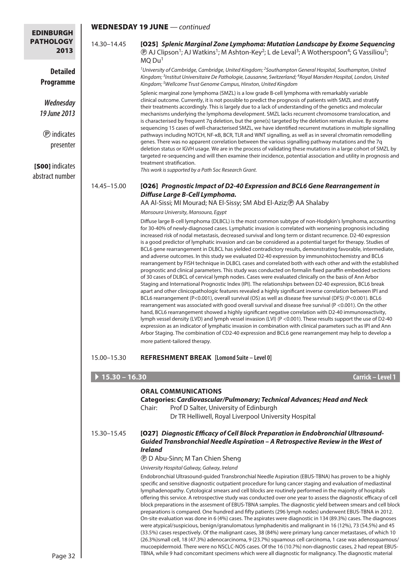| <b>EDINBURGH</b>                       | <b>WEDNESDAY 19 JUNE</b> - continued |                                                                                                                                                                                                                                                                                                                                                                                                                                                                                                                                                                                                                                                                                                                                                                                                                                                                                                            |  |
|----------------------------------------|--------------------------------------|------------------------------------------------------------------------------------------------------------------------------------------------------------------------------------------------------------------------------------------------------------------------------------------------------------------------------------------------------------------------------------------------------------------------------------------------------------------------------------------------------------------------------------------------------------------------------------------------------------------------------------------------------------------------------------------------------------------------------------------------------------------------------------------------------------------------------------------------------------------------------------------------------------|--|
| <b>PATHOLOGY</b><br>2013               | 14.30-14.45                          | [025] Splenic Marginal Zone Lymphoma: Mutation Landscape by Exome Sequencing<br><b>(D)</b> AJ Clipson <sup>1</sup> ; AJ Watkins <sup>1</sup> ; M Ashton-Key <sup>2</sup> ; L de Leval <sup>3</sup> ; A Wotherspoon <sup>4</sup> ; G Vassiliou <sup>5</sup> ;<br>MQ Du <sup>1</sup>                                                                                                                                                                                                                                                                                                                                                                                                                                                                                                                                                                                                                         |  |
| <b>Detailed</b><br><b>Programme</b>    |                                      | <sup>1</sup> University of Cambridge, Cambridge, United Kingdom; <sup>2</sup> Southampton General Hospital, Southampton, United<br>Kingdom; <sup>3</sup> Institut Universitaire De Pathologie, Lausanne, Switzerland; <sup>4</sup> Royal Marsden Hospital, London, United<br>Kingdom; <sup>5</sup> Wellcome Trust Genome Campus, Hinxton, United Kingdom                                                                                                                                                                                                                                                                                                                                                                                                                                                                                                                                                   |  |
| <b>Wednesday</b>                       |                                      | Splenic marginal zone lymphoma (SMZL) is a low grade B-cell lymphoma with remarkably variable<br>clinical outcome. Currently, it is not possible to predict the prognosis of patients with SMZL and stratify<br>their treatments accordingly. This is largely due to a lack of understanding of the genetics and molecular                                                                                                                                                                                                                                                                                                                                                                                                                                                                                                                                                                                 |  |
| 19 June 2013                           |                                      | mechanisms underlying the lymphoma development. SMZL lacks recurrent chromosome translocation, and<br>is characterised by frequent 7q deletion, but the gene(s) targeted by the deletion remain elusive. By exome<br>sequencing 15 cases of well-characterised SMZL, we have identified recurrent mutations in multiple signalling                                                                                                                                                                                                                                                                                                                                                                                                                                                                                                                                                                         |  |
| <b><i>O</i></b> indicates<br>presenter |                                      | pathways including NOTCH, NF-KB, BCR, TLR and WNT signalling, as well as in several chromatin remodelling<br>genes. There was no apparent correlation between the various signalling pathway mutations and the 7q<br>deletion status or IGVH usage. We are in the process of validating these mutations in a large cohort of SMZL by<br>targeted re-sequencing and will then examine their incidence, potential association and utility in prognosis and                                                                                                                                                                                                                                                                                                                                                                                                                                                   |  |
| [SOO] indicates<br>abstract number     |                                      | treatment stratification.<br>This work is supported by a Path Soc Research Grant.                                                                                                                                                                                                                                                                                                                                                                                                                                                                                                                                                                                                                                                                                                                                                                                                                          |  |
|                                        | 14.45-15.00                          | [O26] Prognostic Impact of D2-40 Expression and BCL6 Gene Rearrangement in<br>Diffuse Large B-Cell Lymphoma.<br>AA Al-Sissi; MI Mourad; NA El-Sissy; SM Abd El-Aziz; ® AA Shalaby                                                                                                                                                                                                                                                                                                                                                                                                                                                                                                                                                                                                                                                                                                                          |  |
|                                        |                                      | Mansoura University, Mansoura, Egypt                                                                                                                                                                                                                                                                                                                                                                                                                                                                                                                                                                                                                                                                                                                                                                                                                                                                       |  |
|                                        |                                      | Diffuse large B-cell lymphoma (DLBCL) is the most common subtype of non-Hodgkin's lymphoma, accounting<br>for 30-40% of newly-diagnosed cases. Lymphatic invasion is correlated with worsening prognosis including<br>increased risk of nodal metastasis, decreased survival and long term or distant recurrence. D2-40 expression<br>is a good predictor of lymphatic invasion and can be considered as a potential target for therapy. Studies of                                                                                                                                                                                                                                                                                                                                                                                                                                                        |  |
|                                        |                                      | BCL6 gene rearrangement in DLBCL has yielded contradictory results, demonstrating favorable, intermediate,<br>and adverse outcomes. In this study we evaluated D2-40 expression by immunohistochemistry and BCL6<br>rearrangement by FISH technique in DLBCL cases and correlated both with each other and with the established<br>prognostic and clinical parameters. This study was conducted on formalin fixed paraffin embedded sections<br>of 30 cases of DLBCL of cervical lymph nodes. Cases were evaluated clinically on the basis of Ann Arbor                                                                                                                                                                                                                                                                                                                                                    |  |
|                                        |                                      | Staging and International Prognostic Index (IPI). The relationships between D2-40 expression, BCL6 break<br>apart and other clinicopathologic features revealed a highly significant inverse correlation between IPI and<br>BCL6 rearrangement (P<0.001), overall survival (OS) as well as disease free survival (DFS) (P<0.001). BCL6<br>rearrangement was associated with good overall survival and disease free survival (P < 0.001). On the other<br>hand, BCL6 rearrangement showed a highly significant negative correlation with D2-40 immunoreactivity,<br>lymph vessel density (LVD) and lymph vessel invasion (LVI) (P < 0.001). These results support the use of D2-40<br>expression as an indicator of lymphatic invasion in combination with clinical parameters such as IPI and Ann<br>Arbor Staging. The combination of CD2-40 expression and BCL6 gene rearrangement may help to develop a |  |
|                                        |                                      | more patient-tailored therapy.                                                                                                                                                                                                                                                                                                                                                                                                                                                                                                                                                                                                                                                                                                                                                                                                                                                                             |  |
|                                        | 15.00-15.30                          | <b>REFRESHMENT BREAK [Lomond Suite - Level 0]</b>                                                                                                                                                                                                                                                                                                                                                                                                                                                                                                                                                                                                                                                                                                                                                                                                                                                          |  |
|                                        | $15.30 - 16.30$                      | Carrick - Level 1                                                                                                                                                                                                                                                                                                                                                                                                                                                                                                                                                                                                                                                                                                                                                                                                                                                                                          |  |
|                                        |                                      | <b>ORAL COMMUNICATIONS</b>                                                                                                                                                                                                                                                                                                                                                                                                                                                                                                                                                                                                                                                                                                                                                                                                                                                                                 |  |
|                                        |                                      | Categories: Cardiovascular/Pulmonary; Technical Advances; Head and Neck<br>Prof D Salter, University of Edinburgh<br>Chair:                                                                                                                                                                                                                                                                                                                                                                                                                                                                                                                                                                                                                                                                                                                                                                                |  |
|                                        |                                      | Dr TR Helliwell, Royal Liverpool University Hospital                                                                                                                                                                                                                                                                                                                                                                                                                                                                                                                                                                                                                                                                                                                                                                                                                                                       |  |
|                                        | 15.30-15.45                          | [027] Diagnostic Efficacy of Cell Block Preparation in Endobronchial Ultrasound-<br>Guided Transbronchial Needle Aspiration - A Retrospective Review in the West of<br><b>Ireland</b>                                                                                                                                                                                                                                                                                                                                                                                                                                                                                                                                                                                                                                                                                                                      |  |
|                                        |                                      | <b><i>@</i></b> D Abu-Sinn; M Tan Chien Sheng                                                                                                                                                                                                                                                                                                                                                                                                                                                                                                                                                                                                                                                                                                                                                                                                                                                              |  |
|                                        |                                      | University Hospital Galway, Galway, Ireland<br>Endobronchial Ultrasound-guided Transbronchial Needle Aspiration (EBUS-TBNA) has proven to be a highly                                                                                                                                                                                                                                                                                                                                                                                                                                                                                                                                                                                                                                                                                                                                                      |  |
|                                        |                                      | specific and sensitive diagnostic outpatient procedure for lung cancer staging and evaluation of mediastinal<br>lymphadenopathy. Cytological smears and cell blocks are routinely performed in the majority of hospitals<br>offering this service. A retrospective study was conducted over one year to assess the diagnostic efficacy of cell<br>block preparations in the assesment of EBUS-TBNA samples. The diagnostic yield between smears and cell block<br>preparations is compared. One hundred and fifty patients (296 lymph nodes) underwent EBUS-TBNA in 2012.                                                                                                                                                                                                                                                                                                                                  |  |
| Page 32                                |                                      | On-site evaluation was done in 6 (4%) cases. The aspirates were diagnostic in 134 (89.3%) cases. The diagnoses<br>were atypical/suspicious, benign/granulomatous lymphadenitis and malignant in 16 (12%), 73 (54.5%) and 45<br>(33.5%) cases respectively. Of the malignant cases, 38 (84%) were primary lung cancer metastases, of which 10<br>(26.3%) small cell, 18 (47.3%) adenocarcinoma, 9 (23.7%) squamous cell carcinoma, 1 case was adenosquamous/<br>mucoepidermoid. There were no NSCLC-NOS cases. Of the 16 (10.7%) non-diagnostic cases, 2 had repeat EBUS-<br>TBNA, while 9 had concomitant specimens which were all diagnostic for malignancy. The diagnostic material                                                                                                                                                                                                                      |  |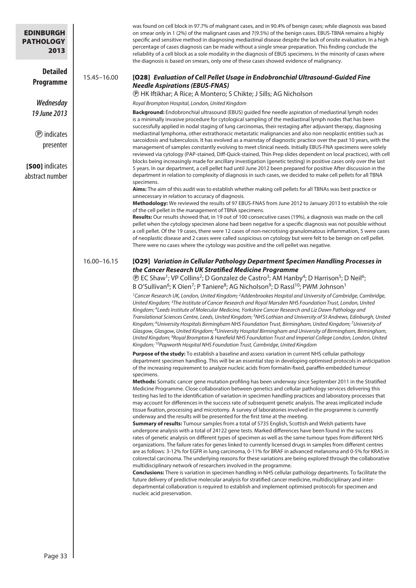| <b>EDINBURGH</b><br><b>PATHOLOGY</b><br>2013 |             | was found on cell block in 97.7% of malignant cases, and in 90.4% of benign cases; while diagnosis was based<br>on smear only in 1 (2%) of the malignant cases and 7(9.5%) of the benign cases. EBUS-TBNA remains a highly<br>specific and sensitive method in diagnosing mediastinal disease despite the lack of onsite evaluation. In a high<br>percentage of cases diagnosis can be made without a single smear preparation. This finding conclude the<br>reliability of a cell block as a sole modality in the diagnosis of EBUS specimens. In the minority of cases where<br>the diagnosis is based on smears, only one of these cases showed evidence of malignancy.                                                                                                                                                                                                                                                                                                                                                                                                                                                                                                                                                                                                                                                                                                                                                                                                                                                                                                                                                                                                                                                                                                                       |
|----------------------------------------------|-------------|--------------------------------------------------------------------------------------------------------------------------------------------------------------------------------------------------------------------------------------------------------------------------------------------------------------------------------------------------------------------------------------------------------------------------------------------------------------------------------------------------------------------------------------------------------------------------------------------------------------------------------------------------------------------------------------------------------------------------------------------------------------------------------------------------------------------------------------------------------------------------------------------------------------------------------------------------------------------------------------------------------------------------------------------------------------------------------------------------------------------------------------------------------------------------------------------------------------------------------------------------------------------------------------------------------------------------------------------------------------------------------------------------------------------------------------------------------------------------------------------------------------------------------------------------------------------------------------------------------------------------------------------------------------------------------------------------------------------------------------------------------------------------------------------------|
| <b>Detailed</b><br>Programme                 | 15.45-16.00 | [028] Evaluation of Cell Pellet Usage in Endobronchial Ultrasound-Guided Fine<br><b>Needle Aspirations (EBUS-FNAS)</b>                                                                                                                                                                                                                                                                                                                                                                                                                                                                                                                                                                                                                                                                                                                                                                                                                                                                                                                                                                                                                                                                                                                                                                                                                                                                                                                                                                                                                                                                                                                                                                                                                                                                           |
| Wednesday                                    |             | <b>D</b> HK Iftikhar; A Rice; A Montero; S Chikte; J Sills; AG Nicholson<br>Royal Brompton Hospital, London, United Kingdom                                                                                                                                                                                                                                                                                                                                                                                                                                                                                                                                                                                                                                                                                                                                                                                                                                                                                                                                                                                                                                                                                                                                                                                                                                                                                                                                                                                                                                                                                                                                                                                                                                                                      |
| 19 June 2013                                 |             | Background: Endobronchial ultrasound (EBUS) guided fine needle aspiration of mediastinal lymph nodes<br>is a minimally invasive procedure for cytological sampling of the mediastinal lymph nodes that has been<br>successfully applied in nodal staging of lung carcinomas, their restaging after adjuvant therapy, diagnosing                                                                                                                                                                                                                                                                                                                                                                                                                                                                                                                                                                                                                                                                                                                                                                                                                                                                                                                                                                                                                                                                                                                                                                                                                                                                                                                                                                                                                                                                  |
| <b><i>O</i></b> indicates<br>presenter       |             | mediastinal lymphoma, other extrathoracic metastatic malignancies and also non neoplastic entities such as<br>sarcoidosis and tuberculosis. It has evolved as a mainstay of diagnostic practice over the past 10 years, with the<br>management of samples constantly evolving to meet clinical needs. Initially EBUS-FNA specimens were solely<br>reviewed via cytology (PAP-stained, Diff-Quick-stained, Thin Prep slides dependent on local practices), with cell                                                                                                                                                                                                                                                                                                                                                                                                                                                                                                                                                                                                                                                                                                                                                                                                                                                                                                                                                                                                                                                                                                                                                                                                                                                                                                                              |
| [SOO] indicates<br>abstract number           |             | blocks being increasingly made for ancillary investigation (genetic testing) in positive cases only over the last<br>5 years. In our department, a cell pellet had until June 2012 been prepared for positive After discussion in the<br>department in relation to complexity of diagnosis in such cases, we decided to make cell pellets for all TBNA<br>specimens.                                                                                                                                                                                                                                                                                                                                                                                                                                                                                                                                                                                                                                                                                                                                                                                                                                                                                                                                                                                                                                                                                                                                                                                                                                                                                                                                                                                                                             |
|                                              |             | Aims: The aim of this audit was to establish whether making cell pellets for all TBNAs was best practice or<br>unnecessary in relation to accuracy of diagnosis.<br>Methodology: We reviewed the results of 97 EBUS-FNAS from June 2012 to January 2013 to establish the role<br>of the cell pellet in the management of TBNA specimens.                                                                                                                                                                                                                                                                                                                                                                                                                                                                                                                                                                                                                                                                                                                                                                                                                                                                                                                                                                                                                                                                                                                                                                                                                                                                                                                                                                                                                                                         |
|                                              |             | Results: Our results showed that, in 19 out of 100 consecutive cases (19%), a diagnosis was made on the cell<br>pellet when the cytology specimen alone had been negative for a specific diagnosis was not possible without<br>a cell pellet. Of the 19 cases, there were 12 cases of non-necrotising granulomatous inflammation, 5 were cases<br>of neoplastic disease and 2 cases were called suspicious on cytology but were felt to be benign on cell pellet.<br>There were no cases where the cytology was positive and the cell pellet was negative.                                                                                                                                                                                                                                                                                                                                                                                                                                                                                                                                                                                                                                                                                                                                                                                                                                                                                                                                                                                                                                                                                                                                                                                                                                       |
|                                              | 16.00-16.15 | [029] Variation in Cellular Pathology Department Specimen Handling Processes in<br>the Cancer Research UK Stratified Medicine Programme<br><b>(D)</b> EC Shaw <sup>1</sup> ; VP Collins <sup>2</sup> ; D Gonzalez de Castro <sup>3</sup> ; AM Hanby <sup>4</sup> ; D Harrison <sup>5</sup> ; D Neil <sup>6</sup> ;                                                                                                                                                                                                                                                                                                                                                                                                                                                                                                                                                                                                                                                                                                                                                                                                                                                                                                                                                                                                                                                                                                                                                                                                                                                                                                                                                                                                                                                                               |
|                                              |             | B O'Sullivan <sup>6</sup> ; K Oien <sup>7</sup> ; P Taniere <sup>8</sup> ; AG Nicholson <sup>9</sup> ; D Rassl <sup>10</sup> ; PWM Johnson <sup>1</sup>                                                                                                                                                                                                                                                                                                                                                                                                                                                                                                                                                                                                                                                                                                                                                                                                                                                                                                                                                                                                                                                                                                                                                                                                                                                                                                                                                                                                                                                                                                                                                                                                                                          |
|                                              |             | <sup>1</sup> Cancer Research UK, London, United Kingdom; <sup>2</sup> Addenbrookes Hospital and University of Cambridge, Cambridge,<br>United Kingdom; <sup>3</sup> The Institute of Cancer Research and Royal Marsden NHS Foundation Trust, London, United<br>Kingdom; <sup>4</sup> Leeds Institute of Molecular Medicine, Yorkshire Cancer Research and Liz Dawn Pathology and<br>Translational Sciences Centre, Leeds, United Kingdom; <sup>5</sup> NHS Lothian and University of St Andrews, Edinburgh, United<br>Kingdom; <sup>6</sup> University Hospitals Birmingham NHS Foundation Trust, Birmingham, United Kingdom; <sup>7</sup> University of<br>Glasgow, Glasgow, United Kingdom; <sup>8</sup> University Hospital Birmingham and University of Birmingham, Birmingham,<br>United Kingdom; <sup>9</sup> Royal Brompton & Harefield NHS Foundation Trust and Imperial College London, London, United<br>Kingdom; <sup>10</sup> Papworth Hospital NHS Foundation Trust, Cambridge, United Kingdom                                                                                                                                                                                                                                                                                                                                                                                                                                                                                                                                                                                                                                                                                                                                                                                      |
|                                              |             | Purpose of the study: To establish a baseline and assess variation in current NHS cellular pathology<br>department specimen handling. This will be an essential step in developing optimised protocols in anticipation<br>of the increasing requirement to analyze nucleic acids from formalin-fixed, paraffin-embedded tumour<br>specimens.                                                                                                                                                                                                                                                                                                                                                                                                                                                                                                                                                                                                                                                                                                                                                                                                                                                                                                                                                                                                                                                                                                                                                                                                                                                                                                                                                                                                                                                     |
|                                              |             | Methods: Somatic cancer gene mutation profiling has been underway since September 2011 in the Stratified<br>Medicine Programme. Close collaboration between genetics and cellular pathology services delivering this<br>testing has led to the identification of variation in specimen handling practices and laboratory processes that<br>may account for differences in the success rate of subsequent genetic analysis. The areas implicated include<br>tissue fixation, processing and microtomy. A survey of laboratories involved in the programme is currently<br>underway and the results will be presented for the first time at the meeting.<br>Summary of results: Tumour samples from a total of 5735 English, Scottish and Welsh patients have<br>undergone analysis with a total of 24122 gene tests. Marked differences have been found in the success<br>rates of genetic analysis on different types of specimen as well as the same tumour types from different NHS<br>organizations. The failure rates for genes linked to currently licensed drugs in samples from different centres<br>are as follows: 3-12% for EGFR in lung carcinoma, 0-11% for BRAF in advanced melanoma and 0-5% for KRAS in<br>colorectal carcinoma. The underlying reasons for these variations are being explored through the collaborative<br>multidisciplinary network of researchers involved in the programme.<br><b>Conclusions:</b> There is variation in specimen handling in NHS cellular pathology departments. To facilitate the<br>future delivery of predictive molecular analysis for stratified cancer medicine, multidisciplinary and inter-<br>departmental collaboration is required to establish and implement optimised protocols for specimen and<br>nucleic acid preservation. |
|                                              |             |                                                                                                                                                                                                                                                                                                                                                                                                                                                                                                                                                                                                                                                                                                                                                                                                                                                                                                                                                                                                                                                                                                                                                                                                                                                                                                                                                                                                                                                                                                                                                                                                                                                                                                                                                                                                  |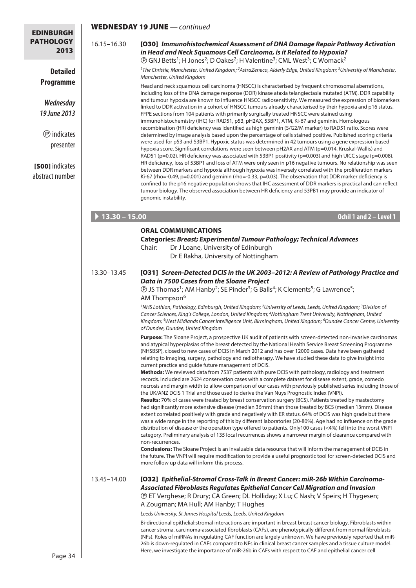| <b>EDINBURGH</b>                    | <b>WEDNESDAY 19 JUNE</b> - continued |                                                                                                                                                                                                                                                                                                                                                                                                                                                                                                                                                                                                                                                                                                           |  |
|-------------------------------------|--------------------------------------|-----------------------------------------------------------------------------------------------------------------------------------------------------------------------------------------------------------------------------------------------------------------------------------------------------------------------------------------------------------------------------------------------------------------------------------------------------------------------------------------------------------------------------------------------------------------------------------------------------------------------------------------------------------------------------------------------------------|--|
| <b>PATHOLOGY</b><br>2013            | 16.15-16.30                          | [030] Immunohistochemical Assessment of DNA Damage Repair Pathway Activation<br>in Head and Neck Squamous Cell Carcinoma, is it Related to Hypoxia?<br><b><i>(D)</i></b> GNJ Betts <sup>1</sup> ; H Jones <sup>2</sup> ; D Oakes <sup>2</sup> ; H Valentine <sup>3</sup> ; CML West <sup>3</sup> ; C Womack <sup>2</sup>                                                                                                                                                                                                                                                                                                                                                                                  |  |
| <b>Detailed</b><br><b>Programme</b> |                                      | <sup>1</sup> The Christie, Manchester, United Kingdom; <sup>2</sup> AstraZeneca, Alderly Edge, United Kingdom; <sup>3</sup> University of Manchester,<br>Manchester, United Kingdom                                                                                                                                                                                                                                                                                                                                                                                                                                                                                                                       |  |
|                                     |                                      | Head and neck squamous cell carcinoma (HNSCC) is characterised by frequent chromosomal aberrations,<br>including loss of the DNA damage response (DDR) kinase ataxia telangiectasia mutated (ATM). DDR capability                                                                                                                                                                                                                                                                                                                                                                                                                                                                                         |  |
| <b>Wednesday</b>                    |                                      | and tumour hypoxia are known to influence HNSCC radiosensitivity. We measured the expression of biomarkers<br>linked to DDR activation in a cohort of HNSCC tumours already characterised by their hypoxia and p16 status.                                                                                                                                                                                                                                                                                                                                                                                                                                                                                |  |
| 19 June 2013                        |                                      | FFPE sections from 104 patients with primarily surgically treated HNSCC were stained using<br>immunohistochemistry (IHC) for RAD51, p53, pH2AX, 53BP1, ATM, Ki-67 and geminin. Homologous<br>recombination (HR) deficiency was identified as high geminin (S/G2/M marker) to RAD51 ratio. Scores were                                                                                                                                                                                                                                                                                                                                                                                                     |  |
| <b><i>O</i></b> indicates           |                                      | determined by image analysis based upon the percentage of cells stained positive. Published scoring criteria                                                                                                                                                                                                                                                                                                                                                                                                                                                                                                                                                                                              |  |
| presenter                           |                                      | were used for p53 and 53BP1. Hypoxic status was determined in 42 tumours using a gene expression based<br>hypoxia score. Significant correlations were seen between pH2AX and ATM (p=0.014, Kruskal-Wallis) and<br>RAD51 (p=0.02). HR deficiency was associated with 53BP1 positivity (p=0.003) and high UICC stage (p=0.008).                                                                                                                                                                                                                                                                                                                                                                            |  |
| [SOO] indicates                     |                                      | HR deficiency, loss of 53BP1 and loss of ATM were only seen in p16 negative tumours. No relationship was seen                                                                                                                                                                                                                                                                                                                                                                                                                                                                                                                                                                                             |  |
| abstract number                     |                                      | between DDR markers and hypoxia although hypoxia was inversely correlated with the proliferation markers<br>Ki-67 (rho=-0.49, p=0.001) and geminin (rho=-0.33, p=0.03). The observation that DDR marker deficiency is<br>confined to the p16 negative population shows that IHC assessment of DDR markers is practical and can reflect<br>tumour biology. The observed association between HR deficiency and 53PB1 may provide an indicator of<br>genomic instability.                                                                                                                                                                                                                                    |  |
|                                     | ▶ 13.30 - 15.00                      | Ochil 1 and 2 - Level 1                                                                                                                                                                                                                                                                                                                                                                                                                                                                                                                                                                                                                                                                                   |  |
|                                     |                                      | <b>ORAL COMMUNICATIONS</b>                                                                                                                                                                                                                                                                                                                                                                                                                                                                                                                                                                                                                                                                                |  |
|                                     |                                      | <b>Categories: Breast; Experimental Tumour Pathology; Technical Advances</b>                                                                                                                                                                                                                                                                                                                                                                                                                                                                                                                                                                                                                              |  |
|                                     |                                      | Dr J Loane, University of Edinburgh<br>Chair:<br>Dr E Rakha, University of Nottingham                                                                                                                                                                                                                                                                                                                                                                                                                                                                                                                                                                                                                     |  |
|                                     | 13.30-13.45                          | [031] Screen-Detected DCIS in the UK 2003-2012: A Review of Pathology Practice and<br>Data in 7500 Cases from the Sloane Project<br><b>(D)</b> JS Thomas <sup>1</sup> ; AM Hanby <sup>2</sup> ; SE Pinder <sup>3</sup> ; G Balls <sup>4</sup> ; K Clements <sup>5</sup> ; G Lawrence <sup>5</sup> ;<br>AM Thompson <sup>6</sup>                                                                                                                                                                                                                                                                                                                                                                           |  |
|                                     |                                      | <sup>1</sup> NHS Lothian, Pathology, Edinburgh, United Kingdom; <sup>2</sup> University of Leeds, Leeds, United Kingdom; <sup>3</sup> Division of<br>Cancer Sciences, King's College, London, United Kingdom; <sup>4</sup> Nottingham Trent University, Nottingham, United<br>Kingdom; <sup>5</sup> West Midlands Cancer Intelligence Unit, Birmingham, United Kingdom; <sup>6</sup> Dundee Cancer Centre, University<br>of Dundee, Dundee, United Kingdom                                                                                                                                                                                                                                                |  |
|                                     |                                      | Purpose: The Sloane Project, a prospective UK audit of patients with screen-detected non-invasive carcinomas<br>and atypical hyperplasias of the breast detected by the National Health Service Breast Screening Programme<br>(NHSBSP), closed to new cases of DCIS in March 2012 and has over 12000 cases. Data have been gathered<br>relating to imaging, surgery, pathology and radiotherapy. We have studied these data to give insight into<br>current practice and quide future management of DCIS.                                                                                                                                                                                                 |  |
|                                     |                                      | Methods: We reviewed data from 7537 patients with pure DCIS with pathology, radiology and treatment<br>records. Included are 2624 conservation cases with a complete dataset for disease extent, grade, comedo<br>necrosis and margin width to allow comparison of our cases with previously published series including those of<br>the UK/ANZ DCIS 1 Trial and those used to derive the Van Nuys Prognostic Index (VNPI).                                                                                                                                                                                                                                                                                |  |
|                                     |                                      | Results: 70% of cases were treated by breast conservation surgery (BCS). Patients treated by mastectomy<br>had significantly more extensive disease (median 36mm) than those treated by BCS (median 13mm). Disease<br>extent correlated positively with grade and negatively with ER status. 64% of DCIS was high grade but there<br>was a wide range in the reporting of this by different laboratories (20-80%). Age had no influence on the grade<br>distribution of disease or the operation type offered to patients. Only100 cases (<4%) fell into the worst VNPI<br>category. Preliminary analysis of 135 local recurrences shows a narrower margin of clearance compared with<br>non-recurrences. |  |
|                                     |                                      | <b>Conclusions:</b> The Sloane Project is an invaluable data resource that will inform the management of DCIS in<br>the future. The VNPI will require modification to provide a useful prognostic tool for screen-detected DCIS and<br>more follow up data will inform this process.                                                                                                                                                                                                                                                                                                                                                                                                                      |  |
|                                     | 13.45-14.00                          | [032] Epithelial-Stromal Cross-Talk in Breast Cancer: miR-26b Within Carcinoma-<br>Associated Fibroblasts Regulates Epithelial Cancer Cell Migration and Invasion                                                                                                                                                                                                                                                                                                                                                                                                                                                                                                                                         |  |
|                                     |                                      | <b>D</b> ET Verghese; R Drury; CA Green; DL Holliday; X Lu; C Nash; V Speirs; H Thygesen;                                                                                                                                                                                                                                                                                                                                                                                                                                                                                                                                                                                                                 |  |
|                                     |                                      | A Zougman; MA Hull; AM Hanby; T Hughes                                                                                                                                                                                                                                                                                                                                                                                                                                                                                                                                                                                                                                                                    |  |
|                                     |                                      | Leeds University, St James Hospital Leeds, Leeds, United Kingdom                                                                                                                                                                                                                                                                                                                                                                                                                                                                                                                                                                                                                                          |  |
|                                     |                                      | Bi-directional epithelial: stromal interactions are important in breast breast cancer biology. Fibroblasts within<br>cancer stroma, carcinoma-associated fibroblasts (CAFs), are phenotypically different from normal fibroblasts<br>(NFs). Roles of miRNAs in regulating CAF function are largely unknown. We have previously reported that miR-                                                                                                                                                                                                                                                                                                                                                         |  |

26b is down-regulated in CAFs compared to NFs in clinical breast cancer samples and a tissue culture model. Here, we investigate the importance of miR-26b in CAFs with respect to CAF and epithelial cancer cell

WEDNESDAY 19 June *— continued*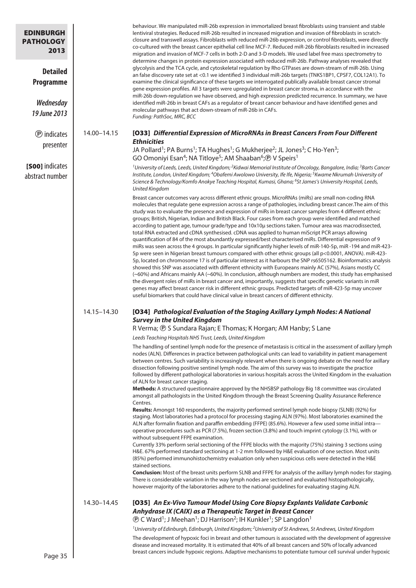| <b>EDINBURGH</b><br><b>PATHOLOGY</b><br>2013 |             | behaviour. We manipulated miR-26b expression in immortalized breast fibroblasts using transient and stable<br>lentiviral strategies. Reduced miR-26b resulted in increased migration and invasion of fibroblasts in scratch-<br>closure and transwell assays. Fibroblasts with reduced miR-26b expression, or control fibroblasts, were directly<br>co-cultured with the breast cancer epithelial cell line MCF-7. Reduced miR-26b fibroblasts resulted in increased<br>migration and invasion of MCF-7 cells in both 2-D and 3-D models. We used label free mass spectrometry to<br>determine changes in protein expression associated with reduced miR-26b. Pathway analyses revealed that                                                                                                                                                                                                                                                                                                                                                                                                                                                                                                                                                                                                                                                                                                                                                                                                                                                                                                                                                                                                     |
|----------------------------------------------|-------------|--------------------------------------------------------------------------------------------------------------------------------------------------------------------------------------------------------------------------------------------------------------------------------------------------------------------------------------------------------------------------------------------------------------------------------------------------------------------------------------------------------------------------------------------------------------------------------------------------------------------------------------------------------------------------------------------------------------------------------------------------------------------------------------------------------------------------------------------------------------------------------------------------------------------------------------------------------------------------------------------------------------------------------------------------------------------------------------------------------------------------------------------------------------------------------------------------------------------------------------------------------------------------------------------------------------------------------------------------------------------------------------------------------------------------------------------------------------------------------------------------------------------------------------------------------------------------------------------------------------------------------------------------------------------------------------------------|
| <b>Detailed</b><br><b>Programme</b>          |             | glycolysis and the TCA cycle, and cytoskeletal regulation by Rho GTPases are down-stream of miR-26b. Using<br>an false discovery rate set at <0.1 we identified 3 individual miR-26b targets (TNKS1BP1, CPSF7, COL12A1). To<br>examine the clinical significance of these targets we interrogated publically available breast cancer stromal<br>gene expression profiles. All 3 targets were upregulated in breast cancer stroma, in accordance with the                                                                                                                                                                                                                                                                                                                                                                                                                                                                                                                                                                                                                                                                                                                                                                                                                                                                                                                                                                                                                                                                                                                                                                                                                                         |
| <b>Wednesday</b><br>19 June 2013             |             | miR-26b down-regulation we have observed, and high expression predicted recurrence. In summary, we have<br>identified miR-26b in breast CAFs as a regulator of breast cancer behaviour and have identified genes and<br>molecular pathways that act down-stream of miR-26b in CAFs.<br>Funding: PathSoc, MRC, BCC                                                                                                                                                                                                                                                                                                                                                                                                                                                                                                                                                                                                                                                                                                                                                                                                                                                                                                                                                                                                                                                                                                                                                                                                                                                                                                                                                                                |
| <b><i>O</i></b> indicates<br>presenter       | 14.00-14.15 | [033] Differential Expression of MicroRNAs in Breast Cancers From Four Different<br><b>Ethnicities</b><br>JA Pollard <sup>1</sup> ; PA Burns <sup>1</sup> ; TA Hughes <sup>1</sup> ; G Mukherjee <sup>2</sup> ; JL Jones <sup>3</sup> ; C Ho-Yen <sup>3</sup> ;                                                                                                                                                                                                                                                                                                                                                                                                                                                                                                                                                                                                                                                                                                                                                                                                                                                                                                                                                                                                                                                                                                                                                                                                                                                                                                                                                                                                                                  |
|                                              |             | GO Omoniyi Esan <sup>4</sup> ; NA Titloye <sup>5</sup> ; AM Shaaban <sup>6</sup> ; <sup>®</sup> V Speirs <sup>1</sup>                                                                                                                                                                                                                                                                                                                                                                                                                                                                                                                                                                                                                                                                                                                                                                                                                                                                                                                                                                                                                                                                                                                                                                                                                                                                                                                                                                                                                                                                                                                                                                            |
| [SOO] indicates<br>abstract number           |             | <sup>1</sup> University of Leeds, Leeds, United Kingdom; <sup>2</sup> Kidwai Memorial Institute of Oncology, Bangalore, India; <sup>3</sup> Barts Cancer<br>Institute, London, United Kingdom; <sup>4</sup> Obafemi Awolowo University, Ife Ife, Nigeria; <sup>5</sup> Kwame Nkrumah University of<br>Science & Technology/Komfo Anokye Teaching Hospital, Kumasi, Ghana; <sup>6</sup> St James's University Hospital, Leeds,<br>United Kingdom                                                                                                                                                                                                                                                                                                                                                                                                                                                                                                                                                                                                                                                                                                                                                                                                                                                                                                                                                                                                                                                                                                                                                                                                                                                  |
|                                              |             | Breast cancer outcomes vary across different ethnic groups. MicroRNAs (miRs) are small non-coding RNA<br>molecules that regulate gene expression across a range of pathologies, including breast cancer. The aim of this<br>study was to evaluate the presence and expression of miRs in breast cancer samples from 4 different ethnic<br>groups; British, Nigerian, Indian and British Black. Four cases from each group were identified and matched<br>according to patient age, tumour grade/type and 10x10µ sections taken. Tumour area was macrodissected,<br>total RNA extracted and cDNA synthesised. cDNA was applied to human miScript PCR arrays allowing<br>quantification of 84 of the most abundantly expressed/best characterised miRs. Differential expression of 9<br>miRs was seen across the 4 groups. In particular significantly higher levels of miR-140-5p, miR-194 and miR-423-<br>5p were seen in Nigerian breast tumours compared with other ethnic groups (all p<0.0001, ANOVA). miR-423-<br>5p, located on chromosome 17 is of particular interest as it harbours the SNP rs6505162. Bioinformatics analysis<br>showed this SNP was associated with different ethnicity with Europeans mainly AC (57%), Asians mostly CC<br>(~60%) and Africans mainly AA (~60%). In conclusion, although numbers are modest, this study has emphasised<br>the divergent roles of miRs in breast cancer and, importantly, suggests that specific genetic variants in miR<br>genes may affect breast cancer risk in different ethnic groups. Predicted targets of miR-423-5p may uncover<br>useful biomarkers that could have clinical value in breast cancers of different ethnicity. |
|                                              | 14.15-14.30 | [034] Pathological Evaluation of the Staging Axillary Lymph Nodes: A National<br><b>Survey in the United Kingdom</b><br>R Verma; ® S Sundara Rajan; E Thomas; K Horgan; AM Hanby; S Lane                                                                                                                                                                                                                                                                                                                                                                                                                                                                                                                                                                                                                                                                                                                                                                                                                                                                                                                                                                                                                                                                                                                                                                                                                                                                                                                                                                                                                                                                                                         |
|                                              |             | Leeds Teaching Hospitals NHS Trust, Leeds, United Kingdom                                                                                                                                                                                                                                                                                                                                                                                                                                                                                                                                                                                                                                                                                                                                                                                                                                                                                                                                                                                                                                                                                                                                                                                                                                                                                                                                                                                                                                                                                                                                                                                                                                        |
|                                              |             | The handling of sentinel lymph node for the presence of metastasis is critical in the assessment of axillary lymph<br>nodes (ALN). Differences in practice between pathological units can lead to variability in patient management<br>between centres. Such variability is increasingly relevant when there is ongoing debate on the need for axillary<br>dissection following positive sentinel lymph node. The aim of this survey was to investigate the practice<br>followed by different pathological laboratories in various hospitals across the United Kingdom in the evaluation<br>of ALN for breast cancer staging.<br>Methods: A structured questionnaire approved by the NHSBSP pathology Big 18 committee was circulated<br>amongst all pathologists in the United Kingdom through the Breast Screening Quality Assurance Reference                                                                                                                                                                                                                                                                                                                                                                                                                                                                                                                                                                                                                                                                                                                                                                                                                                                 |
|                                              |             | Centres.<br>Results: Amongst 160 respondents, the majority performed sentinel lymph node biopsy (SLNB) (92%) for<br>staging. Most laboratories had a protocol for processing staging ALN (97%). Most laboratories examined the<br>ALN after formalin fixation and paraffin embedding (FFPE) (85.6%). However a few used some initial intra-<br>operative procedures such as PCR (7.5%), frozen section (3.8%) and touch imprint cytology (3.1%), with or<br>without subsequent FFPE examination.                                                                                                                                                                                                                                                                                                                                                                                                                                                                                                                                                                                                                                                                                                                                                                                                                                                                                                                                                                                                                                                                                                                                                                                                 |
|                                              |             | Currently 33% perform serial sectioning of the FFPE blocks with the majority (75%) staining 3 sections using<br>H&E. 67% performed standard sectioning at 1-2 mm followed by H&E evaluation of one section. Most units<br>(85%) performed immunohistochemistry evaluation only when suspicious cells were detected in the H&E<br>stained sections.<br><b>Conclusion:</b> Most of the breast units perform SLNB and FFPE for analysis of the axillary lymph nodes for staging.<br>There is considerable variation in the way lymph nodes are sectioned and evaluated histopathologically,                                                                                                                                                                                                                                                                                                                                                                                                                                                                                                                                                                                                                                                                                                                                                                                                                                                                                                                                                                                                                                                                                                         |
|                                              |             | however majority of the laboratories adhere to the national guidelines for evaluating staging ALN.                                                                                                                                                                                                                                                                                                                                                                                                                                                                                                                                                                                                                                                                                                                                                                                                                                                                                                                                                                                                                                                                                                                                                                                                                                                                                                                                                                                                                                                                                                                                                                                               |
|                                              | 14.30-14.45 | [035] An Ex-Vivo Tumour Model Using Core Biopsy Explants Validate Carbonic<br>Anhydrase IX (CAIX) as a Therapeutic Target in Breast Cancer<br><b><i><b>D</b></i></b> C Ward <sup>1</sup> ; J Meehan <sup>1</sup> ; DJ Harrison <sup>2</sup> ; IH Kunkler <sup>1</sup> ; SP Langdon <sup>1</sup>                                                                                                                                                                                                                                                                                                                                                                                                                                                                                                                                                                                                                                                                                                                                                                                                                                                                                                                                                                                                                                                                                                                                                                                                                                                                                                                                                                                                  |
|                                              |             | <sup>1</sup> University of Edinburgh, Edinburgh, United Kingdom; <sup>2</sup> University of St Andrews, St Andrews, United Kingdom                                                                                                                                                                                                                                                                                                                                                                                                                                                                                                                                                                                                                                                                                                                                                                                                                                                                                                                                                                                                                                                                                                                                                                                                                                                                                                                                                                                                                                                                                                                                                               |
|                                              |             | The development of hypoxic foci in breast and other tumours is associated with the development of aggressive<br>disease and increased mortality. It is estimated that 40% of all breast cancers and 50% of locally advanced<br>breast cancers include hypoxic regions. Adaptive mechanisms to potentiate tumour cell survival under hypoxic                                                                                                                                                                                                                                                                                                                                                                                                                                                                                                                                                                                                                                                                                                                                                                                                                                                                                                                                                                                                                                                                                                                                                                                                                                                                                                                                                      |
| Page 35                                      |             |                                                                                                                                                                                                                                                                                                                                                                                                                                                                                                                                                                                                                                                                                                                                                                                                                                                                                                                                                                                                                                                                                                                                                                                                                                                                                                                                                                                                                                                                                                                                                                                                                                                                                                  |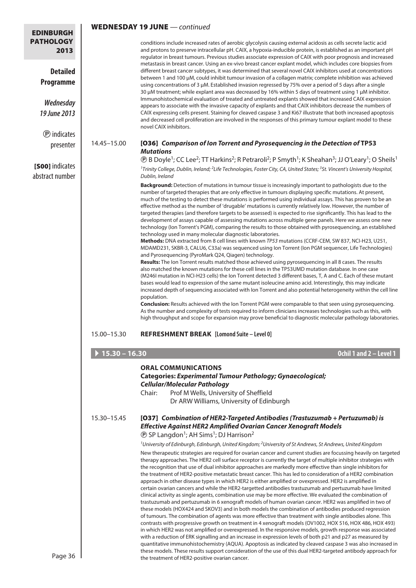| <b>EDINBURGH</b>                       |                 | <b>WEDNESDAY 19 JUNE</b> - continued                                                                                                                                                                                                                                                                                                                                                                                                                                                                                                                                                                                                                                                                                                                                                                                                                                                                                                                                                                                                                                                                                                                                                                                                                                                                                                                                                                                                                                                                                                                                                                                                                                                                                                                                                                                                                                                                                                                                                                                                                                                                           |
|----------------------------------------|-----------------|----------------------------------------------------------------------------------------------------------------------------------------------------------------------------------------------------------------------------------------------------------------------------------------------------------------------------------------------------------------------------------------------------------------------------------------------------------------------------------------------------------------------------------------------------------------------------------------------------------------------------------------------------------------------------------------------------------------------------------------------------------------------------------------------------------------------------------------------------------------------------------------------------------------------------------------------------------------------------------------------------------------------------------------------------------------------------------------------------------------------------------------------------------------------------------------------------------------------------------------------------------------------------------------------------------------------------------------------------------------------------------------------------------------------------------------------------------------------------------------------------------------------------------------------------------------------------------------------------------------------------------------------------------------------------------------------------------------------------------------------------------------------------------------------------------------------------------------------------------------------------------------------------------------------------------------------------------------------------------------------------------------------------------------------------------------------------------------------------------------|
| <b>PATHOLOGY</b><br>2013               |                 | conditions include increased rates of aerobic glycolysis causing external acidosis as cells secrete lactic acid<br>and protons to preserve intracellular pH. CAIX, a hypoxia-inducible protein, is established as an important pH<br>regulator in breast tumours. Previous studies associate expression of CAIX with poor prognosis and increased<br>metastasis in breast cancer. Using an ex-vivo breast cancer explant model, which includes core biopsies from                                                                                                                                                                                                                                                                                                                                                                                                                                                                                                                                                                                                                                                                                                                                                                                                                                                                                                                                                                                                                                                                                                                                                                                                                                                                                                                                                                                                                                                                                                                                                                                                                                              |
| <b>Detailed</b><br><b>Programme</b>    |                 | different breast cancer subtypes, it was determined that several novel CAIX inhibitors used at concentrations<br>between 1 and 100 µM, could inhibit tumour invasion of a collagen matrix; complete inhibition was achieved<br>using concentrations of 3 µM. Established invasion regressed by 75% over a period of 5 days after a single<br>30 µM treatment; while explant area was decreased by 16% within 5 days of treatment using 1 µM inhibitor.                                                                                                                                                                                                                                                                                                                                                                                                                                                                                                                                                                                                                                                                                                                                                                                                                                                                                                                                                                                                                                                                                                                                                                                                                                                                                                                                                                                                                                                                                                                                                                                                                                                         |
| <b>Wednesday</b><br>19 June 2013       |                 | Immunohistochemical evaluation of treated and untreated explants showed that increased CAIX expression<br>appears to associate with the invasive capacity of explants and that CAIX inhibitors decrease the numbers of<br>CAIX expressing cells present. Staining for cleaved caspase 3 and Ki67 illustrate that both increased apoptosis<br>and decreased cell proliferation are involved in the responses of this primary tumour explant model to these<br>novel CAIX inhibitors.                                                                                                                                                                                                                                                                                                                                                                                                                                                                                                                                                                                                                                                                                                                                                                                                                                                                                                                                                                                                                                                                                                                                                                                                                                                                                                                                                                                                                                                                                                                                                                                                                            |
| <b><i>O</i></b> indicates<br>presenter | 14.45-15.00     | [036] Comparison of Ion Torrent and Pyrosequencing in the Detection of TP53<br><b>Mutations</b>                                                                                                                                                                                                                                                                                                                                                                                                                                                                                                                                                                                                                                                                                                                                                                                                                                                                                                                                                                                                                                                                                                                                                                                                                                                                                                                                                                                                                                                                                                                                                                                                                                                                                                                                                                                                                                                                                                                                                                                                                |
|                                        |                 | <b><i>®</i> B Doyle<sup>1</sup>; CC Lee<sup>2</sup>; TT Harkins<sup>2</sup>; R Petraroli<sup>2</sup>; P Smyth<sup>1</sup>; K Sheahan<sup>3</sup>; JJ O'Leary<sup>1</sup>; O Sheils<sup>1</sup></b>                                                                                                                                                                                                                                                                                                                                                                                                                                                                                                                                                                                                                                                                                                                                                                                                                                                                                                                                                                                                                                                                                                                                                                                                                                                                                                                                                                                                                                                                                                                                                                                                                                                                                                                                                                                                                                                                                                             |
| [SOO] indicates<br>abstract number     |                 | <sup>1</sup> Trinity College, Dublin, Ireland; <sup>2</sup> Life Technologies, Foster City, CA, United States; <sup>3</sup> St. Vincent's University Hospital,<br>Dublin, Ireland                                                                                                                                                                                                                                                                                                                                                                                                                                                                                                                                                                                                                                                                                                                                                                                                                                                                                                                                                                                                                                                                                                                                                                                                                                                                                                                                                                                                                                                                                                                                                                                                                                                                                                                                                                                                                                                                                                                              |
|                                        |                 | Background: Detection of mutations in tumour tissue is increasingly important to pathologists due to the<br>number of targeted therapies that are only effective in tumours displaying specific mutations. At present,<br>much of the testing to detect these mutations is performed using individual assays. This has proven to be an<br>effective method as the number of 'drugable' mutations is currently relatively low. However, the number of<br>targeted therapies (and therefore targets to be assessed) is expected to rise significantly. This has lead to the<br>development of assays capable of assessing mutations across multiple gene panels. Here we assess one new<br>technology (Ion Torrent's PGM), comparing the results to those obtained with pyrosequencing, an established<br>technology used in many molecular diagnostic laboratories.<br>Methods: DNA extracted from 8 cell lines with known TP53 mutations (CCRF-CEM, SW 837, NCI-H23, U251,<br>MDAMD231, SKBR-3, CALU6, C33a) was sequenced using Ion Torrent (Ion PGM sequencer, Life Technologies)<br>and Pyrosequencing (PyroMark Q24, Qiagen) technology.<br>Results: The Ion Torrent results matched those achieved using pyrosequencing in all 8 cases. The results<br>also matched the known mutations for these cell lines in the TP53UMD mutation database. In one case<br>(M246I mutation in NCI-H23 cells) the Ion Torrent detected 3 different bases, T, A and C. Each of these mutant<br>bases would lead to expression of the same mutant isoleucine amino acid. Interestingly, this may indicate<br>increased depth of sequencing associated with Ion Torrent and also potential heterogeneity within the cell line<br>population.<br><b>Conclusion:</b> Results achieved with the lon Torrent PGM were comparable to that seen using pyrosequencing.<br>As the number and complexity of tests required to inform clinicians increases technologies such as this, with<br>high throughput and scope for expansion may prove beneficial to diagnostic molecular pathology laboratories.                           |
|                                        | 15.00-15.30     | <b>REFRESHMENT BREAK [Lomond Suite - Level 0]</b>                                                                                                                                                                                                                                                                                                                                                                                                                                                                                                                                                                                                                                                                                                                                                                                                                                                                                                                                                                                                                                                                                                                                                                                                                                                                                                                                                                                                                                                                                                                                                                                                                                                                                                                                                                                                                                                                                                                                                                                                                                                              |
|                                        | $15.30 - 16.30$ | Ochil 1 and 2 - Level 1                                                                                                                                                                                                                                                                                                                                                                                                                                                                                                                                                                                                                                                                                                                                                                                                                                                                                                                                                                                                                                                                                                                                                                                                                                                                                                                                                                                                                                                                                                                                                                                                                                                                                                                                                                                                                                                                                                                                                                                                                                                                                        |
|                                        |                 | <b>ORAL COMMUNICATIONS</b><br><b>Categories: Experimental Tumour Pathology; Gynaecological;</b><br><b>Cellular/Molecular Pathology</b><br>Prof M Wells, University of Sheffield<br>Chair:<br>Dr ARW Williams, University of Edinburgh                                                                                                                                                                                                                                                                                                                                                                                                                                                                                                                                                                                                                                                                                                                                                                                                                                                                                                                                                                                                                                                                                                                                                                                                                                                                                                                                                                                                                                                                                                                                                                                                                                                                                                                                                                                                                                                                          |
|                                        | 15.30-15.45     | [037] Combination of HER2-Targeted Antibodies (Trastuzumab + Pertuzumab) is<br><b>Effective Against HER2 Amplified Ovarian Cancer Xenograft Models</b><br><b><i><b>@</b></i> SP Langdon<sup>1</sup>; AH Sims<sup>1</sup>; DJ Harrison<sup>2</sup></b><br><sup>1</sup> University of Edinburgh, Edinburgh, United Kingdom; <sup>2</sup> University of St Andrews, St Andrews, United Kingdom<br>New therapeutic strategies are required for ovarian cancer and current studies are focussing heavily on targeted<br>therapy approaches. The HER2 cell surface receptor is currently the target of multiple inhibitor strategies with<br>the recognition that use of dual inhibitor approaches are markedly more effective than single inhibitors for<br>the treatment of HER2-positive metastatic breast cancer. This has led to consideration of a HER2 combination<br>approach in other disease types in which HER2 is either amplified or ovexpressed. HER2 is amplified in<br>certain ovarian cancers and while the HER2-targetted antibodies trastuzumab and pertuzumab have limited<br>clinical activity as single agents, combination use may be more effective. We evaluated the combination of<br>trastuzumab and pertuzumab in 6 xenograft models of human ovarian cancer. HER2 was amplified in two of<br>these models (HOX424 and SKOV3) and in both models the combination of antibodies produced regression<br>of tumours. The combination of agents was more effective than treatment with single antibodies alone. This<br>contrasts with progressive growth on treatment in 4 xenograft models (OV1002, HOX 516, HOX 486, HOX 493)<br>in which HER2 was not amplified or overexpressed. In the responsive models, growth response was associated<br>with a reduction of ERK signalling and an increase in expression levels of both p21 and p27 as measured by<br>quantitative immunohistochemistry (AQUA). Apoptosis as indicated by cleaved caspase 3 was also increased in<br>these models. These results support consideration of the use of this dual HER2-targeted antibody approach for |
| Page 36                                |                 | the treatment of HER2-positive ovarian cancer.                                                                                                                                                                                                                                                                                                                                                                                                                                                                                                                                                                                                                                                                                                                                                                                                                                                                                                                                                                                                                                                                                                                                                                                                                                                                                                                                                                                                                                                                                                                                                                                                                                                                                                                                                                                                                                                                                                                                                                                                                                                                 |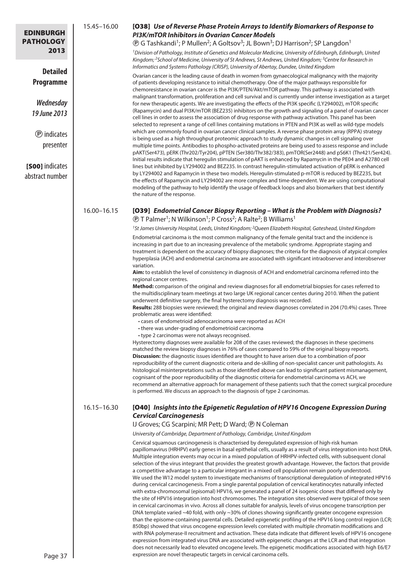| <b>EDINBURGH</b><br><b>PATHOLOGY</b><br>2013 | $15.45 - 1$ |
|----------------------------------------------|-------------|
| <b>Detailed</b><br><b>Programme</b>          |             |
|                                              |             |

*Wednesday 19 June 2013*

P indicates presenter

**[S00]** indicates abstract number

### 15.45–16.00 [O38] *Use of Reverse Phase Protein Arrays to Identify Biomarkers of Response to PI3K/mTOR Inhibitors in Ovarian Cancer Models*

(P) G Tashkandi<sup>1</sup>; P Mullen<sup>2</sup>; A Goltsov<sup>3</sup>; JL Bown<sup>3</sup>; DJ Harrison<sup>2</sup>; SP Langdon<sup>1</sup>

*1Division of Pathology, Institute of Genetics and Molecular Medicine, University of Edinburgh, Edinburgh, United Kingdom; 2School of Medicine, University of St Andrews, St Andrews, United Kingdom; 3Centre for Research in Informatics and Systems Pathology (CRISP), University of Abertay, Dundee, United Kingdom*

Ovarian cancer is the leading cause of death in women from gynaecological malignancy with the majority of patients developing resistance to initial chemotherapy. One of the major pathways responsible for chemoresistance in ovarian cancer is the PI3K/PTEN/Akt/mTOR pathway. This pathway is associated with malignant transformation, proliferation and cell survival and is currently under intense investigation as a target for new therapeutic agents. We are investigating the effects of the PI3K specific (LY294002), mTOR specific (Rapamycin) and dual PI3K/mTOR (BEZ235) inhibitors on the growth and signaling of a panel of ovarian cancer cell lines in order to assess the association of drug response with pathway activation. This panel has been selected to represent a range of cell lines containing mutations in PTEN and PI3K as well as wild-type models which are commonly found in ovarian cancer clinical samples. A reverse phase protein array (RPPA) strategy is being used as a high throughput proteomic approach to study dynamic changes in cell signaling over multiple time points. Antibodies to phospho-activated proteins are being used to assess response and include pAKT(Ser473), pERK (Thr202/Tyr204), pPTEN (Ser380/Thr382/383), pmTOR(Ser2448) and pS6K1 (Thr421/Ser424). Initial results indicate that heregulin stimulation of pAKT is enhanced by Rapamycin in the PE04 and A2780 cell lines but inhibited by LY294002 and BEZ235. In contrast heregulin-stimulated activation of pERK is enhanced by LY294002 and Rapamycin in these two models. Heregulin-stimulated p-mTOR is reduced by BEZ235, but the effects of Rapamycin and LY294002 are more complex and time-dependent. We are using computational modeling of the pathway to help identify the usage of feedback loops and also biomarkers that best identify the nature of the response.

#### 16.00–16.15 [O39] *Endometrial Cancer Biopsy Reporting – What is the Problem with Diagnosis?*  $\textcircled{P}$  T Palmer<sup>1</sup>; N Wilkinson<sup>1</sup>; P Cross<sup>2</sup>; A Ralte<sup>2</sup>; B Williams<sup>1</sup>

*1St James University Hospital, Leeds, United Kingdom; 2Queen Elizabeth Hospital, Gateshead, United Kingdom* Endometrial carcinoma is the most common malignancy of the female genital tract and the incidence is increasing in part due to an increasing prevalence of the metabolic syndrome. Appropriate staging and treatment is dependent on the accuracy of biopsy diagnoses; the criteria for the diagnosis of atypical complex hyperplasia (ACH) and endometrial carcinoma are associated with significant intraobserver and interobserver variation.

**Aim:** to establish the level of consistency in diagnosis of ACH and endometrial carcinoma referred into the regional cancer centres.

**Method:** comparison of the original and review diagnoses for all endometrial biopsies for cases referred to the multidisciplinary team meetings at two large UK regional cancer centes during 2010. When the patient underwent definitive surgery, the final hysterectomy diagnosis was recorded.

**Results:** 288 biopsies were reviewed; the original and review diagnoses correlated in 204 (70.4%) cases. Three problematic areas were identified:

- cases of endometrioid adenocarcinoma were reported as ACH
- there was under-grading of endometrioid carcinoma
- type 2 carcinomas were not always recognised.

Hysterectomy diagnoses were available for 208 of the cases reviewed; the diagnoses in these specimens matched the review biopsy diagnoses in 76% of cases compared to 59% of the original biopsy reports. **Discussion:** the diagnostic issues identified are thought to have arisen due to a combination of poor reproducibility of the current diagnostic criteria and de-skilling of non-specialist cancer unit pathologists. As histological misinterpretations such as those identified above can lead to significant patient mismanagement, cognisant of the poor reproducibility of the diagnostic criteria for endometrial carcinoma vs ACH, we recommend an alternative approach for management of these patients such that the correct surgical procedure is performed. We discuss an approach to the diagnosis of type 2 carcinomas.

16.15–16.30 [O40] *Insights into the Epigenetic Regulation of HPV16 Oncogene Expression During* 

#### *Cervical Carcinogenesis* IJ Groves; CG Scarpini; MR Pett; D Ward; P N Coleman

*University of Cambridge, Department of Pathology, Cambridge, United Kingdom*

Cervical squamous carcinogenesis is characterised by deregulated expression of high-risk human papillomavirus (HRHPV) early genes in basal epithelial cells, usually as a result of virus integration into host DNA. Multiple integration events may occur in a mixed population of HRHPV-infected cells, with subsequent clonal selection of the virus integrant that provides the greatest growth advantage. However, the factors that provide a competitive advantage to a particular integrant in a mixed cell population remain poorly understood. We used the W12 model system to investigate mechanisms of transcriptional deregulation of integrated HPV16 during cervical carcinogenesis. From a single parental population of cervical keratinocytes naturally infected with extra-chromosomal (episomal) HPV16, we generated a panel of 24 isogenic clones that differed only by the site of HPV16 integration into host chromosomes. The integration sites observed were typical of those seen in cervical carcinomas in vivo. Across all clones suitable for analysis, levels of virus oncogene transcription per DNA template varied ~40 fold, with only ~30% of clones showing significantly greater oncogene expression than the episome-containing parental cells. Detailed epigenetic profiling of the HPV16 long control region (LCR; 850bp) showed that virus oncogene expression levels correlated with multiple chromatin modifications and with RNA polymerase-II recruitment and activation. These data indicate that different levels of HPV16 oncogene expression from integrated virus DNA are associated with epigenetic changes at the LCR and that integration does not necessarily lead to elevated oncogene levels. The epigenetic modifications associated with high E6/E7 expression are novel therapeutic targets in cervical carcinoma cells.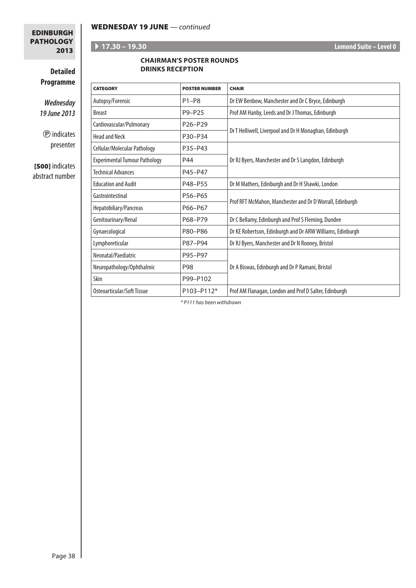### WEDNESDAY 19 June *— continued*

# **Detailed Programme**

*Wednesday 19 June 2013*

P indicates presenter

[S00] indicates abstract number

### **Chairman's Poster Rounds Drinks Reception**

| <b>CATEGORY</b>                      | <b>POSTER NUMBER</b> | <b>CHAIR</b>                                              |  |
|--------------------------------------|----------------------|-----------------------------------------------------------|--|
| Autopsy/Forensic                     | $P1-P8$              | Dr EW Benbow, Manchester and Dr C Bryce, Edinburgh        |  |
| <b>Breast</b>                        | P9-P25               | Prof AM Hanby, Leeds and Dr J Thomas, Edinburgh           |  |
| Cardiovascular/Pulmonary             | P26-P29              |                                                           |  |
| <b>Head and Neck</b>                 | P30-P34              | Dr T Helliwell, Liverpool and Dr H Monaghan, Edinburgh    |  |
| Cellular/Molecular Pathology         | P35-P43              |                                                           |  |
| <b>Experimental Tumour Pathology</b> | P44                  | Dr RJ Byers, Manchester and Dr S Langdon, Edinburgh       |  |
| <b>Technical Advances</b>            | P45-P47              |                                                           |  |
| <b>Education and Audit</b>           | P48-P55              | Dr M Mathers, Edinburgh and Dr H Shawki, London           |  |
| Gastrointestinal                     | P56-P65              |                                                           |  |
| Hepatobiliary/Pancreas               | P66-P67              | Prof RFT McMahon, Manchester and Dr D Worrall, Edinburgh  |  |
| Genitourinary/Renal                  | P68-P79              | Dr C Bellamy, Edinburgh and Prof S Fleming, Dundee        |  |
| Gynaecological                       | P80-P86              | Dr KE Robertson, Edinburgh and Dr ARW Williams, Edinburgh |  |
| Lymphoreticular                      | P87-P94              | Dr RJ Byers, Manchester and Dr N Rooney, Bristol          |  |
| Neonatal/Paediatric                  | P95-P97              |                                                           |  |
| Neuropathology/Ophthalmic            | P98                  | Dr A Biswas, Edinburgh and Dr P Ramani, Bristol           |  |
| Skin                                 | P99-P102             |                                                           |  |
| Osteoarticular/Soft Tissue           | P103-P112*           | Prof AM Flanagan, London and Prof D Salter, Edinburgh     |  |

 *\* P111 has been withdrawn*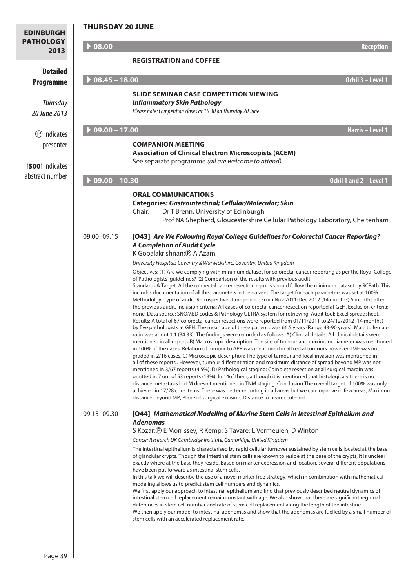### THURSDAY 20 June

| <b>EDINBURGH</b><br><b>PATHOLOGY</b> | <b>THURSDAY 20 JUNE</b>          |                                                                                                                                                                                                                                                                                                                                                                                                                                                                                                                                                                                                                                                                                                                                                                                                                                                                                                                                                                                                                                                                                                                                                                                                                                                                                                                                                                                                                                                                                                                                                                                                                                                                                                                                                                                                                                                                                                                                                                                                                                                                                                                                                                                                                                                                                                                                                                            |                  |
|--------------------------------------|----------------------------------|----------------------------------------------------------------------------------------------------------------------------------------------------------------------------------------------------------------------------------------------------------------------------------------------------------------------------------------------------------------------------------------------------------------------------------------------------------------------------------------------------------------------------------------------------------------------------------------------------------------------------------------------------------------------------------------------------------------------------------------------------------------------------------------------------------------------------------------------------------------------------------------------------------------------------------------------------------------------------------------------------------------------------------------------------------------------------------------------------------------------------------------------------------------------------------------------------------------------------------------------------------------------------------------------------------------------------------------------------------------------------------------------------------------------------------------------------------------------------------------------------------------------------------------------------------------------------------------------------------------------------------------------------------------------------------------------------------------------------------------------------------------------------------------------------------------------------------------------------------------------------------------------------------------------------------------------------------------------------------------------------------------------------------------------------------------------------------------------------------------------------------------------------------------------------------------------------------------------------------------------------------------------------------------------------------------------------------------------------------------------------|------------------|
| 2013                                 | $\triangleright$ 08.00           |                                                                                                                                                                                                                                                                                                                                                                                                                                                                                                                                                                                                                                                                                                                                                                                                                                                                                                                                                                                                                                                                                                                                                                                                                                                                                                                                                                                                                                                                                                                                                                                                                                                                                                                                                                                                                                                                                                                                                                                                                                                                                                                                                                                                                                                                                                                                                                            | <b>Reception</b> |
| <b>Detailed</b>                      |                                  | <b>REGISTRATION and COFFEE</b>                                                                                                                                                                                                                                                                                                                                                                                                                                                                                                                                                                                                                                                                                                                                                                                                                                                                                                                                                                                                                                                                                                                                                                                                                                                                                                                                                                                                                                                                                                                                                                                                                                                                                                                                                                                                                                                                                                                                                                                                                                                                                                                                                                                                                                                                                                                                             |                  |
| Programme                            | $\triangleright$ 08.45 - 18.00   | Ochil 3 - Level 1                                                                                                                                                                                                                                                                                                                                                                                                                                                                                                                                                                                                                                                                                                                                                                                                                                                                                                                                                                                                                                                                                                                                                                                                                                                                                                                                                                                                                                                                                                                                                                                                                                                                                                                                                                                                                                                                                                                                                                                                                                                                                                                                                                                                                                                                                                                                                          |                  |
| <b>Thursday</b><br>20 June 2013      |                                  | <b>SLIDE SEMINAR CASE COMPETITION VIEWING</b><br><b>Inflammatory Skin Pathology</b><br>Please note: Competition closes at 15.30 on Thursday 20 June                                                                                                                                                                                                                                                                                                                                                                                                                                                                                                                                                                                                                                                                                                                                                                                                                                                                                                                                                                                                                                                                                                                                                                                                                                                                                                                                                                                                                                                                                                                                                                                                                                                                                                                                                                                                                                                                                                                                                                                                                                                                                                                                                                                                                        |                  |
| <b><i>O</i></b> indicates            | $\triangleright$ 09.00 - 17.00   | <b>Harris - Level 1</b>                                                                                                                                                                                                                                                                                                                                                                                                                                                                                                                                                                                                                                                                                                                                                                                                                                                                                                                                                                                                                                                                                                                                                                                                                                                                                                                                                                                                                                                                                                                                                                                                                                                                                                                                                                                                                                                                                                                                                                                                                                                                                                                                                                                                                                                                                                                                                    |                  |
| presenter<br>[SOO] indicates         |                                  | <b>COMPANION MEETING</b><br><b>Association of Clinical Electron Microscopists (ACEM)</b><br>See separate programme (all are welcome to attend)                                                                                                                                                                                                                                                                                                                                                                                                                                                                                                                                                                                                                                                                                                                                                                                                                                                                                                                                                                                                                                                                                                                                                                                                                                                                                                                                                                                                                                                                                                                                                                                                                                                                                                                                                                                                                                                                                                                                                                                                                                                                                                                                                                                                                             |                  |
| abstract number                      |                                  |                                                                                                                                                                                                                                                                                                                                                                                                                                                                                                                                                                                                                                                                                                                                                                                                                                                                                                                                                                                                                                                                                                                                                                                                                                                                                                                                                                                                                                                                                                                                                                                                                                                                                                                                                                                                                                                                                                                                                                                                                                                                                                                                                                                                                                                                                                                                                                            |                  |
|                                      | $\bigtriangledown$ 09.00 - 10.30 | Ochil 1 and 2 - Level 1<br><b>ORAL COMMUNICATIONS</b><br>Categories: Gastrointestinal; Cellular/Molecular; Skin<br>Dr T Brenn, University of Edinburgh<br>Chair:<br>Prof NA Shepherd, Gloucestershire Cellular Pathology Laboratory, Cheltenham                                                                                                                                                                                                                                                                                                                                                                                                                                                                                                                                                                                                                                                                                                                                                                                                                                                                                                                                                                                                                                                                                                                                                                                                                                                                                                                                                                                                                                                                                                                                                                                                                                                                                                                                                                                                                                                                                                                                                                                                                                                                                                                            |                  |
|                                      | 09.00-09.15                      | [043] Are We Following Royal College Guidelines for Colorectal Cancer Reporting?<br><b>A Completion of Audit Cycle</b><br>K Gopalakrishnan; ® A Azam<br>University Hospitals Coventry & Warwickshire, Coventry, United Kingdom<br>Objectives: (1) Are we complying with minimum dataset for colorectal cancer reporting as per the Royal College<br>of Pathologists' guidelines? (2) Comparison of the results with previous audit.<br>Standards & Target: All the colorectal cancer resection reports should follow the minimum dataset by RCPath. This<br>includes documentation of all the parameters in the dataset. The target for each parameters was set at 100%.<br>Methodolgy: Type of audit: Retrospective, Time period: From Nov 2011-Dec 2012 (14 months) 6 months after<br>the previous audit, Inclusion criteria: All cases of colorectal cancer resection reported at GEH, Exclusion criteria:<br>none, Data source: SNOMED codes & Pathology ULTRA system for retrieving, Audit tool: Excel spreadsheet.<br>Results: A total of 67 colorectal cancer resections were reported from 01/11/2011 to 24/12/2012 (14 months)<br>by five pathologists at GEH. The mean age of these patients was 66.5 years (Range 43-90 years). Male to female<br>ratio was about 1:1 (34:33), The findings were recorded as follows: A) Clinical details: All clinical details were<br>mentioned in all reports.B) Macroscopic description: The site of tumour and maximum diameter was mentioned<br>in 100% of the cases. Relation of tumour to APR was mentioned in all rectal tumours however TME was not<br>graded in 2/16 cases. C) Microscopic description: The type of tumour and local invasion was mentioned in<br>all of these reports . However, tumour differentiation and maximum distance of spread beyond MP was not<br>mentioned in 3/67 reports (4.5%). D) Pathological staging: Complete resection at all surgical margin was<br>omitted in 7 out of 53 reports (13%), In 14of them, although it is mentioned that histologicaly there is no<br>distance metastasis but M doesn't mentioned in TNM staging. Conclusion: The overall target of 100% was only<br>achieved in 17/28 core items. There was better reporting in all areas but we can improve in few areas, Maximum<br>distance beyond MP, Plane of surgical excision, Distance to nearer cut-end. |                  |
|                                      | 09.15-09.30                      | [044] Mathematical Modelling of Murine Stem Cells in Intestinal Epithelium and<br><b>Adenomas</b><br>S Kozar; ® E Morrissey; R Kemp; S Tavaré; L Vermeulen; D Winton<br>Cancer Research UK Cambridge Institute, Cambridge, United Kingdom<br>The intestinal epithelium is characterised by rapid cellular turnover sustained by stem cells located at the base<br>of glandular crypts. Though the intestinal stem cells are known to reside at the base of the crypts, it is unclear<br>exactly where at the base they reside. Based on marker expression and location, several different populations<br>have been put forward as intestinal stem cells.<br>In this talk we will describe the use of a novel marker-free strategy, which in combination with mathematical<br>modeling allows us to predict stem cell numbers and dynamics.<br>We first apply our approach to intestinal epithelium and find that previously described neutral dynamics of<br>intestinal stem cell replacement remain constant with age. We also show that there are significant regional<br>differences in stem cell number and rate of stem cell replacement along the length of the intestine.<br>We then apply our model to intestinal adenomas and show that the adenomas are fuelled by a small number of<br>stem cells with an accelerated replacement rate.                                                                                                                                                                                                                                                                                                                                                                                                                                                                                                                                                                                                                                                                                                                                                                                                                                                                                                                                                                                                                         |                  |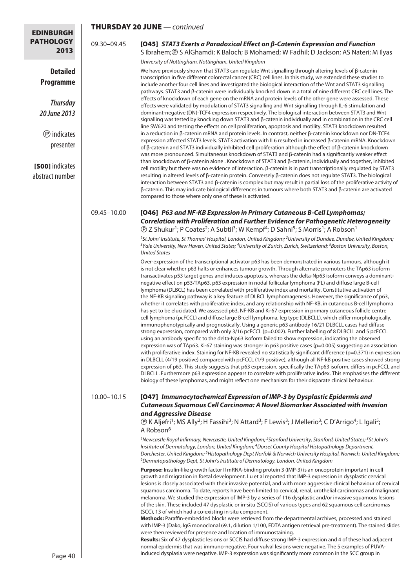#### THURSDAY 20 June *— continued*

**PATHOLOGY** 2013

> **Detailed Programme**

EDINBURGH

*Thursday 20 June 2013*

P indicates presenter

**[S00]** indicates abstract number

#### 09.30–09.45 [O45] *STAT3 Exerts a Paradoxical Effect on β-Catenin Expression and Function* S Ibrahem; ® S AlGhamdi; K Baloch; B Mohamed; W Fadhil; D Jackson; AS Nateri; M Ilyas

*University of Nottingham, Nottingham, United Kingdom*

We have previously shown that STAT3 can regulate Wnt signalling through altering levels of β-catenin transcription in five different colorectal cancer (CRC) cell lines. In this study, we extended these studies to include another four cell lines and investigated the biological interaction of the Wnt and STAT3 signalling pathways. STAT3 and β-catenin were individually knocked down in a total of nine different CRC cell lines. The effects of knockdown of each gene on the mRNA and protein levels of the other gene were assessed. These effects were validated by modulation of STAT3 signalling and Wnt signalling through IL-6 stimulation and dominant-negative (DN)-TCF4 expression respectively. The biological interaction between STAT3 and Wnt signalling was tested by knocking down STAT3 and β-catenin individually and in combination in the CRC cell line SW620 and testing the effects on cell proliferation, apoptosis and motility. STAT3 knockdown resulted in a reduction in β-catenin mRNA and protein levels. In contrast, neither β-catenin knockdown nor DN-TCF4 expression affected STAT3 levels. STAT3 activation with IL6 resulted in increased β-catenin mRNA. Knockdown of β-catenin and STAT3 individually inhibited cell proliferation although the effect of β-catenin knockdown was more pronounced. Simultaneous knockdown of STAT3 and β-catenin had a significantly weaker effect than knockdown of β-catenin alone . Knockdown of STAT3 and β-catenin, individually and together, inhibited cell motility but there was no evidence of interaction. β-catenin is in part transcriptionally regulated by STAT3 resulting in altered levels of β-catenin protein. Conversely β-catenin does not regulate STAT3. The biological interaction between STAT3 and β-catenin is complex but may result in partial loss of the proliferative activity of β-catenin. This may indicate biological differences in tumours where both STAT3 and β-catenin are activated compared to those where only one of these is activated.

### 09.45–10.00 [O46] *P63 and NF-KB Expression in Primary Cutaneous B-Cell Lymphomas; Correlation with Proliferation and Further Evidence for Pathogenetic Heterogeneity*  **P Z Shukur<sup>1</sup>; P Coates<sup>2</sup>; A Subtil<sup>3</sup>; W Kempf<sup>4</sup>; D Sahni<sup>5</sup>; S Morris<sup>1</sup>; A Robson<sup>1</sup>**

<sup>1</sup>St John' Institute, St Thomas' Hospital, London, United Kingdom; <sup>2</sup>University of Dundee, Dundee, United Kingdom;<br><sup>3</sup>Yale University, New Haven, United States; <sup>4</sup>University of Zurich, Zurich, Switzerland; <sup>5</sup>Boston Uni *United States*

Over-expression of the transcriptional activator p63 has been demonstrated in various tumours, although it is not clear whether p63 halts or enhances tumour growth. Through alternate promoters the TAp63 isoform transactivates p53 target genes and induces apoptosis, whereas the delta-Np63 isoform conveys a dominantnegative effect on p53/TAp63. p63 expression in nodal follicular lymphoma (FL) and diffuse large B-cell lymphoma (DLBCL) has been correlated with proliferative index and mortality. Constitutive activation of the NF-KB signaling pathway is a key feature of DLBCL lymphomagenesis. However, the significance of p63, whether it correlates with proliferative index, and any relationship with NF-KB, in cutaneous B-cell lymphoma has yet to be elucidated. We assessed p63, NF-KB and Ki-67 expression in primary cutaneous follicle centre cell lymphoma (pcFCCL) and diffuse large B-cell lymphoma, leg type (DLBCLL), which differ morphologically, immunophenotypically and prognostically. Using a generic p63 antibody 16/21 DLBCLL cases had diffuse strong expression, compared with only 3/16 pcFCCL (p=0.002). Further labelling of 8 DLBCLL and 5 pcFCCL using an antibody specific to the delta-Np63 isoform failed to show expression, indicating the observed expression was of TAp63. Ki-67 staining was stronger in p63 positive cases (p=0.005) suggesting an association with proliferative index. Staining for NF-KB revealed no statistically significant difference (p=0.371) in expression in DLBCLL (4/19 positive) compared with pcFCCL (1/9 positive), although all NF-kB positive cases showed strong expression of p63. This study suggests that p63 expression, specifically the TAp63 isoform, differs in pcFCCL and DLBCLL. Furthermore p63 expression appears to correlate with proliferative index. This emphasises the different biology of these lymphomas, and might reflect one mechanism for their disparate clinical behaviour.

### 10.00–10.15 [O47] *Immunocytochemical Expression of IMP-3 by Dysplastic Epidermis and Cutaneous Squamous Cell Carcinoma: A Novel Biomarker Associated with Invasion and Aggressive Disease*

**P K Aljefri<sup>1</sup>; MS Ally<sup>2</sup>; H Fassihi<sup>3</sup>; N Attard<sup>3</sup>; F Lewis<sup>3</sup>; J Mellerio<sup>3</sup>; C D'Arrigo<sup>4</sup>; L Igali<sup>5</sup>;** A Robson6

*1Newcastle Royal Infirmary, Newcastle, United Kingdom; 2Stanford University, Stanford, United States; 3St John's Institute of Dermatology, London, United Kingdom; 4Dorset County Hospital Histopathology Department,*  Dorchester, United Kingdom; <sup>5</sup>Histopathology Dept Norfolk & Norwich University Hospital, Norwich, United Kingdom;<br><sup>6</sup>Dermatopathology Dept, St John's Institute of Dermatology, London, United Kingdom

**Purpose:** Insulin-like growth factor II mRNA-binding protein 3 (IMP-3) is an oncoprotein important in cell growth and migration in foetal development. Lu et al reported that IMP-3 expression in dysplastic cervical lesions is closely associated with their invasive potential, and with more aggressive clinical behaviour of cervical squamous carcinoma. To date, reports have been limited to cervical, renal, urothelial carcinomas and malignant melanoma. We studied the expression of IMP-3 by a series of 116 dysplastic and/or invasive squamous lesions of the skin. These included 47 dysplastic or in-situ (SCCIS) of various types and 62 squamous cell carcinomas (SCC), 13 of which had a co-existing in-situ component.

**Methods:** Paraffin-embedded blocks were retrieved from the departmental archives, processed and stained with IMP-3 (Dako, IgG monoclonal 69.1, dilution 1/100, EDTA antigen retrieval pre-treatment). The stained slides were then reviewed for presence and location of immunostaining.

**Results:** Six of 47 dysplastic lesions or SCCIS had diffuse strong IMP-3 expression and 4 of these had adjacent normal epidermis that was immuno-negative. Four vulval lesions were negative. The 5 examples of PUVAinduced dysplasia were negative. IMP-3 expression was significantly more common in the SCC group in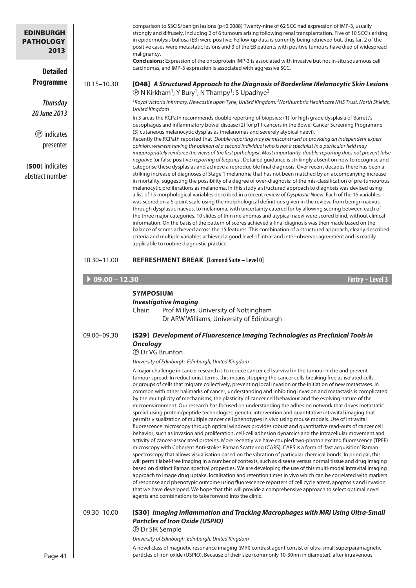| <b>EDINBURGH</b><br><b>PATHOLOGY</b><br>2013<br><b>Detailed</b>                                                                                                                    |                                | comparison to SSCIS/benign lesions (p<0.0088) Twenty-nine of 62 SCC had expression of IMP-3, usually<br>strongly and diffusely, including 2 of 6 tumours arising following renal transplantation. Five of 10 SCC's arising<br>in epidermolysis bullosa (EB) were positive; Follow-up data is currently being retrieved but, thus far, 2 of the<br>positive cases were metastatic lesions and 3 of the EB patients with positive tumours have died of widespread<br>malignancy.<br><b>Conclusions:</b> Expression of the oncoprotein IMP-3 is associated with invasive but not in-situ squamous cell<br>carcinomas, and IMP-3 expression is associated with aggressive SCC.                                                                                                                                                                                                                                                                                                                                                                                                                                                                                                                                                                                                                                                                                                                                                                                                                                                                                                                                                                                                                                                                                                                                                                                                                                                                                                                                                                                                                                                                                                     |  |  |
|------------------------------------------------------------------------------------------------------------------------------------------------------------------------------------|--------------------------------|--------------------------------------------------------------------------------------------------------------------------------------------------------------------------------------------------------------------------------------------------------------------------------------------------------------------------------------------------------------------------------------------------------------------------------------------------------------------------------------------------------------------------------------------------------------------------------------------------------------------------------------------------------------------------------------------------------------------------------------------------------------------------------------------------------------------------------------------------------------------------------------------------------------------------------------------------------------------------------------------------------------------------------------------------------------------------------------------------------------------------------------------------------------------------------------------------------------------------------------------------------------------------------------------------------------------------------------------------------------------------------------------------------------------------------------------------------------------------------------------------------------------------------------------------------------------------------------------------------------------------------------------------------------------------------------------------------------------------------------------------------------------------------------------------------------------------------------------------------------------------------------------------------------------------------------------------------------------------------------------------------------------------------------------------------------------------------------------------------------------------------------------------------------------------------|--|--|
| <b>Programme</b>                                                                                                                                                                   | 10.15-10.30                    | [048] A Structured Approach to the Diagnosis of Borderline Melanocytic Skin Lesions<br><b><i>(D)</i></b> N Kirkham <sup>1</sup> ; Y Bury <sup>1</sup> ; N Thampy <sup>1</sup> ; S Upadhye <sup>2</sup>                                                                                                                                                                                                                                                                                                                                                                                                                                                                                                                                                                                                                                                                                                                                                                                                                                                                                                                                                                                                                                                                                                                                                                                                                                                                                                                                                                                                                                                                                                                                                                                                                                                                                                                                                                                                                                                                                                                                                                         |  |  |
| <b>Thursday</b>                                                                                                                                                                    |                                | <sup>1</sup> Royal Victoria Infirmary, Newcastle upon Tyne, United Kingdom; <sup>2</sup> Northumbria Healthcare NHS Trust, North Shields,<br><b>United Kingdom</b>                                                                                                                                                                                                                                                                                                                                                                                                                                                                                                                                                                                                                                                                                                                                                                                                                                                                                                                                                                                                                                                                                                                                                                                                                                                                                                                                                                                                                                                                                                                                                                                                                                                                                                                                                                                                                                                                                                                                                                                                             |  |  |
| 20 June 2013                                                                                                                                                                       |                                | In 3 areas the RCPath recommends double reporting of biopsies: (1) for high grade dysplasia of Barrett's                                                                                                                                                                                                                                                                                                                                                                                                                                                                                                                                                                                                                                                                                                                                                                                                                                                                                                                                                                                                                                                                                                                                                                                                                                                                                                                                                                                                                                                                                                                                                                                                                                                                                                                                                                                                                                                                                                                                                                                                                                                                       |  |  |
| <b><i>O</i></b> indicates                                                                                                                                                          |                                | oesophagus and inflammatory bowel disease (2) for pT1 cancers in the Bowel Cancer Screening Programme<br>(3) cutaneous melanocytic dysplasias (melanomas and severely atypical naevi).                                                                                                                                                                                                                                                                                                                                                                                                                                                                                                                                                                                                                                                                                                                                                                                                                                                                                                                                                                                                                                                                                                                                                                                                                                                                                                                                                                                                                                                                                                                                                                                                                                                                                                                                                                                                                                                                                                                                                                                         |  |  |
| presenter                                                                                                                                                                          |                                | Recently the RCPath reported that 'Double-reporting may be misconstrued as providing an independent expert<br>opinion, whereas having the opinion of a second individual who is not a specialist in a particular field may                                                                                                                                                                                                                                                                                                                                                                                                                                                                                                                                                                                                                                                                                                                                                                                                                                                                                                                                                                                                                                                                                                                                                                                                                                                                                                                                                                                                                                                                                                                                                                                                                                                                                                                                                                                                                                                                                                                                                     |  |  |
|                                                                                                                                                                                    |                                | inappropriately reinforce the views of the first pathologist. Most importantly, double-reporting does not prevent false                                                                                                                                                                                                                                                                                                                                                                                                                                                                                                                                                                                                                                                                                                                                                                                                                                                                                                                                                                                                                                                                                                                                                                                                                                                                                                                                                                                                                                                                                                                                                                                                                                                                                                                                                                                                                                                                                                                                                                                                                                                        |  |  |
| [SOO] indicates                                                                                                                                                                    |                                | negative (or false positive) reporting of biopsies'. Detailed guidance is strikingly absent on how to recognise and<br>categorise these dysplasias and achieve a reproducible final diagnosis. Over recent decades there has been a                                                                                                                                                                                                                                                                                                                                                                                                                                                                                                                                                                                                                                                                                                                                                                                                                                                                                                                                                                                                                                                                                                                                                                                                                                                                                                                                                                                                                                                                                                                                                                                                                                                                                                                                                                                                                                                                                                                                            |  |  |
| abstract number                                                                                                                                                                    |                                | striking increase of diagnoses of Stage 1 melanoma that has not been matched by an accompanying increase<br>in mortality, suggesting the possibility of a degree of over-diagnosis: of the mis-classification of pre-tumourous<br>melanocytic proliferations as melanoma. In this study a structured approach to diagnosis was devised using<br>a list of 15 morphological variables described in a recent review of Dysplastic Naevi. Each of the 15 variables<br>was scored on a 5-point scale using the morphological definitions given in the review, from benign naevus,<br>through dysplastic naevus, to melanoma, with uncertainty catered for by allowing scoring between each of<br>the three major categories. 10 slides of thin melanomas and atypical naevi were scored blind, without clinical<br>information. On the basis of the pattern of scores achieved a final diagnosis was then made based on the<br>balance of scores achieved across the 15 features. This combination of a structured approach, clearly described<br>criteria and multiple variables achieved a good level of intra- and inter-observer agreement and is readily<br>applicable to routine diagnostic practice.                                                                                                                                                                                                                                                                                                                                                                                                                                                                                                                                                                                                                                                                                                                                                                                                                                                                                                                                                                        |  |  |
|                                                                                                                                                                                    | 10.30-11.00                    | <b>REFRESHMENT BREAK [Lomond Suite - Level 0]</b>                                                                                                                                                                                                                                                                                                                                                                                                                                                                                                                                                                                                                                                                                                                                                                                                                                                                                                                                                                                                                                                                                                                                                                                                                                                                                                                                                                                                                                                                                                                                                                                                                                                                                                                                                                                                                                                                                                                                                                                                                                                                                                                              |  |  |
|                                                                                                                                                                                    | $\triangleright$ 09.00 - 12.30 | <b>Fintry - Level 3</b>                                                                                                                                                                                                                                                                                                                                                                                                                                                                                                                                                                                                                                                                                                                                                                                                                                                                                                                                                                                                                                                                                                                                                                                                                                                                                                                                                                                                                                                                                                                                                                                                                                                                                                                                                                                                                                                                                                                                                                                                                                                                                                                                                        |  |  |
| <b>SYMPOSIUM</b><br><b>Investigative Imaging</b><br>Chair:<br>Prof M Ilyas, University of Nottingham<br>Dr ARW Williams, University of Edinburgh<br>09.00-09.30<br><b>Oncology</b> |                                | [S29] Development of Fluorescence Imaging Technologies as Preclinical Tools in                                                                                                                                                                                                                                                                                                                                                                                                                                                                                                                                                                                                                                                                                                                                                                                                                                                                                                                                                                                                                                                                                                                                                                                                                                                                                                                                                                                                                                                                                                                                                                                                                                                                                                                                                                                                                                                                                                                                                                                                                                                                                                 |  |  |
|                                                                                                                                                                                    |                                | <b><i>®</i></b> Dr VG Brunton                                                                                                                                                                                                                                                                                                                                                                                                                                                                                                                                                                                                                                                                                                                                                                                                                                                                                                                                                                                                                                                                                                                                                                                                                                                                                                                                                                                                                                                                                                                                                                                                                                                                                                                                                                                                                                                                                                                                                                                                                                                                                                                                                  |  |  |
|                                                                                                                                                                                    |                                | University of Edinburgh, Edinburgh, United Kingdom<br>A major challenge in cancer research is to reduce cancer cell survival in the tumour niche and prevent<br>tumour spread. In reductionist terms, this means stopping the cancer cells breaking free as isolated cells,<br>or groups of cells that migrate collectively, preventing local invasion or the initiation of new metastases. In<br>common with other hallmarks of cancer, understanding and inhibiting invasion and metastasis is complicated<br>by the multiplicity of mechanisms, the plasticity of cancer cell behaviour and the evolving nature of the<br>microenvironment. Our research has focused on understanding the adhesion network that drives metastatic<br>spread using protein/peptide technologies, genetic intervention and quantitative intravital imaging that<br>permits visualization of multiple cancer cell phenotypes in vivo using mouse models. Use of intravital<br>fluorescence microscopy through optical windows provides robust and quantitative read-outs of cancer cell<br>behavior, such as invasion and proliferation, cell-cell adhesion dynamics and the intracellular movement and<br>activity of cancer-associated proteins. More recently we have coupled two-photon excited fluorescence (TPEF)<br>microscopy with Coherent Anti-stokes Raman Scattering (CARS). CARS is a form of 'fast acquisition' Raman<br>spectroscopy that allows visualisation based on the vibration of particular chemical bonds. In principal, this<br>will permit label-free imaging in a number of contexts, such as disease versus normal tissue and drug imaging<br>based on distinct Raman spectral properties. We are developing the use of this multi-modal intravital imaging<br>approach to image drug uptake, localisation and retention times in vivo which can be correlated with markers<br>of response and phenotypic outcome using fluorescence reporters of cell cycle arrest, apoptosis and invasion<br>that we have developed. We hope that this will provide a comprehensive approach to select optimal novel<br>agents and combinations to take forward into the clinic. |  |  |
|                                                                                                                                                                                    | 09.30-10.00                    | [S30] Imaging Inflammation and Tracking Macrophages with MRI Using Ultra-Small<br><b>Particles of Iron Oxide (USPIO)</b><br><b>D</b> Dr SIK Semple                                                                                                                                                                                                                                                                                                                                                                                                                                                                                                                                                                                                                                                                                                                                                                                                                                                                                                                                                                                                                                                                                                                                                                                                                                                                                                                                                                                                                                                                                                                                                                                                                                                                                                                                                                                                                                                                                                                                                                                                                             |  |  |
|                                                                                                                                                                                    |                                | University of Edinburgh, Edinburgh, United Kingdom<br>A novel class of magnetic resonance imaging (MRI) contrast agent consist of ultra-small superparamagnetic                                                                                                                                                                                                                                                                                                                                                                                                                                                                                                                                                                                                                                                                                                                                                                                                                                                                                                                                                                                                                                                                                                                                                                                                                                                                                                                                                                                                                                                                                                                                                                                                                                                                                                                                                                                                                                                                                                                                                                                                                |  |  |
|                                                                                                                                                                                    |                                |                                                                                                                                                                                                                                                                                                                                                                                                                                                                                                                                                                                                                                                                                                                                                                                                                                                                                                                                                                                                                                                                                                                                                                                                                                                                                                                                                                                                                                                                                                                                                                                                                                                                                                                                                                                                                                                                                                                                                                                                                                                                                                                                                                                |  |  |

particles of iron oxide (USPIO). Because of their size (commonly 10-30nm in diameter), after intravenous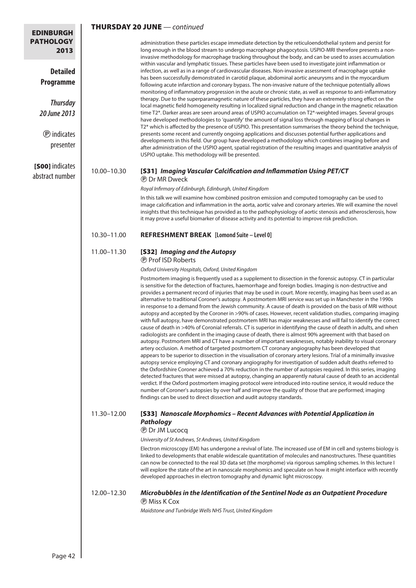| <b>EDINBURGH</b>                          |             | <b>THURSDAY 20 JUNE</b> - continued                                                                                                                                                                                                                                                                                                                                                                                                                                                                                                                                                                                                                                                                                                                                                                                                                                                                                                                                                                                                                                                                                                                                                                                                                                                                                                                                                                                                                                                                                                                                                                                                                                                                                                                                                                                                                                                                                                                                                                                                               |
|-------------------------------------------|-------------|---------------------------------------------------------------------------------------------------------------------------------------------------------------------------------------------------------------------------------------------------------------------------------------------------------------------------------------------------------------------------------------------------------------------------------------------------------------------------------------------------------------------------------------------------------------------------------------------------------------------------------------------------------------------------------------------------------------------------------------------------------------------------------------------------------------------------------------------------------------------------------------------------------------------------------------------------------------------------------------------------------------------------------------------------------------------------------------------------------------------------------------------------------------------------------------------------------------------------------------------------------------------------------------------------------------------------------------------------------------------------------------------------------------------------------------------------------------------------------------------------------------------------------------------------------------------------------------------------------------------------------------------------------------------------------------------------------------------------------------------------------------------------------------------------------------------------------------------------------------------------------------------------------------------------------------------------------------------------------------------------------------------------------------------------|
| <b>PATHOLOGY</b><br>2013                  |             | administration these particles escape immediate detection by the reticuloendothelial system and persist for<br>long enough in the blood stream to undergo macrophage phagocytosis. USPIO-MRI therefore presents a non-<br>invasive methodology for macrophage tracking throughout the body, and can be used to asses accumulation<br>within vascular and lymphatic tissues. These particles have been used to investigate joint inflammation or                                                                                                                                                                                                                                                                                                                                                                                                                                                                                                                                                                                                                                                                                                                                                                                                                                                                                                                                                                                                                                                                                                                                                                                                                                                                                                                                                                                                                                                                                                                                                                                                   |
| <b>Detailed</b><br><b>Programme</b>       |             | infection, as well as in a range of cardiovascular diseases. Non-invasive assessment of macrophage uptake<br>has been successfully demonstrated in carotid plaque, abdominal aortic aneurysms and in the myocardium<br>following acute infarction and coronary bypass. The non-invasive nature of the technique potentially allows<br>monitoring of inflammatory progression in the acute or chronic state, as well as response to anti-inflammatory                                                                                                                                                                                                                                                                                                                                                                                                                                                                                                                                                                                                                                                                                                                                                                                                                                                                                                                                                                                                                                                                                                                                                                                                                                                                                                                                                                                                                                                                                                                                                                                              |
| <b>Thursday</b>                           |             | therapy. Due to the superparamagnetic nature of these particles, they have an extremely strong effect on the<br>local magnetic field homogeneity resulting in localized signal reduction and change in the magnetic relaxation                                                                                                                                                                                                                                                                                                                                                                                                                                                                                                                                                                                                                                                                                                                                                                                                                                                                                                                                                                                                                                                                                                                                                                                                                                                                                                                                                                                                                                                                                                                                                                                                                                                                                                                                                                                                                    |
| 20 June 2013<br><b><i>O</i></b> indicates |             | time T2*. Darker areas are seen around areas of USPIO accumulation on T2*-weighted images. Several groups<br>have developed methodologies to 'quantify' the amount of signal loss through mapping of local changes in<br>T <sub>2</sub> * which is affected by the presence of USPIO. This presentation summarises the theory behind the technique,<br>presents some recent and currently ongoing applications and discusses potential further applications and                                                                                                                                                                                                                                                                                                                                                                                                                                                                                                                                                                                                                                                                                                                                                                                                                                                                                                                                                                                                                                                                                                                                                                                                                                                                                                                                                                                                                                                                                                                                                                                   |
| presenter                                 |             | developments in this field. Our group have developed a methodology which combines imaging before and<br>after administration of the USPIO agent, spatial registration of the resulting images and quantitative analysis of<br>USPIO uptake. This methodology will be presented.                                                                                                                                                                                                                                                                                                                                                                                                                                                                                                                                                                                                                                                                                                                                                                                                                                                                                                                                                                                                                                                                                                                                                                                                                                                                                                                                                                                                                                                                                                                                                                                                                                                                                                                                                                   |
| [SOO] indicates<br>abstract number        | 10.00-10.30 | [S31] Imaging Vascular Calcification and Inflammation Using PET/CT<br><b>D</b> Dr MR Dweck                                                                                                                                                                                                                                                                                                                                                                                                                                                                                                                                                                                                                                                                                                                                                                                                                                                                                                                                                                                                                                                                                                                                                                                                                                                                                                                                                                                                                                                                                                                                                                                                                                                                                                                                                                                                                                                                                                                                                        |
|                                           |             | Royal Infirmary of Edinburgh, Edinburgh, United Kingdom                                                                                                                                                                                                                                                                                                                                                                                                                                                                                                                                                                                                                                                                                                                                                                                                                                                                                                                                                                                                                                                                                                                                                                                                                                                                                                                                                                                                                                                                                                                                                                                                                                                                                                                                                                                                                                                                                                                                                                                           |
|                                           |             | In this talk we will examine how combined positron emission and computed tomography can be used to<br>image calcification and inflammation in the aorta, aortic valve and coronary arteries. We will examine the novel<br>insights that this technique has provided as to the pathophysiology of aortic stenosis and atherosclerosis, how<br>it may prove a useful biomarker of disease activity and its potential to improve risk prediction.                                                                                                                                                                                                                                                                                                                                                                                                                                                                                                                                                                                                                                                                                                                                                                                                                                                                                                                                                                                                                                                                                                                                                                                                                                                                                                                                                                                                                                                                                                                                                                                                    |
|                                           | 10.30-11.00 | <b>REFRESHMENT BREAK [Lomond Suite - Level 0]</b>                                                                                                                                                                                                                                                                                                                                                                                                                                                                                                                                                                                                                                                                                                                                                                                                                                                                                                                                                                                                                                                                                                                                                                                                                                                                                                                                                                                                                                                                                                                                                                                                                                                                                                                                                                                                                                                                                                                                                                                                 |
|                                           | 11.00-11.30 | [S32] Imaging and the Autopsy<br><b><i>@</i></b> Prof ISD Roberts                                                                                                                                                                                                                                                                                                                                                                                                                                                                                                                                                                                                                                                                                                                                                                                                                                                                                                                                                                                                                                                                                                                                                                                                                                                                                                                                                                                                                                                                                                                                                                                                                                                                                                                                                                                                                                                                                                                                                                                 |
|                                           |             | Oxford University Hospitals, Oxford, United Kingdom                                                                                                                                                                                                                                                                                                                                                                                                                                                                                                                                                                                                                                                                                                                                                                                                                                                                                                                                                                                                                                                                                                                                                                                                                                                                                                                                                                                                                                                                                                                                                                                                                                                                                                                                                                                                                                                                                                                                                                                               |
|                                           |             | Postmortem imaging is frequently used as a supplement to dissection in the forensic autopsy. CT in particular<br>is sensitive for the detection of fractures, haemorrhage and foreign bodies. Imaging is non-destructive and<br>provides a permanent record of injuries that may be used in court. More recently, imaging has been used as an<br>alternative to traditional Coroner's autopsy. A postmortem MRI service was set up in Manchester in the 1990s<br>in response to a demand from the Jewish community. A cause of death is provided on the basis of MRI without<br>autopsy and accepted by the Coroner in >90% of cases. However, recent validation studies, comparing imaging<br>with full autopsy, have demonstrated postmortem MRI has major weaknesses and will fail to identify the correct<br>cause of death in >40% of Coronial referrals. CT is superior in identifying the cause of death in adults, and when<br>radiologists are confident in the imaging cause of death, there is almost 90% agreement with that based on<br>autopsy. Postmortem MRI and CT have a number of important weaknesses, notably inability to visual coronary<br>artery occlusion. A method of targeted postmortem CT coronary angiography has been developed that<br>appears to be superior to dissection in the visualisation of coronary artery lesions. Trial of a minimally invasive<br>autopsy service employing CT and coronary angiography for investigation of sudden adult deaths referred to<br>the Oxfordshire Coroner achieved a 70% reduction in the number of autopsies required. In this series, imaging<br>detected fractures that were missed at autopsy, changing an apparently natural cause of death to an accidental<br>verdict. If the Oxford postmortem imaging protocol were introduced into routine service, it would reduce the<br>number of Coroner's autopsies by over half and improve the quality of those that are performed; imaging<br>findings can be used to direct dissection and audit autopsy standards. |
|                                           | 11.30–12.00 | [S33] Nanoscale Morphomics – Recent Advances with Potential Application in<br>Pathology<br><b>D</b> Dr JM Lucocq                                                                                                                                                                                                                                                                                                                                                                                                                                                                                                                                                                                                                                                                                                                                                                                                                                                                                                                                                                                                                                                                                                                                                                                                                                                                                                                                                                                                                                                                                                                                                                                                                                                                                                                                                                                                                                                                                                                                  |
|                                           |             | University of St Andrews, St Andrews, United Kingdom                                                                                                                                                                                                                                                                                                                                                                                                                                                                                                                                                                                                                                                                                                                                                                                                                                                                                                                                                                                                                                                                                                                                                                                                                                                                                                                                                                                                                                                                                                                                                                                                                                                                                                                                                                                                                                                                                                                                                                                              |
|                                           |             | Electron microscopy (EM) has undergone a revival of late. The increased use of EM in cell and systems biology is<br>linked to developments that enable widescale quantitation of molecules and nanostructures. These quantities<br>can now be connected to the real 3D data set (the morphome) via rigorous sampling schemes. In this lecture I<br>will explore the state of the art in nanoscale morphomics and speculate on how it might interface with recently<br>developed approaches in electron tomography and dynamic light microscopy.                                                                                                                                                                                                                                                                                                                                                                                                                                                                                                                                                                                                                                                                                                                                                                                                                                                                                                                                                                                                                                                                                                                                                                                                                                                                                                                                                                                                                                                                                                   |
|                                           | 12.00-12.30 | Microbubbles in the Identification of the Sentinel Node as an Outpatient Procedure<br><b><i>@</i></b> Miss K Cox                                                                                                                                                                                                                                                                                                                                                                                                                                                                                                                                                                                                                                                                                                                                                                                                                                                                                                                                                                                                                                                                                                                                                                                                                                                                                                                                                                                                                                                                                                                                                                                                                                                                                                                                                                                                                                                                                                                                  |
|                                           |             | Maidstone and Tunbridge Wells NHS Trust, United Kingdom                                                                                                                                                                                                                                                                                                                                                                                                                                                                                                                                                                                                                                                                                                                                                                                                                                                                                                                                                                                                                                                                                                                                                                                                                                                                                                                                                                                                                                                                                                                                                                                                                                                                                                                                                                                                                                                                                                                                                                                           |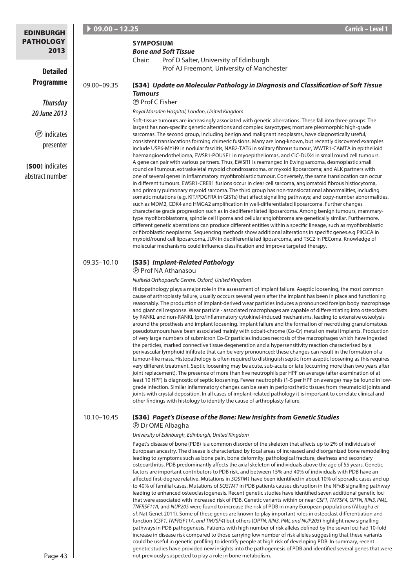| <b>EDINBURGH</b>                       | $\triangleright$ 09.00 - 12.25<br>Carrick - Level 1 |                                                                                                                                                                                                                                                                                                                                                                                                                                                                                                                                                                                                                                                                                                                                                                                                                                                                                                                                                                                                                                                                                                                                                                                                                                                                                                                                                                                                                                                                                                                                                                                                                                                                                                                                                                                                                                                                                                                                                |  |
|----------------------------------------|-----------------------------------------------------|------------------------------------------------------------------------------------------------------------------------------------------------------------------------------------------------------------------------------------------------------------------------------------------------------------------------------------------------------------------------------------------------------------------------------------------------------------------------------------------------------------------------------------------------------------------------------------------------------------------------------------------------------------------------------------------------------------------------------------------------------------------------------------------------------------------------------------------------------------------------------------------------------------------------------------------------------------------------------------------------------------------------------------------------------------------------------------------------------------------------------------------------------------------------------------------------------------------------------------------------------------------------------------------------------------------------------------------------------------------------------------------------------------------------------------------------------------------------------------------------------------------------------------------------------------------------------------------------------------------------------------------------------------------------------------------------------------------------------------------------------------------------------------------------------------------------------------------------------------------------------------------------------------------------------------------------|--|
| <b>PATHOLOGY</b>                       |                                                     | <b>SYMPOSIUM</b>                                                                                                                                                                                                                                                                                                                                                                                                                                                                                                                                                                                                                                                                                                                                                                                                                                                                                                                                                                                                                                                                                                                                                                                                                                                                                                                                                                                                                                                                                                                                                                                                                                                                                                                                                                                                                                                                                                                               |  |
| 2013                                   |                                                     | <b>Bone and Soft Tissue</b>                                                                                                                                                                                                                                                                                                                                                                                                                                                                                                                                                                                                                                                                                                                                                                                                                                                                                                                                                                                                                                                                                                                                                                                                                                                                                                                                                                                                                                                                                                                                                                                                                                                                                                                                                                                                                                                                                                                    |  |
|                                        |                                                     | Chair:<br>Prof D Salter, University of Edinburgh                                                                                                                                                                                                                                                                                                                                                                                                                                                                                                                                                                                                                                                                                                                                                                                                                                                                                                                                                                                                                                                                                                                                                                                                                                                                                                                                                                                                                                                                                                                                                                                                                                                                                                                                                                                                                                                                                               |  |
| <b>Detailed</b>                        |                                                     | Prof AJ Freemont, University of Manchester                                                                                                                                                                                                                                                                                                                                                                                                                                                                                                                                                                                                                                                                                                                                                                                                                                                                                                                                                                                                                                                                                                                                                                                                                                                                                                                                                                                                                                                                                                                                                                                                                                                                                                                                                                                                                                                                                                     |  |
| <b>Programme</b>                       | 09.00-09.35                                         | [S34] Update on Molecular Pathology in Diagnosis and Classification of Soft Tissue                                                                                                                                                                                                                                                                                                                                                                                                                                                                                                                                                                                                                                                                                                                                                                                                                                                                                                                                                                                                                                                                                                                                                                                                                                                                                                                                                                                                                                                                                                                                                                                                                                                                                                                                                                                                                                                             |  |
|                                        |                                                     | Tumours                                                                                                                                                                                                                                                                                                                                                                                                                                                                                                                                                                                                                                                                                                                                                                                                                                                                                                                                                                                                                                                                                                                                                                                                                                                                                                                                                                                                                                                                                                                                                                                                                                                                                                                                                                                                                                                                                                                                        |  |
| <b>Thursday</b>                        |                                                     | <b><i><b>P</b></i></b> Prof C Fisher                                                                                                                                                                                                                                                                                                                                                                                                                                                                                                                                                                                                                                                                                                                                                                                                                                                                                                                                                                                                                                                                                                                                                                                                                                                                                                                                                                                                                                                                                                                                                                                                                                                                                                                                                                                                                                                                                                           |  |
| 20 June 2013                           |                                                     | Royal Marsden Hospital, London, United Kingdom                                                                                                                                                                                                                                                                                                                                                                                                                                                                                                                                                                                                                                                                                                                                                                                                                                                                                                                                                                                                                                                                                                                                                                                                                                                                                                                                                                                                                                                                                                                                                                                                                                                                                                                                                                                                                                                                                                 |  |
| <b><i>O</i></b> indicates<br>presenter |                                                     | Soft-tissue tumours are increasingly associated with genetic aberrations. These fall into three groups. The<br>largest has non-specific genetic alterations and complex karyotypes; most are pleomorphic high-grade<br>sarcomas. The second group, including benign and malignant neoplasms, have diagnostically useful,<br>consistent translocations forming chimeric fusions. Many are long-known, but recently discovered examples<br>include USP6-MYH9 in nodular fasciitis, NAB2-TAT6 in solitary fibrous tumour, WWTR1-CAMTA in epithelioid<br>haemangioendothelioma, EWSR1-POU5F1 in myoepitheliomas, and CIC-DUX4 in small round cell tumours.                                                                                                                                                                                                                                                                                                                                                                                                                                                                                                                                                                                                                                                                                                                                                                                                                                                                                                                                                                                                                                                                                                                                                                                                                                                                                         |  |
| [SOO] indicates<br>abstract number     |                                                     | A gene can pair with various partners. Thus, EWSR1 is rearranged in Ewing sarcoma, desmoplastic small<br>round cell tumour, extraskeletal myxoid chondrosarcoma, or myxoid liposarcoma; and ALK partners with<br>one of several genes in inflammatory myofibroblastic tumour. Conversely, the same translocation can occur<br>in different tumours. EWSR1-CREB1 fusions occur in clear cell sarcoma, angiomatoid fibrous histiocytoma,<br>and primary pulmonary myxoid sarcoma. The third group has non-translocational abnormalities, including<br>somatic mutations (e.g. KIT/PDGFRA in GISTs) that affect signalling pathways; and copy-number abnormalities,<br>such as MDM2, CDK4 and HMGA2 amplification in well-differentiated liposarcoma. Further changes<br>characterise grade progression such as in dedifferentiated liposarcoma. Among benign tumours, mammary-<br>type myofibroblastoma, spindle cell lipoma and cellular angiofibroma are genetically similar. Furthermore,<br>different genetic aberrations can produce different entities within a specific lineage, such as myofibroblastic<br>or fibroblastic neoplasms. Sequencing methods show additional alterations in specific genes.e.g PIK3CA in<br>myxoid/round cell liposarcoma, JUN in dedifferentiated liposarcoma, and TSC2 in PEComa. Knowledge of<br>molecular mechanisms could influence classification and improve targeted therapy.                                                                                                                                                                                                                                                                                                                                                                                                                                                                                                                        |  |
|                                        | 09.35-10.10                                         | [S35] Implant-Related Pathology<br><b><i>®</i></b> Prof NA Athanasou                                                                                                                                                                                                                                                                                                                                                                                                                                                                                                                                                                                                                                                                                                                                                                                                                                                                                                                                                                                                                                                                                                                                                                                                                                                                                                                                                                                                                                                                                                                                                                                                                                                                                                                                                                                                                                                                           |  |
|                                        |                                                     | Nuffield Orthopaedic Centre, Oxford, United Kingdom                                                                                                                                                                                                                                                                                                                                                                                                                                                                                                                                                                                                                                                                                                                                                                                                                                                                                                                                                                                                                                                                                                                                                                                                                                                                                                                                                                                                                                                                                                                                                                                                                                                                                                                                                                                                                                                                                            |  |
|                                        |                                                     | Histopathology plays a major role in the assessment of implant failure. Aseptic loosening, the most common<br>cause of arthroplasty failure, usually occcurs several years after the implant has been in place and functioning<br>reasonably. The production of implant-derived wear particles induces a pronounced foreign body macrophage<br>and giant cell response. Wear particle - associated macrophages are capable of differentiating into osteoclasts<br>by RANKL and non-RANKL (pro/inflammatory cytokine)-induced mechanisms, leading to extensive osteolysis<br>around the prosthesis and implant loosening. Implant failure and the formation of necrotising granulomatous<br>pseudotumours have been associated mainly with cobalt-chrome (Co-Cr) metal on metal implants. Production<br>of very large numbers of submicron Co-Cr particles induces necrosis of the macrophages which have ingested<br>the particles, marked connective tissue degeneration and a hypersensitivity reaction characterised by a<br>perivascular lymphoid infiltrate that can be very pronounced; these changes can result in the formation of a<br>tumour-like mass. Histopathology is often required to distinguish septic from aseptic loosening as this requires<br>very different treatment. Septic loosening may be acute, sub-acute or late (occurring more than two years after<br>joint replacement). The presence of more than five neutrophils per HPF on average (after examination of at<br>least 10 HPF) is diagnostic of septic loosening. Fewer neutrophils (1-5 per HPF on average) may be found in low-<br>grade infection. Similar inflammatory changes can be seen in periprosthetic tissues from rheumatoid joints and<br>joints with crystal deposition. In all cases of implant-related pathology it is important to correlate clinical and<br>other findings with histology to identify the cause of arthroplasty failure. |  |
|                                        | 10.10-10.45                                         | [S36] Paget's Disease of the Bone: New Insights from Genetic Studies<br><b><i>®</i></b> Dr OME Albagha                                                                                                                                                                                                                                                                                                                                                                                                                                                                                                                                                                                                                                                                                                                                                                                                                                                                                                                                                                                                                                                                                                                                                                                                                                                                                                                                                                                                                                                                                                                                                                                                                                                                                                                                                                                                                                         |  |
|                                        |                                                     | University of Edinburgh, Edinburgh, United Kingdom                                                                                                                                                                                                                                                                                                                                                                                                                                                                                                                                                                                                                                                                                                                                                                                                                                                                                                                                                                                                                                                                                                                                                                                                                                                                                                                                                                                                                                                                                                                                                                                                                                                                                                                                                                                                                                                                                             |  |
|                                        |                                                     | Paget's disease of bone (PDB) is a common disorder of the skeleton that affects up to 2% of individuals of<br>European ancestry. The disease is characterized by focal areas of increased and disorganized bone remodelling<br>leading to symptoms such as bone pain, bone deformity, pathological fracture, deafness and secondary<br>osteoarthritis. PDB predominantly affects the axial skeleton of individuals above the age of 55 years. Genetic<br>factors are important contributors to PDB risk, and between 15% and 40% of individuals with PDB have an<br>affected first-degree relative. Mutations in SQSTM1 have been identified in about 10% of sporadic cases and up<br>to 40% of familial cases. Mutations of SQSTM1 in PDB patients causes disruption in the NFKB signalling pathway<br>leading to enhanced osteoclastogenesis. Recent genetic studies have identified seven additional genetic loci<br>that were associated with increased risk of PDB. Genetic variants within or near CSF1, TM7SF4, OPTN, RIN3, PML,<br>TNFRSF11A, and NUP205 were found to increase the risk of PDB in many European populations (Albagha et<br>al, Nat Genet 2011). Some of these genes are known to play important roles in osteoclast differentiation and<br>function (CSF1, TNFRSF11A, and TM7SF4) but others (OPTN, RIN3, PML and NUP205) highlight new signalling<br>pathways in PDB pathogenesis. Patients with high number of risk alleles defined by the seven loci had 10-fold<br>increase in disease risk compared to those carrying low number of risk alleles suggesting that these variants<br>could be useful in genetic profiling to identify people at high risk of developing PDB. In summary, recent                                                                                                                                                                                                                    |  |
| Page 43                                |                                                     | genetic studies have provided new insights into the pathogenesis of PDB and identified several genes that were<br>not previously suspected to play a role in bone metabolism.                                                                                                                                                                                                                                                                                                                                                                                                                                                                                                                                                                                                                                                                                                                                                                                                                                                                                                                                                                                                                                                                                                                                                                                                                                                                                                                                                                                                                                                                                                                                                                                                                                                                                                                                                                  |  |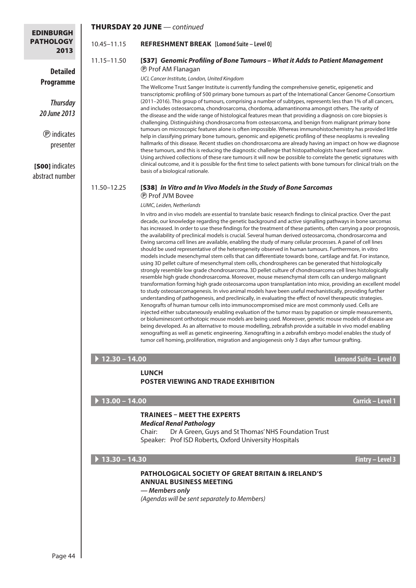### THURSDAY 20 June *— continued*

10.45–11.15 **Refreshment Break [Lomond Suite – Level 0]**

#### 11.15–11.50 [S37] *Genomic Profiling of Bone Tumours – What it Adds to Patient Management* P Prof AM Flanagan

*UCL Cancer Institute, London, United Kingdom*

The Wellcome Trust Sanger Institute is currently funding the comprehensive genetic, epigenetic and transcriptomic profiling of 500 primary bone tumours as part of the International Cancer Genome Consortium (2011–2016). This group of tumours, comprising a number of subtypes, represents less than 1% of all cancers, and includes osteosarcoma, chondrosarcoma, chordoma, adamantinoma amongst others. The rarity of the disease and the wide range of histological features mean that providing a diagnosis on core biopsies is challenging. Distinguishing chondrosarcoma from osteosarcoma, and benign from malignant primary bone tumours on microscopic features alone is often impossible. Whereas immunohistochemistry has provided little help in classifying primary bone tumours, genomic and epigenetic profiling of these neoplasms is revealing hallmarks of this disease. Recent studies on chondrosarcoma are already having an impact on how we diagnose these tumours, and this is reducing the diagnostic challenge that histopathologists have faced until now. Using archived collections of these rare tumours it will now be possible to correlate the genetic signatures with clinical outcome, and it is possible for the first time to select patients with bone tumours for clinical trials on the basis of a biological rationale.

EDINBURGH **PATHOLOGY** 

2013

**Detailed Programme**

*Thursday 20 June 2013*

P indicates presenter

**[S00]** indicates abstract number

#### 11.50–12.25 [S38] *In Vitro and In Vivo Models in the Study of Bone Sarcomas*

P Prof JVM Bovee

#### *LUMC, Leiden, Netherlands*

In vitro and in vivo models are essential to translate basic research findings to clinical practice. Over the past decade, our knowledge regarding the genetic background and active signalling pathways in bone sarcomas has increased. In order to use these findings for the treatment of these patients, often carrying a poor prognosis, the availability of preclinical models is crucial. Several human derived osteosarcoma, chondrosarcoma and Ewing sarcoma cell lines are available, enabling the study of many cellular processes. A panel of cell lines should be used representative of the heterogeneity observed in human tumours. Furthermore, in vitro models include mesenchymal stem cells that can differentiate towards bone, cartilage and fat. For instance, using 3D pellet culture of mesenchymal stem cells, chondrospheres can be generated that histologically strongly resemble low grade chondrosarcoma. 3D pellet culture of chondrosarcoma cell lines histologically resemble high grade chondrosarcoma. Moreover, mouse mesenchymal stem cells can undergo malignant transformation forming high grade osteosarcoma upon transplantation into mice, providing an excellent model to study osteosarcomagenesis. In vivo animal models have been useful mechanistically, providing further understanding of pathogenesis, and preclinically, in evaluating the effect of novel therapeutic strategies. Xenografts of human tumour cells into immunocompromised mice are most commonly used. Cells are injected either subcutaneously enabling evaluation of the tumor mass by papation or simple measurements, or bioluminescent orthotopic mouse models are being used. Moreover, genetic mouse models of disease are being developed. As an alternative to mouse modelling, zebrafish provide a suitable in vivo model enabling xenografting as well as genetic engineering. Xenografting in a zebrafish embryo model enables the study of tumor cell homing, proliferation, migration and angiogenesis only 3 days after tumour grafting.

A **12.30 – 14.00 Lomond Suite – Level 0**

### **Lunch Poster Viewing and Trade Exhibition**

### A **13.00 – 14.00 Carrick – Level 1**

# **Trainees – Meet the experts**

### *Medical Renal Pathology*

Chair: Dr A Green, Guys and St Thomas' NHS Foundation Trust Speaker: Prof ISD Roberts, Oxford University Hospitals

# A **13.30 – 14.30 Fintry – Level 3**

### **Pathological Society of Great Britain & Ireland's Annual Business Meeting**

*— Members only (Agendas will be sent separately to Members)*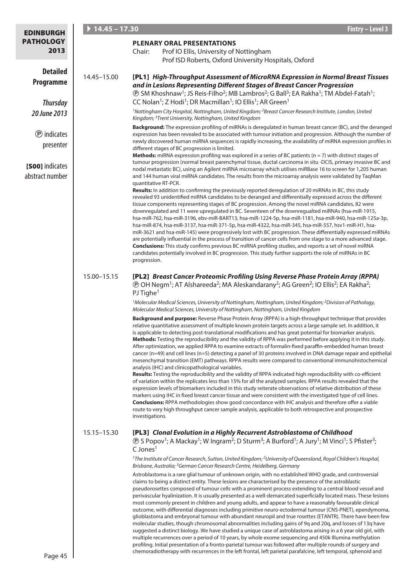| <b>EDINBURGH</b>                       | ▶ 14.45 - 17.30<br>Fintry - Level 3 |                                                                                                                                                                                                                                                                                                                                                                                                                                                                                                                                                                                                                                                                                                                                                                                                                                                                                                                                                                                                                                                                                                                                                                                                                                                                                                                                                                                                                                                                                                                                                                            |  |
|----------------------------------------|-------------------------------------|----------------------------------------------------------------------------------------------------------------------------------------------------------------------------------------------------------------------------------------------------------------------------------------------------------------------------------------------------------------------------------------------------------------------------------------------------------------------------------------------------------------------------------------------------------------------------------------------------------------------------------------------------------------------------------------------------------------------------------------------------------------------------------------------------------------------------------------------------------------------------------------------------------------------------------------------------------------------------------------------------------------------------------------------------------------------------------------------------------------------------------------------------------------------------------------------------------------------------------------------------------------------------------------------------------------------------------------------------------------------------------------------------------------------------------------------------------------------------------------------------------------------------------------------------------------------------|--|
| <b>PATHOLOGY</b>                       |                                     | <b>PLENARY ORAL PRESENTATIONS</b>                                                                                                                                                                                                                                                                                                                                                                                                                                                                                                                                                                                                                                                                                                                                                                                                                                                                                                                                                                                                                                                                                                                                                                                                                                                                                                                                                                                                                                                                                                                                          |  |
| 2013                                   |                                     | Chair:<br>Prof IO Ellis, University of Nottingham                                                                                                                                                                                                                                                                                                                                                                                                                                                                                                                                                                                                                                                                                                                                                                                                                                                                                                                                                                                                                                                                                                                                                                                                                                                                                                                                                                                                                                                                                                                          |  |
|                                        |                                     | Prof ISD Roberts, Oxford University Hospitals, Oxford                                                                                                                                                                                                                                                                                                                                                                                                                                                                                                                                                                                                                                                                                                                                                                                                                                                                                                                                                                                                                                                                                                                                                                                                                                                                                                                                                                                                                                                                                                                      |  |
| <b>Detailed</b>                        | 14.45-15.00                         | [PL1] High-Throughput Assessment of MicroRNA Expression in Normal Breast Tissues                                                                                                                                                                                                                                                                                                                                                                                                                                                                                                                                                                                                                                                                                                                                                                                                                                                                                                                                                                                                                                                                                                                                                                                                                                                                                                                                                                                                                                                                                           |  |
| <b>Programme</b>                       |                                     | and in Lesions Representing Different Stages of Breast Cancer Progression<br><b>(D)</b> SM Khoshnaw <sup>1</sup> ; JS Reis-Filho <sup>2</sup> ; MB Lambros <sup>2</sup> ; G Ball <sup>3</sup> ; EA Rakha <sup>1</sup> ; TM Abdel-Fatah <sup>1</sup> ;                                                                                                                                                                                                                                                                                                                                                                                                                                                                                                                                                                                                                                                                                                                                                                                                                                                                                                                                                                                                                                                                                                                                                                                                                                                                                                                      |  |
| <b>Thursday</b>                        |                                     | CC Nolan <sup>1</sup> ; Z Hodi <sup>1</sup> ; DR Macmillan <sup>1</sup> ; IO Ellis <sup>1</sup> ; AR Green <sup>1</sup>                                                                                                                                                                                                                                                                                                                                                                                                                                                                                                                                                                                                                                                                                                                                                                                                                                                                                                                                                                                                                                                                                                                                                                                                                                                                                                                                                                                                                                                    |  |
| 20 June 2013                           |                                     | <sup>1</sup> Nottingham City Hospital, Nottingham, United Kingdom; <sup>2</sup> Breast Cancer Research Institute, London, United<br>Kingdom; <sup>3</sup> Trent University, Nottingham, United Kingdom                                                                                                                                                                                                                                                                                                                                                                                                                                                                                                                                                                                                                                                                                                                                                                                                                                                                                                                                                                                                                                                                                                                                                                                                                                                                                                                                                                     |  |
| <b><i>O</i></b> indicates<br>presenter |                                     | Background: The expression profiling of miRNAs is deregulated in human breast cancer (BC), and the deranged<br>expression has been revealed to be associated with tumour initiation and progression. Although the number of<br>newly discovered human miRNA sequences is rapidly increasing, the availability of miRNA expression profiles in<br>different stages of BC progression is limited.                                                                                                                                                                                                                                                                                                                                                                                                                                                                                                                                                                                                                                                                                                                                                                                                                                                                                                                                                                                                                                                                                                                                                                            |  |
|                                        |                                     | Methods: miRNA expression profiling was explored in a series of BC patients (n = 7) with distinct stages of<br>tumour progression (normal breast parenchymal tissue, ductal carcinoma in situ -DCIS, primary invasive BC and                                                                                                                                                                                                                                                                                                                                                                                                                                                                                                                                                                                                                                                                                                                                                                                                                                                                                                                                                                                                                                                                                                                                                                                                                                                                                                                                               |  |
| [SOO] indicates<br>abstract number     |                                     | nodal metastatic BC), using an Agilent miRNA microarray which utilises miRBase 16 to screen for 1,205 human<br>and 144 human viral miRNA candidates. The results from the microarray analysis were validated by TaqMan<br>quantitative RT-PCR.                                                                                                                                                                                                                                                                                                                                                                                                                                                                                                                                                                                                                                                                                                                                                                                                                                                                                                                                                                                                                                                                                                                                                                                                                                                                                                                             |  |
|                                        |                                     | Results: In addition to confirming the previously reported deregulation of 20 miRNAs in BC, this study<br>revealed 93 unidentified miRNA candidates to be deranged and differentially expressed across the different<br>tissue components representing stages of BC progression. Among the novel miRNA candidates, 82 were<br>downregulated and 11 were upregulated in BC. Seventeen of the downregualted miRNAs (hsa-miR-1915,<br>hsa-miR-762, hsa-miR-3196, ebv-miR-BART13, hsa-miR-1224-5p, hsa-miR-1181, hsa-miR-940, hsa-miR-125a-3p,<br>hsa-miR-874, hsa-miR-3137, hsa-miR-371-5p, hsa-miR-4322, hsa-miR-345, hsa-miR-557, hsv1-miR-H1, hsa-<br>miR-3621 and hsa-miR-145) were progressively lost with BC progression. These differentially expressed miRNAs<br>are potentially influential in the process of transition of cancer cells from one stage to a more advanced stage.<br><b>Conclusions:</b> This study confirms previous BC miRNA profiling studies, and reports a set of novel miRNA<br>candidates potentially involved in BC progression. This study further supports the role of miRNAs in BC<br>progression.                                                                                                                                                                                                                                                                                                                                                                                                                                        |  |
|                                        |                                     |                                                                                                                                                                                                                                                                                                                                                                                                                                                                                                                                                                                                                                                                                                                                                                                                                                                                                                                                                                                                                                                                                                                                                                                                                                                                                                                                                                                                                                                                                                                                                                            |  |
|                                        | 15.00-15.15                         | [PL2] Breast Cancer Proteomic Profiling Using Reverse Phase Protein Array (RPPA)<br><b><i>The OH Negm<sup>1</sup>; AT Alshareeda<sup>2</sup>; MA Aleskandarany<sup>2</sup>; AG Green<sup>2</sup>; IO Ellis<sup>2</sup>; EA Rakha<sup>2</sup>;</i></b><br>PJ Tighe <sup>1</sup>                                                                                                                                                                                                                                                                                                                                                                                                                                                                                                                                                                                                                                                                                                                                                                                                                                                                                                                                                                                                                                                                                                                                                                                                                                                                                             |  |
|                                        |                                     | <sup>1</sup> Molecular Medical Sciences, University of Nottingham, Nottingham, United Kingdom; <sup>2</sup> Division of Pathology,<br>Molecular Medical Sciences, University of Nottingham, Nottingham, United Kingdom                                                                                                                                                                                                                                                                                                                                                                                                                                                                                                                                                                                                                                                                                                                                                                                                                                                                                                                                                                                                                                                                                                                                                                                                                                                                                                                                                     |  |
|                                        |                                     | Background and purpose: Reverse Phase Protein Array (RPPA) is a high-throughput technique that provides<br>relative quantitative assessment of multiple known protein targets across a large sample set. In addition, it<br>is applicable to detecting post-translational modifications and has great potential for biomarker analysis.<br>Methods: Testing the reproducibility and the validity of RPPA was performed before applying it in this study.<br>After optimization, we applied RPPA to examine extracts of formalin-fixed paraffin-embedded human breast<br>cancer ( $n=49$ ) and cell lines ( $n=5$ ) detecting a panel of 30 proteins involved in DNA damage repair and epithelial<br>mesenchymal transition (EMT) pathways. RPPA results were compared to conventional immunohistochemical<br>analysis (IHC) and clinicopathological variables.<br>Results: Testing the reproducibility and the validity of RPPA indicated high reproducibility with co-efficient<br>of variation within the replicates less than 15% for all the analyzed samples. RPPA results revealed that the<br>expression levels of biomarkers included in this study reiterate observations of relative distribution of these<br>markers using IHC in fixed breast cancer tissue and were consistent with the investigated type of cell lines.<br>Conclusions: RPPA methodologies show good concordance with IHC analysis and therefore offer a viable<br>route to very high throughput cancer sample analysis, applicable to both retrospective and prospective<br>investigations. |  |
|                                        | 15.15 - 15.30                       | [PL3] Clonal Evolution in a Highly Recurrent Astroblastoma of Childhood<br><b>(b)</b> S Popov <sup>1</sup> ; A Mackay <sup>1</sup> ; W Ingram <sup>2</sup> ; D Sturm <sup>3</sup> ; A Burford <sup>1</sup> ; A Jury <sup>1</sup> ; M Vinci <sup>1</sup> ; S Pfister <sup>3</sup> ;<br>$C$ Jones <sup>1</sup>                                                                                                                                                                                                                                                                                                                                                                                                                                                                                                                                                                                                                                                                                                                                                                                                                                                                                                                                                                                                                                                                                                                                                                                                                                                               |  |
|                                        |                                     | <sup>1</sup> The Institute of Cancer Research, Sutton, United Kingdom; <sup>2</sup> University of Queensland, Royal Children's Hospital,<br>Brisbane, Australia; <sup>3</sup> German Cancer Research Centre, Heidelberg, Germany                                                                                                                                                                                                                                                                                                                                                                                                                                                                                                                                                                                                                                                                                                                                                                                                                                                                                                                                                                                                                                                                                                                                                                                                                                                                                                                                           |  |
|                                        |                                     | Astroblastoma is a rare glial tumour of unknown origin, with no established WHO grade, and controversial<br>claims to being a distinct entity. These lesions are characterised by the presence of the astroblastic<br>pseudorosettes composed of tumour cells with a prominent process extending to a central blood vessel and<br>perivascular hyalinization. It is usually presented as a well-demarcated superficially located mass. These lesions<br>most commonly present in children and young adults, and appear to have a reasonably favourable clinical<br>outcome, with differential diagnoses including primitive neuro-ectodermal tumour (CNS-PNET), ependymoma,<br>glioblastoma and embryonal tumour with abundant neuropil and true rosettes (ETANTR). There have been few<br>molecular studies, though chromosomal abnormalities including gains of 9q and 20q, and losses of 13q have<br>suggested a distinct biology. We have studied a unique case of astroblastoma arising in a 6 year old girl, with<br>multiple recurrences over a period of 10 years, by whole exome sequencing and 450k Illumina methylation<br>profiling. Initial presentation of a fronto-parietal tumour was followed after multiple rounds of surgery and                                                                                                                                                                                                                                                                                                                        |  |
| Page 45                                |                                     | chemoradiotherapy with recurrences in the left frontal, left parietal parafalcine, left temporal, sphenoid and                                                                                                                                                                                                                                                                                                                                                                                                                                                                                                                                                                                                                                                                                                                                                                                                                                                                                                                                                                                                                                                                                                                                                                                                                                                                                                                                                                                                                                                             |  |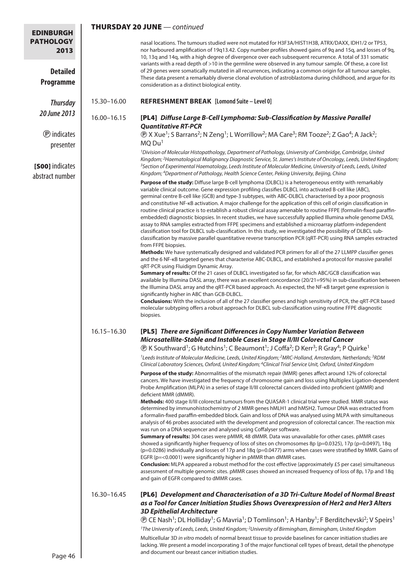| <b>EDINBURGH</b>                       | <b>THURSDAY 20 JUNE</b> - continued |                                                                                                                                                                                                                                                                                                                                                                                                                                                                                                                                                                                                                                                                                                                                                                                                                                                                                                                                                                                                                                                                                                                                                                                                                                                                                                                                                                                                                                                                                                                                                                                    |  |
|----------------------------------------|-------------------------------------|------------------------------------------------------------------------------------------------------------------------------------------------------------------------------------------------------------------------------------------------------------------------------------------------------------------------------------------------------------------------------------------------------------------------------------------------------------------------------------------------------------------------------------------------------------------------------------------------------------------------------------------------------------------------------------------------------------------------------------------------------------------------------------------------------------------------------------------------------------------------------------------------------------------------------------------------------------------------------------------------------------------------------------------------------------------------------------------------------------------------------------------------------------------------------------------------------------------------------------------------------------------------------------------------------------------------------------------------------------------------------------------------------------------------------------------------------------------------------------------------------------------------------------------------------------------------------------|--|
| <b>PATHOLOGY</b><br>2013               |                                     | nasal locations. The tumours studied were not mutated for H3F3A/HIST1H3B, ATRX/DAXX, IDH1/2 or TP53,<br>nor harboured amplification of 19q13.42. Copy number profiles showed gains of 9q and 15q, and losses of 9q,<br>10, 13q and 14q, with a high degree of divergence over each subsequent recurrence. A total of 331 somatic<br>variants with a read depth of >10 in the germline were observed in any tumour sample. Of these, a core list                                                                                                                                                                                                                                                                                                                                                                                                                                                                                                                                                                                                                                                                                                                                                                                                                                                                                                                                                                                                                                                                                                                                    |  |
| <b>Detailed</b><br><b>Programme</b>    |                                     | of 29 genes were somatically mutated in all recurrences, indicating a common origin for all tumour samples.<br>These data present a remarkably diverse clonal evolution of astroblastoma during childhood, and argue for its<br>consideration as a distinct biological entity.                                                                                                                                                                                                                                                                                                                                                                                                                                                                                                                                                                                                                                                                                                                                                                                                                                                                                                                                                                                                                                                                                                                                                                                                                                                                                                     |  |
| <b>Thursday</b><br>20 June 2013        | 15.30-16.00                         | <b>REFRESHMENT BREAK [Lomond Suite - Level 0]</b>                                                                                                                                                                                                                                                                                                                                                                                                                                                                                                                                                                                                                                                                                                                                                                                                                                                                                                                                                                                                                                                                                                                                                                                                                                                                                                                                                                                                                                                                                                                                  |  |
|                                        | 16.00-16.15                         | [PL4] Diffuse Large B-Cell Lymphoma: Sub-Classification by Massive Parallel<br><b>Quantitative RT-PCR</b>                                                                                                                                                                                                                                                                                                                                                                                                                                                                                                                                                                                                                                                                                                                                                                                                                                                                                                                                                                                                                                                                                                                                                                                                                                                                                                                                                                                                                                                                          |  |
| <b><i>O</i></b> indicates<br>presenter |                                     | <b>(D)</b> X Xue <sup>1</sup> ; S Barrans <sup>2</sup> ; N Zeng <sup>1</sup> ; L Worrillow <sup>2</sup> ; MA Care <sup>3</sup> ; RM Tooze <sup>2</sup> ; Z Gao <sup>4</sup> ; A Jack <sup>2</sup> ;<br>MQ Du <sup>1</sup>                                                                                                                                                                                                                                                                                                                                                                                                                                                                                                                                                                                                                                                                                                                                                                                                                                                                                                                                                                                                                                                                                                                                                                                                                                                                                                                                                          |  |
| [SOO] indicates<br>abstract number     |                                     | <sup>1</sup> Division of Molecular Histopathology, Department of Pathology, University of Cambridge, Cambridge, United<br>Kingdom; <sup>2</sup> Haematological Malignancy Diagnostic Service, St. James's Institute of Oncology, Leeds, United Kingdom;<br><sup>3</sup> Section of Experimental Haematology, Leeds Institute of Molecular Medicine, University of Leeds, Leeds, United<br>Kingdom; <sup>4</sup> Department of Pathology, Health Science Center, Peking University, Beijing, China                                                                                                                                                                                                                                                                                                                                                                                                                                                                                                                                                                                                                                                                                                                                                                                                                                                                                                                                                                                                                                                                                  |  |
|                                        |                                     | Purpose of the study: Diffuse large B-cell lymphoma (DLBCL) is a heterogeneous entity with remarkably<br>variable clinical outcome. Gene expression profiling classifies DLBCL into activated B-cell like (ABC),<br>germinal centre B-cell like (GCB) and type-3 subtypes, with ABC-DLBCL characterised by a poor prognosis<br>and constitutive NF-KB activation. A major challenge for the application of this cell of origin classification in<br>routine clinical practice is to establish a robust clinical assay amenable to routine FFPE (formalin-fixed paraffin-<br>embedded) diagnostic biopsies. In recent studies, we have successfully applied Illumina whole genome DASL<br>assay to RNA samples extracted from FFPE specimens and established a microarray platform-independent<br>classification tool for DLBCL sub-classification. In this study, we investigated the possibility of DLBCL sub-<br>classification by massive parallel quantitative reverse transcription PCR (qRT-PCR) using RNA samples extracted<br>from FFPE biopsies.                                                                                                                                                                                                                                                                                                                                                                                                                                                                                                                          |  |
|                                        |                                     | Methods: We have systematically designed and validated PCR primers for all of the 27 LLMPP classifier genes<br>and the 6 NF-KB targeted genes that characterise ABC-DLBCL, and established a protocol for massive parallel<br>qRT-PCR using Fluidigm Dynamic Array.<br>Summary of results: Of the 21 cases of DLBCL investigated so far, for which ABC/GCB classification was<br>available by Illumina DASL array, there was an excellent concordance (20/21=95%) in sub-classification between<br>the Illumina DASL array and the qRT-PCR based approach. As expected, the NF-KB target gene expression is<br>significantly higher in ABC than GCB-DLBCL.<br>Conclusions: With the inclusion of all of the 27 classifier genes and high sensitivity of PCR, the qRT-PCR based<br>molecular subtyping offers a robust approach for DLBCL sub-classification using routine FFPE diagnostic<br>biopsies.                                                                                                                                                                                                                                                                                                                                                                                                                                                                                                                                                                                                                                                                             |  |
|                                        | 16.15-16.30                         | [PL5] There are Significant Differences in Copy Number Variation Between<br>Microsatellite-Stable and Instable Cases in Stage II/III Colorectal Cancer<br><b><i>®</i> K Southward<sup>1</sup>; G Hutchins<sup>1</sup>; C Beaumont<sup>1</sup>; J Coffa<sup>2</sup>; D Kerr<sup>3</sup>; R Gray<sup>4</sup>; P Quirke<sup>1</sup></b>                                                                                                                                                                                                                                                                                                                                                                                                                                                                                                                                                                                                                                                                                                                                                                                                                                                                                                                                                                                                                                                                                                                                                                                                                                               |  |
|                                        |                                     | <sup>1</sup> Leeds Institute of Molecular Medicine, Leeds, United Kingdom; <sup>2</sup> MRC-Holland, Amsterdam, Netherlands; <sup>3</sup> RDM<br>Clinical Laboratory Sciences, Oxford, United Kingdom; <sup>4</sup> Clinical Trial Service Unit, Oxford, United Kingdom                                                                                                                                                                                                                                                                                                                                                                                                                                                                                                                                                                                                                                                                                                                                                                                                                                                                                                                                                                                                                                                                                                                                                                                                                                                                                                            |  |
|                                        |                                     | Purpose of the study: Abnormalities of the mismatch repair (MMR) genes affect around 12% of colorectal<br>cancers. We have investigated the frequency of chromosome gain and loss using Multiplex Ligation-dependent<br>Probe Amplification (MLPA) in a series of stage II/III colorectal cancers divided into proficient (pMMR) and<br>deficient MMR (dMMR).<br>Methods: 400 stage II/III colorectal tumours from the QUASAR-1 clinical trial were studied. MMR status was<br>determined by immunohistochemistry of 2 MMR genes hMLH1 and hMSH2. Tumour DNA was extracted from<br>a formalin-fixed paraffin-embedded block. Gain and loss of DNA was analysed using MLPA with simultaneous<br>analysis of 46 probes associated with the development and progression of colorectal cancer. The reaction mix<br>was run on a DNA sequencer and analysed using Coffalyser software.<br>Summary of results: 304 cases were pMMR, 48 dMMR. Data was unavailable for other cases. pMMR cases<br>showed a significantly higher frequency of loss of sites on chromosomes 8p ( $p=0.0325$ ), 17p ( $p=0.0497$ ), 18q<br>(p=0.0286) individually and losses of 17p and 18q (p=0.0477) arms when cases were stratified by MMR. Gains of<br>EGFR (p=<0.0001) were significantly higher in pMMR than dMMR cases.<br><b>Conclusion:</b> MLPA appeared a robust method for the cost effective (approximately £5 per case) simultaneous<br>assessment of multiple genomic sites. pMMR cases showed an increased frequency of loss of 8p, 17p and 18q<br>and gain of EGFR compared to dMMR cases. |  |
|                                        | 16.30-16.45                         | [PL6] Development and Characterisation of a 3D Tri-Culture Model of Normal Breast<br>as a Tool for Cancer Initiation Studies Shows Overexpression of Her2 and Her3 Alters<br><b>3D Epithelial Architecture</b>                                                                                                                                                                                                                                                                                                                                                                                                                                                                                                                                                                                                                                                                                                                                                                                                                                                                                                                                                                                                                                                                                                                                                                                                                                                                                                                                                                     |  |
|                                        |                                     | <sup>(</sup> <i>D</i> ) CE Nash <sup>1</sup> ; DL Holliday <sup>1</sup> ; G Mavria <sup>1</sup> ; D Tomlinson <sup>1</sup> ; A Hanby <sup>1</sup> ; F Berditchevski <sup>2</sup> ; V Speirs <sup>1</sup><br><sup>1</sup> The University of Leeds, Leeds, United Kingdom; <sup>2</sup> University of Birmingham, Birmingham, United Kingdom<br>Multicellular 3D in vitro models of normal breast tissue to provide baselines for cancer initiation studies are<br>lacking. We present a model incorporating 3 of the major functional cell types of breast, detail the phenotype<br>and document our breast cancer initiation studies.                                                                                                                                                                                                                                                                                                                                                                                                                                                                                                                                                                                                                                                                                                                                                                                                                                                                                                                                              |  |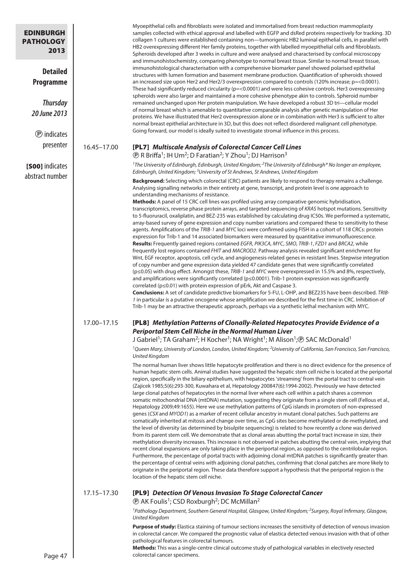| <b>EDINBURGH</b><br><b>PATHOLOGY</b><br>2013<br><b>Detailed</b><br><b>Programme</b><br><b>Thursday</b><br>20 June 2013<br><b><i>O</i></b> indicates |             | Myoepithelial cells and fibroblasts were isolated and immortalised from breast reduction mammoplasty<br>samples collected with ethical approval and labelled with EGFP and dsRed proteins respectively for tracking. 3D<br>collagen 1 cultures were established containing non—tumorigenic HB2 luminal epithelial cells, in parallel with<br>HB2 overexpressing different Her family proteins, together with labelled myoepithelial cells and fibroblasts.<br>Spheroids developed after 3 weeks in culture and were analysed and characterised by confocal microscopy<br>and immunohistochemistry, comparing phenotype to normal breast tissue. Similar to normal breast tissue,<br>immunohistological characterisation with a comprehensive biomarker panel showed polarised epithelial<br>structures with lumen formation and basement membrane production. Quantification of spheroids showed<br>an increased size upon Her2 and Her2/3 overexpression compared to controls (120% increase; p=<0.0001).<br>These had significantly reduced circularity (p=<0.0001) and were less cohesive controls. Her3 overexpressing<br>spheroids were also larger and maintained a more cohesive phenotype akin to controls. Spheroid number<br>remained unchanged upon Her protein manipulation. We have developed a robust 3D tri-cellular model<br>of normal breast which is amenable to quantitative comparable analysis after genetic manipulation of Her<br>proteins. We have illustrated that Her2 overexpression alone or in combination with Her3 is sufficient to alter<br>normal breast epithelial architecture in 3D, but this does not reflect disordered malignant cell phenotype.<br>Going forward, our model is ideally suited to investigate stromal influence in this process.                                                                                                                                                                                                                                                                       |
|-----------------------------------------------------------------------------------------------------------------------------------------------------|-------------|---------------------------------------------------------------------------------------------------------------------------------------------------------------------------------------------------------------------------------------------------------------------------------------------------------------------------------------------------------------------------------------------------------------------------------------------------------------------------------------------------------------------------------------------------------------------------------------------------------------------------------------------------------------------------------------------------------------------------------------------------------------------------------------------------------------------------------------------------------------------------------------------------------------------------------------------------------------------------------------------------------------------------------------------------------------------------------------------------------------------------------------------------------------------------------------------------------------------------------------------------------------------------------------------------------------------------------------------------------------------------------------------------------------------------------------------------------------------------------------------------------------------------------------------------------------------------------------------------------------------------------------------------------------------------------------------------------------------------------------------------------------------------------------------------------------------------------------------------------------------------------------------------------------------------------------------------------------------------------------------------------------------------------------------------------------|
| presenter                                                                                                                                           | 16.45-17.00 | [PL7] Multiscale Analysis of Colorectal Cancer Cell Lines<br><b><i><b>@</b></i> R Briffa<sup>1</sup>; IH Um<sup>2</sup>; D Faratian<sup>2</sup>; Y Zhou<sup>1</sup>; DJ Harrison<sup>3</sup></b>                                                                                                                                                                                                                                                                                                                                                                                                                                                                                                                                                                                                                                                                                                                                                                                                                                                                                                                                                                                                                                                                                                                                                                                                                                                                                                                                                                                                                                                                                                                                                                                                                                                                                                                                                                                                                                                              |
| [SOO] indicates                                                                                                                                     |             | <sup>1</sup> The University of Edinburgh, Edinburgh, United Kingdom; <sup>2</sup> The University of Edinburgh* No longer an employee,<br>Edinburgh, United Kingdom; <sup>3</sup> University of St Andrews, St Andrews, United Kingdom                                                                                                                                                                                                                                                                                                                                                                                                                                                                                                                                                                                                                                                                                                                                                                                                                                                                                                                                                                                                                                                                                                                                                                                                                                                                                                                                                                                                                                                                                                                                                                                                                                                                                                                                                                                                                         |
| abstract number                                                                                                                                     |             | Background: Selecting which colorectal (CRC) patients are likely to respond to therapy remains a challenge.<br>Analysing signalling networks in their entirety at gene, transcript, and protein level is one approach to<br>understanding mechanisms of resistance.<br>Methods: A panel of 15 CRC cell lines was profiled using array comparative genomic hybridisation,<br>transcriptomics, reverse phase protein arrays, and targeted sequencing of KRAS hotspot mutations. Sensitivity<br>to 5-fluoruracil, oxaliplatin, and BEZ-235 was established by calculating drug IC50s. We performed a systematic,<br>array-based survey of gene expression and copy number variations and compared these to sensitivity to these<br>agents. Amplifications of the TRIB-1 and MYC loci were confirmed using FISH in a cohort of 118 CRCs: protein<br>expression for Trib-1 and 14 associated biomarkers were measured by quantitative immunofluorescence.<br>Results: Frequently gained regions contained EGFR, PIK3CA, MYC, SMO, TRIB-1, FZD1 and BRCA2, while<br>frequently lost regions contained FHIT and MACROD2. Pathway analysis revealed significant enrichment for<br>Wnt, EGF receptor, apoptosis, cell cycle, and angiogenesis-related genes in resistant lines. Stepwise integration<br>of copy number and gene expression data yielded 47 candidate genes that were significantly correlated<br>(p≤0.05) with drug effect. Amongst these, TRIB-1 and MYC were overexpressed in 15.5% and 8%, respectively,<br>and amplifications were significantly correlated (p≤0.0001). Trib-1 protein expression was significantly<br>correlated ( $p \le 0.01$ ) with protein expression of pErk, Akt and Caspase 3.<br>Conclusions: A set of candidate predictive biomarkers for 5-FU, L-OHP, and BEZ235 have been described. TRIB-<br>1 in particular is a putative oncogene whose amplification we described for the first time in CRC. Inhibition of<br>Trib-1 may be an attractive therapeutic approach, perhaps via a synthetic lethal mechanism with MYC. |
|                                                                                                                                                     | 17.00-17.15 | [PL8] Methylation Patterns of Clonally-Related Hepatocytes Provide Evidence of a<br><b>Periportal Stem Cell Niche in the Normal Human Liver</b><br>J Gabriel <sup>1</sup> ; TA Graham <sup>2</sup> ; H Kocher <sup>1</sup> ; NA Wright <sup>1</sup> ; M Alison <sup>1</sup> ; <b>D</b> SAC McDonald <sup>1</sup>                                                                                                                                                                                                                                                                                                                                                                                                                                                                                                                                                                                                                                                                                                                                                                                                                                                                                                                                                                                                                                                                                                                                                                                                                                                                                                                                                                                                                                                                                                                                                                                                                                                                                                                                              |
|                                                                                                                                                     |             | <sup>1</sup> Queen Mary, University of London, London, United Kingdom; <sup>2</sup> University of California, San Francisco, San Francisco,<br><b>United Kingdom</b>                                                                                                                                                                                                                                                                                                                                                                                                                                                                                                                                                                                                                                                                                                                                                                                                                                                                                                                                                                                                                                                                                                                                                                                                                                                                                                                                                                                                                                                                                                                                                                                                                                                                                                                                                                                                                                                                                          |
|                                                                                                                                                     |             | The normal human liver shows little hepatocyte proliferation and there is no direct evidence for the presence of<br>human hepatic stem cells. Animal studies have suggested the hepatic stem cell niche is located at the periportal<br>region, specifically in the biliary epithelium, with hepatocytes 'streaming' from the portal tract to central vein<br>(Zajicek 1985;5(6):293-300, Kuwahara et al, Hepatology 200847(6):1994-2002). Previously we have detected<br>large clonal patches of hepatocytes in the normal liver where each cell within a patch shares a common<br>somatic mitochondrial DNA (mtDNA) mutation, suggesting they originate from a single stem cell (Fellous et al.,<br>Hepatology 2009;49:1655). Here we use methylation patterns of CpG islands in promoters of non-expressed<br>genes (CSX and MYOD1) as a marker of recent cellular ancestry in mutant clonal patches. Such patterns are<br>somatically inherited at mitosis and change over time, as CpG sites become methylated or de-methylated, and<br>the level of diversity (as determined by bisulpite sequencing) is related to how recently a clone was derived<br>from its parent stem cell. We demonstrate that as clonal areas abutting the portal tract increase in size, their<br>methylation diversity increases. This increase is not observed in patches abutting the central vein, implying that<br>recent clonal expansions are only taking place in the periportal region, as opposed to the centrilobular region.<br>Furthermore, the percentage of portal tracts with adjoining clonal mtDNA patches is significantly greater than<br>the percentage of central veins with adjoining clonal patches, confirming that clonal patches are more likely to<br>originate in the periportal region. These data therefore support a hypothesis that the periportal region is the<br>location of the hepatic stem cell niche.                                                                                                                                 |
|                                                                                                                                                     | 17.15-17.30 | [PL9] Detection Of Venous Invasion To Stage Colorectal Cancer<br><b><i>@</i></b> AK Foulis <sup>1</sup> ; CSD Roxburgh <sup>2</sup> ; DC McMillan <sup>2</sup><br><sup>1</sup> Pathology Department, Southern General Hospital, Glasgow, United Kingdom; <sup>2</sup> Surgery, Royal Infirmary, Glasgow,<br><b>United Kingdom</b>                                                                                                                                                                                                                                                                                                                                                                                                                                                                                                                                                                                                                                                                                                                                                                                                                                                                                                                                                                                                                                                                                                                                                                                                                                                                                                                                                                                                                                                                                                                                                                                                                                                                                                                             |
| Page 47                                                                                                                                             |             | Purpose of study: Elastica staining of tumour sections increases the sensitivity of detection of venous invasion<br>in colorectal cancer. We compared the prognostic value of elastica detected venous invasion with that of other<br>pathological features in colorectal tumours.<br>Methods: This was a single-centre clinical outcome study of pathological variables in electively resected<br>colorectal cancer specimens.                                                                                                                                                                                                                                                                                                                                                                                                                                                                                                                                                                                                                                                                                                                                                                                                                                                                                                                                                                                                                                                                                                                                                                                                                                                                                                                                                                                                                                                                                                                                                                                                                               |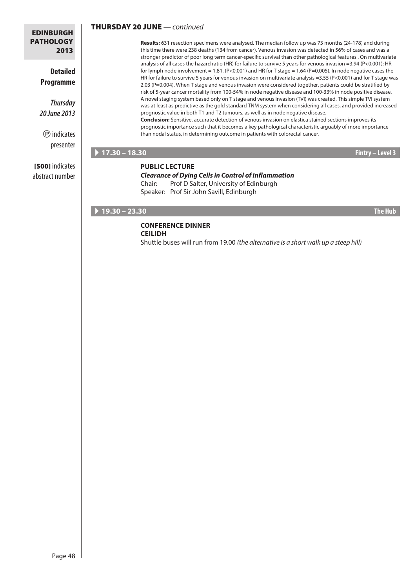**Detailed Programme**

*Thursday 20 June 2013*

P indicates presenter

[S00] indicates abstract number

### THURSDAY 20 June *— continued*

**Results:** 631 resection specimens were analysed. The median follow up was 73 months (24-178) and during this time there were 238 deaths (134 from cancer). Venous invasion was detected in 56% of cases and was a stronger predictor of poor long term cancer-specific survival than other pathological features . On multivariate analysis of all cases the hazard ratio (HR) for failure to survive 5 years for venous invasion =3.94 (P<0.001); HR for lymph node involvement = 1.81, (P<0.001) and HR for T stage = 1.64 (P=0.005). In node negative cases the HR for failure to survive 5 years for venous invasion on multivariate analysis =3.55 (P<0.001) and for T stage was 2.03 (P=0.004). When T stage and venous invasion were considered together, patients could be stratified by risk of 5-year cancer mortality from 100-54% in node negative disease and 100-33% in node positive disease. A novel staging system based only on T stage and venous invasion (TVI) was created. This simple TVI system was at least as predictive as the gold standard TNM system when considering all cases, and provided increased prognostic value in both T1 and T2 tumours, as well as in node negative disease. **Conclusion:** Sensitive, accurate detection of venous invasion on elastica stained sections improves its prognostic importance such that it becomes a key pathological characteristic arguably of more importance than nodal status, in determining outcome in patients with colorectal cancer.

### A **17.30 – 18.30 Fintry – Level 3**

**PUBLIC LECTURE** *Clearance of Dying Cells in Control of Inflammation* Chair: Prof D Salter, University of Edinburgh Speaker: Prof Sir John Savill, Edinburgh

## A **19.30 – 23.30 The Hub**

# **Conference Dinner**

**Ceilidh**

Shuttle buses will run from 19.00 *(the alternative is a short walk up a steep hill)*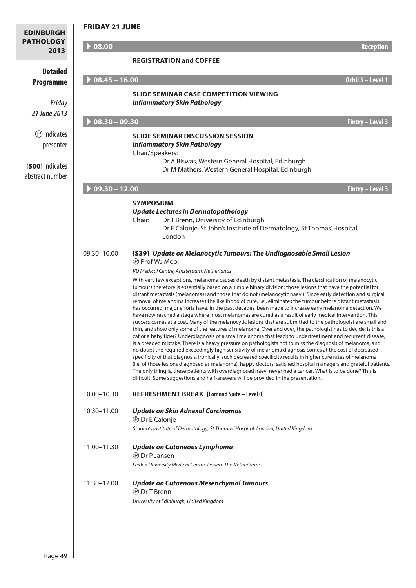# FRIDAY 21 June

| <b>EDINBURGH</b>                                                         | <b>FRIDAY 21 JUNE</b>  |                                                                                                                                                                                                                                                                                                                                                                                                                                                                                                                                                                                                                                                                                                                                                                                                                                                                                                                                                                                                                                                                                                                                                                                                                                                                                                                                                                                                                                                                                                                                                                                                                                                                                                                                                   |                   |
|--------------------------------------------------------------------------|------------------------|---------------------------------------------------------------------------------------------------------------------------------------------------------------------------------------------------------------------------------------------------------------------------------------------------------------------------------------------------------------------------------------------------------------------------------------------------------------------------------------------------------------------------------------------------------------------------------------------------------------------------------------------------------------------------------------------------------------------------------------------------------------------------------------------------------------------------------------------------------------------------------------------------------------------------------------------------------------------------------------------------------------------------------------------------------------------------------------------------------------------------------------------------------------------------------------------------------------------------------------------------------------------------------------------------------------------------------------------------------------------------------------------------------------------------------------------------------------------------------------------------------------------------------------------------------------------------------------------------------------------------------------------------------------------------------------------------------------------------------------------------|-------------------|
| PATHOLOGY<br>2013                                                        | $\triangleright$ 08.00 |                                                                                                                                                                                                                                                                                                                                                                                                                                                                                                                                                                                                                                                                                                                                                                                                                                                                                                                                                                                                                                                                                                                                                                                                                                                                                                                                                                                                                                                                                                                                                                                                                                                                                                                                                   | <b>Reception</b>  |
| <b>Detailed</b>                                                          |                        | <b>REGISTRATION and COFFEE</b>                                                                                                                                                                                                                                                                                                                                                                                                                                                                                                                                                                                                                                                                                                                                                                                                                                                                                                                                                                                                                                                                                                                                                                                                                                                                                                                                                                                                                                                                                                                                                                                                                                                                                                                    |                   |
| <b>Programme</b>                                                         | $08.45 - 16.00$        |                                                                                                                                                                                                                                                                                                                                                                                                                                                                                                                                                                                                                                                                                                                                                                                                                                                                                                                                                                                                                                                                                                                                                                                                                                                                                                                                                                                                                                                                                                                                                                                                                                                                                                                                                   | Ochil 3 - Level 1 |
| Friday                                                                   |                        | <b>SLIDE SEMINAR CASE COMPETITION VIEWING</b><br><b>Inflammatory Skin Pathology</b>                                                                                                                                                                                                                                                                                                                                                                                                                                                                                                                                                                                                                                                                                                                                                                                                                                                                                                                                                                                                                                                                                                                                                                                                                                                                                                                                                                                                                                                                                                                                                                                                                                                               |                   |
| 21 June 2013                                                             | $08.30 - 09.30$        |                                                                                                                                                                                                                                                                                                                                                                                                                                                                                                                                                                                                                                                                                                                                                                                                                                                                                                                                                                                                                                                                                                                                                                                                                                                                                                                                                                                                                                                                                                                                                                                                                                                                                                                                                   | Fintry - Level 3  |
| <b>(P</b> ) indicates<br>presenter<br>[SOO] indicates<br>abstract number |                        | <b>SLIDE SEMINAR DISCUSSION SESSION</b><br><b>Inflammatory Skin Pathology</b><br>Chair/Speakers:<br>Dr A Biswas, Western General Hospital, Edinburgh<br>Dr M Mathers, Western General Hospital, Edinburgh                                                                                                                                                                                                                                                                                                                                                                                                                                                                                                                                                                                                                                                                                                                                                                                                                                                                                                                                                                                                                                                                                                                                                                                                                                                                                                                                                                                                                                                                                                                                         |                   |
|                                                                          | $09.30 - 12.00$        |                                                                                                                                                                                                                                                                                                                                                                                                                                                                                                                                                                                                                                                                                                                                                                                                                                                                                                                                                                                                                                                                                                                                                                                                                                                                                                                                                                                                                                                                                                                                                                                                                                                                                                                                                   | Fintry - Level 3  |
|                                                                          |                        | <b>SYMPOSIUM</b><br><b>Update Lectures in Dermatopathology</b><br>Dr T Brenn, University of Edinburgh<br>Chair:<br>Dr E Calonje, St John's Institute of Dermatology, St Thomas' Hospital,<br>London                                                                                                                                                                                                                                                                                                                                                                                                                                                                                                                                                                                                                                                                                                                                                                                                                                                                                                                                                                                                                                                                                                                                                                                                                                                                                                                                                                                                                                                                                                                                               |                   |
|                                                                          | 09.30-10.00            | [S39] Update on Melanocytic Tumours: The Undiagnosable Small Lesion<br>(P) Prof WJ Mooi                                                                                                                                                                                                                                                                                                                                                                                                                                                                                                                                                                                                                                                                                                                                                                                                                                                                                                                                                                                                                                                                                                                                                                                                                                                                                                                                                                                                                                                                                                                                                                                                                                                           |                   |
|                                                                          |                        | VU Medical Centre, Amsterdam, Netherlands<br>With very few exceptions, melanoma causes death by distant metastasis. The classification of melanocytic<br>tumours therefore is essentially based on a simple binary division: those lesions that have the potential for<br>distant metastasis (melanomas) and those that do not (melanocytic naevi). Since early detection and surgical<br>removal of melanoma increases the likelihood of cure, i.e., eliminates the tumour before distant metastasis<br>has occurred, major efforts have, in the past decades, been made to increase early melanoma detection. We<br>have now reached a stage where most melanomas are cured as a result of early medical intervention. This<br>success comes at a cost. Many of the melanocytic lesions that are submitted to the pathologoist are small and<br>thin, and show only some of the features of melanoma. Over and over, the pathologist has to decide: is this a<br>cat or a baby tiger? Underdiagnosis of a small melanoma that leads to undertreatment and recurrent disease,<br>is a dreaded mistake. There is a heavy pressure on pathologists not to miss the diagnosis of melanoma, and<br>no doubt the required exceedingly high sensitivity of melanoma diagnosis comes at the cost of decreased<br>specificity of that diagnosis. Ironically, such decreased specificity results in higher cure rates of melanoma<br>(i.e. of those lesions diagnosed as melanoma), happy doctors, satisfied hospital managers and grateful patients.<br>The only thing is, these patients with overdiagnosed naevi never had a cancer. What is to be done? This is<br>difficult. Some suggestions and half-answers will be provided in the presentation. |                   |
|                                                                          | 10.00-10.30            | <b>REFRESHMENT BREAK [Lomond Suite - Level 0]</b>                                                                                                                                                                                                                                                                                                                                                                                                                                                                                                                                                                                                                                                                                                                                                                                                                                                                                                                                                                                                                                                                                                                                                                                                                                                                                                                                                                                                                                                                                                                                                                                                                                                                                                 |                   |
|                                                                          | 10.30-11.00            | <b>Update on Skin Adnexal Carcinomas</b><br><b><i><b>P</b></i></b> Dr E Calonje<br>St John's Institute of Dermatology, St Thomas' Hospital, London, United Kingdom                                                                                                                                                                                                                                                                                                                                                                                                                                                                                                                                                                                                                                                                                                                                                                                                                                                                                                                                                                                                                                                                                                                                                                                                                                                                                                                                                                                                                                                                                                                                                                                |                   |
|                                                                          | 11.00-11.30            | <b>Update on Cutaneous Lymphoma</b><br><b>P</b> Dr P Jansen<br>Leiden University Medical Centre, Leiden, The Netherlands                                                                                                                                                                                                                                                                                                                                                                                                                                                                                                                                                                                                                                                                                                                                                                                                                                                                                                                                                                                                                                                                                                                                                                                                                                                                                                                                                                                                                                                                                                                                                                                                                          |                   |
|                                                                          | 11.30-12.00            | <b>Update on Cutaenous Mesenchymal Tumours</b><br><b><i><b>P</b></i></b> Dr T Brenn<br>University of Edinburgh, United Kingdom                                                                                                                                                                                                                                                                                                                                                                                                                                                                                                                                                                                                                                                                                                                                                                                                                                                                                                                                                                                                                                                                                                                                                                                                                                                                                                                                                                                                                                                                                                                                                                                                                    |                   |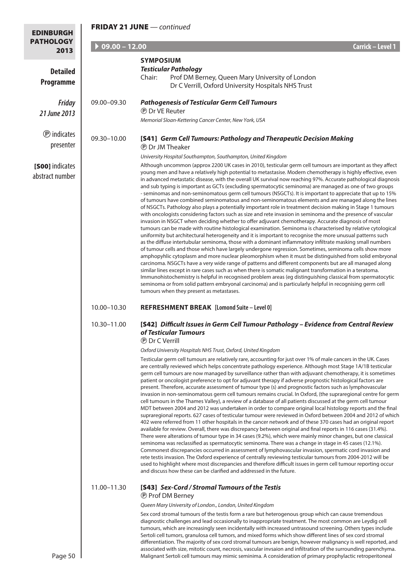# FRIDAY 21 June *— continued*

| <b>EDINBURGH</b> |  |
|------------------|--|
| <b>PATHOLOGY</b> |  |
| 2013             |  |

| PATHOLOGY<br>2013                      | $\triangleright$ 09.00 - 12.00<br><b>Carrick - Level 1</b> |                                                                                                                                                                                                                                                                                                                                                                                                                                                                                                                                                                                                                                                                                                                                                                                                                                                                                                                                                                                                                                                                                                                                                                                                                                                                                                                                                                                                                                                                                                                                                                                                                                                                                                                                                                                                                                                                                                                                                                                                                                                                                                                                                 |  |
|----------------------------------------|------------------------------------------------------------|-------------------------------------------------------------------------------------------------------------------------------------------------------------------------------------------------------------------------------------------------------------------------------------------------------------------------------------------------------------------------------------------------------------------------------------------------------------------------------------------------------------------------------------------------------------------------------------------------------------------------------------------------------------------------------------------------------------------------------------------------------------------------------------------------------------------------------------------------------------------------------------------------------------------------------------------------------------------------------------------------------------------------------------------------------------------------------------------------------------------------------------------------------------------------------------------------------------------------------------------------------------------------------------------------------------------------------------------------------------------------------------------------------------------------------------------------------------------------------------------------------------------------------------------------------------------------------------------------------------------------------------------------------------------------------------------------------------------------------------------------------------------------------------------------------------------------------------------------------------------------------------------------------------------------------------------------------------------------------------------------------------------------------------------------------------------------------------------------------------------------------------------------|--|
| <b>Detailed</b><br>Programme           |                                                            | <b>SYMPOSIUM</b><br><b>Testicular Pathology</b><br>Chair:<br>Prof DM Berney, Queen Mary University of London<br>Dr C Verrill, Oxford University Hospitals NHS Trust                                                                                                                                                                                                                                                                                                                                                                                                                                                                                                                                                                                                                                                                                                                                                                                                                                                                                                                                                                                                                                                                                                                                                                                                                                                                                                                                                                                                                                                                                                                                                                                                                                                                                                                                                                                                                                                                                                                                                                             |  |
| <b>Friday</b><br>21 June 2013          | 09.00-09.30                                                | <b>Pathogenesis of Testicular Germ Cell Tumours</b><br><b><i>®</i></b> Dr VE Reuter<br>Memorial Sloan-Kettering Cancer Center, New York, USA                                                                                                                                                                                                                                                                                                                                                                                                                                                                                                                                                                                                                                                                                                                                                                                                                                                                                                                                                                                                                                                                                                                                                                                                                                                                                                                                                                                                                                                                                                                                                                                                                                                                                                                                                                                                                                                                                                                                                                                                    |  |
| <b><i>O</i></b> indicates<br>presenter | 09.30-10.00                                                | [S41] Germ Cell Tumours: Pathology and Therapeutic Decision Making<br><b>D</b> Dr JM Theaker                                                                                                                                                                                                                                                                                                                                                                                                                                                                                                                                                                                                                                                                                                                                                                                                                                                                                                                                                                                                                                                                                                                                                                                                                                                                                                                                                                                                                                                                                                                                                                                                                                                                                                                                                                                                                                                                                                                                                                                                                                                    |  |
| [SOO] indicates<br>abstract number     |                                                            | University Hospital Southampton, Southampton, United Kingdom<br>Although uncommon (approx 2200 UK cases in 2010), testicular germ cell tumours are important as they affect<br>young men and have a relatively high potential to metastasise. Modern chemotherapy is highly effective, even<br>in advanced metastatic disease, with the overall UK survival now reaching 97%. Accurate pathological diagnosis<br>and sub typing is important as GCTs (excluding spermatocytic seminoma) are managed as one of two groups<br>- seminomas and non-seminomatous germ cell tumours (NSGCTs). It is important to appreciate that up to 15%<br>of tumours have combined seminomatous and non-seminomatous elements and are managed along the lines<br>of NSGCTs. Pathology also plays a potentially important role in treatment decision making in Stage 1 tumours<br>with oncologists considering factors such as size and rete invasion in seminoma and the presence of vascular<br>invasion in NSGCT when deciding whether to offer adjuvant chemotherapy. Accurate diagnosis of most<br>tumours can be made with routine histological examination. Seminoma is characterised by relative cytological<br>uniformity but architectural heterogeneity and it is important to recognise the more unusual patterns such<br>as the diffuse intertubular seminoma, those with a dominant inflammatory infiltrate masking small numbers<br>of tumour cells and those which have largely undergone regression. Sometimes, seminoma cells show more<br>amphopyhlic cytoplasm and more nuclear pleomorphism when it must be distinguished from solid embryonal<br>carcinoma. NSGCTs have a very wide range of patterns and different components but are all managed along<br>similar lines except in rare cases such as when there is somatic malignant transformation in a teratoma.<br>Immunohistochemistry is helpful in recognised problem areas (eg distinguishing classical from spermatocytic<br>seminoma or from solid pattern embryonal carcinoma) and is particularly helpful in recognising germ cell<br>tumours when they present as metastases. |  |
|                                        | 10.00-10.30                                                | <b>REFRESHMENT BREAK [Lomond Suite - Level 0]</b>                                                                                                                                                                                                                                                                                                                                                                                                                                                                                                                                                                                                                                                                                                                                                                                                                                                                                                                                                                                                                                                                                                                                                                                                                                                                                                                                                                                                                                                                                                                                                                                                                                                                                                                                                                                                                                                                                                                                                                                                                                                                                               |  |
|                                        | 10.30-11.00                                                | [S42] Difficult Issues in Germ Cell Tumour Pathology - Evidence from Central Review<br>of Testicular Tumours<br>(P) Dr C Verrill                                                                                                                                                                                                                                                                                                                                                                                                                                                                                                                                                                                                                                                                                                                                                                                                                                                                                                                                                                                                                                                                                                                                                                                                                                                                                                                                                                                                                                                                                                                                                                                                                                                                                                                                                                                                                                                                                                                                                                                                                |  |
|                                        |                                                            | Oxford University Hospitals NHS Trust, Oxford, United Kingdom                                                                                                                                                                                                                                                                                                                                                                                                                                                                                                                                                                                                                                                                                                                                                                                                                                                                                                                                                                                                                                                                                                                                                                                                                                                                                                                                                                                                                                                                                                                                                                                                                                                                                                                                                                                                                                                                                                                                                                                                                                                                                   |  |
|                                        |                                                            | Testicular germ cell tumours are relatively rare, accounting for just over 1% of male cancers in the UK. Cases<br>are centrally reviewed which helps concentrate pathology experience. Although most Stage 1A/1B testicular<br>germ cell tumours are now managed by surveillance rather than with adjuvant chemotherapy, it is sometimes<br>patient or oncologist preference to opt for adjuvant therapy if adverse prognostic histological factors are<br>present. Therefore, accurate assessment of tumour type (s) and prognostic factors such as lymphovascular<br>invasion in non-seminomatous germ cell tumours remains crucial. In Oxford, (the supraregional centre for germ<br>cell tumours in the Thames Valley), a review of a database of all patients discussed at the germ cell tumour<br>MDT between 2004 and 2012 was undertaken in order to compare original local histology reports and the final<br>supraregional reports. 627 cases of testicular tumour were reviewed in Oxford between 2004 and 2012 of which<br>402 were referred from 11 other hospitals in the cancer network and of these 370 cases had an original report<br>available for review. Overall, there was discrepancy between original and final reports in 116 cases (31.4%).<br>There were alterations of tumour type in 34 cases (9.2%), which were mainly minor changes, but one classical<br>seminoma was reclassified as spermatocytic seminoma. There was a change in stage in 45 cases (12.1%).<br>Commonest discrepancies occurred in assessment of lymphovascular invasion, spermatic cord invasion and<br>rete testis invasion. The Oxford experience of centrally reviewing testicular tumours from 2004-2012 will be<br>used to highlight where most discrepancies and therefore difficult issues in germ cell tumour reporting occur<br>and discuss how these can be clarified and addressed in the future.                                                                                                                                                                                                                                |  |
|                                        | 11.00-11.30                                                | [S43] Sex-Cord / Stromal Tumours of the Testis<br><b><i><b>P</b></i></b> Prof DM Berney                                                                                                                                                                                                                                                                                                                                                                                                                                                                                                                                                                                                                                                                                                                                                                                                                                                                                                                                                                                                                                                                                                                                                                                                                                                                                                                                                                                                                                                                                                                                                                                                                                                                                                                                                                                                                                                                                                                                                                                                                                                         |  |
|                                        |                                                            | Queen Mary University of London., London, United Kingdom                                                                                                                                                                                                                                                                                                                                                                                                                                                                                                                                                                                                                                                                                                                                                                                                                                                                                                                                                                                                                                                                                                                                                                                                                                                                                                                                                                                                                                                                                                                                                                                                                                                                                                                                                                                                                                                                                                                                                                                                                                                                                        |  |
|                                        |                                                            | Sex cord stromal tumours of the testis form a rare but heterogenous group which can cause tremendous<br>diagnostic challenges and lead occasionally to inappropriate treatment. The most common are Leydig cell<br>tumours, which are increasingly seen incidentally with increased untrasound screening. Others types include<br>Sertoli cell tumors, granulosa cell tumors, and mixed forms which show different lines of sex cord stromal<br>differentiation. The majority of sex cord stromal tumours are benign, however malignancy is well reported, and<br>associated with size, mitotic count, necrosis, vascular invsaion and infiltration of the surrounding parenchyma.                                                                                                                                                                                                                                                                                                                                                                                                                                                                                                                                                                                                                                                                                                                                                                                                                                                                                                                                                                                                                                                                                                                                                                                                                                                                                                                                                                                                                                                              |  |

Malignant Sertoli cell tumours may mimic seminima. A consideration of primary prophylactic retroperitoneal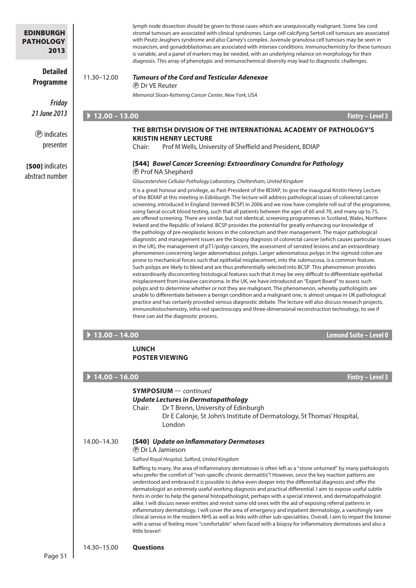| <b>EDINBURGH</b><br><b>PATHOLOGY</b><br>2013 |                                            | lymph node dissection should be given to those cases which are unequivocally malignant. Some Sex cord<br>stromal tumours are associated with clinical syndromes. Large cell calcifying Sertoli cell tumours are associated<br>with Peutz-Jeughers syndrome and also Carney's complex. Juvenule granulosa cell tumours may be seen in<br>mosaicism, and gonadoblastomas are associated with intersex conditions. Immunochemistry for these tumours<br>is variable, and a panel of markers may be needed, with an underlying relaince on morphology for their<br>diagnosis. This array of phenotypic and immunochemical diversity may lead to diagnostic challenges.                                                                                                                                                                                                                                                                                                                                                                                                                                                                                                                                                                                                                                                                                                                                                                                                                                                                                                                                                                                                                                                                                                                                                                                                                                                                                                                                                                                                                                                                                                     |  |
|----------------------------------------------|--------------------------------------------|------------------------------------------------------------------------------------------------------------------------------------------------------------------------------------------------------------------------------------------------------------------------------------------------------------------------------------------------------------------------------------------------------------------------------------------------------------------------------------------------------------------------------------------------------------------------------------------------------------------------------------------------------------------------------------------------------------------------------------------------------------------------------------------------------------------------------------------------------------------------------------------------------------------------------------------------------------------------------------------------------------------------------------------------------------------------------------------------------------------------------------------------------------------------------------------------------------------------------------------------------------------------------------------------------------------------------------------------------------------------------------------------------------------------------------------------------------------------------------------------------------------------------------------------------------------------------------------------------------------------------------------------------------------------------------------------------------------------------------------------------------------------------------------------------------------------------------------------------------------------------------------------------------------------------------------------------------------------------------------------------------------------------------------------------------------------------------------------------------------------------------------------------------------------|--|
| <b>Detailed</b><br><b>Programme</b>          | 11.30-12.00                                | <b>Tumours of the Cord and Testicular Adenexae</b><br><b><i>®</i></b> Dr VE Reuter                                                                                                                                                                                                                                                                                                                                                                                                                                                                                                                                                                                                                                                                                                                                                                                                                                                                                                                                                                                                                                                                                                                                                                                                                                                                                                                                                                                                                                                                                                                                                                                                                                                                                                                                                                                                                                                                                                                                                                                                                                                                                     |  |
| <b>Friday</b>                                |                                            | Memorial Sloan-Kettering Cancer Center, New York, USA                                                                                                                                                                                                                                                                                                                                                                                                                                                                                                                                                                                                                                                                                                                                                                                                                                                                                                                                                                                                                                                                                                                                                                                                                                                                                                                                                                                                                                                                                                                                                                                                                                                                                                                                                                                                                                                                                                                                                                                                                                                                                                                  |  |
| 21 June 2013                                 | $12.00 - 13.00$                            | Fintry - Level 3                                                                                                                                                                                                                                                                                                                                                                                                                                                                                                                                                                                                                                                                                                                                                                                                                                                                                                                                                                                                                                                                                                                                                                                                                                                                                                                                                                                                                                                                                                                                                                                                                                                                                                                                                                                                                                                                                                                                                                                                                                                                                                                                                       |  |
| <b><i>O</i></b> indicates<br>presenter       |                                            | THE BRITISH DIVISION OF THE INTERNATIONAL ACADEMY OF PATHOLOGY'S<br><b>KRISTIN HENRY LECTURE</b><br>Chair:<br>Prof M Wells, University of Sheffield and President, BDIAP                                                                                                                                                                                                                                                                                                                                                                                                                                                                                                                                                                                                                                                                                                                                                                                                                                                                                                                                                                                                                                                                                                                                                                                                                                                                                                                                                                                                                                                                                                                                                                                                                                                                                                                                                                                                                                                                                                                                                                                               |  |
| [SOO] indicates<br>abstract number           |                                            | [S44] Bowel Cancer Screening: Extraordinary Conundra for Pathology<br><b><i>®</i></b> Prof NA Shepherd                                                                                                                                                                                                                                                                                                                                                                                                                                                                                                                                                                                                                                                                                                                                                                                                                                                                                                                                                                                                                                                                                                                                                                                                                                                                                                                                                                                                                                                                                                                                                                                                                                                                                                                                                                                                                                                                                                                                                                                                                                                                 |  |
|                                              |                                            | Gloucestershire Cellular Pathology Laboratory, Cheltenham, United Kingdom<br>It is a great honour and privilege, as Past-President of the BDIAP, to give the inaugural Kristin Henry Lecture<br>of the BDIAP at this meeting in Edinburgh. The lecture will address pathological issues of colorectal cancer<br>screening, introduced in England (termed BCSP) in 2006 and we now have complete roll out of the programme,<br>using faecal occult blood testing, such that all patients between the ages of 60 and 70, and many up to 75,<br>are offered screening. There are similar, but not identical, screening programmes in Scotland, Wales, Northern<br>Ireland and the Republic of Ireland. BCSP provides the potential for greatly enhancing our knowledge of<br>the pathology of pre-neoplastic lesions in the colorectum and their management. The major pathological<br>diagnostic and management issues are the biopsy diagnosis of colorectal cancer (which causes particular issues<br>in the UK), the management of pT1/polyp cancers, the assessment of serrated lesions and an extraordinary<br>phenomenon concerning larger adenomatous polyps. Larger adenomatous polyps in the sigmoid colon are<br>prone to mechanical forces such that epithelial misplacement, into the submucosa, is a common feature.<br>Such polyps are likely to bleed and are thus preferentially selected into BCSP. This phenomenon provides<br>extraordinarily disconcerting histological features such that it may be very difficult to differentiate epithelial<br>misplacement from invasive carcinoma. In the UK, we have introduced an "Expert Board" to assess such<br>polyps and to determine whether or not they are malignant. The phenomenon, whereby pathologists are<br>unable to differentiate between a benign condition and a malignant one, is almost unique in UK pathological<br>practice and has certainly provided serious diagnostic debate. The lecture will also discuss research projects,<br>immunohistochemistry, infra-red spectroscopy and three-dimensional reconstruction technology, to see if<br>these can aid the diagnostic process. |  |
|                                              | $\blacktriangleright$ 13.00 - 14.00        | Lomond Suite – Level 0<br><b>LUNCH</b><br><b>POSTER VIEWING</b>                                                                                                                                                                                                                                                                                                                                                                                                                                                                                                                                                                                                                                                                                                                                                                                                                                                                                                                                                                                                                                                                                                                                                                                                                                                                                                                                                                                                                                                                                                                                                                                                                                                                                                                                                                                                                                                                                                                                                                                                                                                                                                        |  |
|                                              | $14.00 - 16.00$<br><b>Fintry - Level 3</b> |                                                                                                                                                                                                                                                                                                                                                                                                                                                                                                                                                                                                                                                                                                                                                                                                                                                                                                                                                                                                                                                                                                                                                                                                                                                                                                                                                                                                                                                                                                                                                                                                                                                                                                                                                                                                                                                                                                                                                                                                                                                                                                                                                                        |  |
|                                              |                                            | $SYMPOSIUM$ - continued<br><b>Update Lectures in Dermatopathology</b><br>Dr T Brenn, University of Edinburgh<br>Chair:<br>Dr E Calonje, St John's Institute of Dermatology, St Thomas' Hospital,<br>London                                                                                                                                                                                                                                                                                                                                                                                                                                                                                                                                                                                                                                                                                                                                                                                                                                                                                                                                                                                                                                                                                                                                                                                                                                                                                                                                                                                                                                                                                                                                                                                                                                                                                                                                                                                                                                                                                                                                                             |  |
|                                              | 14.00-14.30                                | [S40] Update on Inflammatory Dermatoses<br><b>P</b> Dr LA Jamieson<br>Salford Royal Hospital, Salford, United Kingdom<br>Baffling to many, the area of inflammatory dermatoses is often left as a "stone unturned" by many pathologists<br>who prefer the comfort of "non-specific chronic dermatitis"! However, once the key reaction patterns are<br>understood and embraced it is possible to delve even deeper into the differential diagnosis and offer the<br>dermatologist an extremely useful working diagnosis and practical differential. I aim to expose useful subtle<br>hints in order to help the general histopathologist, perhaps with a special interest, and dermatopathologist<br>alike. I will discuss newer entities and revisit some old ones with the aid of exposing referral patterns in<br>inflammatory dermatology. I will cover the area of emergency and inpatient dermatology, a vanishingly rare<br>clinical service in the modern NHS as well as links with other sub-specialities. Overall, I aim to impart the listener<br>with a sense of feeling more "comfortable" when faced with a biopsy for inflammatory dermatoses and also a<br>little braver!                                                                                                                                                                                                                                                                                                                                                                                                                                                                                                                                                                                                                                                                                                                                                                                                                                                                                                                                                                              |  |
|                                              | 14.30-15.00                                | <b>Questions</b>                                                                                                                                                                                                                                                                                                                                                                                                                                                                                                                                                                                                                                                                                                                                                                                                                                                                                                                                                                                                                                                                                                                                                                                                                                                                                                                                                                                                                                                                                                                                                                                                                                                                                                                                                                                                                                                                                                                                                                                                                                                                                                                                                       |  |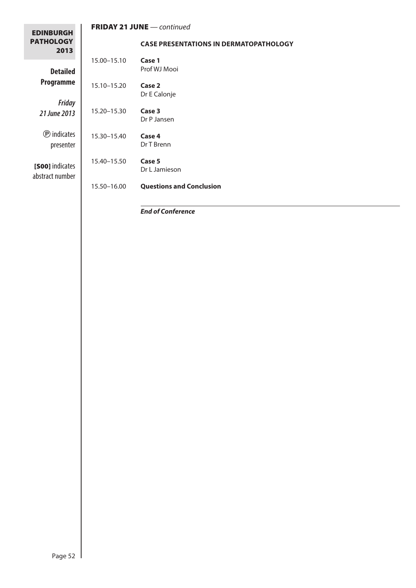## FRIDAY 21 June *— continued*

# EDINBURGH **PATHOLOGY** 2013

### **CASE PRESENTATIONS IN DERMATOPATHOLOGY**

| <b>Detailed</b>                    | 15.00-15.10 | Case 1<br>Prof WJ Mooi          |
|------------------------------------|-------------|---------------------------------|
| Programme                          | 15.10-15.20 | Case 2<br>Dr E Calonje          |
| <b>Friday</b><br>21 June 2013      | 15.20-15.30 | Case 3<br>Dr P Jansen           |
| <b>(P</b> ) indicates<br>presenter | 15.30-15.40 | Case 4<br>Dr T Brenn            |
| [SOO] indicates<br>abstract number | 15.40-15.50 | Case 5<br>Dr L Jamieson         |
|                                    | 15.50-16.00 | <b>Questions and Conclusion</b> |

*End of Conference*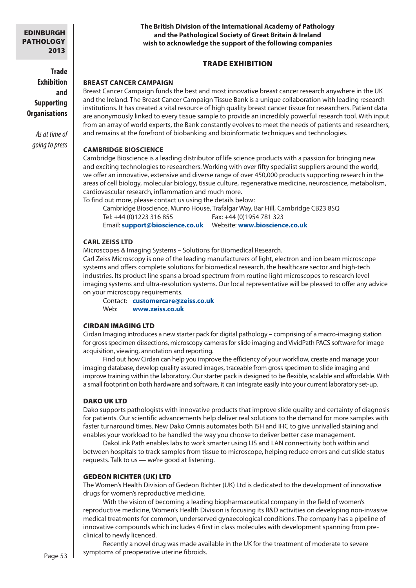**Trade Exhibition and Supporting Organisations**

> *As at time of going to press*

# Trade Exhibition

### **Breast Cancer Campaign**

Breast Cancer Campaign funds the best and most innovative breast cancer research anywhere in the UK and the Ireland. The Breast Cancer Campaign Tissue Bank is a unique collaboration with leading research institutions. It has created a vital resource of high quality breast cancer tissue for researchers. Patient data are anonymously linked to every tissue sample to provide an incredibly powerful research tool. With input from an array of world experts, the Bank constantly evolves to meet the needs of patients and researchers, and remains at the forefront of biobanking and bioinformatic techniques and technologies.

### **Cambridge Bioscience**

Cambridge Bioscience is a leading distributor of life science products with a passion for bringing new and exciting technologies to researchers. Working with over fifty specialist suppliers around the world, we offer an innovative, extensive and diverse range of over 450,000 products supporting research in the areas of cell biology, molecular biology, tissue culture, regenerative medicine, neuroscience, metabolism, cardiovascular research, inflammation and much more.

To find out more, please contact us using the details below:

Cambridge Bioscience, Munro House, Trafalgar Way, Bar Hill, Cambridge CB23 8SQ Tel: +44 (0)1223 316 855 Fax: +44 (0)1954 781 323 Email: **[support@bioscience.co.uk](mailto:support%40bioscience.co.uk?subject=Edinburgh%20Pathology%202013)** Website: **[www.bioscience.co.uk](http://www.bioscience.co.uk)**

### **Carl Zeiss LTD**

Microscopes & Imaging Systems – Solutions for Biomedical Research.

Carl Zeiss Microscopy is one of the leading manufacturers of light, electron and ion beam microscope systems and offers complete solutions for biomedical research, the healthcare sector and high-tech industries. Its product line spans a broad spectrum from routine light microscopes to research level imaging systems and ultra-resolution systems. Our local representative will be pleased to offer any advice on your microscopy requirements.

Contact: **[customercare@zeiss.co.uk](mailto:customercare%40zeiss.co.uk?subject=Edinburgh%20Pathology%202013)** Web: **[www.zeiss.co.uk](http://www.zeiss.co.uk)**

### Cirdan Imaging Ltd

Cirdan Imaging introduces a new starter pack for digital pathology – comprising of a macro-imaging station for gross specimen dissections, microscopy cameras for slide imaging and VividPath PACS software for image acquisition, viewing, annotation and reporting.

Find out how Cirdan can help you improve the efficiency of your workflow, create and manage your imaging database, develop quality assured images, traceable from gross specimen to slide imaging and improve training within the laboratory. Our starter pack is designed to be flexible, scalable and affordable. With a small footprint on both hardware and software, it can integrate easily into your current laboratory set-up.

### DAKO UK LTD

Dako supports pathologists with innovative products that improve slide quality and certainty of diagnosis for patients. Our scientific advancements help deliver real solutions to the demand for more samples with faster turnaround times. New Dako Omnis automates both ISH and IHC to give unrivalled staining and enables your workload to be handled the way you choose to deliver better case management.

DakoLink Path enables labs to work smarter using LIS and LAN connectivity both within and between hospitals to track samples from tissue to microscope, helping reduce errors and cut slide status requests. Talk to us — we're good at listening.

### **GEDEON RICHTER (UK) LTD**

The Women's Health Division of Gedeon Richter (UK) Ltd is dedicated to the development of innovative drugs for women's reproductive medicine.

With the vision of becoming a leading biopharmaceutical company in the field of women's reproductive medicine, Women's Health Division is focusing its R&D activities on developing non-invasive medical treatments for common, underserved gynaecological conditions. The company has a pipeline of innovative compounds which includes 4 first in class molecules with development spanning from preclinical to newly licenced.

Recently a novel drug was made available in the UK for the treatment of moderate to severe symptoms of preoperative uterine fibroids.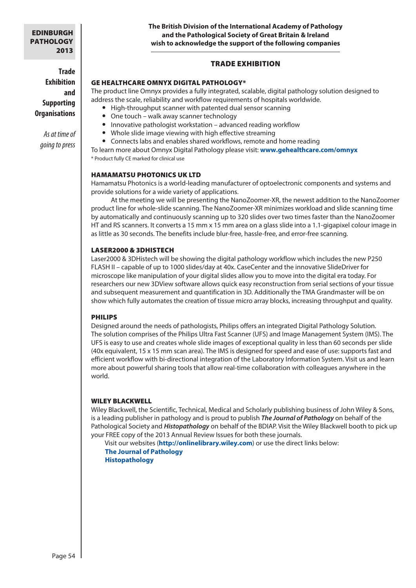> **Trade Exhibition and Supporting Organisations**

*As at time of going to press*

# Trade Exhibition

### GE Healthcare Omnyx Digital Pathology\*

The product line Omnyx provides a fully integrated, scalable, digital pathology solution designed to address the scale, reliability and workflow requirements of hospitals worldwide.

- High-throughput scanner with patented dual sensor scanning
- One touch walk away scanner technology
- Innovative pathologist workstation advanced reading workflow
- Whole slide image viewing with high effective streaming
- Connects labs and enables shared workflows, remote and home reading

To learn more about Omnyx Digital Pathology please visit: **[www.gehealthcare.com/omnyx](http://www.gehealthcare.com/omnyx)** \* Product fully CE marked for clinical use

### HAMAMATSU PHOTONICS UK LTD

Hamamatsu Photonics is a world-leading manufacturer of optoelectronic components and systems and provide solutions for a wide variety of applications.

At the meeting we will be presenting the NanoZoomer-XR, the newest addition to the NanoZoomer product line for whole-slide scanning. The NanoZoomer-XR minimizes workload and slide scanning time by automatically and continuously scanning up to 320 slides over two times faster than the NanoZoomer HT and RS scanners. It converts a 15 mm x 15 mm area on a glass slide into a 1.1-gigapixel colour image in as little as 30 seconds. The benefits include blur-free, hassle-free, and error-free scanning.

### Laser2000 & 3DHistech

Laser2000 & 3DHistech will be showing the digital pathology workflow which includes the new P250 FLASH II – capable of up to 1000 slides/day at 40x. CaseCenter and the innovative SlideDriver for microscope like manipulation of your digital slides allow you to move into the digital era today. For researchers our new 3DView software allows quick easy reconstruction from serial sections of your tissue and subsequent measurement and quantification in 3D. Additionally the TMA Grandmaster will be on show which fully automates the creation of tissue micro array blocks, increasing throughput and quality.

### **PHILIPS**

Designed around the needs of pathologists, Philips offers an integrated Digital Pathology Solution. The solution comprises of the Philips Ultra Fast Scanner (UFS) and Image Management System (IMS). The UFS is easy to use and creates whole slide images of exceptional quality in less than 60 seconds per slide (40x equivalent, 15 x 15 mm scan area). The IMS is designed for speed and ease of use: supports fast and efficient workflow with bi-directional integration of the Laboratory Information System. Visit us and learn more about powerful sharing tools that allow real-time collaboration with colleagues anywhere in the world.

### WILEY BLACKWELL

Wiley Blackwell, the Scientific, Technical, Medical and Scholarly publishing business of John Wiley & Sons, is a leading publisher in pathology and is proud to publish *The Journal of Pathology* on behalf of the Pathological Society and *Histopathology* on behalf of the BDIAP. Visit the Wiley Blackwell booth to pick up your FREE copy of the 2013 Annual Review Issues for both these journals.

Visit our websites (**<http://onlinelibrary.wiley.com>**) or use the direct links below:

 **[The Journal of Pathology](http://onlinelibrary.wiley.com/journal/10.1002/%28ISSN%291096-9896) [Histopathology](http://onlinelibrary.wiley.com/journal/10.1111/%28ISSN%291365-2559)**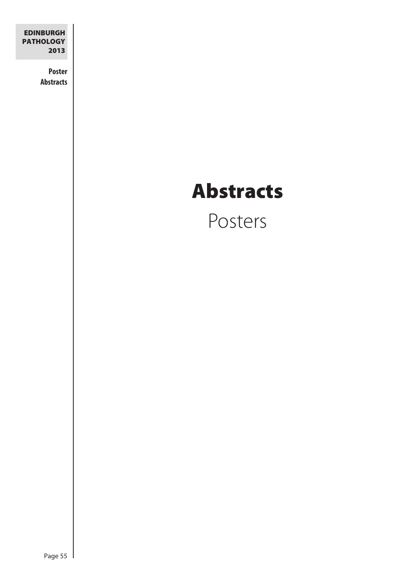

**Poster Abstracts**

# Abstracts

# Posters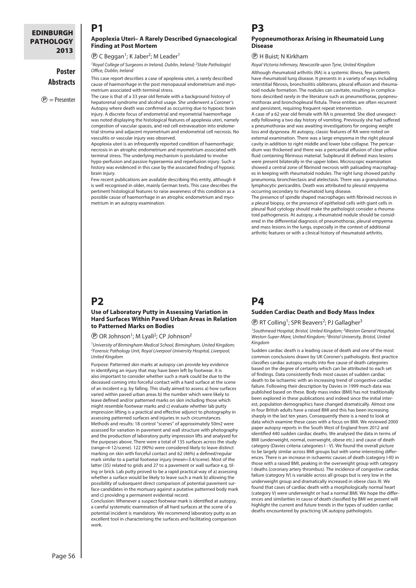# **Poster Abstracts**

 $(P)$  = Presenter

#### **Apoplexia Uteri– A Rarely Described Gynaecological Finding at Post Mortem**

**P** C Beggan<sup>1</sup>; K Jaber<sup>2</sup>; M Leader<sup>1</sup>

**P1**

*1Royal College of Surgeons in Ireland, Dublin, Ireland; 2State Pathologist Office, Dublin, Ireland*

This case report describes a case of apoplexia uteri, a rarely described cause of haemorrhage in the post menopausal endometrium and myometrium associated with terminal stress.

The case is that of a 33 year old female with a background history of hepatorenal syndrome and alcohol usage. She underwent a Coroner's Autopsy where death was confirmed as occurring due to hypoxic brain injury. A discrete focus of endometrial and myometrial haemorrhage was noted displaying the histological features of apoplexia uteri, namely congestion of vascular spaces, and red cell extravasation into endometrial stroma and adjacent myometrium and endometrial cell necrosis. No vasculitis or vascular injury was observed.

Apoplexia uteri is an infrequently reported condition of haemorrhagic necrosis in an atrophic endometrium and myometrium associated with terminal stress. The underlying mechanism is postulated to involve hypo-perfusion and passive hyperaemia and reperfusion injury. Such a history was evidenced in this case by the associated finding of hypoxic brain injury.

Few recent publications are available describing this entity, although it is well recognised in older, mainly German texts. This case describes the pertinent histological features to raise awareness of this condition as a possible cause of haemorrhage in an atrophic endometrium and myometrium in an autopsy examination.

# **P2**

#### **Use of Laboratory Putty in Assessing Variation in Hard Surfaces Within Paved Urban Areas in Relation to Patterned Marks on Bodies**

#### $\textcircled{P}$  OR Johnson<sup>1</sup>; M Lyall<sup>2</sup>; CP Johnson<sup>2</sup>

*1University of Birmingham Medical School, Birmingham, United Kingdom; 2Forensic Pathology Unit, Royal Liverpool University Hospital, Liverpool, United Kingdom*

Purpose: Patterned skin marks at autopsy can provide key evidence in identifying an injury that may have been left by footwear. It is also important to consider whether such a mark could be due to the deceased coming into forceful contact with a hard surface at the scene of an incident e.g. by falling. This study aimed to assess a) how surfaces varied within paved urban areas b) the number which were likely to leave defined and/or patterned marks on skin including those which might resemble footwear marks and c) evaluate whether lab putty impression lifting is a practical and effective adjunct to photography in assessing patterned surfaces and injuries in such circumstances. Methods and results: 18 control "scenes" of approximately 50m2 were assessed for variation in pavement and wall structure with photography and the production of laboratory putty impression lifts and analysed for the purposes above. There were a total of 135 surfaces across the study (range=4-12/scene). 122 (90%) were considered likely to leave distinct marking on skin with forceful contact and 62 (46%) a defined/regular mark similar to a partial footwear injury (mean=3.4/scene). Most of the latter (35) related to grids and 27 to a pavement or wall surface e.g. tiling or brick. Lab putty proved to be a rapid practical way of a) assessing whether a surface would be likely to leave such a mark b) allowing the possibility of subsequent direct comparison of potential pavement surface candidates in the mortuary against a putative patterned body mark and c) providing a permanent evidential record.

Conclusion: Whenever a suspect footwear mark is identified at autopsy, a careful systematic examination of all hard surfaces at the scene of a potential incident is mandatory. We recommend laboratory putty as an excellent tool in characterising the surfaces and facilitating comparison work.

# **P3**

#### **Pyopneumothorax Arising in Rheumatoid Lung Disease**

#### P H Buist; N Kirkham

*Royal Victoria Infirmary, Newcastle upon Tyne, United Kingdom*

Although rheumatoid arthritis (RA) is a systemic illness, few patients have rheumatoid lung disease. It presents in a variety of ways including interstitial fibrosis, bronchiolitis obliterans, pleural effusion and rheumatoid nodule formation. The nodules can cavitate, resulting in complications described rarely in the literature such as pneumothorax, pyopneumothorax and bronchopleural fistula. These entities are often recurrent and persistent, requiring frequent repeat intervention.

A case of a 62 year old female with RA is presented. She died unexpectedly following a two day history of vomiting. Previously she had suffered a pneumothorax and was awaiting investigations for ongoing weight loss and dyspnoea. At autopsy, classic features of RA were noted on external examination. There was a large empyema in the right pleural cavity in addition to right middle and lower lobe collapse. The pericardium was thickened and there was a pericardial effusion of clear yellow fluid containing fibrinous material. Subpleural ill defined mass lesions were present bilaterally in the upper lobes. Microscopic examination showed a central zone of fibrinoid necrosis with palisading macrophages in keeping with rheumatoid nodules. The right lung showed patchy pneumonia, bronchiectasis and atelectasis. There was a granulomatous lymphocytic pericarditis. Death was attributed to pleural empyema occurring secondary to rheumatoid lung disease.

The presence of spindle shaped macrophages with fibrinoid necrosis in a pleural biopsy, or the presence of epitheloid cells with giant cells in pleural fluid cytology should make the pathologist consider a rheumatoid pathogenesis. At autopsy, a rheumatoid nodule should be considered in the differential diagnosis of pneumothorax, pleural empyema and mass lesions in the lungs, especially in the context of additional arthritic features or with a clinical history of rheumatoid arthritis.

# **P4**

#### **Sudden Cardiac Death and Body Mass Index**

#### **P RT Colling<sup>1</sup>; SPR Beavers<sup>2</sup>; PJ Gallagher<sup>3</sup>**

*1Southmead Hospital, Bristol, United Kingdom; 2Weston General Hospital, Weston-Super-Mare, United Kingdom; 3Bristol University, Bristol, United Kingdom*

Sudden cardiac death is a leading cause of death and one of the most common conclusions drawn by UK Coroner's pathologists. Best practice classifies cardiac autopsy results into five cause of death categories based on the degree of certainty which can be attributed to each set of findings. Data consistently finds most causes of sudden cardiac death to be ischaemic with an increasing trend of congestive cardiac failure. Following their description by Davies in 1999 much data was published based on these. Body mass index (BMI) has not traditionally been explored in these publications and indeed since the initial interest, population demographics have changed dramatically. Almost one in four British adults have a raised BMI and this has been increasing sharply in the last ten years. Consequently there is a need to look at data which examine these cases with a focus on BMI. We reviewed 2000 paper autopsy reports in the South West of England from 2012 and identified 440 sudden cardiac deaths. We analysed the data in terms of BMI (underweight, normal, overweight, obese etc.) and cause of death category (Davies criteria categories I - V). We found the overall picture to be largely similar across BMI groups but with some interesting differences. There is an increase in ischaemic causes of death (category I-III) in those with a raised BMI, peaking in the overweight group with category I deaths (coronary artery thrombus). The incidence of congestive cardiac failure (category IV) is variable across all groups but is very low in the underweight group and dramatically increased in obese class III. We found that cases of cardiac death with a morphologically normal heart (category V) were underweight or had a normal BMI. We hope the differences and similarities in cause of death classified by BMI we present will highlight the current and future trends in the types of sudden cardiac deaths encountered by practicing UK autopsy pathologists.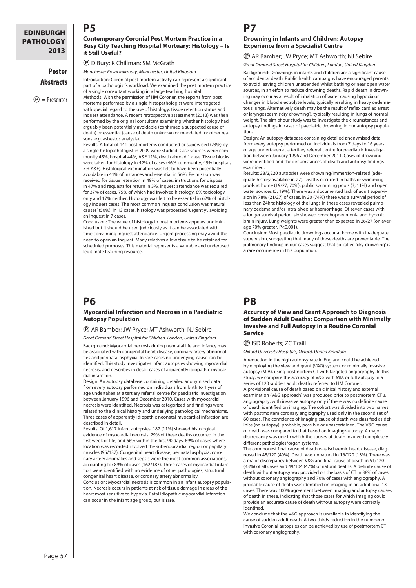# **Poster Abstracts**

**P5**

 $(P)$  = Presenter

#### **Contemporary Coronial Post Mortem Practice in a Busy City Teaching Hospital Mortuary: Histology – Is it Still Useful?**

P D Bury; K Chillman; SM McGrath

*Manchester Royal Infirmary, Manchester, United Kingdom*

Introduction: Coronial post mortem activity can represent a significant part of a pathologist's workload. We examined the post mortem practice of a single consultant working in a large teaching hospital.

Methods: With the permission of HM Coroner, the reports from post mortems performed by a single histopathologist were interrogated with special regard to the use of histology, tissue retention status and inquest attendance. A recent retrospective assessment (2013) was then performed by the original consultant examining whether histology had arguably been potentially avoidable (confirmed a suspected cause of death) or essential (cause of death unknown or mandated for other reasons, e.g. asbestos analysis).

Results: A total of 141 post mortems conducted or supervised (23%) by a single histopathologist in 2009 were studied. Case sources were: community 45%, hospital 44%, A&E 11%, death abroad 1 case. Tissue blocks were taken for histology in 42% of cases (46% community, 49% hospital, 5% A&E). Histological examination was felt to have been potentially avoidable in 41% of instances and essential in 56%. Permission was received for tissue retention in 49% of cases, instructions for disposal in 47% and requests for return in 3%. Inquest attendance was required for 37% of cases, 75% of which had involved histology, 8% toxicology only and 17% neither. Histology was felt to be essential in 62% of histology inquest cases. The most common inquest conclusion was 'natural causes' (50%). In 13 cases, histology was processed 'urgently', avoiding an inquest in 7 cases.

Conclusion: The value of histology in post mortems appears undiminished but it should be used judiciously as it can be associated with time consuming inquest attendance. Urgent processing may avoid the need to open an inquest. Many relatives allow tissue to be retained for scheduled purposes. This material represents a valuable and underused legitimate teaching resource.

# **P6**

#### **Myocardial Infarction and Necrosis in a Paediatric Autopsy Population**

#### P AR Bamber; JW Pryce; MT Ashworth; NJ Sebire

*Great Ormond Street Hospital for Children, London, United Kingdom* Background: Myocardial necrosis during neonatal life and infancy may be associated with congenital heart disease, coronary artery abnormali-

ties and perinatal asphyxia. In rare cases no underlying cause can be identified. This study investigates infant autopsies showing myocardial necrosis, and describes in detail cases of apparently idiopathic myocardial infarction.

Design: An autopsy database containing detailed anonymised data from every autopsy performed on individuals from birth to 1 year of age undertaken at a tertiary referral centre for paediatric investigation between January 1996 and December 2010. Cases with myocardial necrosis were identified. Necrosis was categorized and findings were related to the clinical history and underlying pathological mechanisms. Three cases of apparently idiopathic neonatal myocardial infarction are described in detail.

Results: Of 1,617 infant autopsies, 187 (11%) showed histological evidence of myocardial necrosis. 29% of these deaths occurred in the first week of life, and 66% within the first 90 days. 69% of cases where location was recorded involved the subendocardial region or papillary muscles (95/137). Congenital heart disease, perinatal asphyxia, coronary artery anomalies and sepsis were the most common associations, accounting for 89% of cases (162/187). Three cases of myocardial infarction were identified with no evidence of other pathologies, structural congenital heart disease, or coronary artery abnormality. Conclusion: Myocardial necrosis is common in an infant autopsy popula-

tion. Necrosis occurs in patients at risk of tissue damage in areas of the heart most sensitive to hypoxia. Fatal idiopathic myocardial infarction can occur in the infant age group, but is rare.

# **P7**

#### **Drowning in Infants and Children: Autopsy Experience from a Specialist Centre**

P AR Bamber; JW Pryce; MT Ashworth; NJ Sebire

*Great Ormond Street Hospital for Children, London, United Kingdom* Background: Drownings in infants and children are a significant cause of accidental death. Public health campaigns have encouraged parents to avoid leaving children unattended whilst bathing or near open water sources, in an effort to reduce drowning deaths. Rapid death in drowning may occur as a result of inhalation of water causing hypoxia or changes in blood electrolyte levels, typically resulting in heavy oedematous lungs. Alternatively death may be the result of reflex cardiac arrest or laryngospasm ('dry drowning'), typically resulting in lungs of normal weight. The aim of our study was to investigate the circumstances and autopsy findings in cases of paediatric drowning in our autopsy population.

Design: An autopsy database containing detailed anonymised data from every autopsy performed on individuals from 7 days to 16 years of age undertaken at a tertiary referral centre for paediatric investigation between January 1996 and December 2011. Cases of drowning were identified and the circumstances of death and autopsy findings examined.

Results: 28/2,220 autopsies were drowning/immersion-related (adequate history available in 27). Deaths occurred in baths or swimming pools at home (19/27, 70%), public swimming pools (3, 11%) and open water sources (5, 19%). There was a documented lack of adult supervision in 78% (21/27) of cases. In 20 (74%) there was a survival period of less than 24hrs; histology of the lungs in these cases revealed pulmonary oedema and/or intra-alveolar haemorrhage. Of seven cases with a longer survival period, six showed bronchopneumonia and hypoxic brain injury. Lung weights were greater than expected in 26/27 (on average 70% greater, P<0.001).

Conclusion: Most paediatric drownings occur at home with inadequate supervision, suggesting that many of these deaths are preventable. The pulmonary findings in our cases suggest that so-called 'dry-drowning' is a rare occurrence in this population.

# **P8**

**Accuracy of View and Grant Approach to Diagnosis of Sudden Adult Deaths: Comparison with Minimally Invasive and Full Autopsy in a Routine Coronial Service**

#### P ISD Roberts; ZC Traill

*Oxford University Hospitals, Oxford, United Kingdom*

A reduction in the high autopsy rate in England could be achieved by employing the view and grant (V&G) system, or minimally invasive autopsy (MIA), using postmortem CT with targeted angiography. In this study, we compare the accuracy of V&G with MIA or full autopsy in a series of 120 sudden adult deaths referred to HM Coroner. A provisional cause of death based on clinical history and external examination (V&G approach) was produced prior to postmortem CT  $\pm$ angiography, with invasive autopsy only if there was no definite cause of death identified on imaging. The cohort was divided into two halves with postmortem coronary angiography used only in the second set of 60 cases. The confidence of imaging cause of death was classified as definite (no autopsy), probable, possible or unascertained. The V&G cause of death was compared to that based on imaging/autopsy. A major discrepancy was one in which the causes of death involved completely different pathologies/organ systems.

The commonest final cause of death was ischaemic heart disease, diagnosed in 48/120 (40%). Death was unnatural in 16/120 (13%). There was a major discrepancy between V&G and final cause of death in 51/120 (43%) of all cases and 49/104 (47%) of natural deaths. A definite cause of death without autopsy was provided on the basis of CT in 38% of cases without coronary angiography and 70% of cases with angiography. A probable cause of death was identified on imaging in an additional 13 cases. There was 100% agreement between imaging and autopsy causes of death in these, indicating that those cases for which imaging could provide an accurate cause of death without autopsy were correctly identified.

We conclude that the V&G approach is unreliable in identifying the cause of sudden adult death. A two-thirds reduction in the number of invasive Coronial autopsies can be achieved by use of postmortem CT with coronary angiography.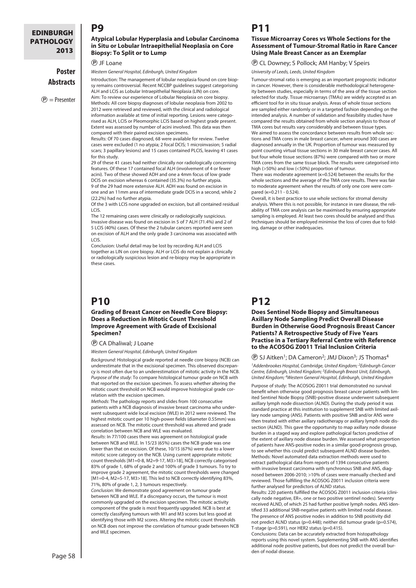### **Poster Abstracts**

 $(P)$  = Presenter

#### **Atypical Lobular Hyperplasia and Lobular Carcinoma in Situ or Lobular Intraepithelial Neoplasia on Core Biopsy: To Split or to Lump**

#### P JF Loane

**P9**

*Western General Hospital, Edinburgh, United Kingdom*

Introduction: The management of lobular neoplasia found on core biopsy remains controversial. Recent NCCBP guidelines suggest categorising ALH and LCIS as Lobular Intraepithelial Neoplasia (LIN) on core. Aim: To review our experience of Lobular Neoplasia on core biopsy.

Methods: All core biopsy diagnoses of lobular neoplasia from 2002 to 2012 were retrieved and reviewed, with the clinical and radiological information available at time of initial reporting. Lesions were categorised as ALH, LCIS or Pleomorphic LCIS based on highest grade present. Extent was assessed by number of acini involved. This data was then compared with their paired excision specimens.

Results: Of 70 cases diagnosed, 68 were available for review. Twelve cases were excluded (1 no atypia; 2 focal DCIS; 1 microinvasion; 5 radial scars; 3 papillary lesions) and 15 cases contained PLCIS, leaving 41 cases for this study.

29 of these 41 cases had neither clinically nor radiologically concerning features. Of these 17 contained focal ALH (involvement of 4 or fewer acini). Two of these showed ADH and one a 4mm focus of low grade DCIS on excision whereas 6 contained (35.3%) no further atypia. 9 of the 29 had more extensive ALH. ADH was found on excision in one and an 11mm area of intermediate grade DCIS in a second, while 2 (22.2%) had no further atypia.

Of the 3 with LCIS none upgraded on excision, but all contained residual LCIS.

The 12 remaining cases were clinically or radiologically suspicious. Invasive disease was found on excision in 5 of 7 ALH (71.4%) and 2 of 5 LCIS (40%) cases. Of these the 2 tubular cancers reported were seen on excision of ALH and the only grade 3 carcinoma was associated with LCIS.

Conclusion: Useful detail may be lost by recording ALH and LCIS together as LIN on core biopsy. ALH or LCIS do not explain a clinically or radiologically suspicious lesion and re-biopsy may be appropriate in these cases.

# **P10**

#### **Grading of Breast Cancer on Needle Core Biopsy: Does a Reduction in Mitotic Count Threshold Improve Agreement with Grade of Excisional Specimen?**

#### P CA Dhaliwal; J Loane

*Western General Hospital, Edinburgh, United Kingdom*

*Background*: Histological grade reported at needle core biopsy (NCB) can underestimate that in the excisional specimen. This observed discrepancy is most often due to an underestimation of mitotic activity in the NCB. *Purpose of the study*: To compare histological tumour grade on NCB with that reported on the excision specimen. To assess whether altering the mitotic count threshold on NCB would improve histological grade correlation with the excision specimen.

*Methods*: The pathology reports and slides from 100 consecutive patients with a NCB diagnosis of invasive breast carcinoma who underwent subsequent wide local excision (WLE) in 2012 were reviewed. The highest mitotic count per 10 high-power fields (diameter 0.55mm) was assessed on NCB. The mitotic count threshold was altered and grade correlation between NCB and WLE was evaluated.

*Results*: In 77/100 cases there was agreement on histological grade between NCB and WLE. In 15/23 (65%) cases the NCB grade was one lower than that on excision. Of these, 10/15 (67%) were due to a lower mitotic score category on the NCB. Using current appropriate mitotic count thresholds [M1=0-8, M2=9-17, M3>18], NCB correctly categorised 83% of grade 1, 68% of grade 2 and 100% of grade 3 tumours. To try to improve grade 2 agreement, the mitotic count thresholds were changed  $[M1=0-4, M2=5-17, M3>18]$ . This led to NCB correctly identifying 83% 71%, 80% of grade 1, 2, 3 tumours respectively.

*Conclusion*: We demonstrate good agreement on tumour grade between NCB and WLE. If a discrepancy occurs, the tumour is most commonly upgraded on the excision specimen. The mitotic activity component of the grade is most frequently upgraded. NCB is best at correctly classifying tumours with M1 and M3 scores but less good at identifying those with M2 scores. Altering the mitotic count thresholds on NCB does not improve the correlation of tumour grade between NCB and WLE specimen.

# **P11**

#### **Tissue Microarray Cores vs Whole Sections for the Assessment of Tumour-Stromal Ratio in Rare Cancer Using Male Breast Cancer as an Exemplar**

P CL Downey; S Pollock; AM Hanby; V Speirs

*University of Leeds, Leeds, United Kingdom*

Tumour-stromal ratio is emerging as an important prognostic indicator in cancer. However, there is considerable methodological heterogeneity between studies, especially in terms of the area of the tissue section selected for study. Tissue microarrays (TMAs) are widely accepted as an efficient tool for in situ tissue analysis. Areas of whole tissue sections are sampled either randomly or in a targeted fashion depending on the intended analysis. A number of validation and feasibility studies have compared the results obtained from whole section analysis to those of TMA cores but results vary considerably and between tissue types. We aimed to assess the concordance between results from whole sections and TMA cores in male breast cancer, where around 300 cases are diagnosed annually in the UK. Proportion of tumour was measured by point counting virtual tissue sections in 30 male breast cancer cases. All but four whole tissue sections (87%) were compared with two or more TMA cores from the same tissue block. The results were categorised into high (>50%) and low (<50%) proportion of tumour.

There was moderate agreement (κ=0.524) between the results for the whole sections and the average of the TMA core results. There was fair to moderate agreement when the results of only one core were compared (κ=0.211 - 0.524).

Overall, it is best practice to use whole sections for stromal density analysis. Where this is not possible, for instance in rare disease, the reliability of TMA core analysis can be maximised by ensuring appropriate sampling is employed. At least two cores should be analysed and thus techniques should be employed minimise the loss of cores due to folding, damage or other inadequacies.

# **P12**

#### **Does Sentinel Node Biopsy and Simultaneous Axillary Node Sampling Predict Overall Disease Burden in Otherwise Good Prognosis Breast Cancer Patients? A Retrospective Study of Five Years Practise in a Tertiary Referral Centre with Reference to the ACOSOG Z0011 Trial Inclusion Criteria**

#### **P** SJ Aitken<sup>1</sup>; DA Cameron<sup>2</sup>; JMJ Dixon<sup>3</sup>; JS Thomas<sup>4</sup> *1Addenbrookes Hospital, Cambridge, United Kingdom; 2Edinburgh Cancer Centre, Edinburgh, United Kingdom; 3Edinburgh Breast Unit, Edinburgh, United Kingdom; 4Western General Hospital, Edinburgh, United Kingdom*

Purpose of study: The ACOSOG Z0011 trial demonstrated no survival benefit when otherwise good prognosis breast cancer patients with limited Sentinel Node Biopsy (SNB)-positive disease underwent subsequent axillary lymph node dissection (ALND). During the study period it was standard practice at this institution to supplement SNB with limited axillary node samping (ANS). Patients with positive SNB and/or ANS were then treated with either axillary radiotherapy or axillary lymph node dissection (ALND). This gave the opportunity to map axillary node disease burden in a staged way and explore pathological factors predictive of the extent of axillary node disease burden. We assessed what proportion of patients have ANS-positive nodes in a similar good-prognosis group, to see whether this could predict subsequent ALND disease burden. Methods: Novel automated data extraction methods were used to extract pathological data from reports of 1394 consecutive patients with invasive breast carcinoma with synchronous SNB and ANS, diagnosed between 2006-2010; >10% of cases were manually checked and reviewed. Those fulfilling the ACOSOG Z0011 inclusion criteria were further analysed for predictors of ALND status.

Results: 220 patients fulfilled the ACOSOG Z0011 inclusion criteria (clinically node negative, ER+, one or two positive sentinel nodes). Seventy received ALND, of which 25 had further positive lymph nodes. ANS identified 33 additional SNB-negative patients with limited nodal disease. The presence of ANS positive nodes in addition to SNB positivity did not predict ALND status (p=0.448); neither did tumour grade (p=0.574), T-stage (p=0.591), nor HER2 status (p=0.415).

Conclusions: Data can be accurately extracted from histopathology reports using this novel system. Supplementing SNB with ANS identifies additional node positive patients, but does not predict the overall burden of nodal disease.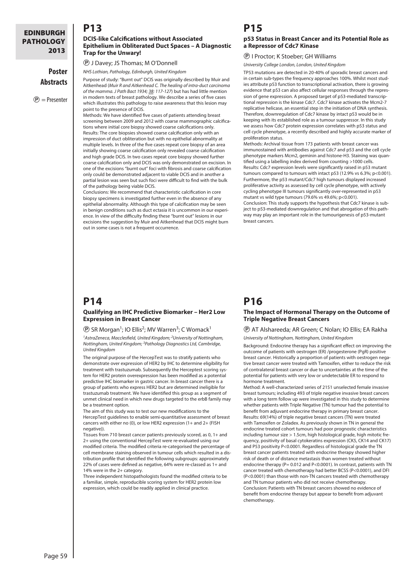# **Poster Abstracts**

 $(P)$  = Presenter

# **P13**

#### **DCIS-like Calcifications without Associated Epithelium in Obliterated Duct Spaces – A Diagnostic Trap for the Unwary!**

P J Davey; JS Thomas; M O'Donnell

*NHS Lothian, Pathology, Edinburgh, United Kingdom*

Purpose of study: "Burnt out" DCIS was originally described by Muir and Aitkenhead (*Muir R and Aitkenhead C. The healing of intra-duct carcinoma of the mamma. J Path Bact 1934; 38: 117-127*) but has had little mention in modern texts of breast pathology. We describe a series of five cases which illustrates this pathology to raise awareness that this lesion may point to the presence of DCIS.

Methods: We have identified five cases of patients attending breast screening between 2009 and 2012 with coarse mammographic calcifications where initial core biopsy showed coarse calcifications only. Results: The core biopsies showed coarse calcification only with an impression of duct obliteration but with no epithelial abnormality at multiple levels. In three of the five cases repeat core biopsy of an area initially showing coarse calcification only revealed coarse calcification and high grade DCIS. In two cases repeat core biopsy showed further coarse calcification only and DCIS was only demonstrated on excision. In one of the excisions "burnt out" foci with fibrosis and coarse calcification only could be demonstrated adjacent to viable DCIS and in another a partial lesion was seen but such foci were difficult to find with the bulk of the pathology being viable DCIS.

Conclusions: We recommend that characteristic calcification in core biopsy specimens is investigated further even in the absence of any epithelial abnormality. Although this type of calcification may be seen in benign conditions such as duct ectasia it is uncommon in our experience. In view of the difficulty finding these "burnt out" lesions in our excisions the suggestion by Muir and Aitkenhead that DCIS might burn out in some cases is not a frequent occurrence.

# **P14**

#### **Qualifying an IHC Predictive Biomarker – Her2 Low Expression in Breast Cancer**

#### $(P)$  SR Morgan<sup>1</sup>; IO Ellis<sup>2</sup>; MV Warren<sup>3</sup>; C Womack<sup>1</sup>

*1AstraZeneca, Macclesfield, United Kingdom; 2University of Nottingham, Nottingham, United Kingdom; 3Pathology Diagnostics Ltd, Cambridge, United Kingdom*

The original purpose of the HercepTest was to stratify patients who demonstrate over expression of HER2 by IHC to determine eligibility for treatment with trastuzumab. Subsequently the Herceptest scoring system for HER2 protein overexpression has been modified as a potential predictive IHC biomarker in gastric cancer. In breast cancer there is a group of patients who express HER2 but are determined ineligible for trastuzumab treatment. We have identified this group as a segment of unmet clinical need in which new drugs targeted to the erbB family may be a treatment option.

The aim of this study was to test our new modifications to the HercepTest guidelines to enable semi-quantitative assessment of breast cancers with either no (0), or low HER2 expression (1+ and 2+ (FISH negative)).

Tissues from 710 breast cancer patients previously scored, as 0, 1+ and 2+ using the conventional HercepTest were re-evaluated using our modified criteria. The modified criteria re-categorised the percentage of cell membrane staining observed in tumour cells which resulted in a distribution profile that identified the following subgroups: approximately 22% of cases were defined as negative, 64% were re-classed as 1+ and 14% were in the 2+ category.

Three independent histopathologists found the modified criteria to be a familiar, simple, reproducible scoring system for HER2 protein low expression, which could be readily applied in clinical practice.

# **P15**

#### **p53 Status in Breast Cancer and its Potential Role as a Repressor of Cdc7 Kinase**

### P I Proctor; K Stoeber; GH Williams

*University College London, London, United Kingdom*

TP53 mutations are detected in 20-40% of sporadic breast cancers and in certain sub-types the frequency approaches 100%. Whilst most studies attribute p53 function to transcriptional activation, there is growing evidence that p53 can also affect cellular responses through the repression of gene expression. A proposed target of p53-mediated transcriptional repression is the kinase Cdc7. Cdc7 kinase activates the Mcm2-7 replicative helicase, an essential step in the initiation of DNA synthesis. Therefore, downregulation of Cdc7 kinase by intact p53 would be in keeping with its established role as a tumour suppressor. In this study we assess how Cdc7 protein expression correlates with p53 status and cell cycle phenotype, a recently described and highly accurate marker of proliferation status.

Methods: Archival tissue from 173 patients with breast cancer was immunostained with antibodies against Cdc7 and p53 and the cell cycle phenotype markers Mcm2, geminin and histone-H3. Staining was quantified using a labelling index derived from counting >1000 cells. Results: Cdc7 expression levels were significantly raised in p53 mutant tumours compared to tumours with intact p53 (12.9% vs 6.3%; p<0.001). Furthermore, the p53 mutant/Cdc7 high tumours displayed increased proliferative activity as assessed by cell cycle phenotype, with actively cycling phenotype III tumours significantly over-represented in p53 mutant vs wild type tumours (79.6% vs 49.6%; p<0.001). Conclusion: This study supports the hypothesis that Cdc7 kinase is subject to p53-mediated downregulation and that abrogation of this path-

way may play an important role in the tumourigenesis of p53-mutant breast cancers.

# **P16**

#### **The Impact of Hormonal Therapy on the Outcome of Triple Negative Breast Cancers**

#### P AT Alshareeda; AR Green; C Nolan; IO Ellis; EA Rakha

*University of Nottingham, Nottingham, United Kingdom*

Background: Endocrine therapy has a significant effect on improving the outcome of patients with oestrogen (ER) /progesterone (PgR) positive breast cancer. Historically a proportion of patients with oestrogen negative breast cancer were treated with Tamoxifen, either to reduce the risk of contralateral breast cancer or due to uncertainties at the time of the potential for patients with very low or undetectable ER to respond to hormone treatment.

Method: A well-characterized series of 2151 unselected female invasive breast tumours; including 493 of triple negative invasive breast cancers with a long term follow up were investigated in this study to determine whether patients with Triple Negative (TN) tumour had the potential to benefit from adjuvant endocrine therapy in primary breast cancer. Results: 69(14%) of triple negative breast cancers (TN) were treated with Tamoxifen or Zoladex. As previously shown in TN in general the endocrine treated cohort tumours had poor prognostic characteristics including tumour size > 1.5cm, high histological grade, high mitotic frequency, positivity of basal cytokeratins expression (CK5, CK14 and CK17) and P53 positivity P<0.0001. Regardless of histological grade the TN breast cancer patients treated with endocrine therapy showed higher risk of death or of distance metastasis than women treated without endocrine therapy (P= 0.012 and P<0.0001). In contrast, patients with TN cancer treated with chemotherapy had better BCSS (P<0.0001), and DFI (P<0.0001) than those with non-TN cancers treated with chemotherapy and TN tumour patients who did not receive chemotherapy. Conclusion: Patients with TN breast cancers showed no evidence of benefit from endocrine therapy but appear to benefit from adjuvant chemotherapy.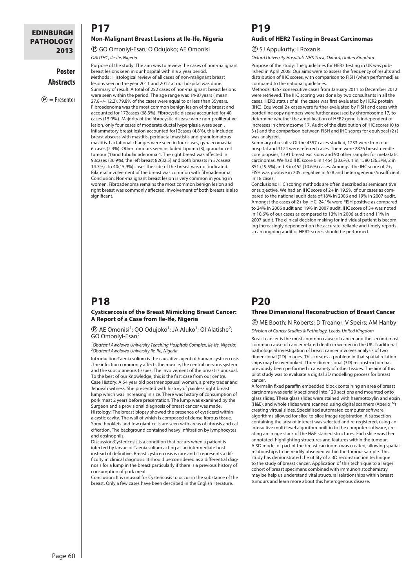# **Poster Abstracts**

 $(P)$  = Presenter

# **P17**

# **Non-Malignant Breast Lesions at Ile-Ife, Nigeria**

P GO Omoniyi-Esan; O Odujoko; AE Omonisi *OAUTHC, Ile-Ife, Nigeria*

Purpose of the study: The aim was to review the cases of non-malignant breast lesions seen in our hospital within a 2 year period. Methods : Histological review of all cases of non-malignant breast lesions seen in the year 2011 and 2012 at our hospital was done. Summary of result: A total of 252 cases of non-malignant breast lesions were seen within the period. The age range was 14-87years ( mean 27.8+/- 12.2). 79.8% of the cases were equal to or less than 35years. Fibroadenoma was the most common benign lesion of the breast and accounted for 172cases (68.3%). Fibrocystic disease accounted for 40 cases (15.9%.) .Majority of the fibrocystic disease were non-proliferative lesion, only four cases of moderate ductal hyperplasia were seen . Inflammatory breast lesion accounted for12cases (4.8%), this included breast abscess with mastitis, periductal mastistis and granulomatous mastitis. Lactational changes were seen in four cases, gynaecomastia 6 cases (2.4%). Other tumours seen included Lipoma (3), granular cell tumour (1)and tubular adenoma 4. The right breast was affected in 93cases (36.9%), the left breast 82(32.5) and both breasts in 37cases( 14.7%) . In 40(15.9%) cases the side of the breast was not indicated. Bilateral involvement of the breast was common with fibroadenoma. Conclusion: Non-malignant breast lesion is very common in young in women. Fibroadenoma remains the most common benign lesion and right breast was commonly affected. Involvement of both breasts is also significant.

# **P19**

#### **Audit of HER2 Testing in Breast Carcinomas**

P SJ Appukutty; I Roxanis

*Oxford University Hospitals NHS Trust, Oxford, United Kingdom*

Purpose of the study: The guidelines for HER2 testing in UK was published in April 2008. Our aims were to assess the frequency of results and distribution of IHC scores, with comparison to FISH (when performed) as compared to the national guidelines.

Methods: 4357 consecutive cases from January 2011 to December 2012 were retrieved. The IHC scoring was done by two consultants in all the cases. HER2 status of all the cases was first evaluated by HER2 protein (IHC). Equivocal 2+ cases were further evaluated by FISH and cases with borderline copy numbers were further assessed by chromosome 17, to determine whether the amplification of HER2 gene is independent of increases in chromosome 17. Audit of the distribution of IHC scores (0 to 3+) and the comparison between FISH and IHC scores for equivocal (2+) was analyzed.

Summary of results: Of the 4357 cases studied, 1233 were from our hospital and 3124 were referred cases. There were 2876 breast needle core biopsies, 1391 breast excisions and 90 other samples for metastatic carcinomas. We had IHC score 0 in 1464 (33.6%), 1 in 1580 (36.3%), 2 in 851 (19.5%) and 3 in 462 (10.6%) cases. Amongst the IHC score of 2+, FISH was positive in 205, negative in 628 and heterogeneous/insufficient in 18 cases.

Conclusions: IHC scoring methods are often described as semiqantitive or subjective. We had an IHC score of 2+ in 19.5% of our cases as compared to the national audit data of 18% in 2006 and 19% in 2007 audit. Amongst the cases of 2+ by IHC, 24.1% were FISH positive as compared to 24% in 2006 audit and 19% in 2007 audit. IHC score of 3+ was noted in 10.6% of our cases as compared to 13% in 2006 audit and 11% in 2007 audit. The clinical decision making for individual patient is becoming increasingly dependent on the accurate, reliable and timely reports so an ongoing audit of HER2 scores should be performed.

# **P18**

#### **Cysticercosis of the Breast Mimicking Breast Cancer: A Report of a Case from Ile-Ife, Nigeria**

 $(P)$  AE Omonisi<sup>1</sup>; OO Odujoko<sup>1</sup>; JA Aluko<sup>1</sup>; OI Alatishe<sup>2</sup>; GO Omoniyi-Esan2

*1Obafemi Awolowo University Teaching Hospitals Complex, Ile-Ife, Nigeria; 2Obafemi Awolowo University Ile-Ife, Nigeria*

Introduction:Taenia solium is the causative agent of human cysticercosis .The infection commonly affects the muscle, the central nervous system and the subcutaneous tissues. The involvement of the breast is unusual. To the best of our knowledge, this is the first case from our centre. Case History: A 54 year old postmenopausal woman, a pretty trader and Jehovah witness. She presented with history of painless right breast lump which was increasing in size. There was history of consumption of pork meat 2 years before presentation. The lump was examined by the Surgeon and a provisional diagnosis of breast cancer was made. Histology: The breast biopsy showed the presence of cysticerci within a cystic cavity. The wall of which is composed of dense fibrous tissue. Some hooklets and few giant cells are seen with areas of fibrosis and calcification. The background contained heavy infiltration by lymphocytes

and eosinophils. Discussion:Cystericosis is a condition that occurs when a patient is infected by larvae of Taenia solium acting as an intermediate host

instead of definitive. Breast cysticercosis is rare and it represents a difficulty in clinical diagnosis. It should be considered as a differential diagnosis for a lump in the breast particularly if there is a previous history of consumption of pork meat.

Conclusion: It is unusual for Cystericosis to occur in the substance of the breast. Only a few cases have been described in the English literature.

# **P20**

#### **Three Dimensional Reconstruction of Breast Cancer**

P ME Booth; N Roberts; D Treanor; V Speirs; AM Hanby *Division of Cancer Studies & Pathology, Leeds, United Kingdom*

Breast cancer is the most common cause of cancer and the second most common cause of cancer related death in women in the UK. Traditional pathological investigation of breast cancer involves analysis of two dimensional (2D) images. This creates a problem in that spatial relationships may be overlooked. Three dimensional (3D) reconstruction has previously been performed in a variety of other tissues. The aim of this pilot study was to evaluate a digital 3D modelling process for breast cancer.

A formalin fixed paraffin embedded block containing an area of breast carcinoma was serially sectioned into 120 sections and mounted onto glass slides. These glass slides were stained with haemotoxylin and eosin  $(H\&E)$ , and whole slides were scanned using digital scanners (Aperio<sup>TM</sup>) creating virtual slides. Specialised automated computer software algorithms allowed for slice-to-slice image registration. A subsection containing the area of interest was selected and re-registered, using an interactive multi-level algorithm built in to the computer software, creating an image stack of the H&E stained structures. Each slice was then annotated, highlighting structures and features within the tumour. A 3D model of part of the breast carcinoma was created, allowing spatial relationships to be readily observed within the tumour sample. This study has demonstrated the utility of a 3D reconstruction technique to the study of breast cancer. Application of this technique to a larger cohort of breast specimens combined with immunohistochemistry may be help us understand vital structural relationships within breast tumours and learn more about this heterogenous disease.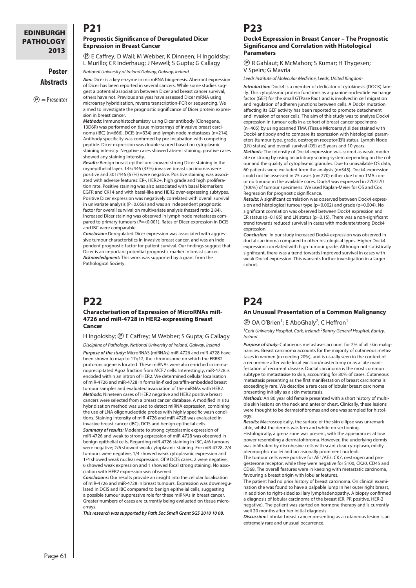# **Poster Abstracts**

**P21**

 $(P)$  = Presenter

#### **Prognostic Significance of Deregulated Dicer Expression in Breast Cancer**

P E Caffrey; D Wall; M Webber; K Dinneen; H Ingoldsby; L Murillo; CR Inderhaug; J Newell; S Gupta; G Callagy *National University of Ireland Galway, Galway, Ireland*

*Aim:* Dicer is a key enzyme in microRNA biogenesis. Aberrant expression of Dicer has been reported in several cancers. While some studies suggest a potential association between Dicer and breast cancer survival, others have not. Previous analyses have assessed Dicer mRNA using microarray hybridisation, reverse transcription-PCR or sequencing. We aimed to investigate the prognostic significance of Dicer protein expression in breast cancer.

*Methods:* Immunohistochemistry using Dicer antibody (Clonegene, 13D6R) was performed on tissue microarrays of invasive breast carcinoma (IBC) (n=666), DCIS (n=334) and lymph node metastases (n=214). Antibody specificity was confirmed by pre-incubation with competing peptide. Dicer expression was double-scored based on cytoplasmic staining intensity. Negative cases showed absent staining, positive cases showed any staining intensity.

*Results:* Benign breast epithelium showed strong Dicer staining in the myoepithelial layer. 145/446 (33%) invasive breast carcinomas were positive and 301/446 (67%) were negative. Positive staining was associated with adverse features: ER-, HER2+, high grade and high proliferation rate. Positive staining was also associated with basal biomarkers EGFR and CK14 and with basal-like and HER2 over-expressing subtypes. Positive Dicer expression was negatively correlated with overall survival in univariate analysis ( $P=0.058$ ) and was an independent prognostic factor for overall survival on multivariate analysis (hazard ratio 2.84). Increased Dicer staining was observed in lymph node metastases compared to primary tumours (P=<0.001). Rates of Dicer expression in DCIS and IBC were comparable.

*Conclusion:* Deregulated Dicer expression was associated with aggressive tumour characteristics in invasive breast cancer, and was an independent prognostic factor for patient survival. Our findings suggest that Dicer is an important potential prognostic marker in breast cancer. *Acknowledgment:* This work was supported by a grant from the Pathological Society.

# **P22**

#### **Characterisation of Expression of MicroRNAs miR-4726 and miR-4728 in HER2-expressing Breast Cancer**

#### H Ingoldsby;  $\overline{\mathcal{P}}$  E Caffrey; M Webber; S Gupta; G Callagy

*Discipline of Pathology, National University of Ireland, Galway, Ireland*

*Purpose of the study:* MicroRNAS (miRNAs) miR-4726 and miR-4728 have been shown to map to 17q12, the chromosome on which the ERBB2 proto-oncogene is located. These miRNAs were also enriched in immunoprecipitated Ago2 fraction from MCF7 cells. Interestingly, miR-4728 is encoded within an intron of HER2. We determined cellular localisation of miR-4726 and miR-4728 in formalin-fixed paraffin-embedded breast tumour samples and evaluated association of the miRNAs with HER2. *Methods:* Nineteen cases of HER2 negative and HER2 positive breast cancers were selected from a breast cancer database. A modified in situ hybridisation method was used to detect miRNA expression, combining the use of LNA oligonucleotide probes with highly specific wash conditions. Staining intensity of miR-4726 and miR-4728 was evaluated in invasive breast cancer (IBC), DCIS and benign epithelial cells. *Summary of results:* Moderate to strong cytoplasmic expression of miR-4726 and weak to strong expression of miR-4728 was observed in benign epithelial cells. Regarding miR-4726 staining in IBC, 4/6 tumours were negative; 2/6 showed weak cytoplasmic staining. For miR-4728, 2/4 tumours were negative, 1/4 showed weak cytoplasmic expression and

1/4 showed weak nuclear expression. Of 9 DCIS cases, 2 were negative, 6 showed weak expression and 1 showed focal strong staining. No association with HER2 expression was observed. *Conclusions:* Our results provide an insight into the cellular localisation

of miR-4726 and miR-4728 in breast tumours. Expression was downregulated in DCIS and IBC compared to benign epithelial cells, suggesting a possible tumour suppressive role for these miRNAs in breast cancer. Greater numbers of cases are currently being evaluated on tissue microarrays.

*This research was supported by Path Soc Small Grant SGS 2010 10 08.*

# **P23**

#### **Dock4 Expression in Breast Cancer – The Prognostic Significance and Correlation with Histological Parameters**

#### P R Gahlaut; K McMahon; S Kumar; H Thygesen; V Speirs; G Mavria

*Leeds Institute of Molecular Medicine, Leeds, United Kingdom*

*Introduction:* Dock4 is a member of dedicator of cytokinesis (DOCK) family. This cytoplasmic protein functions as a guanine nucleotide exchange factor (GEF) for the small GTPase Rac1 and is involved in cell migration and regulation of adheren junctions between cells. A Dock4 mutation affecting its GEF activity has been reported to promote detachment and invasion of cancer cells. The aim of this study was to analyse Dock4 expression in tumour cells in a cohort of breast cancer specimens (n=405) by using scanned TMA (Tissue Microarray) slides stained with Dock4 antibody and to compare its expression with histological parameters (tumour type, grade, oestrogen receptor(ER) status, Lymph Node (LN) status) and overall survival (OS) at 5 years and 10 years. *Methods:* The intensity of Dock4 expression was scored as weak, moder-

ate or strong by using an arbitrary scoring system depending on the colour and the quality of cytoplasmic granules. Due to unavailable OS data, 60 patients were excluded from the analysis (n=345). Dock4 expression could not be assessed in 75 cases (n= 270) either due to no TMA core or no tumour in the available cores. Dock4 was expressed in 270/270 (100%) of tumour specimens. We used Kaplan-Meier for OS and Cox Regression for prognostic significance.

*Results:* A significant correlation was observed between Dock4 expression and histological tumour type (p=0.002) and grade (p=0.004). No significant correlation was observed between Dock4 expression and ER status (p=0.185) and LN status (p=0.15). There was a non-significant trend towards reduced survival in cases with moderate/strong Dock4 expression.

*Conclusion:* In our study increased Dock4 expression was observed in ductal carcinoma compared to other histological types. Higher Dock4 expression correlated with high tumour grade. Although not statistically significant, there was a trend towards improved survival in cases with weak Dock4 expression. This warrants further investigation in a larger cohort.

# **P24**

#### **An Unusual Presentation of a Common Malignancy**

#### $\textcircled{P}$  OA O'Brien<sup>1</sup>; E AboGhaly<sup>2</sup>; C Heffron<sup>1</sup>

*1Cork University Hospital, Cork, Ireland; 2Bantry General Hospital, Bantry, Ireland*

*Purpose of study:* Cutaneous metastases account for 2% of all skin malignancies. Breast carcinoma accounts for the majority of cutaneous metastases in women (exceeding 20%), and is usually seen in the context of a recurrence after wide local excision/mastectomy or as a late manifestation of recurrent disease. Ductal carcinoma is the most common subtype to metastasise to skin, accounting for 80% of cases. Cutaneous metastasis presenting as the first manifestation of breast carcinoma is exceedingly rare. We describe a rare case of lobular breast carcinoma presenting initially as a skin metastasis.

*Methods:* An 80 year old female presented with a short history of multiple skin lesions on the neck and anterior chest. Clinically, these lesions were thought to be dermatofibromas and one was sampled for histology.

*Results:* Macroscopically, the surface of the skin ellipse was unremarkable, whilst the dermis was firm and white on sectioning.

Histologically, a grenz zone was present, with the appearances at low power resembling a dermatofibroma. However, the underlying dermis was infiltrated by discohesive cells with scant clear cytoplasm, mildly pleomorphic nuclei and occasionally prominent nucleoli.

The tumour cells were positive for AE1/AE3, CK7, oestrogen and progesterone receptor, while they were negative for S100, CK20, CD45 and CD68. The overall features were in keeping with metastatic carcinoma, favouring a breast origin with lobular features.

The patient had no prior history of breast carcinoma. On clinical examination she was found to have a palpable lump in her outer right breast, in addition to right-sided axillary lymphadenopathy. A biopsy confirmed a diagnosis of lobular carcinoma of the breast (ER, PR positive, HER-2 negative). The patient was started on hormone therapy and is currently well 20 months after her initial diagnosis.

*Discussion:* Lobular breast cancer presenting as a cutaneous lesion is an extremely rare and unusual occurrence.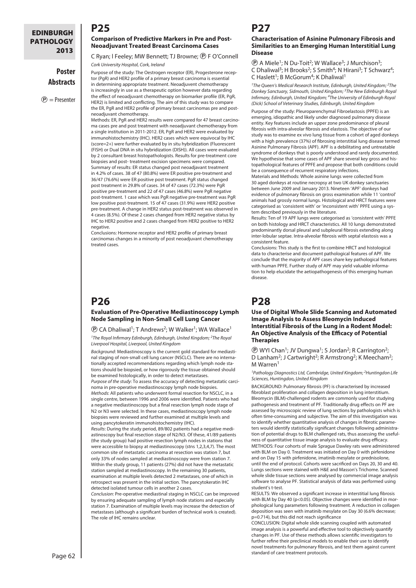# **Poster Abstracts**

 $(P)$  = Presenter

# **P25**

### **Comparison of Predictive Markers in Pre and Post-Neoadjuvant Treated Breast Carcinoma Cases**

C Ryan; I Feeley; MW Bennett; TJ Browne; ® F O'Connell *Cork University Hospital, Cork, Ireland*

Purpose of the study: The Oestrogen receptor (ER), Progesterone receptor (PgR) and HER2 profile of a primary breast carcinoma is essential in determining appropriate treatment. Neoadjuvent chemotherapy is increasingly in use as a therapeutic option however data regarding the effect of neoadjuvant chemotherapy on biomarker profile (ER, PgR, HER2) is limited and conflicting. The aim of this study was to compare the ER, PgR and HER2 profile of primary breast carcinomas pre and postneoadjuvant chemotherapy.

Methods: ER, PgR and HER2 results were compared for 47 breast carcinoma cases pre and post treatment with neoadjuvant chemotherapy from a single institution in 2011-2012. ER, PgR and HER2 were evaluated by immunohistochemistry (IHC). HER2 cases which were equivocal by IHC (score=2+) were further evaluated by in situ hybridization (Fluorescent (FISH) or Dual DNA in situ hybridization (DISH)). All cases were evaluated by 2 consultant breast histopathologists. Results for pre-treatment core biopsies and post- treatment excision specimens were compared. Summary of results: ER status changed post neoadjavant treatment in 4.2% of cases. 38 of 47 (80.8%) were ER positive pre-treatment and 36/47 (76.6%) were ER positive post treatment. PgR status changed post treatment in 29.8% of cases. 34 of 47 cases (72.3%) were PgR positive pre-treatment and 22 of 47 cases (46.8%) were PgR negative post-treatment. 1 case which was PgR negative pre-treatment was PgR low positive post-treatment. 15 of 47 cases (31.9%) were HER2 positive pre-treatment. A change in HER2 status post-treatment was observed in 4 cases (8.5%). Of these 2 cases changed from HER2 negative status by IHC to HER2 positive and 2 cases changed from HER2 positive to HER2 negative.

Conclusions: Hormone receptor and HER2 profile of primary breast carcinomas changes in a minority of post neoadjuvant chemotherapy treated cases.

# **P26**

#### **Evaluation of Pre-Operative Mediastinoscopy Lymph Node Sampling in Non-Small Cell Lung Cancer**

 $(P)$  CA Dhaliwal<sup>1</sup>: T Andrews<sup>2</sup>: W Walker<sup>1</sup>: WA Wallace<sup>1</sup>

*1The Royal Infirmary Edinburgh, Edinburgh, United Kingdom; 2The Royal Liverpool Hospital, Liverpool, United Kingdom*

*Background*: Mediastinoscopy is the current gold standard for mediastinal staging of non-small cell lung cancer (NSCLC). There are no internationally accepted recommendations regarding which lymph node stations should be biopsied, or how rigorously the tissue obtained should be examined histologically, in order to detect metastases.

*Purpose of the study*: To assess the accuracy of detecting metastatic carcinoma in pre-operative mediastinoscopy lymph node biopsies. *Methods*: All patients who underwent formal resection for NSCLC, in a single centre, between 1996 and 2006 were identified. Patients who had a negative mediastinoscopy but a final resection lymph node stage of N2 or N3 were selected. In these cases, mediastinoscopy lymph node biopsies were reviewed and further examined at multiple levels and using pancytokeratin immunohistochemistry (IHC).

*Results*: During the study period, 89/802 patients had a negative mediastinoscopy but final resection stage of N2/N3. Of these, 41/89 patients (the study group) had positive resection lymph nodes in stations that were accessible to biopsy at mediastinoscopy (stns 1,2,3,4,7). The most common site of metastatic carcinoma at resection was station 7, but only 33% of nodes sampled at mediastinoscopy were from station 7. Within the study group, 11 patients (27%) did not have the metastatic station sampled at mediastinoscopy. In the remaining 30 patients, examination at multiple levels detected 2 metastases, one of which in retrospect was present in the initial section. The pancytokeratin IHC detected isolated tumour cells in another 2 cases.

*Conclusion*: Pre-operative mediastinal staging in NSCLC can be improved by ensuring adequate sampling of lymph node stations and especially station 7. Examination of multiple levels may increase the detection of metastases (although a significant burden of technical work is created). The role of IHC remains unclear.

# **P27**

#### **Characterisation of Asinine Pulmonary Fibrosis and Similarities to an Emerging Human Interstitial Lung Disease**

 $\textcircled{P}$  A Miele<sup>1</sup>; N Du-Toit<sup>2</sup>; W Wallace<sup>3</sup>; J Murchison<sup>3</sup>; C Dhaliwal<sup>3</sup>; H Brooks<sup>2</sup>; S Smith<sup>4</sup>; N Hirani<sup>3</sup>; T Schwarz<sup>4</sup>; C Haslett<sup>1</sup>; B McGorum<sup>4</sup>; K Dhaliwal<sup>1</sup>

*1The Queen's Medical Research Institute, Edinburgh, United Kingdom; 2The Donkey Sanctuary, Sidmouth, United Kingdom; 3The New Edinburgh Royal Infirmary, Edinburgh, United Kingdom; 4The University of Edinburgh Royal (Dick) School of Veterinary Studies, Edinburgh, United Kingdom*

Purpose of the study: Pleuroparenchymal Fibroelastosis (PPFE) is an emerging, idiopathic and likely under diagnosed pulmonary disease entity. Key features include an upper zone predominance of pleural fibrosis with intra-alveolar fibrosis and elastosis. The objective of our study was to examine ex vivo lung tissue from a cohort of aged donkeys with a high prevalence (37%) of fibrosing interstitial lung disease termed Asinine Pulmonary Fibrosis (APF). APF is a debilitating and untreatable syndrome of donkeys that is poorly understood and rarely documented. We hypothesise that some cases of APF share several key gross and histopathological features of PPFE and propose that both conditions could be a consequence of recurrent respiratory infections.

Materials and Methods: Whole asinine lungs were collected from 30 aged donkeys at routine necropsy at two UK donkey sanctuaries between June 2009 and January 2013. Nineteen 'APF' donkeys had evidence of pulmonary fibrosis on gross examination while 11 'control' animals had grossly normal lungs. Histological and HRCT features were categorised as 'consistent with' or 'inconsistent with' PPFE using a system described previously in the literature.

Results: Ten of 19 APF lungs were categorised as 'consistent with' PPFE on both histology and HRCT characteristics. All 10 lungs demonstrated predominantly dorsal pleural and subpleural fibrosis extending along inter-lobular septae. Intra-alveolar fibrosis with septal elastosis was a consistent feature.

Conclusions: This study is the first to combine HRCT and histological data to characterise and document pathological features of APF. We conclude that the majority of APF cases share key pathological features with human PPFE. Further study of APF may yield valuable information to help elucidate the aetiopathogenesis of this emerging human disease.

# **P28**

#### **Use of Digital Whole Slide Scanning and Automated Image Analysis to Assess Bleomycin Induced Interstitial Fibrosis of the Lung in a Rodent Model: An Objective Analysis of the Efficacy of Potential Therapies**

P WYI Chan1; JV Dungwa1; S Jordan2; R Carrington2; D Lanham<sup>2</sup>; J Cartwright<sup>2</sup>; R Armstrong<sup>2</sup>; K Meecham<sup>2</sup>; M Warren<sup>1</sup>

*1Pathology Diagnostics Ltd, Cambridge, United Kingdom; 2Huntingdon Life Sciences, Huntingdon, United Kingdom*

BACKGROUND: Pulmonary fibrosis (PF) is characterised by increased fibroblast proliferation and collagen deposition in lung interstitium. Bleomycin (BLM)-challenged rodents are commonly used for studying pathogenesis and treatment of PF. Traditionally drug effects on PF are assessed by microscopic review of lung sections by pathologists which is often time-consuming and subjective. The aim of this investigation was to identify whether quantitative analysis of changes in fibrotic parameters would identify statistically significant changes following administration of potential drugs to BLM challenged rats, thus assessing the usefulness of quantitative tissue image analysis to evaluate drug efficacy. METHODS: Four cohorts of male Sprague Dawley rats were administered with BLM on Day 0. Treatment was initiated on Day 0 with pirfenidone and on Day 15 with pirfenidone, imatinib mesylate or prednisolone, until the end of protocol. Cohorts were sacrificed on Days 20, 30 and 40. Lungs sections were stained with H&E and Masson's Trichome. Scanned whole slide tissue sections were analysed by commercial image analysis software to analyse PF. Statistical analysis of data was performed using student's t-test.

RESULTS: We observed a significant increase in interstitial lung fibrosis with BLM by Day 40 (p<0.05). Objective changes were identified in morphological lung parameters following treatment. A reduction in collagen deposition was seen with imatinib mesylate on Day 30 (6.6% decrease; p=0.714), but this did not reach significance

CONCLUSION: Digital whole slide scanning coupled with automated image analysis is a powerful and effective tool to objectively quantify changes in PF. Use of these methods allows scientific investigators to further refine their preclinical models to enable their use to identify novel treatments for pulmonary fibrosis, and test them against current standard of care treatment protocols.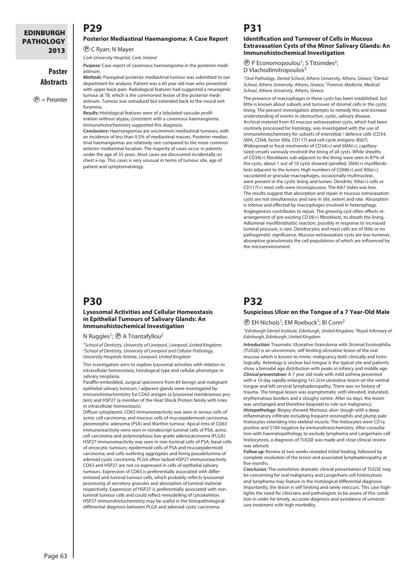# **Poster Abstracts**

 $(P)$  = Presenter

# **P29**

# **Posterior Mediastinal Haemangioma: A Case Report**

P C Ryan; N Mayer *Cork University Hospital, Cork, Ireland*

*Purpose:* Case report of cavernous haemangioma in the posterior mediastinum.

*Methods:* Paraspinal posterior mediastinal tumour was submitted to our department for analysis. Patient was a 60 year old man who presented with upper back pain. Radiological features had suggested a neurogenic tumour at T8, which is the commonest lesion of the posterior mediastinum. Tumour was extradural but extended back to the neural exit foramina.

*Results:* Histological features were of a lobulated vascular proliferation without atypia, consistent with a cavernous haemangioma. Immunohistochemistry supported this diagnosis.

*Conclusions:* Haemangiomas are uncommon mediastinal tumours, with an incidence of less than 0.5% of mediastinal masses. Posterior mediastinal haemangiomas are relatively rare compared to the more common anterior mediastinal location. The majority of cases occur in patients under the age of 35 years. Most cases are discovered incidentally on chest x-ray. This cases is very unusual in terms of tumour site, age of patient and symptomatology.

# **P31**

#### **Identification and Turnover of Cells in Mucous Extravasation Cysts of the Minor Salivary Glands: An Immunohistochemical Investigation**

 $\textcircled{P}$  P Economopoulou<sup>1</sup>; S Titsinides<sup>2</sup>; D Vlachodimitropoulos<sup>3</sup>

*1Oral Pathology, Dental School, Athens University, Athens, Greece; 2Dental School, Athens University, Athens, Greece; 3Forensic Medicine, Medical School, Athens University, Athens, Greece*

The presence of macrophages in these cysts has been established, but little is known about subsets and turnover of stromal cells in the cystic lining. The present investigation attempts to remedy this and increase understanding of events in obstructive, cystic, salivary disease. Archival material from 45 mucous extravasation cysts, which had been routinely processed for histology, was investigated with the use of immunohistochemistry for subsets of interstitial / defence cells (CD34, SMA, CD68, factor XIIIa, CD117) and cell-cycle antigens (Ki67). Widespread or focal meshworks of CD34(+) and SMA(+), capillarysized vessels variously involved the lining of all cysts. While sheaths of CD34(+) fibroblasts sub-adjacent to the lining were seen in 87% of the cysts, about 1 out of 10 cysts showed spindled, SMA(+) myofibroblasts adjacent to the lumen. High numbers of CD68(+) and XIIIa(+), vacuolated or granular macrophages, occasionally multinuclear, were present in the cystic lining and lumen. Dendritic XIIIa(+) cells or CD117(+) mast cells were inconspicuous. The Ki67 index was low. The results suggest that absorption and repair in mucous extravasation cysts are not simultaneous and vary in site, extent and rate. Absorption is intense and effected by macrophages involved in heterophagy. Angiogenesis contributes to repair. The growing cyst often effects rearrangement of pre-existing CD34(+) fibroblasts, to sheath the lining. Adluminal myofibroblastic reaction, possibly in response to increased luminal pressure, is rare. Dendrocytes and mast cells are of little or no pathogenetic significance. Mucous extravasation cysts are low-turnover, absorptive granulomata the cell populations of which are influenced by the microenvironment.

# **P30**

#### **Lysosomal Activities and Cellular Homeostasis in Epithelial Tumours of Salivary Glands: An Immunohistochemical Investigation**

#### N Ruggles<sup>1</sup>;  $\overline{\mathcal{P}}$  A Triantafyllou<sup>2</sup>

*1School of Dentistry, University of Liverpool, Liverpool, United Kingdom; 2School of Dentistry, University of Liverpool and Cellular Pathology, University Hospitals Aintree, Liverpool, United Kingdom*

This investigation aims to explore lysosomal activities with relation to intracellular homeostasis, histological type and cellular phenotype in salivary neoplasia.

Paraffin-embedded, surgical specimens from 84 benign and malignant epithelial salivary tumours / adjacent glands were investigated by immunohistochemistry for CD63 antigen (a lysosomal membranous protein) and HSP27 (a member of the Heat Shock Protein family with roles in intracellular homeostasis).

Diffuse cytoplasmic CD63 immunoreactivity was seen in serous cells of acinic cell carcinoma; and mucous cells of mucoepidermoid carcinoma, pleomorphic adenoma (PSA) and Warthin tumour. Apical rims of CD63 immunoreactivity were seen in nondescript luminal cells of PSA, acinic cell carcinoma and polymorphous low-grade adenocarcinoma (PLGA). HSP27 immunoreactivity was seen in non-luminal cells of PSA; basal cells of oncocytic tumours; epidermoid cells of PSA and mucoepidermoid carcinoma; and cells outlining aggregates and lining pseudolumina of adenoid cystic carcinoma. PLGA often lacked HSP27 immunoreactivity. CD63 and HSP27 are not co-expressed in cells of epithelial salivary tumours. Expression of CD63 is preferentially associated with differentiated and luminal tumour cells, which probably reflects lysosomal processing of secretory granules and absorption of luminal material respectively. Expression of HSP27 is preferentially associated with nonluminal tumour cells and could reflect remodelling of cytoskeleton. HSP27 immunohistochemistry may be useful in the histopathological differential diagnosis between PLGA and adenoid cystic carcinoma.

# **P32**

#### **Suspicious Ulcer on the Tongue of a 7 Year-Old Male**

#### $\textcircled{P}$  EH Nichols<sup>1</sup>; EM Roebuck<sup>1</sup>; BI Conn<sup>2</sup>

*1Edinburgh Dental Institute, Edinburgh, United Kingdom; 2Royal Infirmary of Edinburgh, Edinburgh, United Kingdom*

*Introduction:* Traumatic Ulcerative Granuloma with Stromal Eosinophilia (TUGSE) is an uncommon, self limiting ulcerative lesion of the oral mucosa which is known to mimic malignancy both clinically and histologically. Aetiology is unclear but tongue is the typical site and patients show a bimodal age distribution with peaks in infancy and middle age. *Clinical presentation:* A 7 year old male with mild asthma presented with a 10 day rapidly enlarging 1x1.2cm ulcerative lesion on the ventral tongue and left cervical lymphadenopathy. There was no history of trauma. The tongue lesion was asymptomatic with elevated, indurated, erythematous borders and a sloughy centre. After six days, the lesion was unchanged and therefore biopsied to rule out malignancy. *Histopathology:* Biopsy showed fibrinous ulcer slough with a deep inflammatory infiltrate including frequent eosinophils and plump pale histiocytes extending into skeletal muscle. The histiocytes were CD1a positive and S100 negative by immunohistochemistry. After consultation with haematopathology to exclude lymphoma and Langerhans cell histiocytosis, a diagnosis of TUGSE was made and close clinical review was advised.

*Follow up:* Review at two weeks revealed initial healing, followed by complete resolution of the lesion and associated lymphadenopathy at five months.

*Conclusion:* The sometimes dramatic clinical presentation of TUGSE may be concerning for oral malignancy and Langerhans cell histiocytosis and lymphoma may feature in the histological differential diagnosis. Importantly, the lesion is self limiting and rarely reoccurs. This case highlights the need for clinicians and pathologists to be aware of this condition in order for timely, accurate diagnosis and avoidance of unnecessary treatment with high morbidity.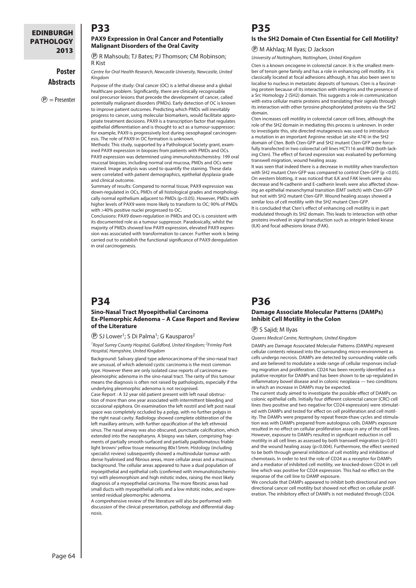## **Poster Abstracts**

 $(P)$  = Presenter

# **P33**

#### **PAX9 Expression in Oral Cancer and Potentially Malignant Disorders of the Oral Cavity**

P R Mahsoub; TJ Bates; PJ Thomson; CM Robinson; R Kist

*Centre for Oral Health Research, Newcastle University, Newcastle, United Kingdom*

Purpose of the study: Oral cancer (OC) is a lethal disease and a global healthcare problem. Significantly, there are clinically recognisable oral precursor lesions that precede the development of cancer, called potentially malignant disorders (PMDs). Early detection of OC is known to improve patient outcomes. Predicting which PMDs will inevitably progress to cancer, using molecular biomarkers, would facilitate appropriate treatment decisions. PAX9 is a transcription factor that regulates epithelial differentiation and is thought to act as a tumour-suppressor; for example, PAX9 is progressively lost during oesophageal carcinogenesis. The role of PAX9 in OC formation is unknown.

Methods: This study, supported by a Pathological Society grant, examined PAX9 expression in biopsies from patients with PMDs and OCs. PAX9 expression was determined using immunohistochemistry. 199 oral mucosal biopsies, including normal oral mucosa, PMDs and OCs were stained. Image analysis was used to quantify the staining. These data were correlated with patient demographics, epithelial dysplasia grade and clinical outcome.

Summary of results: Compared to normal tissue, PAX9 expression was down-regulated in OCs, PMDs of all histological grades and morphologically normal epithelium adjacent to PMDs (p<0.05). However, PMDs with higher levels of PAX9 were more likely to transform to OC; 90% of PMDs with >40% positive nuclei progressed to OC.

Conclusions: PAX9 down-regulation in PMDs and OCs is consistent with its documented role as a tumour suppressor. Paradoxically, whilst the majority of PMDs showed low PAX9 expression, elevated PAX9 expression was associated with transformation to cancer. Further work is being carried out to establish the functional significance of PAX9 deregulation in oral carcinogenesis.

# **P34**

#### **Sino-Nasal Tract Myoepithelial Carcinoma Ex-Plemorphic Adenoma – A Case Report and Review of the Literature**

#### **P** SJ Lower<sup>1</sup>; S Di Palma<sup>1</sup>; G Kausparos<sup>2</sup>

*1Royal Surrey County Hospital, Guildford, United Kingdom; 2Frimley Park Hospital, Hampshire, United Kingdom*

Background: Salivary gland type adenocarcinoma of the sino-nasal tract are unusual, of which adenoid cystic carcinoma is the most common type. However there are only isolated case reports of carcinoma expleomorphic adenoma in the sino-nasal tract. The rarity of this tumour means the diagnosis is often not raised by pathologists, especially if the underlying pleomorphic adenoma is not recognised. Case Report : A 32 year old patient present with left nasal obstruction of more than one year associated with intermittent bleeding and occasional epiphora. On examination the left nostril and left post nasal space was completely occluded by a polyp, with no further polyps in the right nasal cavity. Radiology showed complete obliteration of the left maxillary antrum, with further opacification of the left ethmoid sinus. The nasal airway was also obscured, punctuate calcification, which extended into the nasopharynx. A biopsy was taken, comprising fragments of partially smooth-surfaced and partially papillomatous friable light brown/ yellow tissue measuring 80x15mm. Histology (including specialist review) subsequently showed a multinodular tumour with dense hyalinised and fibrous areas, more cellular areas and a mucinous background. The cellular areas appeared to have a dual population of myoepithelial and epithelial cells (confirmed with immunohistochemistry) with pleomorphism and high mitotic index, raising the most likely diagnosis of a myoepthelial carcinoma. The more fibrotic areas had

small ducts with myoepithelial cells and a low mitotic index, and represented residual pleomorphic adenoma.

A comprehensive review of the literature will also be performed with discussion of the clinical presentation, pathology and differential diagnosis.

# **P35**

#### **Is the SH2 Domain of Cten Essential for Cell Motility?**

P M Akhlaq; M Ilyas; D Jackson

*University of Nottingham, Nottingham, United Kingdom*

Cten is a known oncogene in colorectal cancer. It is the smallest member of tensin gene family and has a role in enhancing cell motility. It is classically located at focal adhesions although, it has also been seen to localise to nucleus in metastatic deposits of tumours. Cten is a fascinating protein because of its interaction with integrins and the presence of a Src Homology 2 (SH2) domain. This suggests a role in communication with extra cellular matrix proteins and translating their signals through its interaction with other tyrosine phosphorylated proteins via the SH2 domain.

Cten increases cell motility in colorectal cancer cell lines, although the role of the SH2 domain in mediating this process is unknown. In order to investigate this, site directed mutagenesis was used to introduce a mutation in an important Arginine residue (at site 474) in the SH2 domain of Cten. Both Cten-GFP and SH2 mutant Cten-GFP were forcefully transfected in two colorectal cell lines HCT116 and RKO (both lacking Cten). The effect of forced expression was evaluated by performing transwell migration, wound healing assay.

It was seen that indeed there is a decrease in motility when transfection with SH2 mutant Cten-GFP was compared to control Cten-GFP (p <0.05). On western blotting, it was noticed that ILK and FAK levels were also decrease and N-cadherin and E-cadherin levels were also affected showing an epithelial mesenchymal transition (EMT switch) with Cten-GFP but not with SH2 mutant Cten-GFP. Wound healing assays showed a similar loss of cell motility with the SH2 mutant Cten-GFP.

It is concluded that Cten's effect of enhancing cell motility is in part modulated through its SH2 domain. This leads to interaction with other proteins involved in signal transduction such as integrin linked kinase (ILK) and focal adhesions kinase (FAK).

# **P36**

#### **Damage Associate Molecular Patterns (DAMPs) Inhibit Cell Motility in the Colon**

P S Sajid; M Ilyas

*Queens Medical Centre, Nottingham, United Kingdom*

DAMPs are Damage Associated Molecular Patterns (DAMPs) represent cellular contents released into the surrounding micro-environment as cells undergo necrosis. DAMPs are detected by surrounding viable cells and are believed to modulate a wide range of cellular responses including migration and proliferation. CD24 has been recently identified as a putative receptor for DAMPs and has been shown to be up-regulated in inflammatory bowel disease and in colonic neoplasia — two conditions in which an increase in DAMPs may be expected.

The current study aimed to investigate the possible effect of DAMPs on colonic epithelial cells. Initially four different colorectal cancer (CRC) cell lines (two positive and two negative for CD24 expression) were stimulated with DAMPs and tested for effect on cell proliferation and cell motility. The DAMPs were prepared by repeat freeze-thaw cycles and stimulation was with DAMPs prepared from autologous cells. DAMPs exposure resulted in no effect on cellular proliferation assay in any of the cell lines. However, exposure to DAMPs resulted in significant reduction in cell motility in all cell lines as assessed by both transwell migration (p<0.01) and the wound healing assay (p<0.004). Furthermore, the effect seemed to be both through general inhibition of cell motility and inhibition of chemotaxis. In order to test the role of CD24 as a receptor for DAMPs and a mediator of inhibited cell motility, we knocked-down CD24 in cell line which was positive for CD24 expression. This had no effect on the response of the cell line to DAMP exposure.

We conclude that DAMPs appeared to inhibit both directional and non directional cancer cell motility but showed not effect on cellular proliferation. The inhibitory effect of DAMPs is not mediated through CD24.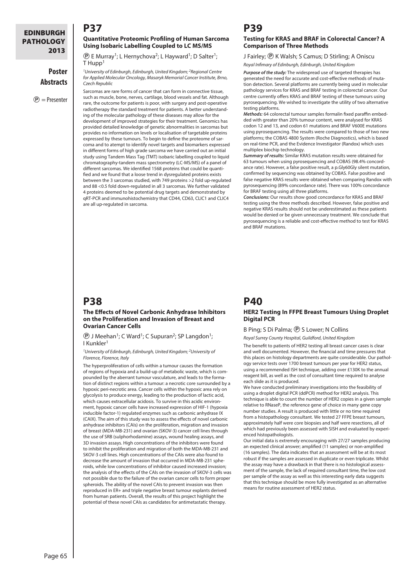# **Poster Abstracts**

 $(P)$  = Presenter

# **P37**

### **Quantitative Proteomic Profiling of Human Sarcoma Using Isobaric Labelling Coupled to LC MS/MS**

 $\textcircled{P}$  E Murray<sup>1</sup>; L Hernychova<sup>2</sup>; L Hayward<sup>1</sup>; D Salter<sup>1</sup>; T Hupp<sup>1</sup>

*1University of Edinburgh, Edinburgh, United Kingdom; 2Regional Centre for Applied Molecular Oncology, Masaryk Memorial Cancer Institute, Brno, Czech Republic*

Sarcomas are rare forms of cancer that can form in connective tissue, such as muscle, bone, nerves, cartilage, blood vessels and fat. Although rare, the outcome for patients is poor, with surgery and post-operative radiotherapy the standard treatment for patients. A better understanding of the molecular pathology of these diseases may allow for the development of improved strategies for their treatment. Genomics has provided detailed knowledge of genetic abnormalities in sarcomas but provides no information on levels or localisation of targetable proteins expressed by these tumours. To begin to define the proteome of sarcoma and to atempt to identify novel targets and biomarkers expressed in different forms of high grade sarcoma we have carried out an initial study using Tandem Mass Tag (TMT) isobaric labelling coupled to liquid chromatography-tandem mass spectrometry (LC-MS/MS) of a panel of different sarcomas. We identified 1568 proteins that could be quantified and we found that a loose trend in dysregulated proteins exists between the 3 sarcomas studied, with 749 proteins >2 fold up-regulated and 88 <0.5 fold down-regulated in all 3 sarcomas. We further validated 4 proteins deemed to be potential drug targets and demonstrated by qRT-PCR and immunohistochemistry that CD44, CD63, CLIC1 and CLIC4 are all up-regulated in sarcoma.

# **P38**

#### **The Effects of Novel Carbonic Anhydrase Inhibitors on the Proliferation and Invasion of Breast and Ovarian Cancer Cells**

 $\textcircled{P}$  J Meehan<sup>1</sup>; C Ward<sup>1</sup>; C Supuran<sup>2</sup>; SP Langdon<sup>1</sup>; I Kunkler1

*1University of Edinburgh, Edinburgh, United Kingdom; 2University of Florence, Florence, Italy*

The hyperproliferation of cells within a tumour causes the formation of regions of hypoxia and a build-up of metabolic waste, which is compounded by the aberrant tumour vasculature, and leads to the formation of distinct regions within a tumour: a necrotic core surrounded by a hypoxic peri-necrotic area. Cancer cells within the hypoxic area rely on glycolysis to produce energy, leading to the production of lactic acid, which causes extracellular acidosis. To survive in this acidic environment, hypoxic cancer cells have increased expression of HIF-1 (hypoxia inducible factor-1) regulated enzymes such as carbonic anhydrase IX (CAIX). The aim of this study was to assess the effects of novel carbonic anhydrase inhibitors (CAIs) on the proliferation, migration and invasion of breast (MDA-MB-231) and ovarian (SKOV-3) cancer cell lines through the use of SRB (sulphorhodamine) assays, wound healing assays, and 3D invasion assays. High concentrations of the inhibitors were found to inhibit the proliferation and migration of both the MDA-MB-231 and SKOV-3 cell lines. High concentrations of the CAIs were also found to decrease the amount of invasion that occurred in MDA-MB-231 spheroids, while low concentrations of inhibitor caused increased invasion; the analysis of the effects of the CAIs on the invasion of SKOV-3 cells was not possible due to the failure of the ovarian cancer cells to form proper spheroids. The ability of the novel CAIs to prevent invasion was then reproduced in ER+ and triple negative breast tumour explants derived from human patients. Overall, the results of this project highlight the potential of these novel CAIs as candidates for antimetastatic therapy.

# **P39**

#### **Testing for KRAS and BRAF in Colorectal Cancer? A Comparison of Three Methods**

J Fairley;  $\overline{\mathcal{P}}$  K Walsh; S Camus; D Stirling; A Oniscu *Royal Infimary of Edinburgh, Edinburgh, United Kingdom*

*Purpose of the study:* The widespread use of targeted therapies has generated the need for accurate and cost-effective methods of mutation detection. Several platforms are currently being used in molecular pathology services for KRAS and BRAF testing in colorectal cancer. Our centre currently offers KRAS and BRAF testing of these tumours using pyrosequencing. We wished to investigate the utility of two alternative testing platforms.

*Methods:* 64 colorectal tumour samples formalin fixed paraffin embedded with greater than 20% tumour content, were analysed for KRAS codon 12 and 13, and codon 61 mutations and BRAF V600E mutations using pyrosequencing. The results were compared to those of two new platforms; the COBAS 4800 System (Roche Diagnostics), which is based on real-time PCR, and the Evidence Investigator (Randox) which uses multiplex biochip technology.

*Summary of results:* Similar KRAS mutation results were obtained for 63 tumours when using pyrosequencing and COBAS (98.4% concordance rate). However, a false positive result, a p.Gly60Gly silent mutation, confirmed by sequencing was obtained by COBAS. False positive and false negative KRAS results were obtained when comparing Randox with pyrosequencing (89% concordance rate). There was 100% concordance for BRAF testing using all three platforms.

*Conclusions:* Our results show good concordance for KRAS and BRAF testing using the three methods described. However, false positive and negative KRAS results should not be underestimated as these patients would be denied or be given unnecessary treatment. We conclude that pyrosequencing is a reliable and cost-effective method to test for KRAS and BRAF mutations.

# **P40**

### **HER2 Testing In FFPE Breast Tumours Using Droplet Digital PCR**

#### B Ping; S Di Palma; P S Lower; N Collins

*Royal Surrey County Hospital, Guildford, United Kingdom*

The benefit to patients of HER2 testing all breast cancer cases is clear and well documented. However, the financial and time pressures that this places on histology departments are quite considerable. Our pathology service tests over 1700 breast tumours per year for HER2 status, using a recommended ISH technique, adding over £130K to the annual reagent bill, as well as the cost of consultant time required to analyse each slide as it is produced.

We have conducted preliminary investigations into the feasibility of using a droplet digital PCR (ddPCR) method for HER2 analysis. This technique is able to count the number of HER2 copies in a given sample relative to RNaseP, the reference gene of choice in many gene copy number studies. A result is produced with little or no time required from a histopathology consultant. We tested 27 FFPE breast tumours, approximately half were core biopsies and half were resections, all of which had previously been assessed with SISH and evaluated by experienced histopathologists.

Our initial data is extremely encouraging with 27/27 samples producing an expected clinical answer; amplified (11 samples) or non-amplified (16 samples). The data indicates that an assessment will be at its most robust if the samples are assessed in duplicate or even triplicate. Whilst the assay may have a drawback in that there is no histological assessment of the sample, the lack of required consultant time, the low cost per sample of the assay as well as this interesting early data suggests that this technique should be more fully investigated as an alternative means for routine assessment of HER2 status.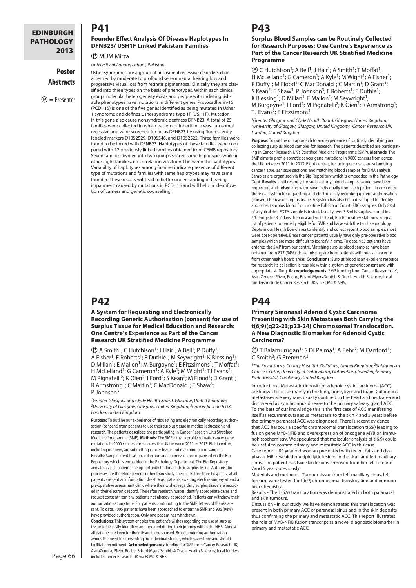# **Poster Abstracts**

 $(P)$  = Presenter

# **P41**

### **Founder Effect Analysis Of Disease Haplotypes In DFNB23/ USH1F Linked Pakistani Families**

P MUM Mirza *University of Lahore, Lahore, Pakistan*

Usher syndromes are a group of autosomal recessive disorders characterized by moderate to profound sensorineural hearing loss and progressive visual loss from retinitis pigmentosa. Clinically they are classified into three types on the basis of phenotypes. Within each clinical group molecular heterogeneity exists and people with indistinguishable phenotypes have mutations in different genes. Protocadherin-15 (PCDH15) is one of the five genes identified as being mutated in Usher 1 syndrome and defines Usher syndrome type 1F (USH1F). Mutation in this gene also cause nonsyndromic deafness DFNB23. A total of 25 families were collected in which pattern of inheritance was autosomal recessive and were screened for locus DFNB23 by using fluorescently labeled markers D10S2529, D10S546, and D10S2522. Three families were found to be linked with DFNB23. Haplotypes of these families were compared with 12 previously linked families obtained from CEMB repository. Seven families divided into two groups shared same haplotypes while in other eight families, no correlation was found between the haplotypes. Variability of haplotypes among families indicate presence of different type of mutations and families with same haplotypes may have same founder. These results will lead to better understanding of hearing impairment caused by mutations in PCDH15 and will help in identification of carriers and genetic counselling.

# **P42**

**A System for Requesting and Electronically Recording Generic Authorisation (consent) for use of Surplus Tissue for Medical Education and Research: One Centre's Experience as Part of the Cancer Research UK Stratified Medicine Programme**

 $\textcircled{P}$  A Smith<sup>1</sup>; C Hutchison<sup>1</sup>; J Hair<sup>1</sup>; A Bell<sup>1</sup>; P Duffy<sup>1</sup>; A Fisher<sup>1</sup>; F Roberts<sup>1</sup>; F Duthie<sup>1</sup>; M Seywright<sup>1</sup>; K Blessing<sup>1</sup> D Millan<sup>1</sup>; E Mallon<sup>1</sup>; M Burgoyne<sup>1</sup>; E Fitzsimons<sup>1</sup>; T Moffat<sup>1</sup>; H McLelland<sup>1</sup>; G Cameron<sup>1</sup>; A Kyle<sup>1</sup>; M Wight<sup>1</sup>; TJ Evans<sup>2</sup>; M Pignatelli<sup>2</sup>; K Oien<sup>2</sup>; I Ford<sup>2</sup>; S Kean<sup>2</sup>; M Flood<sup>1</sup>; D Grant<sup>1</sup>; R Armstrong<sup>1</sup>; C Martin<sup>1</sup>; C MacDonald<sup>1</sup>; E Shaw<sup>3</sup>; P Johnson<sup>3</sup>

*1Greater Glasgow and Clyde Health Board, Glasgow, United Kingdom; 2University of Glasgow, Glasgow, United Kingdom; 3Cancer Research UK, London, United Kingdom*

**Purpose**: To outline our experience of requesting and electronically recording authorisation (consent) from patients to use their surplus tissue in medical education and research. The patients described are participating in Cancer Research UK's Stratified Medicine Programme (SMP). **Methods**: The SMP aims to profile somatic cancer gene mutations in 9000 cancers from across the UK between 2011 to 2013. Eight centres, including our own, are submitting cancer tissue and matching blood samples. **Results**: Sample identification, collection and submission are organised via the Bio-Repository which is embedded in the Pathology Department. The Bio-Repository aims to give all patients the opportunity to donate their surplus tissue. Authorisation processes are therefore generic rather than study-specific. Before their hospital visit all patients are sent an information sheet. Most patients awaiting elective surgery attend a pre-operative assessment clinic where their wishes regarding surplus tissue are recorded in their electronic record. Thereafter research nurses identify appropriate cases and request consent from any patients not already approached. Patients can withdraw their authorisation at any time. For patients contributing to the SMP, letters of thanks are sent. To date, 1005 patients have been approached to enter the SMP and 986 (98%) have provided authorisation. Only one patient has withdrawn.

**Conclusions**: This system enables the patient's wishes regarding the use of surplus tissue to be easily identified and updated during their journey within the NHS. Almost all patients are keen for their tissue to be so used. Broad, enduring authorization avoids the need for consenting for individual studies, which saves time and should facilitate recruitment. **Acknowledgements**: funding for SMP from Cancer Research UK, AstraZeneca, Pfizer, Roche, Bristol-Myers Squibb & Oracle Health Sciences; local funders include Cancer Research UK via ECMC & NHS.

# **P43**

#### **Surplus Blood Samples can be Routinely Collected for Research Purposes: One Centre's Experience as Part of the Cancer Research UK Stratified Medicine Programme**

 $\textcircled{P}$  C Hutchison<sup>1</sup>; A Bell<sup>1</sup>; J Hair<sup>1</sup>; A Smith<sup>1</sup>; T Moffat<sup>1</sup>; H McLelland<sup>1</sup>; G Cameron<sup>1</sup>; A Kyle<sup>1</sup>; M Wight<sup>1</sup>; A Fisher<sup>1</sup>; P Duffy<sup>1</sup>; M Flood<sup>1</sup>; C MacDonald<sup>1</sup>; C Martin<sup>1</sup>; D Grant<sup>1</sup>; S Kean<sup>2</sup>; E Shaw<sup>3</sup>; P Johnson<sup>3</sup>; F Roberts<sup>1</sup>; F Duthie<sup>1</sup>; K Blessing<sup>1</sup>; D Millan<sup>1</sup>; E Mallon<sup>1</sup>; M Seywright<sup>1</sup>; M Burgoyne<sup>1</sup>; I Ford<sup>2</sup>; M Pignatelli<sup>2</sup>; K Oien<sup>2</sup>; R Armstrong<sup>1</sup>; TJ Evans<sup>2</sup>: E Fitzsimons<sup>1</sup>

*1Greater Glasgow and Clyde Health Board, Glasgow, United Kingdom; 2University of Glasgow, Glasgow, United Kingdom; 3Cancer Research UK, London, United Kingdom*

**Purpose**: To outline our approach to and experience of routinely identifying and collecting surplus blood samples for research. The patients described are participating in Cancer Research UK's Stratified Medicine Programme (SMP). **Methods**: The SMP aims to profile somatic cancer gene mutations in 9000 cancers from across the UK between 2011 to 2013. Eight centres, including our own, are submitting cancer tissue, as tissue sections, and matching blood samples for DNA analysis. Samples are organised via the Bio-Repository which is embedded in the Pathology Dept. **Results**: Until recently, for such a study, blood samples would have been requested, authorised and withdrawn individually from each patient. In our centre there is a system for requesting and electronically recording generic authorisation (consent) for use of surplus tissue. A system has also been developed to identify and collect surplus blood from routine Full Blood Count (FBC) samples. Only 88µL of a typical 4ml EDTA sample is tested. Usually over 3.8ml is surplus, stored in a 4°C fridge for 3-7 days then discarded. Instead, Bio-Repository staff now keep a list of patients potentially eligible for SMP and liaise with the ten Haematology Depts in our Health Board area to identify and collect recent blood samples: most were post-operative. Breast cancer patients usually have only pre-operative blood samples which are more difficult to identify in time. To date, 935 patients have entered the SMP from our centre. Matching surplus blood samples have been obtained from 877 (94%); those missing are from patients with breast cancer or from other health board areas. **Conclusions**: Surplus blood is an excellent resource for research: its collection is feasible within a system of generic consent and with appropriate staffing. **Acknowledgements**: SMP funding from Cancer Research UK, AstraZeneca, Pfizer, Roche, Bristol-Myers Squibb & Oracle Health Sciences; local funders include Cancer Research UK via ECMC & NHS.

# **P44**

**Primary Sinonasal Adenoid Cystic Carcinoma Presenting with Skin Metastases Both Carrying the t(6;9)(q22-23;p23-24) Chromosomal Translocation. A New Diagnostic Biomarker for Adenoid Cystic Carcinoma?**

 $\overline{P}$  T Balamurugan<sup>1</sup>; S Di Palma<sup>1</sup>; A Fehr<sup>2</sup>; M Danford<sup>1</sup>; C Smith<sup>3</sup>; G Stenman<sup>2</sup>

*1The Royal Surrey County Hospital, Guildford, United Kingdom; 2Sahlgrenska Cancer Centre, University of Gothenburg, Gothenburg, Sweden; 3Frimley Park Hospital, Camberley, United Kingdom*

Introduction - Metastatic deposits of adenoid cystic carcinoma (ACC) are known to occur mainly in the lung, bone, liver and brain. Cutaneous metastases are very rare, usually confined to the head and neck area and discovered as synchronous disease to the primary salivary gland ACC. To the best of our knowledge this is the first case of ACC manifesting itself as recurrent cutaneous metastasis to the skin 7 and 5 years before the primary paranasal ACC was diagnosed. There is recent evidence that ACC harbour a specific chromosomal translocation t(6;9) leading to fusion gene MYB-NFIB and overexpression of oncogene MYB on immunohistochemistry. We speculated that molecular analysis of t(6;9) could be useful to confirm primary and metastatic ACC in this case. Case report - 89 year old woman presented with recent falls and dysphasia. MRI revealed multiple lytic lesions in the skull and left maxillary sinus. The patient has two skin lesions removed from her left forearm

7and 5 years previously. Materials and methods - Tumour tissue from left maxillary sinus, left

forearm were tested for t(6;9) chromosomal translocation and immunohistochemistry.

Results - The t (6;9) translocation was demonstrated in both paranasal and skin tumours.

Discussion - In our study we have demonstrated this translocation was present in both primary ACC of paranasal sinus and in the skin deposits thus confirming the primary and metastatic ACC. This report illustrates the role of MYB-NFIB fusion transcript as a novel diagnostic biomarker in primary and metastatic ACC.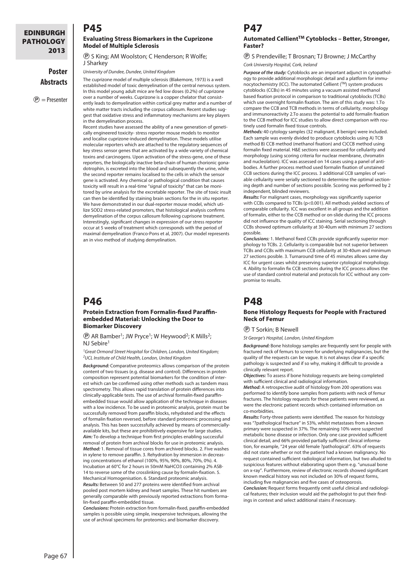# **Poster Abstracts**

 $(P)$  = Presenter

# **P45**

#### **Evaluating Stress Biomarkers in the Cuprizone Model of Multiple Sclerosis**

P S King; AM Woolston; C Henderson; R Wolfe; J Sharkey

*University of Dundee, Dundee, United Kingdom*

The cuprizone model of multiple sclerosis (Blakemore, 1973) is a well established model of toxic demyelination of the central nervous system. In this model young adult mice are fed low doses (0.2%) of cuprizone over a number of weeks. Cuprizone is a copper chelator that consistently leads to demyelination within cortical grey matter and a number of white matter tracts including the corpus callosum. Recent studies suggest that oxidative stress and inflammatory mechanisms are key players

in the demyelination process. Recent studies have assessed the ability of a new generation of genetically engineered toxicity- stress reporter mouse models to monitor and localise cuprizone-induced demyelination. These models utilise molecular reporters which are attached to the regulatory sequences of key stress sensor genes that are activated by a wide variety of chemical toxins and carcinogens. Upon activation of the stress-gene, one of these reporters, the biologically inactive beta-chain of human chorionic gonadotrophin, is excreted into the blood and subsequently the urine, while the second reporter remains localised to the cells in which the sensor gene is activated. Any chemical or pathological condition that causes toxicity will result in a real-time "signal of toxicity" that can be monitored by urine analysis for the excretable reporter. The site of toxic insult can then be identified by staining brain sections for the in situ reporter. We have demonstrated in our dual-reporter mouse model, which utilize SOD2 stress-related promoters, that histological analysis confirms demyelination of the corpus callosum following cuprisone treatment. Interestingly, significant changes in expression of our stress reporter occur at 5 weeks of treatment which corresponds with the period of maximal demyelination (Franco-Pons et al, 2007). Our model represents an in vivo method of studying demyelination.

# **P46**

#### **Protein Extraction from Formalin-fixed Paraffinembedded Material: Unlocking the Door to Biomarker Discovery**

#### P AR Bamber1; JW Pryce1; W Heywood2; K Mills2; NJ Sebire1

*1Great Ormond Street Hospital for Children, London, United Kingdom; 2UCL Institute of Child Health, London, United Kingdom*

*Background:* Comparative proteomics allows comparison of the protein content of two tissues (e.g. disease and control). Differences in protein composition represent potential biomarkers for the condition of interest which can be confirmed using other methods such as tandem mass spectrometry. This allows rapid translation of protein differences into clinically-applicable tests. The use of archival formalin-fixed paraffinembedded tissue would allow application of the technique in diseases with a low incidence. To be used in proteomic analysis, protein must be successfully removed from paraffin blocks, rehydrated and the effects of formalin fixation reversed, before standard proteomic processing and analysis. This has been successfully achieved by means of commerciallyavailable kits, but these are prohibitively expensive for large studies. *Aim:* To develop a technique from first principles enabling successful removal of protein from archival blocks for use in proteomic analysis. *Method:* 1. Removal of tissue cores from archived blocks. 2. Five washes in xylene to remove paraffin. 3. Rehydration by immersion in decreasing concentrations of ethanol (100%, 95%, 90%, 80%, 70%, 0%). 4. Incubation at 60°C for 2 hours in 50mM NaHCO3 containing 2% ASB-14 to reverse some of the crosslinking cause by formalin-fixation. 5. Mechanical Homogenisation. 6. Standard proteomic analysis. *Results:* Between 50 and 277 proteins were identified from archival pooled post mortem kidney and heart samples. These hit numbers are generally comparable with previously reported extractions from formalin-fixed paraffin-embedded tissue.

*Conclusions:* Protein extraction from formalin-fixed, paraffin-embedded samples is possible using simple, inexpensive techniques, allowing the use of archival specimens for proteomics and biomarker discovery.

# **P47**

### **Automated CellientTM Cytoblocks – Better, Stronger, Faster?**

#### P S Prendeville; T Brosnan; TJ Browne; J McCarthy *Cork University Hospital, Cork, Ireland*

*Purpose of the study:* Cytoblocks are an important adjunct in cytopathology to provide additional morphologic detail and a platform for immunocytochemistry (ICC). The automated Cellient (<sup>TM</sup>) system produces cytoblocks (CCBs) in 45 minutes using a vacuum assisted methanol based fixation protocol in comparison to traditional cytoblocks (TCBs) which use overnight formalin fixation. The aim of this study was: 1.To compare the CCB and TCB methods in terms of cellularity, morphology and immunoreactivity 2.To assess the potential to add formalin fixation to the CCB method for ICC studies to allow direct comparison with routinely used formalin fixed tissue controls.

*Methods:* 40 cytology samples (32 malignant, 8 benign) were included. Each sample was evenly divided to produce cytoblocks using A) TCB method B) CCB method (methanol fixation) and C)CCB method using formalin fixed material. H&E sections were assessed for cellularity and morphology (using scoring criteria for nuclear membrane, chromatin and nucleolation). ICC was assessed on 14 cases using a panel of antibodies. A further process method used formalin fixation of unstained CCB sections during the ICC process. 3 additional CCB samples of variable cellularity were serially sectioned to determine the optimal sectioning depth and number of sections possible. Scoring was performed by 2 independent, blinded reviewers.

*Results:* For malignant cases, morphology was significantly superior with CCBs compared to TCBs (p<0.001). All methods yielded sections of comparable cellularity. ICC was excellent in all groups and the addition of formalin, either to the CCB method or on-slide during the ICC process did not influence the quality of ICC staining. Serial sectioning through CCBs showed optimum cellularity at 30-40um with minimum 27 sections possible.

*Conclusions:* 1. Methanol fixed CCBs provide significantly superior morphology to TCBs. 2. Cellularity is comparable but not superior between TCBs and CCBs with maximum CCB cellularity at 30-40um and minimum 27 sections posible. 3. Turnaround time of 45 minutes allows same day ICC for urgent cases whilst preserving superior cytological morphology. 4. Ability to formalin fix CCB sections during the ICC process allows the use of standard control material and protocols for ICC without any compromise to results.

# **P48**

#### **Bone Histology Requests for People with Fractured Neck of Femur**

P T Sorkin; B Newell

*St George's Hospital, London, United Kingdom*

*Background:* Bone histology samples are frequently sent for people with fractured neck of femurs to screen for underlying malignancies, but the quality of the requests can be vague. It is not always clear if a specific pathology is suspected and if so why, making it difficult to provide a clinically relevant report.

*Objectives:* To assess if bone histology requests are being completed with sufficient clinical and radiological information.

*Method:* A retrospective audit of histology from 200 operations was performed to identify bone samples from patients with neck of femur fractures. The histology requests for these patients were reviewed, as were the electronic patient records which contained information on co-morbidities.

*Results:* Forty-three patients were identified. The reason for histology was "?pathological fracture" in 53%, whilst metastases from a known primary were suspected in 37%. The remaining 10% were suspected metabolic bone disease or infection. Only one case provided sufficient clinical detail, and 66% provided partially sufficient clinical information, for example, "24 year old female ?pathological". 63% of requests did not state whether or not the patient had a known malignancy. No request contained sufficient radiological information, but two alluded to suspicious features without elaborating upon them e.g. "unusual bone on x-ray". Furthermore, review of electronic records showed significant known medical history was not included on 30% of request forms, including five malignancies and five cases of osteoporosis.

*Conclusion:* Request forms frequently omit useful clinical and radiological features; their inclusion would aid the pathologist to put their findings in context and select additional stains if necessary.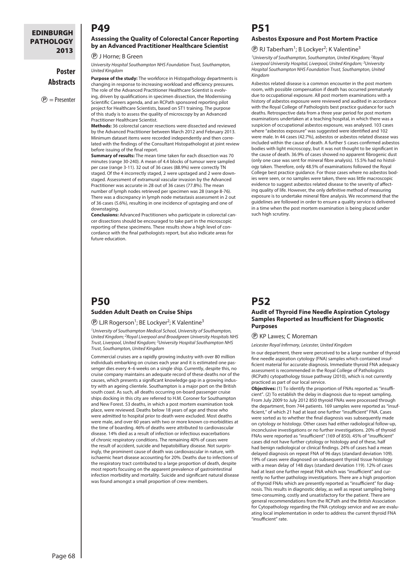# **Poster Abstracts**

 $(P)$  = Presenter

# **P49**

#### **Assessing the Quality of Colorectal Cancer Reporting by an Advanced Practitioner Healthcare Scientist**

P J Horne; B Green

*University Hospital Southampton NHS Foundation Trust, Southampton, United Kingdom*

Purpose of the study: The workforce in Histopathology departments is changing in response to increasing workload and efficiency pressures. The role of the Advanced Practitioner Healthcare Scientist is evolving, driven by qualifications in specimen dissection, the Modernising Scientific Careers agenda, and an RCPath sponsored reporting pilot project for Healthcare Scientists, based on ST1 training. The purpose of this study is to assess the quality of microscopy by an Advanced Practitioner Healthcare Scientist.

**Methods:** 36 colorectal cancer resections were dissected and reviewed by the Advanced Practitioner between March 2012 and February 2013. Minimum dataset items were recorded independently and then correlated with the findings of the Consultant Histopathologist at joint review before issuing of the final report.

**Summary of results:** The mean time taken for each dissection was 70 minutes (range 30-240). A mean of 4.4 blocks of tumour were sampled per case (range 3-11). 32 out of 36 cases (88.9%) were correctly TN staged. Of the 4 incorrectly staged, 2 were upstaged and 2 were downstaged. Assessment of extramural vascular invasion by the Advanced Practitioner was accurate in 28 out of 36 cases (77.8%). The mean number of lymph nodes retrieved per specimen was 28 (range 8-76). There was a discrepancy in lymph node metastasis assessment in 2 out of 36 cases (5.6%), resulting in one incidence of upstaging and one of downstaging.

**Conclusions:** Advanced Practitioners who participate in colorectal cancer dissections should be encouraged to take part in the microscopic reporting of these specimens. These results show a high level of concordance with the final pathologists report, but also indicate areas for future education.

# **P50**

#### **Sudden Adult Death on Cruise Ships**

#### **P LJR Rogerson<sup>1</sup>; BE Lockyer<sup>2</sup>; K Valentine<sup>3</sup>**

*1University of Southampton Medical School, University of Southampton, United Kingdom; 2Royal Liverpool and Broadgreen University Hospitals NHS Trust, Liverpool, United Kingdom; 3University Hospital Southampton NHS Trust, Southampton, United Kingdom*

Commercial cruises are a rapidly growing industry with over 80 million individuals embarking on cruises each year and it is estimated one passenger dies every 4–6 weeks on a single ship. Currently, despite this, no cruise company maintains an adequate record of these deaths nor of the causes, which presents a significant knowledge gap in a growing industry with an ageing clientele. Southampton is a major port on the British south coast. As such, all deaths occurring on-board passenger cruise ships docking in this city are referred to H.M. Coroner for Southampton and New Forest. 53 deaths, in which a post mortem examination took place, were reviewed. Deaths below 18 years of age and those who were admitted to hospital prior to death were excluded. Most deaths were male, and over 60 years with two or more known co-morbidities at the time of boarding. 46% of deaths were attributed to cardiovascular disease. 14% died as a result of infection or infectious exacerbations of chronic respiratory conditions. The remaining 40% of cases were the result of accident, suicide and hepatobilliary disease. Not surprisingly, the prominent cause of death was cardiovascular in nature, with ischaemic heart disease accounting for 20%. Deaths due to infections of the respiratory tract contributed to a large proportion of death, despite most reports focusing on the apparent prevalence of gastrointestinal infection morbidity and mortality. Suicide and significant natural disease was found amongst a small proportion of crew members.

# **P51**

#### **Asbestos Exposure and Post Mortem Practice**

#### $(P)$  RJ Taberham<sup>1</sup>: B Lockver<sup>2</sup>: K Valentine<sup>3</sup>

*1University of Southampton, Southampton, United Kingdom; 2Royal Liverpool University Hospital, Liverpool, United Kingdom; 3University Hospital Southampton NHS Foundation Trust, Southampton, United Kingdom*

Asbestos related disease is a common encounter in the post mortem room, with possible compensation if death has occurred prematurely due to occupational exposure. All post mortem examinations with a history of asbestos exposure were reviewed and audited in accordance with the Royal College of Pathologists best practice guidance for such deaths. Retrospective data from a three year period for post mortem examinations undertaken at a teaching hospital, in which there was a suspicion of occupational asbestos exposure, was analysed. 103 cases where "asbestos exposure" was suggested were identified and 102 were male. In 44 cases (42.7%), asbestos or asbestos related disease was included within the cause of death. A further 5 cases confirmed asbestos bodies with light microscopy, but it was not thought to be significant in the cause of death. 36.9% of cases showed no apparent fibrogenic dust (only one case was sent for mineral fibre analysis). 15.5% had no histology taken. Therefore, only 48.5% of examinations followed the Royal College best practice guidance. For those cases where no asbestos bodies were seen, or no samples were taken, there was little macroscopic evidence to suggest asbestos related disease to the severity of affecting quality of life. However, the only definitive method of measuring exposure is to undertake mineral fibre analysis. We recommend that the guidelines are followed in order to ensure a quality service is delivered in a time when the post mortem examination is being placed under such high scrutiny.

# **P52**

#### **Audit of Thyroid Fine Needle Aspiration Cytology Samples Reported as Insufficient for Diagnostic Purposes**

#### P KP Lawes; C Moreman

*Leicester Royal Infirmary, Leicester, United Kingdom*

In our department, there were perceived to be a large number of thyroid fine needle aspiration cytology (FNA) samples which contained insufficient material for accurate diagnosis. Immediate thyroid FNA adequacy assessment is recommended in the Royal College of Pathologists (RCPath) cytopathology tissue pathway (2010), which is not currently practiced as part of our local service.

**Objectives:** (1) To identify the proportion of FNAs reported as "insufficient". (2) To establish the delay in diagnosis due to repeat sampling. From July 2009 to July 2012 850 thyroid FNAs were processed through the department, from 744 patients. 169 samples were reported as "insufficient," of which 21 had at least one further "insufficient" FNA. Cases were sorted as to whether the final diagnosis was subsequently made on cytology or histology. Other cases had either radiological follow-up, inconclusive investigations or no further investigations. 20% of thyroid FNAs were reported as "insufficient" (169 of 850). 45% of "insufficient" cases did not have further cytology or histology and of these, half had benign radiological or clinical findings. 24% of cases had a mean delayed diagnosis on repeat FNA of 96 days (standard deviation 109). 19% of cases were diagnosed on subsequent thyroid tissue histology with a mean delay of 148 days (standard deviation 119). 12% of cases had at least one further repeat FNA which was "insufficient" and currently no further pathology investigations. There are a high proportion of thyroid FNAs which are presently reported as "insufficient" for diagnosis. This results in diagnostic delay, as well as repeat sampling being time-consuming, costly and unsatisfactory for the patient. There are general recommendations from the RCPath and the British Association for Cytopathology regarding the FNA cytology service and we are evaluating local implementation in order to address the current thyroid FNA "insufficient" rate.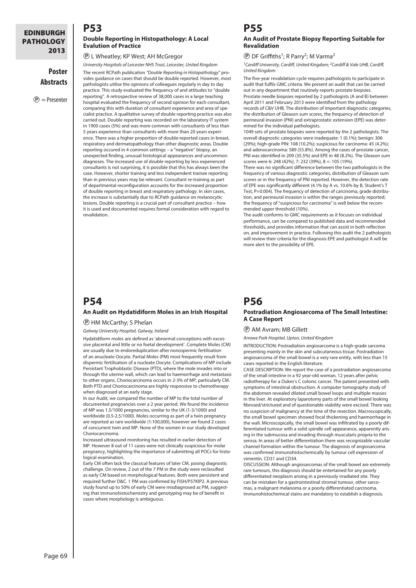# **Poster Abstracts**

 $(P)$  = Presenter

# **P53**

#### **Double Reporting in Histopathology: A Local Evalution of Practice**

P L Wheatley; KP West; AH McGregor

*University Hospitals of Leicester NHS Trust, Leicester, United Kingdom*

The recent RCPath publication *"Double Reporting in Histopathology"* provides guidance on cases that should be double reported. However, most pathologists utilise the opinions of colleagues regularly in day to day practice. This study evaluated the frequency of and attitudes to "double reporting". A retrospective review of 38,000 cases in a large teaching hospital evaluated the frequency of second opinion for each consultant, comparing this with duration of consultant experience and area of specialist practice. A qualitative survey of double reporting practice was also carried out. Double reporting was recorded on the laboratory IT system in 1900 cases (5%) and was more common with consultants of less than 5 years experience than consultants with more than 20 years experience. There was a higher proportion of double-reported cases in breast, respiratory and dermatopathology than other diagnostic areas. Double reporting occured in 4 common settings – a "negative" biopsy, an unexpected finding, unusual histological appearances and uncommon diagnoses. The increased use of double reporting by less experienced consultants is not surprising, it is possible that this has always been the case. However, shorter training and less independent trainee reporting than in previous years may be relevant. Consultant re-training as part of departmental reconfiguration accounts for the increased proportion of double reporting in breast and respiratory pathology. In skin cases, the increase is substantially due to RCPath guidance on melanocytic lesions. Double reporting is a crucial part of consultant practice – how it is used and documented requires formal consideration with regard to revalidation.

# **P54**

#### **An Audit on Hydatidiform Moles in an Irish Hospital**

P HM McCarthy; S Phelan

*Galway University Hospital, Galway, Ireland*

Hydatidiform moles are defined as 'abnormal conceptions with excessive placental and little or no foetal development'. Complete Moles (CM) are usually due to endoreduplication after nonospermic fertilisation of an anucleate Oocyte. Partial Moles (PM) most frequently result from dispermic fertilisation of a nucleate Oocyte. Complications of MP include Persistant Trophoblastic Disease (PTD), where the mole invades into or through the uterine wall, which can lead to haemorrhage and metastasis to other organs. Choriocarcinoma occurs in 2-3% of MP, particularly CM. Both PTD and Choriocarcinoma are highly responsive to chemotherapy when diagnosed at an early stage.

In our Audit, we compared the number of MP to the total number of documented pregnancies over a 2 year period. We found the incidence of MP was 1.5/1000 pregnancies, similar to the UK (1-3/1000) and worldwide (0.5-2.5/1000). Moles occurring as part of a twin pregnancy are reported as rare worldwide (1:100,000), however we found 2 cases of concurrent twin and MP. None of the women in our study developed Choriocarcinoma.

Increased ultrasound monitoring has resulted in earlier detection of MP. However 8 out of 11 cases were not clinically suspicious for molar pregnancy, highlighting the importance of submitting all POCs for histological examination.

Early CM often lack the classical features of later CM, posing diagnostic challenge. On review, 2 out of the 7 PM in the study were reclassified as early CM based on morphological features. Both were persistent and required further D&C. 1 PM was confirmed by FISH/P57KIP2. A previous study found up to 50% of early CM were misdiagnosed as PM, suggesting that immunohistochemistry and genotyping may be of benefit in cases where morphology is ambiguous.

# **P55**

#### **An Audit of Prostate Biopsy Reporting Suitable for Revalidation**

#### **P DF Griffiths<sup>1</sup>; R Parry<sup>2</sup>; M Varma<sup>2</sup>**

*1Cardiff University, Cardiff, United Kingdom; 2Cardiff & Vale UHB, Cardiff, United Kingdom*

The five-year revalidation cycle requires pathologists to participate in audit that fulfils GMC criteria. We present an audit that can be carried out in any department that routinely reports prostate biopsies. Prostate needle biopsies reported by 2 pathologists (A and B) between April 2011 and February 2013 were identified from the pathology records of C&V UHB. The distribution of important diagnostic categories, the distribution of Gleason sum scores, the frequency of detection of perineural invasion (PNI) and extraprostatic extension (EPE) was determined for the individual pathologists.

1049 sets of prostate biopsies were reported by the 2 pathologists. The overall diagnostic categories were inadequate: 1 (0.1%); benign: 306 (29%); high-grade PIN: 108 (10.2%); suspicious for carcinoma: 45 (4.2%); and adenocarcinoma: 589 (55.8%). Among the cases of prostate cancer, PNI was identified in 209 (35.5%) and EPE in 48 (8.2%). The Gleason sum scores were 6: 248 (42%), 7: 232 (39%), 8 +: 105 (19%).

There was no significant difference between the two pathologists in the frequency of various diagnostic categories, distribution of Gleason sum scores or in the frequency of PNI reported. However, the detection rate of EPE was significantly different (4.1% by A vs. 10.6% by B, Student's T Test, P=0.004). The frequency of detection of carcinoma, grade distribution, and perineural invasion is within the ranges previously reported; the frequency of "suspicious for carcinoma" is well below the recommended upper threshold (10%).

The audit conforms to GMC requirements as it focuses on individual performance, can be compared to published data and recommended thresholds, and provides information that can assist in both reflection on, and improvement in practice. Following this audit the 2 pathologists will review their criteria for the diagnosis EPE and pathologist A will be more alert to the possibility of EPE.

# **P56**

#### **Postradiation Angiosarcoma of The Small Intestine: A Case Report**

#### P AM Avram; MB Gillett

*Arrowe Park Hospital, Upton, United Kingdom*

INTRODUCTION: Postradiation angiosarcoma is a high-grade sarcoma presenting mainly in the skin and subcutaneous tissue. Postradiation angiosarcoma of the small bowel is a very rare entity, with less than 15 cases reported in the English literature.

CASE DESCRIPTION: We report the case of a postradiation angiosarcoma of the small intestine in a 92 year-old woman, 12 years after pelvic radiotherapy for a Dukes's C colonic cancer. The patient presented with symptoms of intestinal obstruction. A computer tomography study of the abdomen revealed dilated small bowel loops and multiple masses in the liver. At exploratory laparotomy parts of the small bowel looking fibrosed/strictured and of questionable viability were excised. There was no suspicion of malignancy at the time of the resection. Macroscopically, the small bowel specimen showed focal thickening and haemorrhage in the wall. Microscopically, the small bowel was infiltrated by a poorly differentiated tumour with a solid spindle cell appearance, apparently arising in the submucosa and invading through muscularis propria to the serosa. In areas of better differentiation there was recognizable vascular channel formation within the tumour. The diagnosis of angiosarcoma was confirmed immunohistochemically by tumour cell expression of vimentin, CD31 and CD34.

DISCUSSION: Although angiosarcomas of the small bowel are extremely rare tumours, this diagnosis should be entertained for any poorly differentiated neoplasm arising in a previously irradiated site. They can be mistaken for a gastrointestinal stromal tumour, other sarcomas, a malignant melanoma or a poorly differentiated carcinoma. Immunohistochemical stains are mandatory to establish a diagnosis.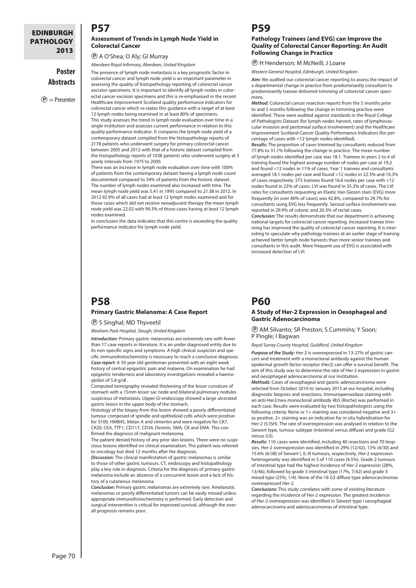## **Poster Abstracts**

 $(P)$  = Presenter

# **P57**

#### **Assessment of Trends in Lymph Node Yield in Colorectal Cancer**

P A O'Shea; O Aly; GI Murray

*Aberdeen Royal Infirmary, Aberdeen, United Kingdom*

The presence of lymph node metastasis is a key prognostic factor in colorectal cancer and lymph node yield is an important parameter in assessing the quality of histopathology reporting of colorectal cancer excision specimens. It is important to identify all lymph nodes in colorectal cancer excision specimens and this is re-emphasised in the recent Healthcare Improvement Scotland quality performance indicators for colorectal cancer which re-states this guidance with a target of at least 12 lymph nodes being examined in at least 80% of specimens. This study assesses the trend in lymph node evaluation over time in a single institution and assesses current performance in relation to this quality performance indicator. It compares the lymph node yield of a contemporary dataset compiled from the histopathology reports of 2178 patients who underwent surgery for primary colorectal cancer between 2005 and 2012 with that of a historic dataset compiled from the histopathology reports of 1038 patients who underwent surgery at 5 yearly intervals from 1975 to 2000.

There was an increase in lymph node evaluation over time with 100% of patients from the contemporary dataset having a lymph node count documented compared to 34% of patients from the historic dataset. The number of lymph nodes examined also increased with time. The mean lymph node yield was 5.41 in 1995 compared to 21.38 in 2012. In 2012 92.9% of all cases had at least 12 lymph nodes examined and for those cases which did not receive neoadjuvant therapy the mean lymph node yield was 22.02 with 94.3% of those cases having at least 12 lymph nodes examined.

In conclusion the data indicates that this centre is exceeding the quality performance indicator for lymph node yield.

# **P59**

#### **Pathology Trainees (and EVG) can Improve the Quality of Colorectal Cancer Reporting: An Audit Following Change in Practice**

P H Henderson; M McNeill; J Loane

*Western General Hospital, Edinburgh, United Kingdom*

*Aim:* We audited our colorectal cancer reporting to assess the impact of a departmental change in practice from predominantly consultant to predominantly trainee delivered trimming of colorectal cancer specimens.

*Method:* Colorectal cancer resection reports from the 5 months prior to and 5 months following the change in trimming practice were identified. These were audited against standards in the Royal College of Pathologists Dataset (for lymph nodes harvest, rates of lymphovascular invasion and peritoneal surface involvement) and the Healthcare Improvement Scotland Cancer Quality Performance Indicators (for percentage of cases with <12 lymph nodes identified).

*Results:* The proportion of cases trimmed by consultants reduced from 77.8% to 31.1% following the change in practice. The mean number of lymph nodes identified per case was 18.1. Trainees in years 2 to 4 of training found the highest average number of nodes per case at 19.2 and found <12 nodes in 11% of cases. Year 1 trainees and consultants averaged 18.1 nodes per case and found <12 nodes in 22.5% and 14.3% of cases respectively. ST5 trainees found 16.6 nodes per case with <12 nodes found in 23% of cases. LVI was found in 35.3% of cases. The LVI rates for consultants requesting an Elastic Van Gieson stain (EVG) more frequently (in over 40% of cases) was 42.8%, compared to 29.7% for consultants using EVG less frequently. Serosal surface involvement was reported in 29.9% of colonic and 20.3% of rectal cases.

*Conclusion:* The results demonstrate that our department is achieving national targets for colorectal cancer reporting. Increased trainee trimming has improved the quality of colorectal cancer reporting. It is interesting to speculate why pathology trainees at an earlier stage of training achieved better lymph node harvests than more senior trainees and consultants in this audit. More frequent use of EVG is associated with increased detection of LVI.

# **P58**

#### **Primary Gastric Melanoma: A Case Report**

#### P S Singhal; MD Thyveetil

*Wexham Park Hospital, Slough, United Kingdom*

*Introduction:* Primary gastric melanomas are extremely rare with fewer than 17 case reports in literature. It is an under diagnosed entity due to its non-specific signs and symptoms. A high clinical suspicion and specific immunohistochemistry is necessary to reach a conclusive diagnosis. *Case report:* A 59 year old gentleman presented with an eight week history of central epigastric pain and malaena. On examination he had epigastric tenderness and laboratory investigations revealed a haemoglobin of 5.8 g/dl .

Computed tomography revealed thickening of the lesser curvature of stomach with a 15mm lesser sac node and bilateral pulmonary nodules suspicious of metastasis. Upper GI endoscopy showed a large ulcerated gastric lesion in the upper body of the stomach.

Histology of the biopsy from this lesion showed a poorly differentiated tumour composed of spindle and epithelioid cells which were positive for S100, HMB45, Melan A and vimentin and were negative for CK7, CK20, CEA, TTF1, CD117, CD34, Desmin, SMA, CK and EMA. This confirmed the diagnosis of malignant melanoma.

The patient denied history of any prior skin lesions. There were no suspicious lesions identified on clinical examination. The patient was referred to oncology but died 12 months after the diagnosis.

*Discussion:* The clinical manifestation of gastric melanomas is similar to those of other gastric tumours. CT, endoscopy and histopathology play a key role in diagnosis. Criteria for the diagnosis of primary gastric melanoma include an absence of a concurrent lesion and a lack of history of a cutaneous melanoma.

*Conclusion:* Primary gastric melanomas are extremely rare. Amelanotic melanomas or poorly differentiated tumors can be easily missed unless appropriate immunohistochemistry is performed. Early detection and surgical intervention is critical for improved survival, although the overall prognosis remains poor.

# **P60**

#### **A Study of Her-2 Expression in Oesophageal and Gastric Adenocarcinoma**

P AM Silvanto; SR Preston; S Cummins; Y Soon; P Pingle; I Bagwan

*Royal Surrey County Hospital, Guildford, United Kingdom*

*Purpose of the Study:* Her-2 is overexpressed in 13-27% of gastric cancers and treatment with a monoclonal antibody against the human epidermal growth factor receptor (Her2) can offer a survival benefit. The aim of this study was to determine the rate of Her-2 expression in gastric and oesophageal adenocarcinoma at our institution.

*Methods:* Cases of oesophageal and gastric adenocarcinoma were selected from October 2010 to January 2013 at our hospital, including diagnostic biopsies and resections. Immunoperoxidase staining with an anti-Her2/neu monoclonal antibody 4b5 (Roche) was performed in each case. Results were evaluated by two histopathologists using the following criteria: None or 1+ staining was considered negative and 3+ as positive. 2+ staining was an indication for in situ hybridisation for Her-2 (S-ISH). The rate of overexpression was analysed in relation to the Siewert type, tumour subtype (intestinal versus diffuse) and grade (G2 versus G3).

*Results:* 110 cases were identified, including 40 resections and 70 biopsies. Her-2 overexpression was identified in 29% (12/42), 13% (4/30) and 15.6% (6/38) of Siewert I, II, III tumours, respectively. Her-2 expression heterogeneity was identified in 5 of 110 cases (4.5%). Grade 2 tumours of intestinal type had the highest incidence of Her-2 expression (28%, 13/46), followed by grade 3 intestinal type (17%, 7/42) and grade 3 mixed type (25%, 1/4). None of the 18 G3 diffuse type adenocarcinomas overexpressed Her-2.

*Conclusions:* This study correlates with some of existing literature regarding the incidence of Her-2 expression. The greatest incidence of Her-2 overexpression was identified in Siewert type I oesophageal adenocarcinoma and adenocarcinomas of intestinal type.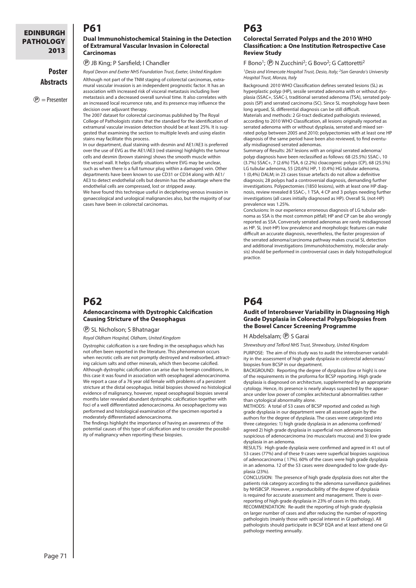# **Poster Abstracts**

 $(P)$  = Presenter

# **P61**

#### **Dual Immunohistochemical Staining in the Detection of Extramural Vascular Invasion in Colorectal Carcinomas**

P JB King; P Sarsfield; I Chandler

*Royal Devon and Exeter NHS Foundation Trust, Exeter, United Kingdom*

Although not part of the TNM staging of colorectal carcinomas, extramural vascular invasion is an independent prognostic factor. It has an association with increased risk of visceral metastasis including liver metastasis and a decreased overall survival time. It also correlates with an increased local recurrence rate, and its presence may influence the

decision over adjuvant therapy. The 2007 dataset for colorectal carcinomas published by The Royal College of Pathologists states that the standard for the identification of extramural vascular invasion detection should be at least 25%. It is suggested that examining the section to multiple levels and using elastin stains may facilitate this process.

In our department, dual staining with desmin and AE1/AE3 is preferred over the use of EVG as the AE1/AE3 (red staining) highlights the tumour cells and desmin (brown staining) shows the smooth muscle within the vessel wall. It helps clarify situations where EVG may be unclear, such as when there is a full tumour plug within a damaged vein. Other departments have been known to use CD31 or CD34 along with AE1/ AE3 to detect endothelial cells but desmin has the advantage where the endothelial cells are compressed, lost or stripped away.

We have found this technique useful in deciphering venous invasion in gynaecological and urological malignancies also, but the majority of our cases have been in colorectal carcinomas.

# **P63**

#### **Colorectal Serrated Polyps and the 2010 WHO Classification: a One Institution Retrospective Case Review Study**

F Bono<sup>1</sup>; **P** N Zucchini<sup>2</sup>; G Bovo<sup>2</sup>; G Cattoretti<sup>2</sup>

*1Desio and Vimercate Hospital Trust, Desio, Italy; 2San Gerardo's University Hospital Trust, Monza, Italy*

Background: 2010 WHO Classification defines serrated lesions (SL) as hyperplastic polyp (HP), sessile serrated adenoma with or without dysplasia (SSAC+, SSAC-), traditional serrated adenoma (TSA), serrated polyposis (SP) and serrated carcinoma (SC). Since SL morphology have been long argued, SL differential diagnosis can be still difficult. Materials and methods: 2 GI-tract dedicated pathologists reviewed, according to 2010 WHO Classification, all lesions originally reported as serrated adenoma with or without dysplasia, serrated and mixed serrated polyp between 2005 and 2010; polypectomies with at least one HP diagnosis of the same period have been also reviewed, to find eventually misdiagnosed serrated adenomas.

Summary of Results: 267 lesions with an original serrated adenoma/ polyp diagnosis have been reclassified as follows: 68 (25.5%) SSAC-, 10 (3.7%) SSAC+, 7 (2.6%) TSA, 6 (2.2%) cloacogenic polyps (CP), 68 (25.5%) LG tubular adenoma, 55 (20,6%) HP, 1 (0.4%) HG tubular adenoma, 1 (0,4%) DALM; in 23 cases tissue artefacts do not allow a definitive diagnosis; 28 polyps had a controversial diagnosis, demanding further investigations. Polypectomies (1850 lesions), with at least one HP diagnosis, review revealed 8 SSAC-, 1 TSA, 4 CP and 3 polyps needing further investigations (all cases initially diagnosed as HP). Overall SL (not-HP) prevalence was 1.25%.

Conclusions: In our experience erroneous diagnosis of LG tubular adenoma as SSA is the most common pitfall; HP and CP can be also wrongly reported as SSA. Conversely serrated adenomas are rarely misdiagnosed as HP. SL (not-HP) low prevalence and morphologic features can make difficult an accurate diagnosis, nevertheless, the faster progression of the serrated adenoma/carcinoma pathway makes crucial SL detection and additional investigations (immunohistochemistry, molecular analysis) should be performed in controversial cases in daily histopathological practice.

# **P62**

#### **Adenocarcinoma with Dystrophic Calcification Causing Stricture of the Oesophagus**

#### P SL Nicholson; S Bhatnagar

*Royal Oldham Hospital, Oldham, United Kingdom*

Dystrophic calcification is a rare finding in the oesophagus which has not often been reported in the literature. This phenomenon occurs when necrotic cells are not promptly destroyed and reabsorbed, attracting calcium salts and other minerals, which then become calcified. Although dystrophic calcification can arise due to benign conditions, in this case it was found in association with oesophageal adenocarcinoma. We report a case of a 76 year old female with problems of a persistent stricture at the distal oesophagus. Initial biopsies showed no histological evidence of malignancy, however, repeat oesophageal biopsies several months later revealed abundant dystrophic calcification together with foci of a well differentiated adenocarcinoma. An oesophagectomy was performed and histological examination of the specimen reported a moderately differentiated adenocarcinoma.

The findings highlight the importance of having an awareness of the potential causes of this type of calcification and to consider the possibility of malignancy when reporting these biopsies.

# **P64**

#### **Audit of Interobsever Variability in Diagnosing High Grade Dysplasia in Colorectal Polyps/biopsies from the Bowel Cancer Screening Programme**

#### H Abdelsalam; P S Garai

*Shrewsbury and Telford NHS Trust, Shrewsbury, United Kingdom*

PURPOSE: The aim of this study was to audit the interobserver variability in the assessment of high grade dysplasia in colorectal adenomas/ biopsies from BCSP in our department.

BACKGROUND: Reporting the degree of dysplasia (low or high) is one of the requirements in the proforma for BCSP reporting. High grade dysplasia is diagnosed on architecture, supplemented by an appropriate cytology. Hence, its presence is nearly always suspected by the appearance under low power of complex architectural abnormalities rather than cytological abnormality alone.

METHODS: A total of 53 cases of BCSP reported and coded as high grade dysplasia in our department were all assessed again by the authors for the degree of dysplasia. The cases were categorized into three categories: 1) high grade dysplasia in an adenoma confirmed/ agreed 2) high grade dysplasia in superficial non adenoma biopsies suspicious of adenocarcinoma (no muscularis mucosa) and 3) low grade dysplasia in an adenoma.

RESULTS: High grade dysplasia were confirmed and agreed in 41 out of 53 cases (77%) and of these 9 cases were superficial biopsies suspicious of adenocarcinoma ( 17%). 60% of the cases were high grade dysplasia in an adenoma. 12 of the 53 cases were downgraded to low grade dysplasia (23%).

CONCLUSION: The presence of high grade dysplasia does not alter the patients risk category according to the adenoma surveillance guidelines by NHSBCSP. However, a reproducibility of the degree of dysplasia is required for accurate assessment and management. There is overreporting of high grade dysplasia in 23% of cases in this study. RECOMMENDATION: Re-audit the reporting of high grade dysplasia on larger number of cases and after reducing the number of reporting pathologists (mainly those with special interest in GI pathology). All pathologists should participate in BCSP EQA and at least attend one GI pathology meeting annually.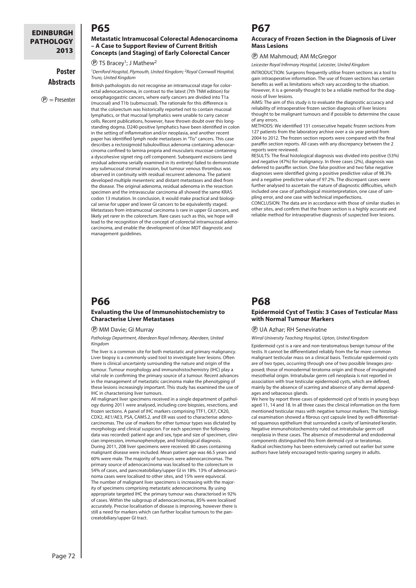### **Poster Abstracts**

 $(P)$  = Presenter

### **P65**

### **Metastatic Intramucosal Colorectal Adenocarcinoma – A Case to Support Review of Current British Concepts (and Staging) of Early Colorectal Cancer**

 $\textcircled{P}$  TS Bracey<sup>1</sup>; J Mathew<sup>2</sup>

*1Derriford Hospital, Plymouth, United Kingdom; 2Royal Cornwall Hospital, Truro, United Kingdom*

British pathologists do not recognise an intramucosal stage for colorectal adenocarcinoma, in contrast to the latest (7th TNM edition) for oesophagogastric cancers, where early cancers are divided into T1a (mucosal) and T1b (submucosal). The rationale for this difference is that the colorectum was historically reported not to contain mucosal lymphatics, or that mucosal lymphatics were unable to carry cancer cells. Recent publications, however, have thrown doubt over this longstanding dogma. D240-positive lymphatics have been identified in colon in the setting of inflammation and/or neoplasia, and another recent paper has identified lymph node metastases in "Tis" cancers. This case describes a rectosigmoid tubulovillous adenoma containing adenocarcinoma confined to lamina propria and muscularis mucosae containing a dyscohesive signet ring cell component. Subsequent excisions (and residual adenoma serially examined in its entirety) failed to demonstrate any submucosal stromal invasion, but tumour venous thrombus was observed in continuity with residual recurrent adenoma. The patient developed multiple mesenteric and distant metastases and died from the disease. The original adenoma, residual adenoma in the resection specimen and the intravascular carcinoma all showed the same KRAS codon 13 mutation. In conclusion, it would make practical and biological sense for upper and lower GI cancers to be equivalently staged. Metastases from intramucosal carcinoma is rare in upper GI cancers, and likely yet rarer in the colorectum. Rare cases such as this, we hope will lead to the recognition of the concept of colorectal intramucosal adenocarcinoma, and enable the development of clear MDT diagnostic and management guidelines.

## **P67**

### **Accuracy of Frozen Section in the Diagnosis of Liver Mass Lesions**

#### P AM Mahmoud; AM McGregor

*Leicester Royal Infirmary Hospital, Leicester, United Kingdom*

INTRODUCTION: Surgeons frequently utilise frozen sections as a tool to gain intraoperative information. The use of frozen sections has certain benefits as well as limitations which vary according to the situation. However, it is a generally thought to be a reliable method for the diagnosis of liver lesions.

AIMS: The aim of this study is to evaluate the diagnostic accuracy and reliability of intraoperative frozen section diagnosis of liver lesions thought to be malignant tumours and if possible to determine the cause of any errors.

METHODS: We identified 131 consecutive hepatic frozen sections from 127 patients from the laboratory archive over a six year period from 2004 to 2012. The frozen section reports were compared with the final paraffin section reports. All cases with any discrepancy between the 2 reports were reviewed.

RESULTS: The final histological diagnosis was divided into positive (53%) and negative (47%) for malignancy. In three cases (2%), diagnosis was deferred to paraffin section. One false positive and two false negative diagnoses were identified giving a positive predictive value of 98.3% and a negative predictive value of 97.2%. The discrepant cases were further analysed to ascertain the nature of diagnostic difficulties, which included one case of pathological misinterpretation, one case of sampling error, and one case with technical imperfections.

CONCLUSION: The data are in accordance with those of similar studies in other sites, and confirm that the frozen section is a highly accurate and reliable method for intraoperative diagnosis of suspected liver lesions.

## **P66**

#### **Evaluating the Use of Immunohistochemistry to Characterise Liver Metastases**

#### P MM Davie; GI Murray

*Pathology Department, Aberdeen Royal Infirmary, Aberdeen, United Kingdom*

The liver is a common site for both metastatic and primary malignancy. Liver biopsy is a commonly used tool to investigate liver lesions. Often there is clinical uncertainty surrounding the nature and origin of the tumour. Tumour morphology and immunohistochemistry (IHC) play a vital role in confirming the primary source of a tumour. Recent advances in the management of metastatic carcinoma make the phenotyping of these lesions increasingly important. This study has examined the use of IHC in characterising liver tumours.

All malignant liver specimens received in a single department of pathology during 2011 were analysed, including core biopsies, resections, and frozen sections. A panel of IHC markers comprising TTF1, CK7, CK20, CDX2, AE1/AE3, PSA, CAM5.2, and ER was used to characterise adenocarcinomas. The use of markers for other tumour types was dictated by morphology and clinical suspicion. For each specimen the following data was recorded: patient age and sex, type and size of specimen, clinician impression, immunophenotype, and histological diagnosis. During 2011, 208 liver specimens were received. 80 cases containing malignant disease were included. Mean patient age was 66.5 years and 60% were male. The majority of tumours were adenocarcinomas. The primary source of adenocarcinoma was localised to the colorectum in 54% of cases, and pancreatobiliary/upper GI in 18%. 13% of adenocarcinoma cases were localised to other sites, and 15% were equivocal. The number of malignant liver specimens is increasing with the majority of specimens comprising metastatic adenocarcinoma. By using appropriate targeted IHC the primary tumour was characterised in 92% of cases. Within the subgroup of adenocarcinomas, 85% were localised accurately. Precise localisation of disease is improving, however there is still a need for markers which can further localise tumours to the pancreatobiliary/upper GI tract.

## **P68**

### **Epidermoid Cyst of Testis: 3 Cases of Testicular Mass with Normal Tumour Markers**

#### P UA Azhar; RH Seneviratne

*Wirral University Teaching Hospital, Upton, United Kingdom*

Epidermoid cyst is a rare and non-teratomatous benign tumour of the testis. It cannot be differentiated reliably from the far more common malignant testicular mass on a clinical basis. Testicular epidermoid cysts are of two types, occurring through one of two possible lineages proposed; those of monodermal teratoma origin and those of invaginated mesothelial origin. Intratubular germ cell neoplasia is not reported in association with true testicular epidermoid cysts, which are defined, mainly by the absence of scarring and absence of any dermal appendages and sebaceous glands.

We here by report three cases of epidermoid cyst of testis in young boys aged 11, 14 and 18. In all three cases the clinical information on the form mentioned testicular mass with negative tumour markers. The histological examination showed a fibrous cyst capsule lined by well-differentiated squamous epithelium that surrounded a cavity of laminated keratin. Negative immunohistochemistry ruled out intratubular germ cell neoplasia in these cases. The absence of mesodermal and endodermal components distinguished this from dermoid cyst or teratomas. Radical orchiectomy has been extensively carried out earlier but some authors have lately encouraged testis-sparing surgery in adults.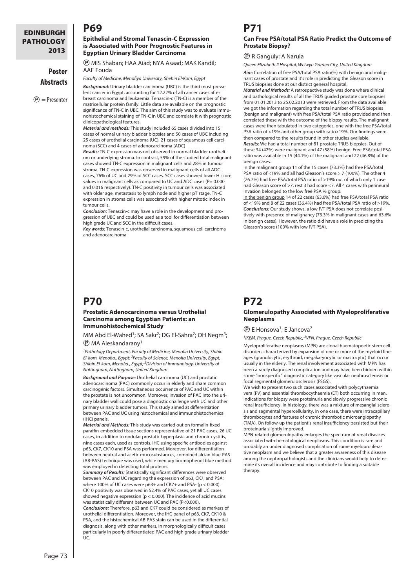### **Poster Abstracts**

 $(P)$  = Presenter

## **P69**

#### **Epithelial and Stromal Tenascin-C Expression is Associated with Poor Prognostic Features in Egyptian Urinary Bladder Carcinoma**

#### P MIS Shaban; HAA Aiad; NYA Asaad; MAK Kandil; AAF Fouda

*Faculty of Medicine, Menofiya University, Shebin El-Kom, Egypt*

*Background:* Urinary bladder carcinoma (UBC) is the third most prevalent cancer in Egypt, accounting for 12.22% of all cancer cases after breast carcinoma and leukaemia. Tenascin-c (TN-C) is a member of the matricellular protein family. Little data are available on the prognostic significance of TN-C in UBC. The aim of this study was to evaluate immunohistochemical staining of TN-C in UBC and correlate it with prognostic clinicopathological features.

*Material and methods:* This study included 65 cases divided into 15 cases of normal urinary bladder biopsies and 50 cases of UBC including 25 cases of urothelial carcinoma (UC), 21 cases of squamous cell carcinoma (SCC) and 4 cases of adenocarcinoma (ADC)

*Results:* TN-C expression was not observed in normal bladder urothelium or underlying stroma. In contrast, 59% of the studied total malignant cases showed TN-C expression in malignant cells and 28% in tumour stroma. TN-C expression was observed in malignant cells of all ADC cases, 76% of UC and 29% of SCC cases. SCC cases showed lower H score values in malignant cells as compared to UC and ADC cases (P= 0.000 and 0.016 respectively). TN-C positivity in tumour cells was associated with older age, metastasis to lymph node and higher pT stage. TN-C expression in stroma cells was associated with higher mitotic index in tumour cells.

*Conclusion:* Tenascin-c may have a role in the development and progression of UBC and could be used as a tool for differentiation between high grade UC and SCC in the difficult cases.

*Key words:* Tenascin-c, urothelial carcinoma, squamous cell carcinoma and adenocarcinoma

## **P70**

#### **Prostatic Adenocarcinoma versus Urothelial Carcinoma among Egyptian Patients: an Immunohistochemical Study**

MM Abd El-Wahed<sup>1</sup>; SA Sakr<sup>2</sup>; DG El-Sahra<sup>2</sup>; OH Negm<sup>3</sup>; P MA Aleskandarany1

*1Pathology Department, Faculty of Medicine, Menofia University, Shibin El-kom, Menofia., Egypt; 2Faculty of Science, Menofia University, Egypt, Shibin El-kom, Menofia., Egypt; 3Division of Immunology, University of Nottingham, Nottingham, United Kingdom*

*Background and Purpose:* Urothelial carcinoma (UC) and prostatic adenocarcinoma (PAC) commonly occur in elderly and share common carcinogenic factors. Simultaneous occurrence of PAC and UC within the prostate is not uncommon. Moreover, invasion of PAC into the urinary bladder wall could pose a diagnostic challenge with UC and other primary urinary bladder tumors. This study aimed at differentiation between PAC and UC using histochemical and immunohistochemical (IHC) panels.

*Material and Methods:* This study was carried out on formalin-fixed paraffin-embedded tissue sections representative of 21 PAC cases, 26 UC cases, in addition to nodular prostatic hyperplasia and chronic cystitis, nine cases each, used as controls. IHC using specific antibodies against p63, CK7, CK10 and PSA was performed. Moreover, for differentiation between neutral and acetic mucosubstances, combined alcian blue-PAS (AB-PAS) technique was used, while mercury bromophenol blue method was employed in detecting total proteins.

*Summary of Results:* Statistically significant differences were observed between PAC and UC regarding the expression of p63, CK7, and PSA; where 100% of UC cases were  $p63+$  and CK7+ and PSA- ( $p < 0.000$ ). CK10 positivity was observed in 52.4% of PAC cases, yet all UC cases showed negative expression ( $p < 0.000$ ). The incidence of acid mucins was statistically different between UC and PAC (P<0.000). *Conclusions:* Therefore, p63 and CK7 could be considered as markers of urothelial differentiation. Moreover, the IHC panel of p63, CK7, CK10 & PSA, and the histochemical AB-PAS stain can be used in the differential diagnosis, along with other markers, in morphologically difficult cases particularly in poorly differentiated PAC and high grade urinary bladder UC.

## **P71**

### **Can Free PSA/total PSA Ratio Predict the Outcome of Prostate Biopsy?**

#### P R Ganguly; A Narula

*Queen Elizabeth II Hospital, Welwyn Garden City, United Kingdom*

*Aim:* Correlation of free PSA/total PSA ratio(%) with benign and malignant cases of prostate and it's role in predicting the Gleason score in TRUS biopsies done at our district general hospital.

*Material and Methods:* A retrospective study was done where clinical and pathological results of all the TRUS guided prostate core biopsies from 01.01.2013 to 25.02.2013 were retrieved. From the data available we got the information regarding the total number of TRUS biopsies (benign and malignant) with free PSA/total PSA ratio provided and then correlated these with the outcome of the biopsy results. The malignant cases were then tabulated in two categories, one with the free PSA/total PSA ratio of <19% and other group with ratio>19%. Our findings were then compared to the results found in other studies available.

*Results:* We had a total number of 81 prostate TRUS biopsies. Out of these 34 (42%) were malignant and 47 (58%) benign. Free PSA/total PSA ratio was available in 15 (44.1%) of the malignant and 22 (46.8%) of the benign cases.

In the malignant group 11 of the 15 cases (73.3%) had free PSA/total PSA ratio of <19% and all had Gleason's score > 7 (100%). The other 4 (26.7%) had free PSA/total PSA ratio of >19% out of which only 1 case had Gleason score of >7, rest 3 had score <7. All 4 cases with perineural invasion belonged to the low free PSA % group.

In the benign group 14 of 22 cases (63.6%) had free PSA/total PSA ratio of <19% and 8 of 22 cases (36.4%) had free PSA/total PSA ratio of >19%. *Conclusions:* Our study shows, a low F/T PSA does not correlate positively with presence of malignancy (73.3% in malignant cases and 63.6% in benign cases). However, the ratio did have a role in predicting the Gleason's score (100% with low F/T PSA).

## **P72**

### **Glomerulopathy Associated with Myeloproliferative Neoplasms**

#### $(P)$  E Honsova<sup>1</sup>; E Jancova<sup>2</sup>

*1IKEM, Prague, Czech Republic; 2VFN, Prague, Czech Republic*

Myeloproliferative neoplasms (MPN) are clonal haematopoetic stem cell disorders characterized by expansion of one or more of the myeloid lineages (granulocytic, erythroid, megakaryocytic or mastocytic) that occur usually in the elderly. The renal involvement associated with MPN has been a rarely diagnosed complication and may have been hidden within some "nonspecific" diagnostic category like vascular nephrosclerosis or focal segmental glomerulosclerosis (FSGS).

We wish to present two such cases associated with polycythaemia vera (PV) and essential thrombocythaemia (ET) both occurring in men. Indications for biopsy were proteinuria and slowly progressive chronic renal insufficiency. In histology, there was a mixture of mesangial sclerosis and segmental hypercellularity. In one case, there were intracapillary thrombocytes and features of chronic thrombotic microangiopathy (TMA). On follow-up the patient's renal insufficiency persisted but their proteinuria slightly improved.

MPN-related glomerulopathy enlarges the spectrum of renal diseases associated with hematological neoplasms. This condition is rare and probably an under diagnosed complication of some myeloproliferative neoplasm and we believe that a greater awareness of this disease among the nephropathologists and the clinicians would help to determine its overall incidence and may contribute to finding a suitable therapy.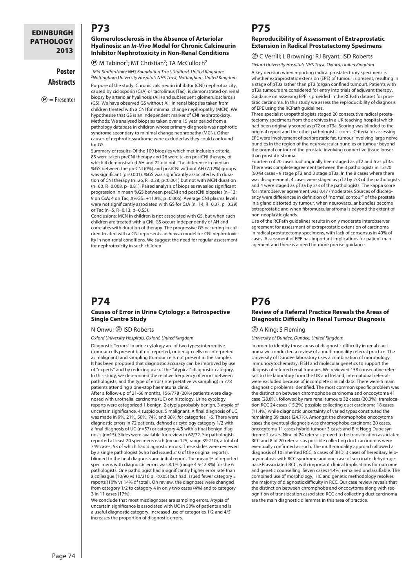### **Poster Abstracts**

 $(P)$  = Presenter

### **P73**

### **Glomerulosclerosis in the Absence of Arteriolar Hyalinosis: an** *In-Vivo* **Model for Chronic Calcineurin Inhibitor Nephrotoxicity in Non-Renal Conditions**

**P** M Tabinor<sup>1</sup>; MT Christian<sup>2</sup>; TA McCulloch<sup>2</sup>

*1Mid-Staffordshire NHS Foundation Trust, Stafford, United Kingdom; 2Nottingham University Hospitals NHS Trust, Nottingham, United Kingdom*

Purpose of the study: Chronic calcineurin inhibitor (CNI) nephrotoxicity, caused by ciclosporin (CsA) or tacrolimus (Tac), is demonstrated on renal biopsy by arteriolar hyalinosis (AH) and subsequent glomerulosclerosis (GS). We have observed GS without AH in renal biopsies taken from children treated with a CNI for minimal change nephropathy (MCN). We hypothesise that GS is an independent marker of CNI nephrotoxicity. Methods: We analysed biopsies taken over a 15 year period from a pathology database in children whose primary diagnosis was nephrotic syndrome secondary to minimal change nephropathy (MCN). Other causes of nephrotic syndrome were excluded as they could confound for GS.

Summary of results: Of the 109 biopsies which met inclusion criteria, 83 were taken preCNI therapy and 26 were taken postCNI therapy; of which 4 demonstrated AH and 22 did not. The difference in median %GS between the preCNI (0%) and postCNI without AH (7.12%) groups was significant (p=0.001). %GS was significantly associated with duration of CNI therapy (n=26, R=0.28, p<0.001) but not with MCN duration (n=60, R=0.008, p=0.81). Paired analysis of biopsies revealed significant progression in mean %GS between preCNI and postCNI biopsies (n=13; 9 on CsA; 4 on Tac; Δ%GS=+11.9%; p=0.006). Average CNI plasma levels were not significantly associated with GS for CsA (n=14, R=0.37, p=0.29) or Tac (n=5, R=0.13, p=0.55).

Conclusions: MCN in children is not associated with GS, but when such children are treated with a CNI, GS occurs independently of AH and correlates with duration of therapy. The progressive GS occurring in children treated with a CNI represents an *in-vivo* model for CNI nephrotoxicity in non-renal conditions. We suggest the need for regular assessment for nephrotoxicity in such children.

## **P75**

### **Reproducibility of Assessment of Extraprostatic Extension in Radical Prostatectomy Specimens**

P C Verrill; L Browning; RJ Bryant; ISD Roberts *Oxford University Hospitals NHS Trust, Oxford, United Kingdom*

A key decision when reporting radical prostatectomy specimens is whether extraprostatic extension (EPE) of tumour is present, resulting in a stage of pT3a rather than pT2 (organ confined tumour). Patients with pT3a tumours are considered for entry into trials of adjuvant therapy. Guidance on assessing EPE is provided in the RCPath dataset for prostatic carcinoma. In this study we assess the reproducibility of diagnosis of EPE using the RCPath guidelines.

Three specialist uropathologists staged 20 consecutive radical prostatectomy specimens from the archives in a UK teaching hospital which had been originally scored as pT2 or pT3a. Scoring was blinded to the original report and the other pathologists' scores. Criteria for assessing EPE were involvement of periprostatic fat, tumour involving large nerve bundles in the region of the neurovascular bundles or tumour beyond the normal contour of the prostate involving connective tissue looser than prostatic stroma.

Fourteen of 20 cases had originally been staged as pT2 and 6 as pT3a. There was complete agreement between the 3 pathologists in 12/20 (60%) cases - 9 stage pT2 and 3 stage pT3a. In the 8 cases where there was disagreement, 4 cases were staged as pT2 by 2/3 of the pathologists and 4 were staged as pT3a by 2/3 of the pathologists. The kappa score for interobserver agreement was 0.47 (moderate). Sources of discrepancy were differences in definition of "normal contour" of the prostate in a gland distorted by tumour, when neurovascular bundles become extraprostatic and when fibromuscular stroma is beyond the extent of non-neoplastic glands.

Use of the RCPath guidelines results in only moderate interobserver agreement for assessment of extraprostatic extension of carcinoma in radical prostatectomy specimens, with lack of consensus in 40% of cases. Assessment of EPE has important implications for patient management and there is a need for more precise guidance.

## **P74**

### **Causes of Error in Urine Cytology: a Retrospective Single Centre Study**

#### N Onwu; P ISD Roberts

*Oxford University Hospitals, Oxford, United Kingdom*

Diagnostic "errors" in urine cytology are of two types: interpretive (tumour cells present but not reported, or benign cells misinterpreted as malignant) and sampling (tumour cells not present in the sample). It has been proposed that diagnostic accuracy can be improved by use of "experts" and by reducing use of the "atypical" diagnostic category. In this study, we determined the relative frequency of errors between pathologists, and the type of error (interpretative vs sampling) in 778 patients attending a one-stop haematuria clinic.

After a follow-up of 21-66 months, 156/778 (20%) patients were diagnosed with urothelial carcinoma (UC) on histology. Urine cytology reports were categorized 1 benign, 2 atypia probably benign, 3 atypia of uncertain significance, 4 suspicious, 5 malignant. A final diagnosis of UC was made in 9%, 21%, 50%, 74% and 86% for categories 1-5. There were diagnostic errors in 72 patients, defined as cytology category 1/2 with a final diagnosis of UC (n=57) or category 4/5 with a final benign diagnosis (n=15). Slides were available for review in 62/72. Six pathologists reported at least 20 specimens each (mean 125, range 39-210), a total of 749 cases, 53 of which had diagnostic errors. These slides were reviewed by a single pathologist (who had issued 210 of the original reports), blinded to the final diagnosis and initial report. The mean % of reported specimens with diagnostic errors was 8.1% (range 4.5-12.8%) for the 6 pathologists. One pathologist had a significantly higher error rate than a colleague (10/90 vs 10/210 p=<0.05) but had issued fewer category 3 reports (10% vs 14% of total). On review, the diagnoses were changed from category 1/2 to category 4 in only two cases (4%) and to category 3 in 11 cases (17%).

We conclude that most misdiagnoses are sampling errors. Atypia of uncertain significance is associated with UC in 50% of patients and is a useful diagnostic category. Increased use of categories 1/2 and 4/5 increases the proportion of diagnostic errors.

## **P76**

### **Review of a Referral Practice Reveals the Areas of Diagnostic Difficulty in Renal Tumour Diagnosis**

P A King; S Fleming

*University of Dundee, Dundee, United Kingdom*

In order to identify those areas of diagnostic difficulty in renal carcinoma we conducted a review of a multi-modality referral practice. The University of Dundee laboratory uses a combination of morphology, immunocytochemistry, FISH and molecular genetics to support the diagnsis of referred renal tumours. We reviewed 158 consecutive referrals to the laboratory from the UK and Ireland, international referrals were excluded because of incomplete clinical data. There were 5 main diagnostic problems identified. The most common specific problem was the distinction between chromophobe carcinoma and oncocytoma 41 case (28.8%), followed by rare renal tumours 32 cases (20.3%), translocation RCC 24 cases (15.2%) possible collecting duct carcinoma 18 cases (11.4%) while diagnostic uncertainty of varied types constituted the remaining 39 cases (24.7%). Amongst the chromophobe oncocytoma cases the eventual diagnosis was chromophobe carcinoma 20 cases, oncocytoma 11 cases hybrid tumour 3 cases and Birt Hogg Dube syndrome 2 cases. Nine of 24 referrals proved to be translocation associated RCC and 8 of 20 referrals as possible collecting duct carcinomas were eventually confirmed as such. The multi-modality approach allowed a diagnosis of 10 inherited RCC, 6 cases of BHD, 3 cases of hereditary leiomyomatosis with RCC syndrome and one case of succinate dehydrogenase B associated RCC, with important clinical implications for outcome and genetic counselling. Seven cases (4.4%) remained unclassifiable. The combined use of morphology, IHC and genetic methodology resolves the majority of diagnostic difficulty in RCC. Our case review reveals that the distinction between chromphobe and oncocytoma along with recognition of translocation associated RCC and collecting duct carcinoma are the main diagnostic dilemmas in this area of practice.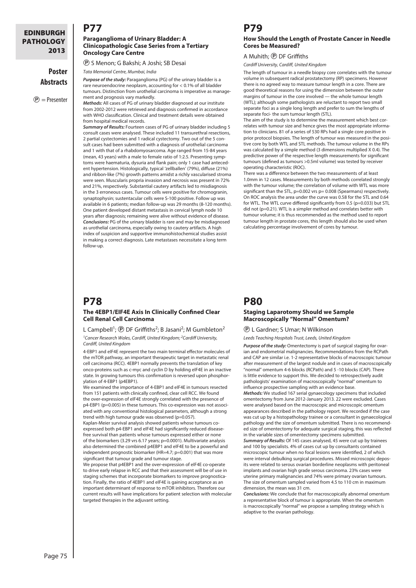### **Poster Abstracts**

 $(P)$  = Presenter

## **P77**

#### **Paraganglioma of Urinary Bladder: A Clinicopathologic Case Series from a Tertiary Oncology Care Centre**

P S Menon; G Bakshi; A Joshi; SB Desai

*Tata Memorial Centre, Mumbai, India*

*Purpose of the study:* Paraganglioma (PG) of the urinary bladder is a rare neuroendocrine neoplasm, accounting for < 0.1% of all bladder tumours. Distinction from urothelial carcinoma is imperative as management and prognosis vary markedly.

*Methods:* All cases of PG of urinary bladder diagnosed at our institute from 2002-2012 were retrieved and diagnosis confirmed in accordance with WHO classification. Clinical and treatment details were obtained from hospital medical records.

*Summary of Results:* Fourteen cases of PG of urinary bladder including 5 consult cases were analysed. These included 11 transurethral resections, 2 partial cystectomies and 1 radical cystectomy. Two out of the 5 consult cases had been submitted with a diagnosis of urothelial carcinoma and 1 with that of a rhabdomyosarcoma. Age ranged from 15-84 years (mean, 43 years) with a male to female ratio of 1:2.5. Presenting symptoms were haematuria, dysuria and flank pain; only 1 case had antecedent hypertension. Histologically, typical 'zellballen' (79%), diffuse (21%) and ribbon-like (7%) growth patterns amidst a richly vascularised stroma were seen. Muscularis propria invasion and necrosis was present in 72% and 21%, respectively. Substantial cautery artifacts led to misdiagnosis in the 3 erroneous cases. Tumour cells were positive for chromogranin, synaptophysin; sustentacular cells were S-100 positive. Follow up was available in 6 patients; median follow-up was 29 months (8-120 months). One patient developed distant metastasis in cervical lymph node 10 years after diagnosis; remaining were alive without evidence of disease. *Conclusions:* PG of the urinary bladder is rare and may be misdiagnosed as urothelial carcinoma, especially owing to cautery artifacts. A high index of suspicion and supportive immunohistochemical studies assist in making a correct diagnosis. Late metastases necessitate a long term follow-up.

# **P78**

### **The 4EBP1/EIF4E Axis In Clinically Confined Clear Cell Renal Cell Carcinoma**

L Campbell<sup>1</sup>;  $(P)$  DF Griffiths<sup>2</sup>; B Jasani<sup>2</sup>; M Gumbleton<sup>2</sup>

*1Cancer Research Wales, Cardiff, United Kingdom; 2Cardiff University, Cardiff, United Kingdom*

4-EBP1 and eIF4E represent the two main terminal effector molecules of the mTOR pathway, an important therapeutic target in metastatic renal cell carcinoma (RCC). 4EBP1 normally prevents the translation of key onco-proteins such as c-myc and cyclin D by holding eIF4E in an inactive state. In growing tumours this confirmation is reversed upon phosphorylation of 4-EBP1 (p4EBP1).

We examined the importance of 4-EBP1 and eIF4E in tumours resected from 151 patients with clinically confined, clear cell RCC. We found the over-expression of eIF4E strongly correlated with the presence of p4-EBP1 (p=0.005) in these tumours. This co-expression was not associated with any conventional histological parameters, although a strong trend with high tumour grade was observed (p=0.057).

Kaplan-Meier survival analysis showed patients whose tumours coexpressed both p4-EBP1 and eIF4E had significantly reduced diseasefree survival than patients whose tumours expressed either or none of the biomarkers (3.29 vrs 6.17 years; p=0.0001). Multivariate analysis also determined the combined p4EBP1 and eIF4E to be a powerful and independent prognostic biomarker (HR=4.7; p=0.001) that was more significant that tumour grade and tumour stage.

We propose that p4EBP1 and the over-expression of eIF4E co-operate to drive early relapse in RCC and that their assessment will be of use in staging schemes that incorporate biomarkers to improve prognostication. Finally, the ratio of 4EBP1 and eIF4E is gaining acceptance as an important determinant of response to mTOR inhibitors. Therefore our current results will have implications for patient selection with molecular targeted therapies in the adjuvant setting.

## **P79**

### **How Should the Length of Prostate Cancer in Needle Cores be Measured?**

### A Muhith; **P** DF Griffiths

*Cardiff University, Cardiff, United Kingdom*

The length of tumour in a needle biopsy core correlates with the tumour volume in subsequent radical prostatectomy (RP) specimens. However there is no agreed way to measure tumour length in a core. There are good theoretical reasons for using the dimension between the outer margins of tumour in the core involved — the whole tumour length (WTL); although some pathologists are reluctant to report two small separate foci as a single long length and prefer to sum the lengths of separate foci- the sum tumour length (STL).

The aim of the study is to determine the measurement which best correlates with tumour size and hence gives the most appropriate information to clinicians. 81 of a series of 530 RPs had a single core positive in prior protocol biopsies. The length of tumour was measured in the positive core by both WTL and STL methods. The tumour volume in the RPs was calculated by a simple method (3 dimensions multiplied X 0.4). The predictive power of the respective length measurements for significant tumours (defined as tumours >0.5ml volume) was tested by receiver operating characteristic (ROC).

There was a difference between the two measurements of at least 1.0mm in 12 cases. Measurements by both methods correlated strongly with the tumour volume; the correlation of volume with WTL was more significant than the STL, p=0.002 vrs p= 0.008 (Spearmans) respectively. On ROC analysis the area under the curve was 0.58 for the STL and 0.64 for WTL. The WTL curve differed significantly from 0.5 (p=0.033) but STL did not (p=0.21). WTL is a simpler method and correlates better with tumour volume; it is thus recommended as the method used to report tumour length in prostate cores, this length should also be used when calculating percentage involvement of cores by tumour.

## **P80**

### **Staging Laparotomy Should we Sample Macroscopically "Normal" Omentum?**

P L Gardner; S Umar; N Wilkinson

*Leeds Teaching Hospitals Trust, Leeds, United Kingdom*

*Purpose of the study:* Omentectomy is part of surgical staging for ovarian and endometrial malignancies. Recommendations from the RCPath and CAP are similar i.e. 1-2 representative blocks of macroscopic tumour after measurement of the largest nodule and in cases of macroscopically "normal" omentum 4-6 blocks (RCPath) and 5 -10 blocks (CAP). There is little evidence to support this. We decided to retrospectively audit pathologists' examination of macroscopically "normal" omentum to influence prospective sampling with an evidence base. *Methods:* We studied 167 serial gynaecology specimens that included omentectomy from June 2012-January 2013. 22 were excluded. Cases were analysed based on the macroscopic and microscopic omentum appearances described in the pathology report. We recorded if the case was cut up by a histopathology trainee or a consultant in gynaecological pathology and the size of omentum submitted. There is no recommended size of omentectomy for adequate surgical staging, this was reflected in the variable sizes of omentectomy specimens submitted. *Summary of Results:* Of 145 cases analysed, 45 were cut up by trainees

and 100 by specialists. 4% of cases cut up by consultants contained microscopic tumour when no focal lesions were identified, 2 of which were interval debulking surgical procedures. Missed microscopic deposits were related to serous ovarian borderline neoplasms with peritoneal implants and ovarian high grade serous carcinoma. 23% cases were uterine primary malignancies and 74% were primary ovarian tumours. The size of omentum sampled varied from 4.5 to 110 cm in maximum dimension, the mean was 31 cm.

*Conclusions:* We conclude that for macroscopically abnormal omentum a representative block of tumour is appropriate. When the omentum is macroscopically "normal" we propose a sampling strategy which is adaptive to the ovarian pathology.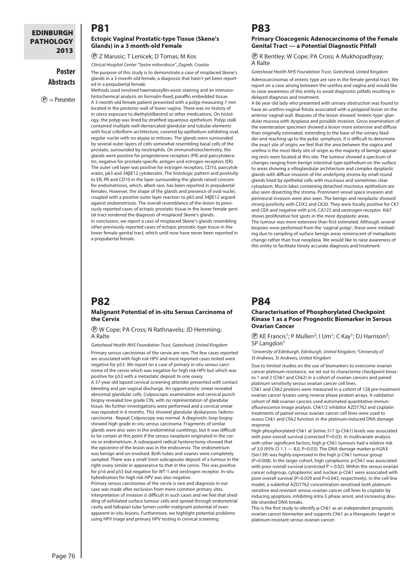### **Poster Abstracts**

 $(P)$  = Presenter

## **P81**

### **Ectopic Vaginal Prostatic-type Tissue (Skene's Glands) in a 3 month-old Female**

P Z Marusic; T Lenicek; D Tomas; M Kos

*Clinical Hospital Center "Sestre milosrdnice", Zagreb, Croatia*

The purpose of this study is to demonstrate a case of misplaced Skene's glands in a 3-month-old female, a diagnosis that hasn't yet been reported in a prepubertal female.

Methods used involved haematoxyllin-eosin staining and an immunohistochemical analysis on formalin-fixed, paraffin embedded tissue. A 3-month-old female patient presented with a polyp measuring 7 mm located in the posterior wall of lower vagina. There was no history of in utero exposure to diethylstilbestrol or other medications. On histology, the polyp was lined by stratified squamous epithelium. Polyp stalk contained multiple well-demarcated glandular and tubular elements with focal cribriform architecture, covered by epithelium exhibiting oval, regular nuclei with no atypia or mitoses. The glands were surrounded by several outer layers of cells somewhat resembling basal cells of the prostate, surrounded by neutrophils. On immunohistochemistry, the glands were positive for progesterone receptors (PR) and pancytokeratin, negative for prostate-specific antigen and estrogen receptors (ER). The outer cell layer was positive for estrogen receptors, CD10, pancytokeratin, p63 and 34βE12 cytokeratin. The histologic pattern and positivity to ER, PR and CD10 in the layer surrounding the glands raised concern for endometriosis, which, albeit rare, has been reported in prepubertal females. However, the shape of the glands and presence of oval nuclei, coupled with a positive outer layer reaction to p63 and 34βE12 argued against endometriosis. The overall resemblance of the lesion to previously reported cases of ectopic prostatic tissue in the lower female genital tract rendered the diagnosis of misplaced Skene's glands. In conclusion, we report a case of misplaced Skene's glands resembling other previously reported cases of ectopic prostatic-type tissue in the lower female genital tract, which until now have never been reported in a prepubertal female.

## **P83**

### **Primary Cloacogenic Adenocarcinoma of the Female Genital Tract — a Potential Diagnostic Pitfall**

P R Bentley; W Cope; PA Cross; A Mukhopadhyay; A Ralte

*Gateshead Health NHS Foundation Trust, Gateshead, United Kingdom*

Adenocarcinomas of enteric type are rare in the female genital tract. We report on a case arising between the urethra and vagina and would like to raise awareness of this entity to avoid diagnostic pitfalls resulting in delayed diagnosis and treatment.

A 66 year old lady who presented with urinary obstruction was found to have an urethro-vaginal fistula associated with a polypoid lesion on the anterior vaginal wall. Biopsies of the lesion showed 'enteric-type' glandular mucosa with dysplasia and possible invasion. Gross examination of the exenteration specimen showed a lesion more extensive and diffuse than originally estimated, extending to the base of the urinary bladder and reaching up to the pubic symphysis. It is difficult to determine the exact site of origin; we feel that the area between the vagina and urethra is the most likely site of origin as the majority of benign appearing rests were located at this site. The tumour showed a spectrum of changes ranging from benign intestinal type epithelium on the surface to areas showing a villoglandular architecture and complex dysplastic glands with diffuse invasion of the underlying stroma by small round glands lined by epithelial cells with mucinous and sometimes clear cytoplasm. Mucin lakes containing detached mucinous epithelium are also seen dissecting the stroma. Prominent vessel space invasion and perineural invasion were also seen. The benign and neoplastic showed strong positivity with CDX2 and CK20. They were focally positive for CK7 and CEA and negative with p16, CA125 and oestrogen receptor. Ki67 shows proliferative hot spots in the more dysplastic areas.

The tumour was more extensive than first estimated. Although several biopsies were performed from the 'vaginal polyp', these were misleading due to sampling of surface benign areas reminiscent of metaplastic change rather than true neoplasia. We would like to raise awareness of this entity to facilitate timely accurate diagnosis and treatment.

## **P82**

#### **Malignant Potential of in-situ Serous Carcinoma of the Cervix**

#### P W Cope; PA Cross; N Rathnavelu; JD Hemming; A Ralte

*Gateshead Health NHS Foundation Trust, Gateshead, United Kingdom*

Primary serous carcinomas of the cervix are rare. The few cases reported are associated with high risk HPV and most reported cases tested were negative for p53. We report on a case of primary in-situ serous carcinoma of the cervix which was negative for high risk HPV but which was positive for p53 with a metastatic deposit to one ovary.

A 37-year old lapsed cervical screening attender presented with contact bleeding and per vaginal discharge. An opportunistic smear revealed abnormal glandular cells. Colposcopic examination and cervical punch biopsy revealed low grade CIN, with no representation of glandular tissue. No further investigations were performed and a cervical smear was repeated in 6 months. This showed glandular dyskaryosis ?adenocarcinoma . Repeat Colposcopy was normal. A diagnostic loop biopsy showed high grade in-situ serous carcinoma. Fragments of similar glands were also seen in the endometrial curettings, but it was difficult to be certain at this point if the serous neoplasm originated in the cervix or endometrium. A subsequent radical hysterectomy showed that the epicentre of the lesion was in the endocervix. The endometrium was benign and un-involved. Both tubes and ovaries were completely sampled. There was a small 5mm subcapsular deposit of a tumour in the right ovary similar in appearance to that in the cervix. This was positive for p16 and p53 but negative for WT-1 and oestrogen receptor. In-situ hybridisation for high risk HPV was also negative.

Primary serous carcinomas of the cervix is rare and diagnosis in our case was made after exclusion from more common primary sites. Interpretation of invasion is difficult in such cases and we feel that shedding of exfoliated surface tumour cells and spread through endometrial cavity and fallopian tube lumen confer malignant potential of even apparent in-situ lesions. Furthermore, we highlight potential problems using HPV triage and primary HPV testing in cervical screening.

## **P84**

### **Characterisation of Phosphorylated Checkpoint Kinase 1 as a Poor Prognostic Biomarker in Serous Ovarian Cancer**

#### P KE Francis1; P Mullen2; I Um1; C Kay1; DJ Harrison2; SP Langdon<sup>1</sup>

*1University of Edinburgh, Edinburgh, United Kingdom; 2University of St Andrews, St Andrews, United Kingdom*

Due to limited studies on the use of biomarkers to overcome ovarian cancer platinum resistance, we set out to characterise checkpoint kinases 1 and 2 (Chk1 and Chk2) in a cohort of ovarian cancers and paired platinum sensitivity serous ovarian cancer cell lines.

Chk1 and Chk2 proteins were measured in a cohort of 128 pre-treatment ovarian cancer lysates using reverse phase protein arrays. A validation cohort of 468 ovarian cancers used automated quantitative immunofluorescence image analysis. Chk1/2 inhibitor AZD7762 and cisplatin treatments of paired serous ovarian cancer cell lines were used to assess Chk1 and Chk2 function in the platinum-induced DNA damage response.

High phosphorylated-Chk1 at Serine 317 (p-Chk1) levels was associated with poor overall survival (corrected P=0.03). In multivariate analysis with other significant factors, high p-Chk1 tumours had a relative risk of 3.0 (95% CI 1.1 - 8.0, P=0.03). The DNA damage marker p-H2AX (Ser139) was highly expressed in the high p-Chk1 tumour group (P=0.008). In the larger cohort, high cytoplasmic p-Chk1 was associated with poor overall survival (corrected  $P = 0.02$ ). Within the serous ovarian cancer subgroup, cytoplasmic and nuclear p-Chk1 were associated with poor overall survival (P=0.029 and P=0.043, respectively). In the cell line model, a sublethal AZD7762 concentration sensitised both platinum sensitive and resistant serous ovarian cancer cell lines to cisplatin by inducing apoptosis, inhibiting intra-S phase arrest, and increasing double stranded DNA breaks.

This is the first study to identify p-Chk1 as an independent prognostic ovarian cancer biomarker and supports Chk1 as a therapeutic target in platinum-resistant serous ovarian cancer.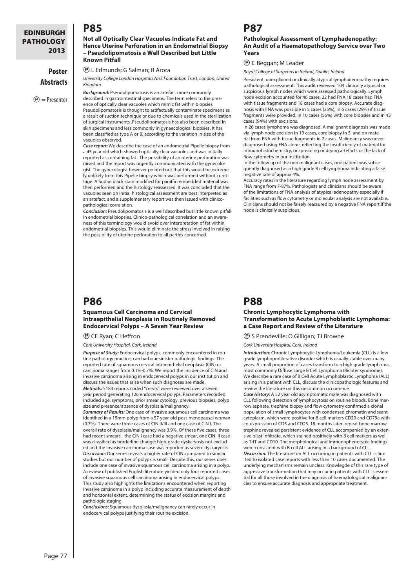### **Poster Abstracts**

 $(P)$  = Presenter

## **P85**

#### **Not all Optically Clear Vacuoles Indicate Fat and Hence Uterine Perforation in an Endometrial Biopsy – Pseudolipomatosis a Well Described but Little Known Pitfall**

P L Edmunds; G Salman; R Arora

*University College London Hospitals NHS Foundation Trust, London, United Kingdom*

*Background:* Pseudolipomatosis is an artefact more commonly described in gastrointestinal specimens. The term refers to the presence of optically clear vacuoles which mimic fat within biopsies. Pseudolipomatosis is thought to artifactually contaminate specimens as a result of suction technique or due to chemicals used in the sterilization of surgical instruments .Pseudolipomatosis has also been described in skin specimens and less commonly in gynaecological biopsies. It has been classified as type A or B, according to the variation in size of the vacuoles observed.

*Case report:* We describe the case of an endometrial Pipelle biopsy from a 45 year old which showed optically clear vacuoles and was initially reported as containing fat . The possibility of an uterine perforation was raised and the report was urgently communicated with the gynecologist. The gynecologist however pointed out that this would be extremely unlikely from this Pipelle biopsy which was performed without curettage. A Sudan black stain modified for paraffin embedded material was then performed and the histology reassessed. It was concluded that the vacuoles seen on initial histological assessment are best interpreted as an artefact, and a supplementary report was then issued with clinicopathological correlation.

*Conclusion:* Pseudolipomatosis is a well described but little known pitfall in endometrial biopsies. Clinico-pathological correlation and an awareness of this terminology would avoid over interpretation of fat within endometrial biopsies. This would eliminate the stress involved in raising the possibility of uterine perforation to all parties concerned.

## **P86**

#### **Squamous Cell Carcinoma and Cervical Intraepithelial Neoplasia in Routinely Removed Endocervical Polyps – A Seven Year Review**

P CE Ryan; C Heffron

*Cork University Hospital, Cork, Ireland*

*Purpose of Study:* Endocervical polyps, commonly encountered in routine pathology practice, can harbour sinister pathologic findings. The reported rate of squamous cervical intraepithelial neoplasia (CIN) or carcinoma ranges from 0.1%-0.7%. We report the incidence of CIN and invasive carcinoma arising in endocervical polyps in our institution and discuss the issues that arise when such diagnoses are made. *Methods:* 5183 reports coded "cervix" were reviewed over a seven year period generating 126 endocervical polyps. Parameters recorded included age, symptoms, prior smear cytology, previous biopsies, polyp size and presence/absence of dysplasia/malignancy. *Summary of Results:* One case of invasive squamous cell carcinoma was identified in a 15mm polyp from a 57 year-old post-menopausal woman (0.7%). There were three cases of CIN II/III and one case of CIN I. The overall rate of dysplasia/malignancy was 3.9%. Of these five cases, three had recent smears - the CIN I case had a negative smear, one CIN III case was classified as borderline change: high-grade dyskaryosis not excluded and the invasive carcinoma case was reported as severe dyskaryosis. *Discussion:* Our series reveals a higher rate of CIN compared to similar studies but our number of polyps is small. Despite this, our series does include one case of invasive squamous cell carcinoma arising in a polyp. A review of published English literature yielded only four reported cases of invasive squamous cell carcinoma arising in endocervical polyps. This study also highlights the limitations encountered when reporting invasive carcinoma in a polyp including accurate measurement of depth

and horizontal extent, determining the status of excision margins and pathologic staging. *Conclusions:* Squamous dysplasia/malignancy can rarely occur in

endocervical polyps justifying their routine excision.

## **P87**

#### **Pathological Assessment of Lymphadenopathy: An Audit of a Haematopathology Service over Two Years**

### P C Beggan; M Leader

*Royal College of Surgeons in Ireland, Dublin, Ireland*

Persistent, unexplained or clinically atypical lymphadenopathy requires pathological assessment. This audit reviewed 104 clinically atypical or suspicious lymph nodes which were assessed pathologically. Lymph node excision accounted for 46 cases, 22 had FNA,18 cases had FNA with tissue fragments and 18 cases had a core biopsy. Accurate diagnosis with FNA was possible in 5 cases (25%), in 6 cases (29%) if tissue fragments were provided, in 10 cases (56%) with core biopsies and in 43 cases (94%) with excisions.

In 26 cases lymphoma was diagnosed. A malignant diagnosis was made via lymph node excision in 19 cases, core biopsy in 5, and on material from FNA with tissue fragments in 2 cases. Malignancy was never diagnosed using FNA alone, reflecting the insufficiency of material for immunohistochemistry, or spreading or drying artefacts or the lack of flow cytometry in our institution.

In the follow up of the non malignant cases, one patient was subsequently diagnosed as a high grade B cell lymphoma indicating a false negative rate of approx 4%.

Accuracy rates in the literature regarding lymph node assessment by FNA range from 7-87%. Pathologists and clinicians should be aware of the limitations of FNA analysis of atypical adenopathy especially if facilities such as flow cytometry or molecular analysis are not available.. Clinicians should not be falsely reassured by a negative FNA report if the node is clinically suspicious.

## **P88**

### **Chronic Lymphocytic Lymphoma with Transformation to Acute Lymphoblastic Lymphoma: a Case Report and Review of the Literature**

P S Prendeville; O Gilligan; TJ Browne

*Cork University Hospital, Cork, Ireland*

*Introduction:* Chronic Lymphocytic Lymphoma/Leukemia (CLL) is a low grade lymphoproliferative disorder which is usually stable over many years. A small proportion of cases transform to a high grade lymphoma, most commonly Diffuse Large B Cell Lymphoma (Richter syndrome). We describe a rare case of B Cell Acute Lymphoblastic Lymphoma (ALL) arising in a patient with CLL, discuss the clinicopathologic features and review the literature on this uncommon occurrence.

*Case History:* A 52 year old asymptomatic male was diagnosed with CLL following detection of lymphocytosis on routine bloods. Bone marrow aspirate, trephine biopsy and flow cytometry confirmed a clonal population of small lymphocytes with condensed chromatin and scant cytoplasm, which were positive for B cell markers CD20 and CD79a with co-expression of CD5 and CD23. 18 months later, repeat bone marrow trephine revealed persistent evidence of CLL accompanied by an extensive blast infiltrate, which stained positively with B cell markers as well as TdT and CD10. The morphological and immunophenotypic findings were consistent with B cell ALL arising in a background of CLL. *Discussion:* The literature on ALL occurring in patients with CLL is limited to isolated case reports with less than 10 cases documented. The underlying mechanisms remain unclear. Knowlegde of this rare type of aggressive transformation that may occur in patients with CLL is essential for all those involved in the diagnosis of haematological malignancies to ensure accurate diagnosis and appropriate treatment.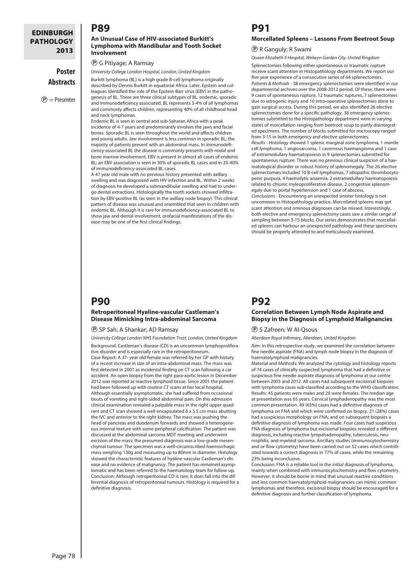### **Poster Abstracts**

 $(P)$  = Presenter

### **P89**

#### **An Unusual Case of HIV-associated Burkitt's Lymphoma with Mandibular and Tooth Socket Involvement**

#### P G Pitiyage; A Ramsay

*University College London Hospital, London, United Kingdom*

Burkitt lymphoma (BL) is a high grade B-cell lymphoma originally described by Dennis Burkitt in equatorial Africa. Later, Epstein and colleagues identified the role of the Epstein-Barr virus (EBV) in the pathogenesis of BL. There are three clinical subtypes of BL: endemic, sporadic and immunodeficiency associated. BL represents 3-4% of all lymphomas and commonly affects children, representing 40% of all childhood head and neck lymphomas.

Endemic BL is seen in central and sub-Saharan Africa with a peak incidence of 4-7 years and predominantly involves the jaws and facial bones. Sporadic BL is seen throughout the world and affects children and young adults. Jaw involvement is less common in sporadic BL; the majority of patients present with an abdominal mass. In immunodeficiency-associated BL the disease is commonly presents with nodal and bone marrow involvement. EBV is present in almost all cases of endemic BL; an EBV association is seen in 30% of sporadic BL cases and in 25-40% of immunodeficiency-associated BL cases.

A 47 year old male with no previous history presented with axillary swelling and was diagnosed with HIV infection and BL. Within 2 weeks of diagnosis he developed a submandibular swelling and had to undergo dental extractions. Histologically the tooth sockets showed infiltration by EBV-positive BL (as seen in the axillary node biopsy). This clinical pattern of disease was unusual and resembled that seen in children with endemic BL. Although it is rare for immunodeficiency-associated BL to show jaw and dental involvement, orofacial manifestations of the disease may be one of the first clinical findings.

## **P91**

### **Morcellated Spleens – Lessons From Beetroot Soup**

#### P R Ganguly; R Swami

*Queen Elizabeth II Hospital, Welwyn Garden City, United Kingdom*

Splenectomies following either spontaneous or traumatic rupture receive scant attention in Histopathology departments. We report our five year experience of a consecutive series of 64 splenectomies. *Patients & Methods* - 38 emergency splenectomies were identified in our departmental archives over the 2008-2012 period. Of these, there were 9 cases of spontaneous rupture, 12 traumatic ruptures, 7 splenectomies due to iatrogenic injury and 10 intra-operative splenectomies done to gain surgical access. During this period, we also identified 26 elective splenectomies done for a specific pathology. 38 emergency splenectomies submitted to the Histopathology department were in varying states of morcellation ranging from beetroot soup to partly disintegrated specimens. The number of blocks submitted for microscopy ranged from 3-15 in both emergency and elective splenectomies. *Results* - Histology showed 1 splenic marginal zone lymphoma, 1 mantle cell lymphoma, 1 angiosarcoma, 1 cavernous haemangioma and 1 case of extramedullary haematopoiesis in 9 splenectomies submitted for spontaneous rupture. There was no previous clinical suspicion of a haematological disorder or robust history of splenomegaly. The 26 elective splenectomies included 10 B-cell lymphomas, 7 idiopathic thrombocytopenic purpura, 4 haemolytic anaemia, 2 extramedullary haematopoiesis related to chronic myleoproliferative disease, 2 congestive splenomegaly due to portal hypertension and 1 case of abscess. *Conclusions* - Encountering an unexpected sinister histology is not uncommon in Histopathology practice. Morcellated spleens may get scant attention and ominous diagnoses can be missed. Interestingly, both elective and emergency splenectomy cases saw a similar range of sampling between 3-15 blocks. Our series demonstrates that morcellat-

ed spleens can harbour an unexpected pathology and these specimens should be properly attended to and meticulously examined.

## **P90**

### **Retroperitoneal Hyaline-vascular Castleman's Disease Mimicking Intra-abdominal Sarcoma**

#### P SP Sah; A Shankar; AD Ramsay

*University College London NHS Foundation Trust, London, United Kingdom*

Background: Castleman's disease (CD) is an uncommon lymphoproliferative disorder and is especially rare in the retroperitoneum. Case Report: A 37- year old female was referred by her GP with history of a recent increase in size of an intra-abdominal mass. The mass was first detected in 2001 as incidental finding on CT scan following a car accident. An open biopsy from the right para-aortic lesion in December 2012 was reported as reactive lymphoid tissue. Since 2001 the patient had been followed up with routine CT scans at her local hospital. Although essentially asymptomatic, she had suffered from occasional bouts of vomiting and right-sided abdominal pain. On this admission clinical examination revealed a palpable mass in the right upper quadrant and CT scan showed a well-encapsulated 6 x 5.5 cm mass abutting the IVC and anterior to the right kidney. The mass was pushing the head of pancreas and duodenum forwards and showed a heterogeneous internal texture with some peripheral calcification. The patient was discussed at the abdominal sarcoma MDT meeting and underwent excision of the mass; the presumed diagnosis was a low-grade mesenchymal tumour. The specimen was a well-circumscribed haemorrhagic mass weighing 130g and measuring up to 80mm in diameter. Histology showed the characteristic features of hyaline-vascular Castleman's disease and no evidence of malignancy. The patient has remained asymptomatic and has been referred to the haematology team for follow-up. Conclusion: Although retroperitoneal CD is rare, it does fall into the differential diagnosis of retroperitoneal tumours. Histology is required for a definitive diagnosis.

## **P92**

### **Correlation Between Lymph Node Aspirate and Biopsy in the Diagnosis of Lymphoid Malignancies**

P S Zafreen; W Al-Qsous

*Aberdeen Royal Infirmary, Aberdeen, United Kingdom*

Aim: In this retrospective study, we examined the correlation between fine needle aspirate (FNA) and lymph node biopsy in the diagnosis of haematolymphoid malignancies.

Material and Methods: We analyzed the cytology and histology reports of 74 cases of clinically suspected lymphoma that had a definitive or suspicious fine needle aspirate diagnosis of lymphoma at our centre between 2005 and 2012. All cases had subsequent excisional biopsies with lymphoma cases sub-classified according to the WHO classification. Results: 45 patients were males and 29 were females. The median age at presentation was 65 years. Cervical lymphadenopathy was the most common presentation. 49 (65%) cases had a definitive diagnosis of lymphoma on FNA and which were confirmed on biopsy. 21 (28%) cases had a suspicious morphology on FNA; and on subsequent biopsies a definitive diagnosis of lymphoma was made. Four cases had suspicious FNA diagnosis of lymphoma but excisional biopsies revealed a different diagnosis, including reactive lympahadenopathy, tuberculosis, neurosphilis, and myeloid sarcoma. Ancillary studies (immunocytochemistry and or flow cytometry) have been carried out on 52 cases which contributed towards a correct diagnosis in 77% of cases, while the remaining 23% being inconclusive.

Conclusion: FNA is a reliable tool in the initial diagnosis of lymphoma, mainly when combined with immunocytochemistry and flow cytometry. However, it should be borne in mind that unusual reactive conditions and less common haematolymphoid malignancies can mimic common lymphomas and therefore, excisonal biopsy should be encouraged for a definitive diagnosis and further classification of lymphoma.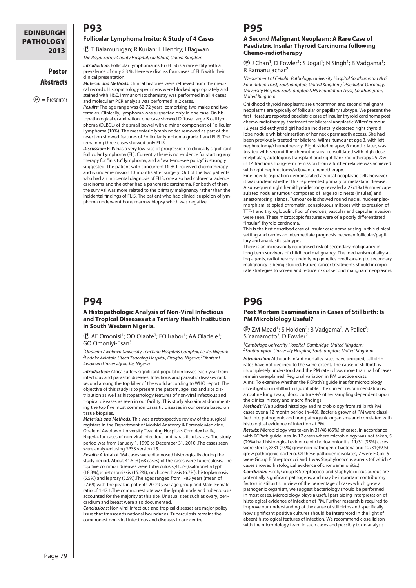### **Poster Abstracts**

**P93**

 $(P)$  = Presenter

### **Follicular Lymphoma Insitu: A Study of 4 Cases**

### P T Balamurugan; R Kurian; L Hendry; I Bagwan

*The Royal Surrey County Hospital, Guildford, United Kingdom*

*Introduction:* Follicular lymphoma insitu (FLIS) is a rare entity with a prevalence of only 2.3 %. Here we discuss four cases of FLIS with their clinical presentation.

*Material and Methods:* Clinical histories were retrieved from the medical records. Histopathology specimens were blocked appropriately and stained with H&E. Immunohistochemistry was performed in all 4 cases and molecular/ PCR analysis was performed in 2 cases.

*Results:* The age range was 62-72 years, comprising two males and two females. Clinically, lymphoma was suspected only in one case. On histopathological examination, one case showed Diffuse Large B cell lymphoma (DLBCL) of the small bowel with a minor component of Follicular Lymphoma (10%). The mesenteric lymph nodes removed as part of the resection showed features of Follicular lymphoma grade 1 and FLIS. The remaining three cases showed only FLIS.

*Discussion:* FLIS has a very low rate of progression to clinically significant Follicular Lymphoma (FL). Currently there is no evidence for starting any therapy for "in situ" lymphoma, and a "wait-and-see policy" is strongly suggested. The patient with concurrent DLBCL received chemotherapy and is under remission 13 months after surgery. Out of the two patients who had an incidental diagnosis of FLIS, one also had colorectal adenocarcinoma and the other had a pancreatic carcinoma. For both of them the survival was more related to the primary malignancy rather than the incidental findings of FLIS. The patient who had clinical suspicion of lymphoma underwent bone marrow biopsy which was negative.

## **P94**

#### **A Histopathologic Analysis of Non-Viral Infectious and Tropical Diseases at a Tertiary Health Institution in South Western Nigeria.**

#### P AE Omonisi1; OO Olaofe2; FO Irabor1; AA Oladele1; GO Omoniyi-Esan3

*1Obafemi Awolowo University Teaching Hospitals Complex, Ile-Ife, Nigeria; 2Ladoke Akintola Utech Teaching Hospital, Osogbo, Nigeria; 3Obafemi Awolowo University Ile-Ife, Nigeria*

*Introduction:* Africa suffers significant population losses each year from infectious and parasitic diseases. Infectious and parasitic diseases rank second among the top killer of the world according to WHO report. The objective of this study is to present the pattern, age, sex and site distribution as well as histopathology features of non-viral infectious and tropical diseases as seen in our facility. This study also aim at documenting the top five most common parasitic diseases in our centre based on tissue biopsies.

*Materials and Methods:* This was a retrospective review of the surgical registers in the Department of Morbid Anatomy & Forensic Medicine, Obafemi Awolowo University Teaching Hospitals Complex Ile-Ife, Nigeria, for cases of non-viral infectious and parasitic diseases. The study period was from January 1, 1990 to December 31, 2010 .The cases seen were analyzed using SPSS version 15.

*Results:* A total of 164 cases were diagnosed histologically during the study period. About 41.5 %( 68 cases) of the cases were tuberculosis. The top five common diseases were tuberculosis(41.5%),salmonella typhi (18.3%),schistosomiasis (15.2%), onchocerchiasis (6.7%), histoplasmosis (5.5%) and leprosy (5.5%).The ages ranged from 1-85 years (mean of 27.69) with the peak in patients 20-29 year age group and Male :Female ratio of 1.47:1.The commonest site was the lymph node and tuberculosis accounted for the majority at this site. Unusual sites such as ovary, pericardium and breast were also documented.

*Conclusions:* Non-viral infectious and tropical diseases are major policy issue that transcends national boundaries. Tuberculosis remains the commonest non-viral infectious and diseases in our centre.

## **P95**

#### **A Second Malignant Neoplasm: A Rare Case of Paediatric Insular Thyroid Carcinoma following Chemo-radiotherapy**

 $\textcircled{P}$  J Chan<sup>1</sup>; D Fowler<sup>1</sup>; S Jogai<sup>1</sup>; N Singh<sup>1</sup>; B Vadgama<sup>1</sup>; R Ramanujachar2

*1Department of Cellular Pathology, University Hospital Southampton NHS Foundation Trust, Southampton, United Kingdom; 2Paediatric Oncology, University Hospital Southampton NHS Foundation Trust, Southampton, United Kingdom*

Childhood thyroid neoplasms are uncommon and second malignant neoplasms are typically of follicular or papillary subtype. We present the first literature reported paediatric case of insular thyroid carcinoma post chemo-radiotherapy treatment for bilateral anaplastic Wilms' tumour. 12 year old euthyroid girl had an incidentally detected right thyroid lobe nodule whilst reinsertion of her neck permacath access. She had been previously treated for bilateral Wilms' tumour at age 3, with left nephrectomy/chemotherapy. Right-sided relapse, 6 months later, was treated with second-line chemotherapy, consolidated with high-dose melphalan, autologous transplant and right flank radiotherapy 25.2Gy in 14 fractions. Long-term remission from a further relapse was achieved with right nephrectomy/adjuvant chemotherapy.

Fine needle aspiration demonstrated atypical neoplastic cells however it was unclear whether this represented primary or metastatic disease. A subsequent right hemithyroidectomy revealed a 27x18x18mm encapsulated nodular tumour composed of large solid nests (insulae) and anastomosing islands. Tumour cells showed round nuclei, nuclear pleomorphism, stippled chromatin, conspicuous mitoses with expression of TTF-1 and thyroglobulin. Foci of necrosis, vascular and capsular invasion were seen. These microscopic features were of a poorly differentiated "insular" thyroid carcinoma.

This is the first described case of insular carcinoma arising in this clinical setting and carries an intermediate prognosis between follicular/papillary and anaplastic subtypes.

There is an increasingly recognised risk of secondary malignancy in long-term survivors of childhood malignancy. The mechanism of alkylating agents, radiotherapy, underlying genetics predisposing to secondary malignancy is being studied. Future cancer treatments should incorporate strategies to screen and reduce risk of second malignant neoplasms.

## **P96**

### **Post Mortem Examinations in Cases of Stillbirth: Is PM Microbiology Useful?**

**P** ZM Mead<sup>1</sup>; S Holden<sup>2</sup>; B Vadgama<sup>2</sup>; A Pallet<sup>2</sup>; S Yamamoto<sup>2</sup>; D Fowler<sup>2</sup>

*1Cambridge University Hospital, Cambridge, United Kingdom; 2Southampton University Hospital, Southampton, United Kingdom*

*Introduction:* Although infant mortality rates have dropped, stillbirth rates have not declined to the same extent. The cause of stillbirth is incompletely understood and the PM rate is low; more than half of cases remain unexplained. Regional variation in PM practice exists. Aims: To examine whether the RCPath's guidelines for microbiology investigation in stillbirth is justifiable. The current recommendation is; a routine lung swab, blood culture +/- other sampling dependent upon the clinical history and macro findings.

*Methods:* We audited histology and microbiology from stillbirth PM cases over a 12 month period (n=48). Bacteria grown at PM were classified into pathogenic and non-pathogenic organisms and correlated with histological evidence of infection at PM.

*Results:* Microbiology was taken in 31/48 (65%) of cases, in accordance with RCPath guidelines. In 17 cases where microbiology was not taken, 5 (29%) had histological evidence of chorioamnionitis. 11/31 (35%) cases were sterile, 8/31 (25%) grew non-pathogenic bacteria and 12/31(39%) grew pathogenic bacteria. Of these pathogenic isolates, 7 were E.Coli, 5 were Group B Streptococci and 1 was Staphylococcus aureus (of which 4 cases showed histological evidence of chorioamnionitis.)

*Conclusion:* E.coli, Group B Streptococci and Staphylococcus aureus are potentially significant pathogens, and may be important contributory factors in stillbirth. In view of the percentage of cases which grew a pathogenic organism, we suggest bacteriology should be performed in most cases. Microbiology plays a useful part aiding interpretation of histological evidence of infection at PM. Further research is required to improve our understanding of the cause of stillbirths and specifically how significant positive cultures should be interpreted in the light of absent histological features of infection. We recommend close liaison with the microbiology team in such cases and possibly toxin analysis.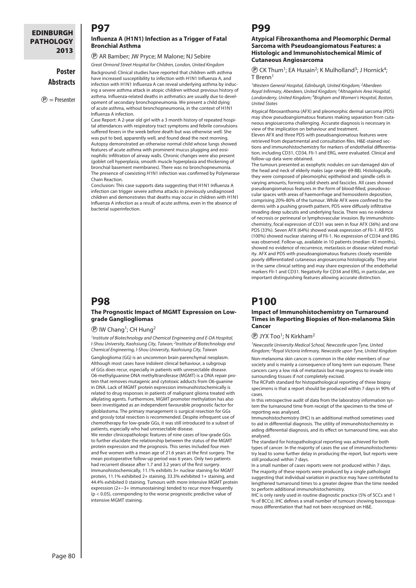### **Poster Abstracts**

 $(P)$  = Presenter

### **P97**

#### **Influenza A (H1N1) Infection as a Trigger of Fatal Bronchial Asthma**

P AR Bamber; JW Pryce; M Malone; NJ Sebire

*Great Ormond Street Hospital for Children, London, United Kingdom*

Background: Clinical studies have reported that children with asthma have increased susceptibility to infection with H1N1 Influenza A, and infection with H1N1 Influenza A can reveal underlying asthma by inducing a severe asthma attack in atopic children without previous history of asthma. Influenza-related deaths in asthmatics are usually due to development of secondary bronchopneumonia. We present a child dying of acute asthma, without bronchopneumonia, in the context of H1N1 Influenza A infection.

Case Report: A 2-year old girl with a 3 month history of repeated hospital attendances with respiratory tract symptoms and febrile convulsions suffered fevers in the week before death but was otherwise well. She was put to bed, apparently well, and found dead the next morning. Autopsy demonstrated an otherwise normal child whose lungs showed features of acute asthma with prominent mucus plugging and eosinophilic infiltration of airway walls. Chronic changes were also present (goblet cell hyperplasia, smooth muscle hyperplasia and thickening of bronchial basement membranes). There was no bronchopneumonia. The presence of coexisting H1N1 infection was confirmed by Polymerase Chain Reaction.

Conclusion: This case supports data suggesting that H1N1 Influenza A infection can trigger severe asthma attacks in previously undiagnosed children and demonstrates that deaths may occur in children with H1N1 Influenza A infection as a result of acute asthma, even in the absence of bacterial superinfection.

## **P98**

#### **The Prognostic Impact of MGMT Expression on Lowgrade Gangliogliomas**

#### $\textcircled{P}$  IW Chang<sup>1</sup>; CH Hung<sup>2</sup>

*1Institute of Biotechnology and Chemical Engineering and E-DA Hospital, I-Shou University, Kaohsiung City, Taiwan; 2Institute of Biotechnology and Chemical Engineering, I-Shou University, Kaohsiung City, Taiwan*

Ganglioglioma (GG) is an uncommon brain parenchymal neoplasm. Although most cases have indolent clinical behaviour, a subgroup of GGs does recur, especially in patients with unresectable disease. O6-methylguanine DNA methyltransferase (MGMT) is a DNA repair protein that removes mutagenic and cytotoxic adducts from O6-guanine in DNA. Lack of MGMT protein expression immunohistochemically is related to drug responses in patients of malignant glioma treated with alkylating agents. Furthermore, MGMT promoter methylation has also been investigated as an independent favourable prognostic factor for glioblastoma. The primary management is surgical resection for GGs and grossly total resection is recommended. Despite infrequent use of chemotherapy for low-grade GGs, it was still introduced to a subset of patients, especially who had unresectable disease.

We render clinicopathologic features of nine cases of low-grade GGs to further elucidate the relationship between the status of the MGMT protein expression and the prognosis. This series included four men and five women with a mean age of 21.6 years at the first surgery. The mean postoperative follow-up period was 6 years. Only two patients had recurrent disease after 1.7 and 3.2 years of the first surgery. Immunohistochemically, 11.1% exhibits 3+ nuclear staining for MGMT protein, 11.1% exhibited 2+ staining, 33.3% exhibited 1+ staining, and 44.4% exhibited 0 staining. Tumours with more intensive MGMT protein expression (2+~3+ immunostaining) tended to recur more frequently  $(p < 0.05)$ , corresponding to the worse prognostic predictive value of intensive MGMT staining.

## **P99**

#### **Atypical Fibroxanthoma and Pleomorphic Dermal Sarcoma with Pseudoangiomatous Features: a Histologic and Immunohistochemical Mimic of Cutaneous Angiosarcoma**

P CK Thum1; EA Husain2; K Mulholland3; J Hornick4; T Brenn1

*1Western General Hospital, Edinburgh, United Kingdom; 2Aberdeen Royal Infirmary, Aberdeen, United Kingdom; 3Altnagelvin Area Hospital, Londonderry, United Kingdom; 4Brigham and Women's Hospital, Boston, United States*

Atypical fibroxanthoma (AFX) and pleomorphic dermal sarcoma (PDS) may show pseudoangiomatous features making separation from cutaneous angiosarcoma challenging. Accurate diagnosis is necessary in view of the implication on behaviour and treatment.

Eleven AFX and three PDS with pseudoangiomatous features were retrieved from departmental and consultation files. H&E-stained sections and immunohistochemistry for markers of endothelial differentiation, including CD31, CD34, Fli-1 and ERG, were evaluated. Clinical and follow-up data were obtained.

The tumours presented as exophytic nodules on sun-damaged skin of the head and neck of elderly males (age range: 69-88). Histologically, they were composed of pleomorphic epithelioid and spindle cells in varying amounts, forming solid sheets and fascicles. All cases showed pseudoangiomatous features in the form of blood-filled, pseudovascular spaces with areas of haemorrhage and hemosiderin deposition, comprising 20%-80% of the tumour. While AFX were confined to the dermis with a pushing growth pattern, PDS were diffusely infiltrative invading deep subcutis and underlying fascia. There was no evidence of necrosis or perineural or lymphovascular invasion. By immunohistochemistry, focal expression of CD31 was seen in four AFX (36%) and one PDS (33%). Seven AFX (64%) showed weak expression of Fli-1. All PDS (100%) showed nuclear staining of Fli-1. No expression of CD34 and ERG was observed. Follow-up, available in 10 patients (median: 43 months), showed no evidence of recurrence, metastasis or disease related mortality. AFX and PDS with pseudoangiomatous features closely resemble poorly differentiated cutaneous angiosarcoma histologically. They arise in the same clinical setting and may share expression of the endothelial markers Fli-1 and CD31. Negativity for CD34 and ERG, in particular, are important distinguishing features allowing accurate distinction.

## **P100**

### **Impact of Immunohistochemistry on Turnaround Times in Reporting Biopsies of Non-melanoma Skin Cancer**

#### P JYX Too1; N Kirkham2

*1Newcastle University Medical School, Newcastle upon Tyne, United Kingdom; 2Royal Victoria Infirmary, Newcastle upon Tyne, United Kingdom*

Non-melanoma skin cancer is common in the older members of our society and is mainly a consequence of long term sun exposure. These cancers carry a low risk of metastasis but may progress to invade into surrounding tissues if not completely excised.

The RCPath standard for histopathological reporting of these biopsy specimens is that a report should be produced within 7 days in 90% of cases.

In this retrospective audit of data from the laboratory information system the turnaround time from receipt of the specimen to the time of reporting was analysed.

Immunohistochemistry (IHC) is an additional method sometimes used to aid in differential diagnosis. The utility of immunohistochemistry in aiding differential diagnosis, and its effect on turnaround time, was also analysed.

The standard for histopathological reporting was achieved for both types of cancer. In the majority of cases the use of immunohistochemistry lead to some further delay in producing the report, but reports were still produced within 7 days.

In a small number of cases reports were not produced within 7 days. The majority of these reports were produced by a single pathologist suggesting that individual variation in practice may have contributed to lengthened turnaround times to a greater degree than the time needed to perform additional immunohistochemistry.

IHC is only rarely used in routine diagnostic practice (5% of SCCs and 1 % of BCCs). IHC defines a small number of tumours showing basosquamous differentiation that had not been recognised on H&E.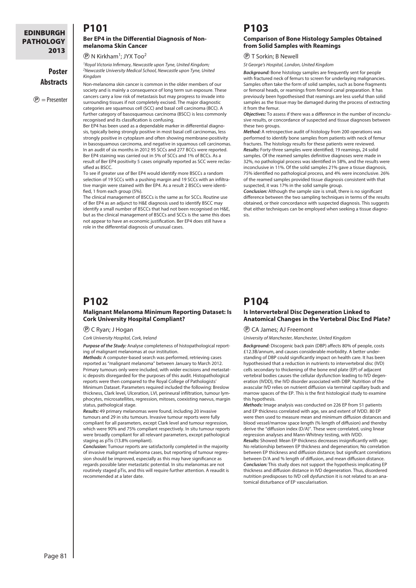### **Poster Abstracts**

 $(P)$  = Presenter

## **P101**

#### **Ber EP4 in the Differential Diagnosis of Nonmelanoma Skin Cancer**

P N Kirkham1; JYX Too2

*1Royal Victoria Infirmary, Newcastle upon Tyne, United Kingdom; 2Newcastle University Medical School, Newcastle upon Tyne, United Kingdom*

Non-melanoma skin cancer is common in the older members of our society and is mainly a consequence of long term sun exposure. These cancers carry a low risk of metastasis but may progress to invade into surrounding tissues if not completely excised. The major diagnostic categories are squamous cell (SCC) and basal cell carcinoma (BCC). A further category of basosquamous carcinoma (BSCC) is less commonly recognised and its classification is confusing.

Ber EP4 has been used as a dependable marker in differential diagnosis, typically being strongly positive in most basal cell carcinomas, less strongly positive in cytoplasm and often showing membrane-positivity in basosquamous carcinoma, and negative in squamous cell carcinomas. In an audit of six months in 2012 95 SCCs and 277 BCCs were reported. Ber EP4 staining was carried out in 5% of SCCs and 1% of BCCs. As a result of Ber EP4 positivity 5 cases originally reported as SCC were reclassified as BSCC.

To see if greater use of Ber EP4 would identify more BSCCs a random selection of 19 SCCs with a pushing margin and 19 SCCs with an infiltrative margin were stained with Ber EP4. As a result 2 BSCCs were identified, 1 from each group (5%).

The clinical management of BSCCs is the same as for SCCs. Routine use of Ber EP4 as an adjunct to H&E diagnosis used to identify BSCC may identify a small number of BSCCs that had not been recognised on H&E, but as the clinical management of BSCCs and SCCs is the same this does not appear to have an economic justification. Ber EP4 does still have a role in the differential diagnosis of unusual cases.

## **P102**

### **Malignant Melanoma Minimum Reporting Dataset: Is Cork University Hospital Compliant?**

P C Ryan; J Hogan

*Cork University Hospital, Cork, Ireland*

*Purpose of the Study:* Analyse completeness of histopathological reporting of malignant melanomas at our institution.

*Methods:* A computer-based search was performed, retrieving cases reported as "malignant melanoma" between January to March 2012. Primary tumours only were included, with wider excisions and metastatic deposits disregarded for the purposes of this audit. Histopathological reports were then compared to the Royal College of Pathologists' Minimum Dataset. Parameters required included the following: Breslow thickness, Clark level, Ulceration, LVI, perineural infiltration, tumour lymphocytes, microsatellites, regression, mitoses, coexisting naevus, margin status, pathological stage.

*Results:* 49 primary melanomas were found, including 20 invasive tumours and 29 in situ tumours. Invasive tumour reports were fully compliant for all parameters, except Clark level and tumour regression, which were 90% and 75% compliant respectively. In situ tumour reports were broadly compliant for all relevant parameters, except pathological staging as pTis (13.8% compliant).

*Conclusion:* Tumour reports are satisfactorily completed in the majority of invasive malignant melanoma cases, but reporting of tumour regression should be improved, especially as this may have significance as regards possible later metastatic potential. In situ melanomas are not routinely staged pTis, and this will require further attention. A reaudit is recommended at a later date.

## **P103**

### **Comparison of Bone Histology Samples Obtained from Solid Samples with Reamings**

P T Sorkin; B Newell

*St George's Hospital, London, United Kingdom*

*Background:* Bone histology samples are frequently sent for people with fractured neck of femurs to screen for underlaying malignancies. Samples often take the form of solid samples, such as bone fragments or femoral heads, or reamings from femoral canal preparation. It has previously been hypothesised that reamings are less useful than solid samples as the tissue may be damaged during the process of extracting it from the femur.

*Objectives:* To assess if there was a difference in the number of inconclusive results, or concordance of suspected and tissue diagnoses between these two groups.

*Method:* A retrospective audit of histology from 200 operations was performed to identify bone samples from patients with neck of femur fractures. The histology results for these patients were reviewed. *Results:* Forty-three samples were identified; 19 reamings, 24 solid samples. Of the reamed samples definitive diagnoses were made in 32%, no pathologial process was identified in 58%, and the results were inconclusive in 11%. Of the solid samples 21% gave a tissue diagnosis, 75% identified no pathological process, and 4% were inconclusive. 26% of the reamed samples provided tissue diagnosis consistent with that suspected, it was 17% in the solid sample group.

*Conclusion:* Although the sample size is small, there is no significant difference between the two sampling techniques in terms of the results obtained, or their concordance with suspected diagnosis. This suggests that either techniques can be employed when seeking a tissue diagnosis.

## **P104**

### **Is Intervertebral Disc Degeneration Linked to Anatomical Changes in the Vertebral Disc End Plate?**

P CA James; AJ Freemont

*University of Manchester, Manchester, United Kingdom*

*Background:* Discogenic back pain (DBP) affects 80% of people, costs £12.3B/annum, and causes considerable morbidity. A better understanding of DBP could significantly impact on health care. It has been hypothesised that a reduction in nutrients to intervertebral disc (IVD) cells secondary to thickening of the bone end plate (EP) of adjacent vertebral bodies causes the cellular dysfunction leading to IVD degeneration (IVDD), the IVD disorder associated with DBP. Nutrition of the avascular IVD relies on nutrient diffusion via terminal capillary buds and marrow spaces of the EP. This is the first histological study to examine this hypothesis.

*Methods:* Image analysis was conducted on 226 EP from 51 patients and EP thickness correlated with age, sex and extent of IVDD. 80 EP were then used to measure mean and minimum diffusion distances and blood vessel/marrow space length (% length of diffusion) and thereby derive the "diffusion index (D/A)". These were correlated, using linear regression analyses and Mann-Whitney testing, with IVDD.

*Results:* Showed: Mean EP thickness decreases insignificantly with age; No relationship between EP thickness and degeneration; No correlation between EP thickness and diffusion distance; but significant correlations between D/A and % length of diffusion, and mean diffusion distance. *Conclusion:* This study does not support the hypothesis implicating EP thickness and diffusion distance in IVD degeneration. Thus, disordered nutrition predisposes to IVD cell dysfunction it is not related to an anatomical disturbance of EP vascularisation.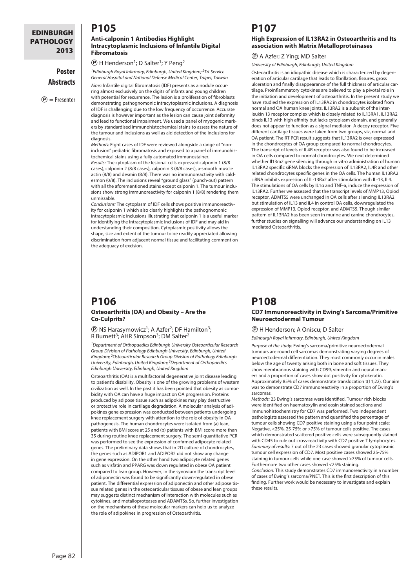### **Poster Abstracts**

 $(P)$  = Presenter

### **P105**

#### **Anti-calponin 1 Antibodies Highlight Intracytoplasmic Inclusions of Infantile Digital Fibromatosis**

**P** H Henderson<sup>1</sup>; D Salter<sup>1</sup>; Y Peng<sup>2</sup>

*1Edinburgh Royal Infirmary, Edinburgh, United Kingdom; 2Tri-Service General Hospital and National Defense Medical Center, Taipei, Taiwan*

*Aims:* Infantile digital fibromatosis (IDF) presents as a nodule occurring almost exclusively on the digits of infants and young children with potential for recurrence. The lesion is a proliferation of fibroblasts demonstrating pathognomonic intracytoplasmic inclusions. A diagnosis of IDF is challenging due to the low frequency of occurrence. Accurate diagnosis is however important as the lesion can cause joint deformity and lead to functional impairment. We used a panel of myogenic markers by standardised immunohistochemical stains to assess the nature of the tumour and inclusions as well as aid detection of the inclusions for diagnosis.

*Methods:* Eight cases of IDF were reviewed alongside a range of "noninclusion" pediatric fibromatosis and exposed to a panel of immunohistochemical stains using a fully automated immunostainer. *Results:* The cytoplasm of the lesional cells expressed calponin 1 (8/8 cases), calponin 2 (8/8 cases), calponin 3 (8/8 cases), a-smooth muscle actin (8/8) and desmin (8/8). There was no immunoreactivity with caldesmon (0/8). The inclusions reveal "ground glass" (punch-out) pattern with all the aforementioned stains except calponin 1. The tumour inclusions show strong immunoreactivity for calponin 1 (8/8) rendering them unmissable.

*Conclusions:* The cytoplasm of IDF cells shows positive immunoreactivity for calponin 1 which also clearly highlights the pathognomonic intracytoplasmic inclusions illustrating that calponin 1 is a useful marker for identifying the intracytoplasmic inclusions of IDF and may aid in understanding their composition. Cytoplasmic positivity allows the shape, size and extent of the tumour to be readily appreciated allowing discrimination from adjacent normal tissue and facilitating comment on the adequacy of excision.

## **P107**

### **High Expression of IL13RA2 in Osteoarthritis and Its association with Matrix Metalloproteinases**

P A Azfer; Z Ying; MD Salter

*University of Edinburgh, Edinburgh, United Kingdom*

Osteoarthritis is an idiopathic disease which is characterized by degeneration of articular cartilage that leads to fibrillation, fissures, gross ulceration and finally disappearance of the full thickness of articular cartilage. Proinflammatory cytokines are believed to play a pivotal role in the initiation and development of osteoarthritis. In the present study we have studied the expression of IL13RA2 in chondrocytes isolated from normal and OA human knee joints. IL13RA2 is a subunit of the interleukin 13 receptor complex which is closely related to IL13RA1. IL13RA2 binds IL13 with high affinity but lacks cytoplasm domain, and generally does not appear to function as a signal mediator- A decoy receptor. Five different cartilage tissues were taken from two groups, viz, normal and OA patient. The RT PCR result suggests that IL13RA2 is over expressed in the chondrocytes of OA group compared to normal chondrocytes. The transcript of levels of IL4R receptor was also found to be increased in OA cells compared to normal chondrocytes. We next determined whether Il13ra2 gene silencing through in vitro administration of human IL13RA2 speci**fi**c siRNA blocks the expression of IL13RA2, IL4R and other related chondrocytes specific genes in the OA cells. The human IL13RA2 siRNA inhibits expression of IL-13Ra2 after stimulation with IL-13, IL4. The stimulations of OA cells by IL1α and TNF-a, induce the expression of IL13RA2. Further we assessed that the transcript levels of MMP13, Opiod receptor, ADMTS5 were unchanged in OA cells after silencing IL13RA2 but stimulation of IL13 and IL4 in control OA cells, downregulated the expression of MMP13, Opiod receptor, and ADMTS5. Though similar pattern of IL13RA2 has been seen in murine and canine chondrocytes, further studies on signalling will advance our understanding on IL13 mediated Osteoarthritis.

## **P106**

### **Osteoarthritis (OA) and Obesity – Are the Co-Culprits?**

### (P) NS Harasymowicz<sup>1</sup>: A Azfer<sup>2</sup>: DF Hamilton<sup>3</sup>: R Burnett<sup>3</sup>; AHR Simpson<sup>3</sup>; DM Salter<sup>2</sup>

*1Department of Orthopaedics Edinburgh University Osteoarticular Research Group Division of Pathology Edinburgh University, Edinburgh, United Kingdom; 2Osteoarticular Research Group Division of Pathology Edinburgh University, Edinburgh, United Kingdom; 3Department of Orthopaedics Edinburgh University, Edinburgh, United Kingdom*

Osteoarthritis (OA) is a multifactorial degenerative joint disease leading to patient's disability. Obesity is one of the growing problems of western civilization as well. In the past it has been pointed that obesity as comorbidity with OA can have a huge impact on OA progression. Proteins produced by adipose tissue such as adipokines may play destructive or protective role in cartilage degradation. A molecular analysis of adipokines gene expression was conducted between patients undergoing knee replacement surgery with attention to the role of obesity in OA pathogenesis. The human chondrocytes were isolated from (a) lean, patients with BMI score at 25 and (b) patients with BMI score more than 35 during routine knee replacement surgery. The semi-quantitative PCR was performed to see the expression of confirmed adipocyte related genes. The preliminary data shows that in 2D culture of chondrocytes, the genes such as ADIPOR1 and ADIPOR2 did not show any change in gene expression. On the other hand two adipocyte related genes such as visfatin and PPARG was down regulated in obese OA patient compared to lean group. However, in the synovium the transcript level of adiponectin was found to be significantly down-regulated in obese patient. The differential expression of adiponectin and other adipose tissue related genes in the osteoarticular tissues of obese and lean groups may suggests distinct mechanism of interaction with molecules such as cytokines, and metalloproteases and ADAMTSs. So, further investigation on the mechanisms of these molecular markers can help us to analyze the role of adipokines in progression of Osteoarthritis.

## **P108**

### **CD7 Immunoreactivity in Ewing's Sarcoma/Primitive Neuroectodermal Tumour**

#### P H Henderson; A Oniscu; D Salter

*Edinburgh Royal Infirmary, Edinburgh, United Kingdom*

*Purpose of the study:* Ewing's sarcoma/primitive neuroectodermal tumours are round cell sarcomas demonstrating varying degrees of neuroectodermal differentiation. They most commonly occur in males below the age of twenty arising both in bone and soft tissues. They show membranous staining with CD99, vimentin and neural markers and a proportion of cases show dot positivity for cytokeratin. Approximately 85% of cases demonstrate translocation t(11;22). Our aim was to demonstrate CD7 immunoreactivity in a proportion of Ewing's sarcomas.

*Methods:* 23 Ewing's sarcomas were identified. Tumour rich blocks were identified on haematoxylin and eosin stained sections and Immunohistochemistry for CD7 was performed. Two independent pathologists assessed the pattern and quantified the percentage of tumour cells showing CD7 positive staining using a four point scale: Negative, <25%, 25-75% or >75% of tumour cells positive. The cases which demonstrated scattered positive cells were subsequently stained with CD45 to rule out cross-reactivity with CD7 positive T lymphocytes. *Summary of results:* 7 out of the 23 cases showed granular cytoplasmic tumour cell expression of CD7. Most positive cases showed 25-75% staining in tumour cells while one case showed >75% of tumour cells. Furthermore two other cases showed <25% staining. *Conclusion:* This study demonstrates CD7 immunoreactivity in a number of cases of Ewing's sarcoma/PNET. This is the first description of this finding. Further work would be necessary to investigate and explain these results.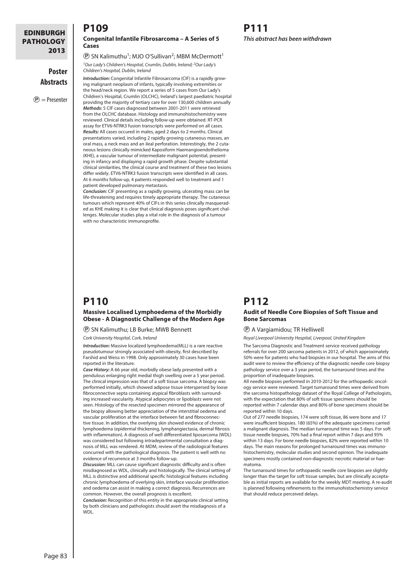### **Poster Abstracts**

 $(P)$  = Presenter

## **P109**

#### **Congenital Infantile Fibrosarcoma – A Series of 5 Cases**

 $\textcircled{P}$  SN Kalimuthu<sup>1</sup>; MJO O'Sullivan<sup>2</sup>; MBM McDermott<sup>1</sup> *1Our Lady's Children's Hospital, Crumlin, Dublin, Ireland; 2Our Lady's* 

*Children's Hospital, Dublin, Ireland*

*Introduction:* Congenital Infantile Fibrosarcoma (CIF) is a rapidly growing malignant neoplasm of infants, typically involving extremities or the head/neck region. We report a series of 5 cases from Our Lady's Children's Hospital, Crumlin (OLCHC), Ireland's largest paediatric hospital providing the majority of tertiary care for over 130,600 children annually *Methods:* 5 CIF cases diagnosed between 2001-2011 were retrieved from the OLCHC database. Histology and immunohistochemistry were reviewed. Clinical details including follow-up were obtained. RT-PCR assay for ETV6-NTRK3 fusion transcripts were performed on all cases. *Results:* All cases occured in males, aged 2 days to 2 months. Clinical presentations varied, including 2 rapidly growing cutaneous masses, an oral mass, a neck mass and an ileal perforation. Interestingly, the 2 cutaneous lesions clinically mimicked Kaposiform Haemangioendothelioma (KHE), a vascular tumour of intermediate malignant potential, presenting in infancy and displaying a rapid growth phase. Despite substantial clinical similarities, the clinical course and treatment of these two lesions differ widely. ETV6-NTRK3 fusion transcripts were identified in all cases. At 6 months follow-up, 4 patients responded well to treatment and 1 patient developed pulmonary metastasis.

*Conclusion:* CIF presenting as a rapidly growing, ulcerating mass can be life-threatening and requires timely appropriate therapy. The cutaneous tumours which represent 40% of CIFs in this series clinically masqueraded as KHE making it is clear that clinical diagnosis poses significant challenges. Molecular studies play a vital role in the diagnosis of a tumour with no characteristic immunoprofile.

## **P110**

### **Massive Localised Lymphoedema of the Morbidly Obese - A Diagnostic Challenge of the Modern Age**

P SN Kalimuthu; LB Burke; MWB Bennett

*Cork University Hospital, Cork, Ireland*

*Introduction:* Massive localized lymphoedema(MLL) is a rare reactive pseudotumour strongly associated with obesity, first described by Farshid and Weiss in 1998. Only approximately 30 cases have been reported in the literature.

*Case History:* A 66 year old, morbidly obese lady presented with a pendulous enlarging right medial thigh swelling over a 5 year period. The clinical impression was that of a soft tissue sarcoma. A biopsy was performed initially, which showed adipose tissue interspersed by loose fibroconnective septa containing atypical fibroblasts with surrounding increased vascularity. Atypical adipocytes or lipoblasts were not seen. Histology of the resected specimen mirrored the appearance of the biopsy allowing better appreciation of the interstitial oedema and vascular proliferation at the interface between fat and fibroconnective tissue. In addition, the overlying skin showed evidence of chronic lymphoedema (epidermal thickening, lymphangiectasia, dermal fibrosis with inflammation). A diagnosis of well differentiated liposarcoma (WDL) was considered but following intradepartmental consultation a diagnosis of MLL was rendered. At MDM, review of the radiological features concurred with the pathological diagnosis. The patient is well with no evidence of recurrence at 3 months follow-up.

*Discussion:* MLL can cause significant diagnostic difficulty and is often misdiagnosed as WDL, clinically and histologically. The clinical setting of MLL is distinctive and additional specific histological features including chronic lymphoedema of overlying skin, interface vascular proliferation and oedema can assist in making a correct diagnosis. Recurrences are common. However, the overall prognosis is excellent.

*Conclusion:* Recognition of this entity in the appropriate clinical setting by both clinicians and pathologists should avert the misdiagnosis of a WDL.

# **P111**

*This abstract has been withdrawn*

## **P112**

### **Audit of Needle Core Biopsies of Soft Tissue and Bone Sarcomas**

#### P A Vargiamidou; TR Helliwell

*Royal Liverpool University Hospital, Liverpool, United Kingdom*

The Sarcoma Diagnostic and Treatment service received pathology referrals for over 200 sarcoma patients in 2012, of which approximately 50% were for patients who had biopsies in our hospital. The aims of this audit were to review the efficiency of the diagnostic needle core biopsy pathology service over a 3 year period, the turnaround times and the proportion of inadequate biopsies.

All needle biopsies performed in 2010-2012 for the orthopaedic oncology service were reviewed. Target turnaround times were derived from the sarcoma histopathology dataset of the Royal College of Pathologists, with the expectation that 80% of soft tissue specimens should be reported within 7 calendar days and 80% of bone specimens should be reported within 10 days.

Out of 277 needle biopsies, 174 were soft tissue, 86 were bone and 17 were insufficient biopsies. 180 (65%) of the adequate specimens carried a malignant diagnosis. The median turnaround time was 5 days. For soft tissue needle biopsies, 70% had a final report within 7 days and 93% within 13 days. For bone needle biopsies, 82% were reported within 10 days. The main reasons for prolonged turnaround times was immuno histochemistry, molecular studies and second opinion. The inadequate specimens mostly contained non-diagnostic necrotic material or haematoma.

The turnaround times for orthopaedic needle core biopsies are slightly longer than the target for soft tissue samples, but are clinically acceptable as initial reports are available for the weekly MDT meeting. A re-audit is planned following refinements to the immunohistochemistry service that should reduce perceived delays.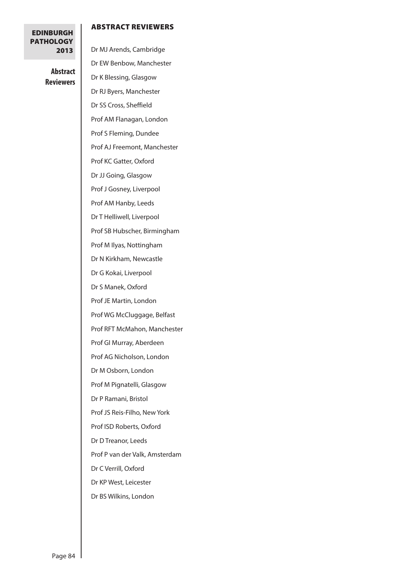# **Abstract**

**Reviewers**

### Abstract Reviewers

Dr MJ Arends, Cambridge Dr EW Benbow, Manchester Dr K Blessing, Glasgow Dr RJ Byers, Manchester Dr SS Cross, Sheffield Prof AM Flanagan, London Prof S Fleming, Dundee Prof AJ Freemont, Manchester Prof KC Gatter, Oxford Dr JJ Going, Glasgow Prof J Gosney, Liverpool Prof AM Hanby, Leeds Dr T Helliwell, Liverpool Prof SB Hubscher, Birmingham Prof M Ilyas, Nottingham Dr N Kirkham, Newcastle Dr G Kokai, Liverpool Dr S Manek, Oxford Prof JE Martin, London Prof WG McCluggage, Belfast Prof RFT McMahon, Manchester Prof GI Murray, Aberdeen Prof AG Nicholson, London Dr M Osborn, London Prof M Pignatelli, Glasgow Dr P Ramani, Bristol Prof JS Reis-Filho, New York Prof ISD Roberts, Oxford Dr D Treanor, Leeds Prof P van der Valk, Amsterdam Dr C Verrill, Oxford Dr KP West, Leicester Dr BS Wilkins, London